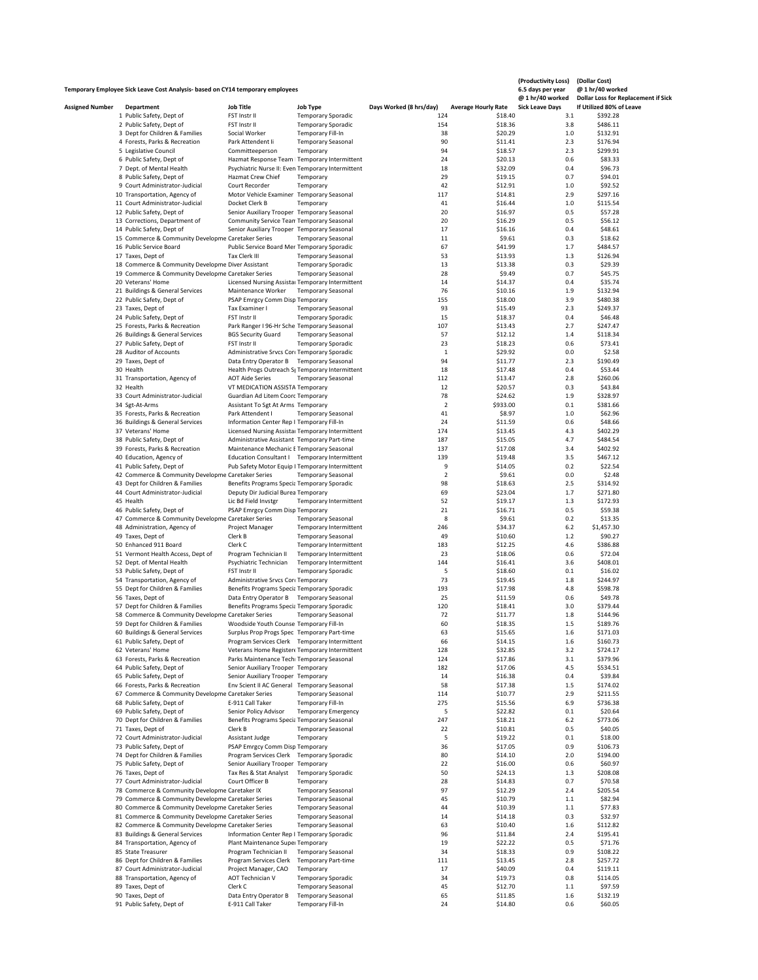|                        | Temporary Employee Sick Leave Cost Analysis- based on CY14 temporary employees |                                                                                                         |                                                |                         |                            | (Productivity Loss)<br>6.5 days per year | (Dollar Cost)<br>@ 1 hr/40 worked          |
|------------------------|--------------------------------------------------------------------------------|---------------------------------------------------------------------------------------------------------|------------------------------------------------|-------------------------|----------------------------|------------------------------------------|--------------------------------------------|
|                        |                                                                                |                                                                                                         |                                                |                         |                            | @ 1 hr/40 worked                         | <b>Dollar Loss for Replacement if Sick</b> |
| <b>Assigned Number</b> | Department                                                                     | <b>Job Title</b>                                                                                        | <b>Job Type</b>                                | Days Worked (8 hrs/day) | <b>Average Hourly Rate</b> | <b>Sick Leave Days</b>                   | If Utilized 80% of Leave                   |
|                        | 1 Public Safety, Dept of                                                       | FST Instr II                                                                                            | <b>Temporary Sporadic</b>                      | 124                     | \$18.40                    | 3.1                                      | \$392.28                                   |
|                        | 2 Public Safety, Dept of                                                       | FST Instr II                                                                                            | <b>Temporary Sporadic</b>                      | 154                     | \$18.36                    | 3.8                                      | \$486.11                                   |
|                        | 3 Dept for Children & Families                                                 | Social Worker                                                                                           | Temporary Fill-In                              | 38                      | \$20.29                    | 1.0                                      | \$132.91                                   |
|                        | 4 Forests, Parks & Recreation                                                  | Park Attendent Ii                                                                                       | <b>Temporary Seasonal</b>                      | 90                      | \$11.41                    | 2.3                                      | \$176.94                                   |
|                        | 5 Legislative Council                                                          | Committeeperson                                                                                         | Temporary                                      | 94                      | \$18.57                    | 2.3                                      | \$299.91                                   |
|                        | 6 Public Safety, Dept of                                                       | Hazmat Response Team   Temporary Intermittent                                                           |                                                | 24                      | \$20.13                    | 0.6                                      | \$83.33                                    |
|                        | 7 Dept. of Mental Health                                                       | Psychiatric Nurse II: Even Temporary Intermittent                                                       |                                                | 18                      | \$32.09                    | 0.4                                      | \$96.73                                    |
|                        | 8 Public Safety, Dept of                                                       | Hazmat Crew Chief                                                                                       | Temporary                                      | 29                      | \$19.15                    | 0.7                                      | \$94.01                                    |
|                        | 9 Court Administrator-Judicial                                                 | Court Recorder                                                                                          | Temporary                                      | 42                      | \$12.91                    | 1.0                                      | \$92.52                                    |
|                        | 10 Transportation, Agency of                                                   | Motor Vehicle Examiner Temporary Seasonal                                                               |                                                | 117                     | \$14.81                    | 2.9                                      | \$297.16                                   |
|                        | 11 Court Administrator-Judicial                                                | Docket Clerk B                                                                                          | Temporary                                      | 41                      | \$16.44                    | 1.0                                      | \$115.54                                   |
|                        | 12 Public Safety, Dept of                                                      | Senior Auxiliary Trooper Temporary Seasonal                                                             |                                                | 20                      | \$16.97                    | 0.5<br>0.5                               | \$57.28                                    |
|                        | 13 Corrections, Department of<br>14 Public Safety, Dept of                     | Community Service Tean Temporary Seasonal<br>Senior Auxiliary Trooper Temporary Seasonal                |                                                | 20<br>17                | \$16.29<br>\$16.16         | 0.4                                      | \$56.12<br>\$48.61                         |
|                        | 15 Commerce & Community Developme Caretaker Series                             |                                                                                                         | <b>Temporary Seasonal</b>                      | 11                      | \$9.61                     | 0.3                                      | \$18.62                                    |
|                        | 16 Public Service Board                                                        | Public Service Board Mer Temporary Sporadic                                                             |                                                | 67                      | \$41.99                    | 1.7                                      | \$484.57                                   |
|                        | 17 Taxes, Dept of                                                              | Tax Clerk III                                                                                           | <b>Temporary Seasonal</b>                      | 53                      | \$13.93                    | 1.3                                      | \$126.94                                   |
|                        | 18 Commerce & Community Developme Diver Assistant                              |                                                                                                         | <b>Temporary Sporadic</b>                      | 13                      | \$13.38                    | 0.3                                      | \$29.39                                    |
|                        | 19 Commerce & Community Developme Caretaker Series                             |                                                                                                         | <b>Temporary Seasonal</b>                      | 28                      | \$9.49                     | 0.7                                      | \$45.75                                    |
|                        | 20 Veterans' Home                                                              | Licensed Nursing Assista: Temporary Intermittent                                                        |                                                | 14                      | \$14.37                    | 0.4                                      | \$35.74                                    |
|                        | 21 Buildings & General Services                                                | Maintenance Worker                                                                                      | <b>Temporary Seasonal</b>                      | 76                      | \$10.16                    | 1.9                                      | \$132.94                                   |
|                        | 22 Public Safety, Dept of                                                      | PSAP Emrgcy Comm Disp Temporary                                                                         |                                                | 155                     | \$18.00                    | 3.9                                      | \$480.38                                   |
|                        | 23 Taxes, Dept of                                                              | Tax Examiner I                                                                                          | <b>Temporary Seasonal</b>                      | 93                      | \$15.49                    | 2.3                                      | \$249.37                                   |
|                        | 24 Public Safety, Dept of                                                      | FST Instr II                                                                                            | <b>Temporary Sporadic</b>                      | 15                      | \$18.37                    | 0.4                                      | \$46.48                                    |
|                        | 25 Forests, Parks & Recreation                                                 | Park Ranger I 96-Hr Sche Temporary Seasonal                                                             |                                                | 107                     | \$13.43                    | 2.7                                      | \$247.47                                   |
|                        | 26 Buildings & General Services                                                | <b>BGS Security Guard</b>                                                                               | <b>Temporary Seasonal</b>                      | 57                      | \$12.12                    | 1.4                                      | \$118.34                                   |
|                        | 27 Public Safety, Dept of                                                      | FST Instr II                                                                                            | <b>Temporary Sporadic</b>                      | 23                      | \$18.23                    | 0.6                                      | \$73.41                                    |
|                        | 28 Auditor of Accounts                                                         | Administrative Srvcs Corr Temporary Sporadic                                                            |                                                | 1<br>94                 | \$29.92                    | 0.0<br>2.3                               | \$2.58                                     |
|                        | 29 Taxes, Dept of<br>30 Health                                                 | Data Entry Operator B Temporary Seasonal<br>Health Progs Outreach S <sub>I</sub> Temporary Intermittent |                                                | 18                      | \$11.77<br>\$17.48         | 0.4                                      | \$190.49<br>\$53.44                        |
|                        | 31 Transportation, Agency of                                                   | <b>AOT Aide Series</b>                                                                                  | <b>Temporary Seasonal</b>                      | 112                     | \$13.47                    | 2.8                                      | \$260.06                                   |
|                        | 32 Health                                                                      | VT MEDICATION ASSISTA Temporary                                                                         |                                                | 12                      | \$20.57                    | 0.3                                      | \$43.84                                    |
|                        | 33 Court Administrator-Judicial                                                | Guardian Ad Litem Coorc Temporary                                                                       |                                                | 78                      | \$24.62                    | 1.9                                      | \$328.97                                   |
|                        | 34 Sgt-At-Arms                                                                 | Assistant To Sgt At Arms Temporary                                                                      |                                                | 2                       | \$933.00                   | 0.1                                      | \$381.66                                   |
|                        | 35 Forests, Parks & Recreation                                                 | Park Attendent I                                                                                        | <b>Temporary Seasonal</b>                      | 41                      | \$8.97                     | 1.0                                      | \$62.96                                    |
|                        | 36 Buildings & General Services                                                | Information Center Rep I Temporary Fill-In                                                              |                                                | 24                      | \$11.59                    | 0.6                                      | \$48.66                                    |
|                        | 37 Veterans' Home                                                              | Licensed Nursing Assistal Temporary Intermittent                                                        |                                                | 174                     | \$13.45                    | 4.3                                      | \$402.29                                   |
|                        | 38 Public Safety, Dept of                                                      | Administrative Assistant Temporary Part-time                                                            |                                                | 187                     | \$15.05                    | 4.7                                      | \$484.54                                   |
|                        | 39 Forests, Parks & Recreation                                                 | Maintenance Mechanic E Temporary Seasonal                                                               |                                                | 137                     | \$17.08                    | 3.4                                      | \$402.92                                   |
|                        | 40 Education, Agency of                                                        | Education Consultant I Temporary Intermittent                                                           |                                                | 139                     | \$19.48                    | 3.5                                      | \$467.12                                   |
|                        | 41 Public Safety, Dept of                                                      | Pub Safety Motor Equip I Temporary Intermittent                                                         |                                                | 9                       | \$14.05                    | 0.2                                      | \$22.54                                    |
|                        | 42 Commerce & Community Developme Caretaker Series                             |                                                                                                         | <b>Temporary Seasonal</b>                      | $\mathbf 2$             | \$9.61                     | 0.0                                      | \$2.48                                     |
|                        | 43 Dept for Children & Families                                                | Benefits Programs Specia Temporary Sporadic                                                             |                                                | 98                      | \$18.63                    | 2.5                                      | \$314.92                                   |
|                        | 44 Court Administrator-Judicial                                                | Deputy Dir Judicial Burea Temporary                                                                     |                                                | 69                      | \$23.04                    | 1.7                                      | \$271.80                                   |
|                        | 45 Health<br>46 Public Safety, Dept of                                         | Lic Bd Field Invstgr<br>PSAP Emrgcy Comm Disp Temporary                                                 | Temporary Intermittent                         | 52<br>21                | \$19.17<br>\$16.71         | 1.3<br>0.5                               | \$172.93<br>\$59.38                        |
|                        | 47 Commerce & Community Developme Caretaker Series                             |                                                                                                         | <b>Temporary Seasonal</b>                      | 8                       | \$9.61                     | 0.2                                      | \$13.35                                    |
|                        | 48 Administration, Agency of                                                   | Project Manager                                                                                         | Temporary Intermittent                         | 246                     | \$34.37                    | 6.2                                      | \$1,457.30                                 |
|                        | 49 Taxes, Dept of                                                              | Clerk B                                                                                                 | <b>Temporary Seasonal</b>                      | 49                      | \$10.60                    | 1.2                                      | \$90.27                                    |
|                        | 50 Enhanced 911 Board                                                          | Clerk C                                                                                                 | Temporary Intermittent                         | 183                     | \$12.25                    | 4.6                                      | \$386.88                                   |
|                        | 51 Vermont Health Access, Dept of                                              | Program Technician II                                                                                   | Temporary Intermittent                         | 23                      | \$18.06                    | 0.6                                      | \$72.04                                    |
|                        | 52 Dept. of Mental Health                                                      | Psychiatric Technician                                                                                  | Temporary Intermittent                         | 144                     | \$16.41                    | 3.6                                      | \$408.01                                   |
|                        | 53 Public Safety, Dept of                                                      | FST Instr II                                                                                            | <b>Temporary Sporadic</b>                      | 5                       | \$18.60                    | 0.1                                      | \$16.02                                    |
|                        | 54 Transportation, Agency of                                                   | Administrative Srvcs Core Temporary                                                                     |                                                | 73                      | \$19.45                    | 1.8                                      | \$244.97                                   |
|                        | 55 Dept for Children & Families                                                | Benefits Programs Specia Temporary Sporadic                                                             |                                                | 193                     | \$17.98                    | 4.8                                      | \$598.78                                   |
|                        | 56 Taxes, Dept of                                                              | Data Entry Operator B Temporary Seasonal                                                                |                                                | 25                      | \$11.59                    | 0.6                                      | \$49.78                                    |
|                        | 57 Dept for Children & Families                                                | Benefits Programs Specia Temporary Sporadic                                                             |                                                | 120                     | \$18.41                    | 3.0                                      | \$379.44                                   |
|                        | 58 Commerce & Community Developme Caretaker Series                             |                                                                                                         | <b>Temporary Seasonal</b>                      | 72                      | \$11.77                    | 1.8                                      | \$144.96                                   |
|                        | 59 Dept for Children & Families                                                | Woodside Youth Counse Temporary Fill-In                                                                 |                                                | 60                      | \$18.35                    | 1.5                                      | \$189.76                                   |
|                        | 60 Buildings & General Services<br>61 Public Safety, Dept of                   | Surplus Prop Progs Spec Temporary Part-time<br>Program Services Clerk Temporary Intermittent            |                                                | 63<br>66                | \$15.65<br>\$14.15         | 1.6<br>1.6                               | \$171.03                                   |
|                        | 62 Veterans' Home                                                              | Veterans Home Register« Temporary Intermittent                                                          |                                                | 128                     | \$32.85                    | 3.2                                      | \$160.73<br>\$724.17                       |
|                        | 63 Forests, Parks & Recreation                                                 | Parks Maintenance Techi Temporary Seasonal                                                              |                                                | 124                     | \$17.86                    | 3.1                                      | \$379.96                                   |
|                        | 64 Public Safety, Dept of                                                      | Senior Auxiliary Trooper Temporary                                                                      |                                                | 182                     | \$17.06                    | 4.5                                      | \$534.51                                   |
|                        | 65 Public Safety, Dept of                                                      | Senior Auxiliary Trooper Temporary                                                                      |                                                | 14                      | \$16.38                    | 0.4                                      | \$39.84                                    |
|                        | 66 Forests, Parks & Recreation                                                 | Env Scient II AC General Temporary Seasonal                                                             |                                                | 58                      | \$17.38                    | 1.5                                      | \$174.02                                   |
|                        | 67 Commerce & Community Developme Caretaker Series                             |                                                                                                         | <b>Temporary Seasonal</b>                      | 114                     | \$10.77                    | 2.9                                      | \$211.55                                   |
|                        | 68 Public Safety, Dept of                                                      | E-911 Call Taker                                                                                        | Temporary Fill-In                              | 275                     | \$15.56                    | 6.9                                      | \$736.38                                   |
|                        | 69 Public Safety, Dept of                                                      | Senior Policy Advisor                                                                                   | <b>Temporary Emergency</b>                     | 5                       | \$22.82                    | 0.1                                      | \$20.64                                    |
|                        | 70 Dept for Children & Families                                                | Benefits Programs Specia Temporary Seasonal                                                             |                                                | 247                     | \$18.21                    | 6.2                                      | \$773.06                                   |
|                        | 71 Taxes, Dept of                                                              | Clerk B                                                                                                 | <b>Temporary Seasonal</b>                      | 22                      | \$10.81                    | 0.5                                      | \$40.05                                    |
|                        | 72 Court Administrator-Judicial                                                | Assistant Judge                                                                                         | Temporary                                      | 5                       | \$19.22                    | 0.1                                      | \$18.00                                    |
|                        | 73 Public Safety, Dept of                                                      | PSAP Emrgcy Comm Disp Temporary                                                                         |                                                | 36                      | \$17.05                    | 0.9                                      | \$106.73                                   |
|                        | 74 Dept for Children & Families                                                | Program Services Clerk Temporary Sporadic                                                               |                                                | 80                      | \$14.10                    | 2.0                                      | \$194.00                                   |
|                        | 75 Public Safety, Dept of<br>76 Taxes, Dept of                                 | Senior Auxiliary Trooper Temporary<br>Tax Res & Stat Analyst                                            |                                                | 22<br>50                | \$16.00<br>\$24.13         | 0.6<br>1.3                               | \$60.97<br>\$208.08                        |
|                        | 77 Court Administrator-Judicial                                                | Court Officer B                                                                                         | <b>Temporary Sporadic</b><br>Temporary         | 28                      | \$14.83                    | 0.7                                      | \$70.58                                    |
|                        | 78 Commerce & Community Developme Caretaker IX                                 |                                                                                                         | <b>Temporary Seasonal</b>                      | 97                      | \$12.29                    | 2.4                                      | \$205.54                                   |
|                        | 79 Commerce & Community Developme Caretaker Series                             |                                                                                                         | <b>Temporary Seasonal</b>                      | 45                      | \$10.79                    | $1.1\,$                                  | \$82.94                                    |
|                        | 80 Commerce & Community Developme Caretaker Series                             |                                                                                                         | <b>Temporary Seasonal</b>                      | 44                      | \$10.39                    | 1.1                                      | \$77.83                                    |
|                        | 81 Commerce & Community Developme Caretaker Series                             |                                                                                                         | <b>Temporary Seasonal</b>                      | 14                      | \$14.18                    | 0.3                                      | \$32.97                                    |
|                        | 82 Commerce & Community Developme Caretaker Series                             |                                                                                                         | <b>Temporary Seasonal</b>                      | 63                      | \$10.40                    | 1.6                                      | \$112.82                                   |
|                        | 83 Buildings & General Services                                                | Information Center Rep I Temporary Sporadic                                                             |                                                | 96                      | \$11.84                    | 2.4                                      | \$195.41                                   |
|                        | 84 Transportation, Agency of                                                   | Plant Maintenance Super Temporary                                                                       |                                                | 19                      | \$22.22                    | 0.5                                      | \$71.76                                    |
|                        | 85 State Treasurer                                                             | Program Technician II                                                                                   | <b>Temporary Seasonal</b>                      | 34                      | \$18.33                    | 0.9                                      | \$108.22                                   |
|                        | 86 Dept for Children & Families                                                | Program Services Clerk                                                                                  | <b>Temporary Part-time</b>                     | 111                     | \$13.45                    | 2.8                                      | \$257.72                                   |
|                        | 87 Court Administrator-Judicial                                                | Project Manager, CAO                                                                                    | Temporary                                      | 17                      | \$40.09                    | 0.4                                      | \$119.11                                   |
|                        | 88 Transportation, Agency of                                                   | AOT Technician V                                                                                        | <b>Temporary Sporadic</b>                      | 34                      | \$19.73                    | 0.8                                      | \$114.05                                   |
|                        | 89 Taxes, Dept of                                                              | Clerk C                                                                                                 | <b>Temporary Seasonal</b>                      | 45                      | \$12.70                    | 1.1                                      | \$97.59                                    |
|                        | 90 Taxes, Dept of<br>91 Public Safety, Dept of                                 | Data Entry Operator B<br>E-911 Call Taker                                                               | <b>Temporary Seasonal</b><br>Temporary Fill-In | 65<br>24                | \$11.85<br>\$14.80         | 1.6<br>0.6                               | \$132.19<br>\$60.05                        |
|                        |                                                                                |                                                                                                         |                                                |                         |                            |                                          |                                            |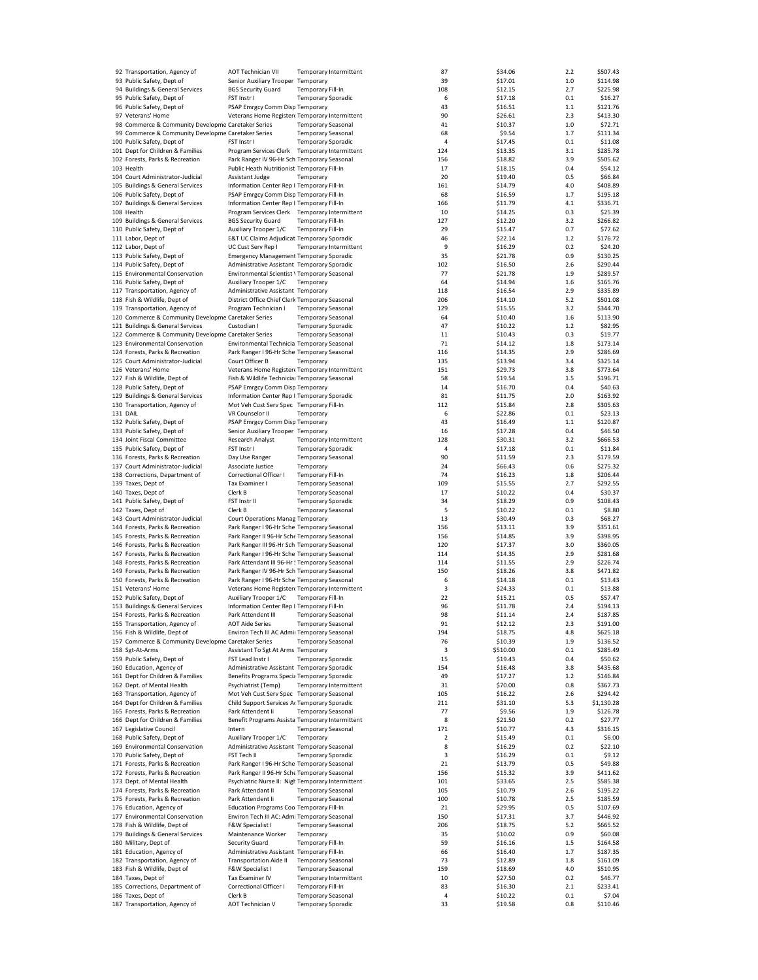| 92 Transportation, Agency of                        | <b>AOT Technician VII</b>                         |                           | Temporary Intermittent | 87  | \$34.06  | 2.2 | \$507.43   |
|-----------------------------------------------------|---------------------------------------------------|---------------------------|------------------------|-----|----------|-----|------------|
| 93 Public Safety, Dept of                           | Senior Auxiliary Trooper Temporary                |                           |                        | 39  | \$17.01  | 1.0 | \$114.98   |
| 94 Buildings & General Services                     | <b>BGS Security Guard</b>                         | Temporary Fill-In         |                        | 108 | \$12.15  | 2.7 | \$225.98   |
|                                                     |                                                   |                           |                        |     |          |     |            |
| 95 Public Safety, Dept of                           | FST Instr I                                       | <b>Temporary Sporadic</b> |                        | 6   | \$17.18  | 0.1 | \$16.27    |
| 96 Public Safety, Dept of                           | PSAP Emrgcy Comm Disp Temporary                   |                           |                        | 43  | \$16.51  | 1.1 | \$121.76   |
| 97 Veterans' Home                                   | Veterans Home Register  Temporary Intermittent    |                           |                        | 90  | \$26.61  | 2.3 | \$413.30   |
| 98 Commerce & Community Developme Caretaker Series  |                                                   | <b>Temporary Seasonal</b> |                        | 41  | \$10.37  | 1.0 | \$72.71    |
| 99 Commerce & Community Developme Caretaker Series  |                                                   | <b>Temporary Seasonal</b> |                        | 68  | \$9.54   | 1.7 | \$111.34   |
|                                                     |                                                   |                           |                        |     |          |     |            |
| 100 Public Safety, Dept of                          | FST Instr I                                       | <b>Temporary Sporadic</b> |                        | 4   | \$17.45  | 0.1 | \$11.08    |
| 101 Dept for Children & Families                    | Program Services Clerk Temporary Intermittent     |                           |                        | 124 | \$13.35  | 3.1 | \$285.78   |
| 102 Forests, Parks & Recreation                     | Park Ranger IV 96-Hr Sch Temporary Seasonal       |                           |                        | 156 | \$18.82  | 3.9 | \$505.62   |
| 103 Health                                          | Public Heath Nutritionist Temporary Fill-In       |                           |                        | 17  | \$18.15  | 0.4 | \$54.12    |
| 104 Court Administrator-Judicial                    | Assistant Judge                                   | Temporary                 |                        | 20  | \$19.40  | 0.5 | \$66.84    |
|                                                     |                                                   |                           |                        |     |          |     |            |
| 105 Buildings & General Services                    | Information Center Rep I Temporary Fill-In        |                           |                        | 161 | \$14.79  | 4.0 | \$408.89   |
| 106 Public Safety, Dept of                          | PSAP Emrgcy Comm Disp Temporary Fill-In           |                           |                        | 68  | \$16.59  | 1.7 | \$195.18   |
| 107 Buildings & General Services                    | Information Center Rep I Temporary Fill-In        |                           |                        | 166 | \$11.79  | 4.1 | \$336.71   |
| 108 Health                                          | Program Services Clerk Temporary Intermittent     |                           |                        | 10  | \$14.25  | 0.3 | \$25.39    |
|                                                     |                                                   |                           |                        |     |          | 3.2 |            |
| 109 Buildings & General Services                    | <b>BGS Security Guard</b>                         | <b>Temporary Fill-In</b>  |                        | 127 | \$12.20  |     | \$266.82   |
| 110 Public Safety, Dept of                          | Auxiliary Trooper 1/C                             | Temporary Fill-In         |                        | 29  | \$15.47  | 0.7 | \$77.62    |
| 111 Labor, Dept of                                  | E&T UC Claims Adjudicat Temporary Sporadic        |                           |                        | 46  | \$22.14  | 1.2 | \$176.72   |
| 112 Labor, Dept of                                  | UC Cust Serv Rep I                                |                           | Temporary Intermittent | 9   | \$16.29  | 0.2 | \$24.20    |
| 113 Public Safety, Dept of                          | <b>Emergency Management Temporary Sporadic</b>    |                           |                        | 35  | \$21.78  | 0.9 | \$130.25   |
|                                                     |                                                   |                           |                        |     |          |     |            |
| 114 Public Safety, Dept of                          | Administrative Assistant Temporary Sporadic       |                           |                        | 102 | \$16.50  | 2.6 | \$290.44   |
| 115 Environmental Conservation                      | Environmental Scientist \ Temporary Seasonal      |                           |                        | 77  | \$21.78  | 1.9 | \$289.57   |
| 116 Public Safety, Dept of                          | Auxiliary Trooper 1/C                             | Temporary                 |                        | 64  | \$14.94  | 1.6 | \$165.76   |
| 117 Transportation, Agency of                       | Administrative Assistant Temporary                |                           |                        | 118 | \$16.54  | 2.9 | \$335.89   |
| 118 Fish & Wildlife, Dept of                        | District Office Chief Clerk Temporary Seasonal    |                           |                        | 206 | \$14.10  | 5.2 | \$501.08   |
|                                                     |                                                   |                           |                        |     |          |     |            |
| 119 Transportation, Agency of                       | Program Technician I                              | <b>Temporary Seasonal</b> |                        | 129 | \$15.55  | 3.2 | \$344.70   |
| 120 Commerce & Community Developme Caretaker Series |                                                   | <b>Temporary Seasonal</b> |                        | 64  | \$10.40  | 1.6 | \$113.90   |
| 121 Buildings & General Services                    | Custodian I                                       | <b>Temporary Sporadic</b> |                        | 47  | \$10.22  | 1.2 | \$82.95    |
| 122 Commerce & Community Developme Caretaker Series |                                                   | <b>Temporary Seasonal</b> |                        | 11  | \$10.43  | 0.3 | \$19.77    |
|                                                     |                                                   |                           |                        |     |          |     |            |
| 123 Environmental Conservation                      | Environmental Technicia Temporary Seasonal        |                           |                        | 71  | \$14.12  | 1.8 | \$173.14   |
| 124 Forests, Parks & Recreation                     | Park Ranger I 96-Hr Sche Temporary Seasonal       |                           |                        | 116 | \$14.35  | 2.9 | \$286.69   |
| 125 Court Administrator-Judicial                    | Court Officer B                                   | Temporary                 |                        | 135 | \$13.94  | 3.4 | \$325.14   |
| 126 Veterans' Home                                  | Veterans Home Register  Temporary Intermittent    |                           |                        | 151 | \$29.73  | 3.8 | \$773.64   |
|                                                     |                                                   |                           |                        |     |          |     |            |
| 127 Fish & Wildlife, Dept of                        | Fish & Wildlife Technicial Temporary Seasonal     |                           |                        | 58  | \$19.54  | 1.5 | \$196.71   |
| 128 Public Safety, Dept of                          | PSAP Emrgcy Comm Disp Temporary                   |                           |                        | 14  | \$16.70  | 0.4 | \$40.63    |
| 129 Buildings & General Services                    | Information Center Rep I Temporary Sporadic       |                           |                        | 81  | \$11.75  | 2.0 | \$163.92   |
| 130 Transportation, Agency of                       | Mot Veh Cust Serv Spec Temporary Fill-In          |                           |                        | 112 | \$15.84  | 2.8 | \$305.63   |
|                                                     |                                                   |                           |                        |     |          |     |            |
| 131 DAIL                                            | VR Counselor II                                   | Temporary                 |                        | 6   | \$22.86  | 0.1 | \$23.13    |
| 132 Public Safety, Dept of                          | PSAP Emrgcy Comm Disp Temporary                   |                           |                        | 43  | \$16.49  | 1.1 | \$120.87   |
| 133 Public Safety, Dept of                          | Senior Auxiliary Trooper Temporary                |                           |                        | 16  | \$17.28  | 0.4 | \$46.50    |
| 134 Joint Fiscal Committee                          | Research Analyst                                  |                           | Temporary Intermittent | 128 | \$30.31  | 3.2 | \$666.53   |
| 135 Public Safety, Dept of                          | FST Instr I                                       | <b>Temporary Sporadic</b> |                        | 4   | \$17.18  | 0.1 | \$11.84    |
|                                                     |                                                   |                           |                        |     |          |     |            |
| 136 Forests, Parks & Recreation                     | Day Use Ranger                                    | <b>Temporary Seasonal</b> |                        | 90  | \$11.59  | 2.3 | \$179.59   |
| 137 Court Administrator-Judicial                    | Associate Justice                                 | Temporary                 |                        | 24  | \$66.43  | 0.6 | \$275.32   |
| 138 Corrections, Department of                      | Correctional Officer I                            | <b>Temporary Fill-In</b>  |                        | 74  | \$16.23  | 1.8 | \$206.44   |
| 139 Taxes, Dept of                                  | Tax Examiner I                                    | <b>Temporary Seasonal</b> |                        | 109 | \$15.55  | 2.7 | \$292.55   |
| 140 Taxes, Dept of                                  | Clerk B                                           | <b>Temporary Seasonal</b> |                        | 17  | \$10.22  | 0.4 | \$30.37    |
|                                                     |                                                   |                           |                        |     |          |     |            |
| 141 Public Safety, Dept of                          | FST Instr II                                      | <b>Temporary Sporadic</b> |                        | 34  | \$18.29  | 0.9 | \$108.43   |
| 142 Taxes, Dept of                                  | Clerk B                                           | <b>Temporary Seasonal</b> |                        | 5   | \$10.22  | 0.1 | \$8.80     |
| 143 Court Administrator-Judicial                    | Court Operations Manag Temporary                  |                           |                        | 13  | \$30.49  | 0.3 | \$68.27    |
| 144 Forests, Parks & Recreation                     | Park Ranger I 96-Hr Sche Temporary Seasonal       |                           |                        | 156 | \$13.11  | 3.9 | \$351.61   |
|                                                     |                                                   |                           |                        |     |          |     |            |
| 145 Forests, Parks & Recreation                     | Park Ranger II 96-Hr Sche Temporary Seasonal      |                           |                        | 156 | \$14.85  | 3.9 | \$398.95   |
| 146 Forests, Parks & Recreation                     | Park Ranger III 96-Hr Sch Temporary Seasonal      |                           |                        | 120 | \$17.37  | 3.0 | \$360.05   |
| 147 Forests, Parks & Recreation                     | Park Ranger I 96-Hr Sche Temporary Seasonal       |                           |                        | 114 | \$14.35  | 2.9 | \$281.68   |
| 148 Forests, Parks & Recreation                     | Park Attendant III 96-Hr ! Temporary Seasonal     |                           |                        | 114 | \$11.55  | 2.9 | \$226.74   |
| 149 Forests, Parks & Recreation                     | Park Ranger IV 96-Hr Sch Temporary Seasonal       |                           |                        | 150 | \$18.26  | 3.8 | \$471.82   |
|                                                     |                                                   |                           |                        |     |          |     |            |
| 150 Forests, Parks & Recreation                     | Park Ranger I 96-Hr Sche Temporary Seasonal       |                           |                        | 6   | \$14.18  | 0.1 | \$13.43    |
| 151 Veterans' Home                                  | Veterans Home Register  Temporary Intermittent    |                           |                        | 3   | \$24.33  | 0.1 | \$13.88    |
| 152 Public Safety, Dept of                          | Auxiliary Trooper 1/C                             | Temporary Fill-In         |                        | 22  | \$15.21  | 0.5 | \$57.47    |
| 153 Buildings & General Services                    | Information Center Rep I Temporary Fill-In        |                           |                        | 96  | \$11.78  | 2.4 | \$194.13   |
| 154 Forests, Parks & Recreation                     | Park Attendent III                                | <b>Temporary Seasonal</b> |                        | 98  | \$11.14  | 2.4 | \$187.85   |
|                                                     |                                                   |                           |                        |     |          |     |            |
| 155 Transportation, Agency of                       | <b>AOT Aide Series</b>                            | <b>Temporary Seasonal</b> |                        | 91  | \$12.12  | 2.3 | \$191.00   |
| 156 Fish & Wildlife, Dept of                        | Environ Tech III AC Admir Temporary Seasonal      |                           |                        | 194 | \$18.75  | 4.8 | \$625.18   |
| 157 Commerce & Community Developme Caretaker Series |                                                   | <b>Temporary Seasonal</b> |                        | 76  | \$10.39  | 1.9 | \$136.52   |
| 158 Sgt-At-Arms                                     | Assistant To Sgt At Arms Temporary                |                           |                        | 3   | \$510.00 | 0.1 | \$285.49   |
| 159 Public Safety, Dept of                          | FST Lead Instr I                                  | <b>Temporary Sporadic</b> |                        | 15  | \$19.43  | 0.4 | \$50.62    |
|                                                     | Administrative Assistant Temporary Sporadic       |                           |                        |     | \$16.48  |     |            |
| 160 Education, Agency of                            |                                                   |                           |                        | 154 |          | 3.8 | \$435.68   |
| 161 Dept for Children & Families                    | Benefits Programs Specia Temporary Sporadic       |                           |                        | 49  | \$17.27  | 1.2 | \$146.84   |
| 162 Dept. of Mental Health                          | Psychiatrist (Temp)                               |                           | Temporary Intermittent | 31  | \$70.00  | 0.8 | \$367.73   |
| 163 Transportation, Agency of                       | Mot Veh Cust Serv Spec Temporary Seasonal         |                           |                        | 105 | \$16.22  | 2.6 | \$294.42   |
| 164 Dept for Children & Families                    | Child Support Services Ar Temporary Sporadic      |                           |                        | 211 | \$31.10  | 5.3 | \$1,130.28 |
|                                                     |                                                   |                           |                        |     |          |     |            |
| 165 Forests, Parks & Recreation                     | Park Attendent Ii                                 | <b>Temporary Seasonal</b> |                        | 77  | \$9.56   | 1.9 | \$126.78   |
| 166 Dept for Children & Families                    | Benefit Programs Assista Temporary Intermittent   |                           |                        | 8   | \$21.50  | 0.2 | \$27.77    |
| 167 Legislative Council                             | Intern                                            | <b>Temporary Seasonal</b> |                        | 171 | \$10.77  | 4.3 | \$316.15   |
| 168 Public Safety, Dept of                          | Auxiliary Trooper 1/C                             | Temporary                 |                        | 2   | \$15.49  | 0.1 | \$6.00     |
| 169 Environmental Conservation                      | Administrative Assistant Temporary Seasonal       |                           |                        | 8   | \$16.29  | 0.2 | \$22.10    |
| 170 Public Safety, Dept of                          | FST Tech II                                       | <b>Temporary Sporadic</b> |                        | 3   | \$16.29  | 0.1 |            |
|                                                     |                                                   |                           |                        |     |          |     | \$9.12     |
| 171 Forests, Parks & Recreation                     | Park Ranger I 96-Hr Sche Temporary Seasonal       |                           |                        | 21  | \$13.79  | 0.5 | \$49.88    |
| 172 Forests, Parks & Recreation                     | Park Ranger II 96-Hr Sche Temporary Seasonal      |                           |                        | 156 | \$15.32  | 3.9 | \$411.62   |
| 173 Dept. of Mental Health                          | Psychiatric Nurse II: Nigh Temporary Intermittent |                           |                        | 101 | \$33.65  | 2.5 | \$585.38   |
| 174 Forests, Parks & Recreation                     | Park Attendant II                                 | <b>Temporary Seasonal</b> |                        | 105 | \$10.79  | 2.6 | \$195.22   |
|                                                     |                                                   |                           |                        |     |          |     |            |
| 175 Forests, Parks & Recreation                     | Park Attendent Ii                                 | <b>Temporary Seasonal</b> |                        | 100 | \$10.78  | 2.5 | \$185.59   |
| 176 Education, Agency of                            | Education Programs Coo Temporary Fill-In          |                           |                        | 21  | \$29.95  | 0.5 | \$107.69   |
| 177 Environmental Conservation                      | Environ Tech III AC: Admi Temporary Seasonal      |                           |                        | 150 | \$17.31  | 3.7 | \$446.92   |
| 178 Fish & Wildlife, Dept of                        | F&W Specialist I                                  | <b>Temporary Seasonal</b> |                        | 206 | \$18.75  | 5.2 | \$665.52   |
|                                                     |                                                   |                           |                        |     |          |     |            |
| 179 Buildings & General Services                    | Maintenance Worker                                | Temporary                 |                        | 35  | \$10.02  | 0.9 | \$60.08    |
| 180 Military, Dept of                               | Security Guard                                    | Temporary Fill-In         |                        | 59  | \$16.16  | 1.5 | \$164.58   |
| 181 Education, Agency of                            | Administrative Assistant Temporary Fill-In        |                           |                        | 66  | \$16.40  | 1.7 | \$187.35   |
| 182 Transportation, Agency of                       | <b>Transportation Aide II</b>                     | <b>Temporary Seasonal</b> |                        | 73  | \$12.89  | 1.8 | \$161.09   |
| 183 Fish & Wildlife, Dept of                        | F&W Specialist I                                  | <b>Temporary Seasonal</b> |                        | 159 | \$18.69  | 4.0 | \$510.95   |
|                                                     |                                                   |                           |                        |     |          |     |            |
| 184 Taxes, Dept of                                  | Tax Examiner IV                                   |                           | Temporary Intermittent | 10  | \$27.50  | 0.2 | \$46.77    |
| 185 Corrections, Department of                      | Correctional Officer I                            | Temporary Fill-In         |                        | 83  | \$16.30  | 2.1 | \$233.41   |
| 186 Taxes, Dept of                                  | Clerk B                                           | <b>Temporary Seasonal</b> |                        | 4   | \$10.22  | 0.1 | \$7.04     |
| 187 Transportation, Agency of                       | AOT Technician V                                  | <b>Temporary Sporadic</b> |                        | 33  | \$19.58  | 0.8 | \$110.46   |
|                                                     |                                                   |                           |                        |     |          |     |            |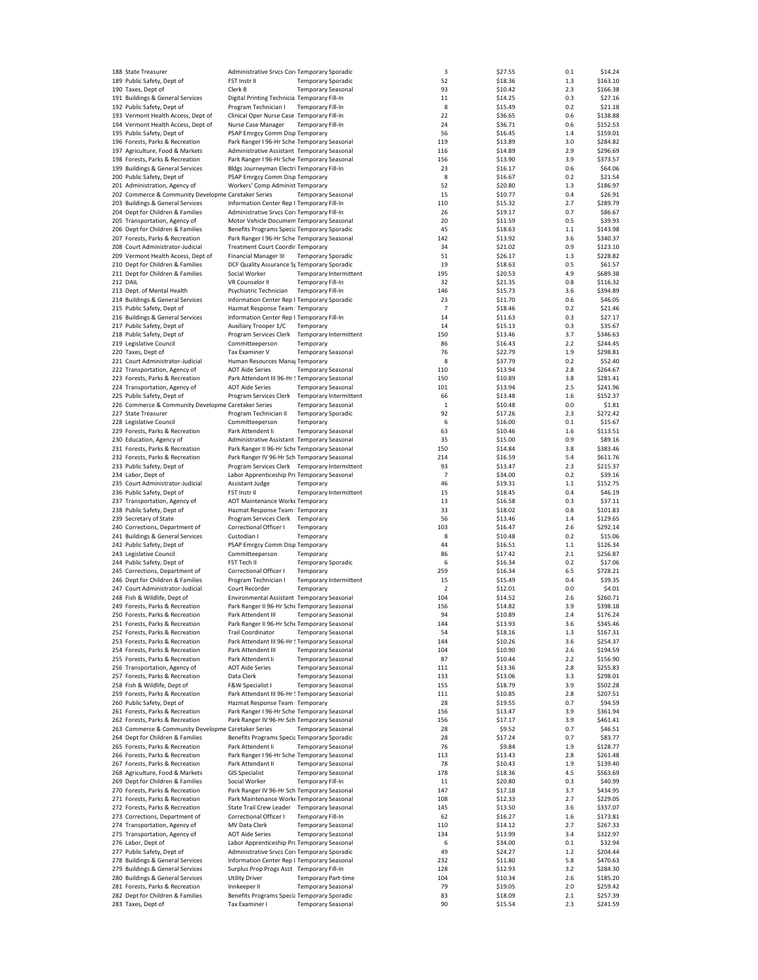| 188 State Treasurer                                 | Administrative Srvcs Core Temporary Sporadic  |                            |                               | 3              | \$27.55 | 0.1 | \$14.24  |
|-----------------------------------------------------|-----------------------------------------------|----------------------------|-------------------------------|----------------|---------|-----|----------|
| 189 Public Safety, Dept of                          | FST Instr II                                  | <b>Temporary Sporadic</b>  |                               | 52             | \$18.36 | 1.3 | \$163.10 |
| 190 Taxes, Dept of                                  | Clerk B                                       | <b>Temporary Seasonal</b>  |                               | 93             | \$10.42 | 2.3 | \$166.38 |
|                                                     |                                               |                            |                               |                |         |     |          |
| 191 Buildings & General Services                    | Digital Printing Technicia Temporary Fill-In  |                            |                               | 11             | \$14.25 | 0.3 | \$27.16  |
| 192 Public Safety, Dept of                          | Program Technician I                          | <b>Temporary Fill-In</b>   |                               | 8              | \$15.49 | 0.2 | \$21.18  |
| 193 Vermont Health Access, Dept of                  | Clinical Oper Nurse Case Temporary Fill-In    |                            |                               | 22             | \$36.65 | 0.6 | \$138.88 |
| 194 Vermont Health Access, Dept of                  | Nurse Case Manager                            | Temporary Fill-In          |                               | 24             | \$36.71 | 0.6 | \$152.53 |
| 195 Public Safety, Dept of                          | PSAP Emrgcy Comm Disp Temporary               |                            |                               | 56             | \$16.45 | 1.4 | \$159.01 |
| 196 Forests, Parks & Recreation                     |                                               |                            |                               |                |         |     |          |
|                                                     | Park Ranger I 96-Hr Sche Temporary Seasonal   |                            |                               | 119            | \$13.89 | 3.0 | \$284.82 |
| 197 Agriculture, Food & Markets                     | Administrative Assistant Temporary Seasonal   |                            |                               | 116            | \$14.89 | 2.9 | \$296.69 |
| 198 Forests, Parks & Recreation                     | Park Ranger I 96-Hr Sche Temporary Seasonal   |                            |                               | 156            | \$13.90 | 3.9 | \$373.57 |
| 199 Buildings & General Services                    | Bldgs Journeyman Electri Temporary Fill-In    |                            |                               | 23             | \$16.17 | 0.6 | \$64.06  |
| 200 Public Safety, Dept of                          | PSAP Emrgcy Comm Disp Temporary               |                            |                               | 8              | \$16.67 | 0.2 | \$21.54  |
|                                                     |                                               |                            |                               |                |         |     |          |
| 201 Administration, Agency of                       | Workers' Comp Administ Temporary              |                            |                               | 52             | \$20.80 | 1.3 | \$186.97 |
| 202 Commerce & Community Developme Caretaker Series |                                               | <b>Temporary Seasonal</b>  |                               | 15             | \$10.77 | 0.4 | \$26.91  |
| 203 Buildings & General Services                    | Information Center Rep I Temporary Fill-In    |                            |                               | 110            | \$15.32 | 2.7 | \$289.79 |
| 204 Dept for Children & Families                    | Administrative Srvcs Core Temporary Fill-In   |                            |                               | 26             | \$19.17 | 0.7 | \$86.67  |
| 205 Transportation, Agency of                       | Motor Vehicle Document Temporary Seasonal     |                            |                               | 20             | \$11.59 | 0.5 | \$39.93  |
|                                                     |                                               |                            |                               |                |         |     |          |
| 206 Dept for Children & Families                    | Benefits Programs Specia Temporary Sporadic   |                            |                               | 45             | \$18.63 | 1.1 | \$143.98 |
| 207 Forests, Parks & Recreation                     | Park Ranger I 96-Hr Sche Temporary Seasonal   |                            |                               | 142            | \$13.92 | 3.6 | \$340.37 |
| 208 Court Administrator-Judicial                    | <b>Treatment Court Coordir Temporary</b>      |                            |                               | 34             | \$21.02 | 0.9 | \$123.10 |
| 209 Vermont Health Access, Dept of                  | Financial Manager III                         | <b>Temporary Sporadic</b>  |                               | 51             | \$26.17 | 1.3 | \$228.82 |
|                                                     |                                               |                            |                               |                |         |     |          |
| 210 Dept for Children & Families                    | DCF Quality Assurance St Temporary Sporadic   |                            |                               | 19             | \$18.63 | 0.5 | \$61.57  |
| 211 Dept for Children & Families                    | Social Worker                                 |                            | Temporary Intermittent        | 195            | \$20.53 | 4.9 | \$689.38 |
| 212 DAIL                                            | VR Counselor II                               | Temporary Fill-In          |                               | 32             | \$21.35 | 0.8 | \$116.32 |
| 213 Dept. of Mental Health                          | Psychiatric Technician                        | <b>Temporary Fill-In</b>   |                               | 146            | \$15.73 | 3.6 | \$394.89 |
| 214 Buildings & General Services                    | Information Center Rep I Temporary Sporadic   |                            |                               | 23             | \$11.70 | 0.6 | \$46.05  |
|                                                     |                                               |                            |                               |                |         |     |          |
| 215 Public Safety, Dept of                          | Hazmat Response Team   Temporary              |                            |                               | $\overline{7}$ | \$18.46 | 0.2 | \$21.46  |
| 216 Buildings & General Services                    | Information Center Rep I Temporary Fill-In    |                            |                               | 14             | \$11.63 | 0.3 | \$27.17  |
| 217 Public Safety, Dept of                          | Auxiliary Trooper 1/C                         | Temporary                  |                               | 14             | \$15.13 | 0.3 | \$35.67  |
| 218 Public Safety, Dept of                          | Program Services Clerk                        |                            | <b>Temporary Intermittent</b> | 150            | \$13.46 | 3.7 | \$346.63 |
|                                                     |                                               |                            |                               |                |         |     |          |
| 219 Legislative Council                             | Committeeperson                               | Temporary                  |                               | 86             | \$16.43 | 2.2 | \$244.45 |
| 220 Taxes, Dept of                                  | Tax Examiner V                                | <b>Temporary Seasonal</b>  |                               | 76             | \$22.79 | 1.9 | \$298.81 |
| 221 Court Administrator-Judicial                    | Human Resources Mana Temporary                |                            |                               | 8              | \$37.79 | 0.2 | \$52.40  |
| 222 Transportation, Agency of                       | <b>AOT Aide Series</b>                        | <b>Temporary Seasonal</b>  |                               | 110            | \$13.94 | 2.8 | \$264.67 |
|                                                     |                                               |                            |                               |                |         |     |          |
| 223 Forests, Parks & Recreation                     | Park Attendant III 96-Hr ! Temporary Seasonal |                            |                               | 150            | \$10.89 | 3.8 | \$281.41 |
| 224 Transportation, Agency of                       | <b>AOT Aide Series</b>                        | <b>Temporary Seasonal</b>  |                               | 101            | \$13.94 | 2.5 | \$241.96 |
| 225 Public Safety, Dept of                          | Program Services Clerk Temporary Intermittent |                            |                               | 66             | \$13.48 | 1.6 | \$152.37 |
| 226 Commerce & Community Developme Caretaker Series |                                               | <b>Temporary Seasonal</b>  |                               | $\,$ 1         | \$10.48 | 0.0 | \$1.81   |
|                                                     |                                               |                            |                               |                |         |     |          |
| 227 State Treasurer                                 | Program Technician II                         | <b>Temporary Sporadic</b>  |                               | 92             | \$17.26 | 2.3 | \$272.42 |
| 228 Legislative Council                             | Committeeperson                               | Temporary                  |                               | 6              | \$16.00 | 0.1 | \$15.67  |
| 229 Forests, Parks & Recreation                     | Park Attendent Ii                             | <b>Temporary Seasonal</b>  |                               | 63             | \$10.46 | 1.6 | \$113.51 |
| 230 Education, Agency of                            | Administrative Assistant Temporary Seasonal   |                            |                               | 35             | \$15.00 | 0.9 | \$89.16  |
| 231 Forests, Parks & Recreation                     | Park Ranger II 96-Hr Sche Temporary Seasonal  |                            |                               | 150            | \$14.84 | 3.8 | \$383.46 |
|                                                     |                                               |                            |                               |                |         |     |          |
| 232 Forests, Parks & Recreation                     | Park Ranger IV 96-Hr Sch Temporary Seasonal   |                            |                               | 214            | \$16.59 | 5.4 | \$611.76 |
| 233 Public Safety, Dept of                          | Program Services Clerk Temporary Intermittent |                            |                               | 93             | \$13.47 | 2.3 | \$215.37 |
| 234 Labor, Dept of                                  | Labor Apprenticeship Prc Temporary Seasonal   |                            |                               | $\overline{7}$ | \$34.00 | 0.2 | \$39.16  |
| 235 Court Administrator-Judicial                    | Assistant Judge                               | Temporary                  |                               | 46             | \$19.31 | 1.1 | \$152.75 |
|                                                     |                                               |                            |                               |                |         |     |          |
| 236 Public Safety, Dept of                          | FST Instr II                                  |                            | Temporary Intermittent        | 15             | \$18.45 | 0.4 | \$46.19  |
| 237 Transportation, Agency of                       | AOT Maintenance Worke Temporary               |                            |                               | 13             | \$16.58 | 0.3 | \$37.11  |
| 238 Public Safety, Dept of                          | Hazmat Response Team   Temporary              |                            |                               | 33             | \$18.02 | 0.8 | \$101.83 |
| 239 Secretary of State                              | Program Services Clerk Temporary              |                            |                               | 56             | \$13.46 | 1.4 | \$129.65 |
| 240 Corrections, Department of                      | Correctional Officer I                        | Temporary                  |                               | 103            | \$16.47 | 2.6 | \$292.14 |
|                                                     |                                               |                            |                               |                |         |     |          |
| 241 Buildings & General Services                    | Custodian I                                   | Temporary                  |                               | 8              | \$10.48 | 0.2 | \$15.06  |
| 242 Public Safety, Dept of                          | PSAP Emrgcy Comm Disp Temporary               |                            |                               | 44             | \$16.51 | 1.1 | \$126.34 |
| 243 Legislative Council                             | Committeeperson                               | Temporary                  |                               | 86             | \$17.42 | 2.1 | \$256.87 |
| 244 Public Safety, Dept of                          | FST Tech II                                   | <b>Temporary Sporadic</b>  |                               | 6              | \$16.34 | 0.2 | \$17.06  |
| 245 Corrections, Department of                      |                                               |                            |                               | 259            |         |     |          |
|                                                     | Correctional Officer I                        | Temporary                  |                               |                | \$16.34 | 6.5 | \$728.21 |
| 246 Dept for Children & Families                    | Program Technician I                          |                            | Temporary Intermittent        | 15             | \$15.49 | 0.4 | \$39.35  |
| 247 Court Administrator-Judicial                    | Court Recorder                                | Temporary                  |                               | 2              | \$12.01 | 0.0 | \$4.01   |
| 248 Fish & Wildlife, Dept of                        | Environmental Assistant Temporary Seasonal    |                            |                               | 104            | \$14.52 | 2.6 | \$260.71 |
| 249 Forests, Parks & Recreation                     | Park Ranger II 96-Hr Sche Temporary Seasonal  |                            |                               | 156            | \$14.82 | 3.9 | \$398.18 |
|                                                     |                                               | <b>Temporary Seasonal</b>  |                               | 94             |         | 2.4 |          |
| 250 Forests, Parks & Recreation                     | Park Attendent III                            |                            |                               |                | \$10.89 |     | \$176.24 |
| 251 Forests, Parks & Recreation                     | Park Ranger II 96-Hr Sche Temporary Seasonal  |                            |                               | 144            | \$13.93 | 3.6 | \$345.46 |
| 252 Forests, Parks & Recreation                     | <b>Trail Coordinator</b>                      | <b>Temporary Seasonal</b>  |                               | 54             | \$18.16 | 1.3 | \$167.31 |
| 253 Forests, Parks & Recreation                     | Park Attendant III 96-Hr ! Temporary Seasonal |                            |                               | 144            | \$10.26 | 3.6 | \$254.37 |
| 254 Forests, Parks & Recreation                     | Park Attendent III                            | <b>Temporary Seasonal</b>  |                               | 104            | \$10.90 | 2.6 | \$194.59 |
| 255 Forests, Parks & Recreation                     | Park Attendent Ii                             | <b>Temporary Seasonal</b>  |                               |                | \$10.44 | 2.2 | \$156.90 |
|                                                     |                                               |                            |                               | 87             |         |     |          |
| 256 Transportation, Agency of                       | <b>AOT Aide Series</b>                        | <b>Temporary Seasonal</b>  |                               | 111            | \$13.36 | 2.8 | \$255.83 |
| 257 Forests, Parks & Recreation                     | Data Clerk                                    | <b>Temporary Seasonal</b>  |                               | 133            | \$13.06 | 3.3 | \$298.01 |
| 258 Fish & Wildlife, Dept of                        | F&W Specialist I                              | <b>Temporary Seasonal</b>  |                               | 155            | \$18.79 | 3.9 | \$502.28 |
| 259 Forests, Parks & Recreation                     | Park Attendant III 96-Hr ! Temporary Seasonal |                            |                               | 111            | \$10.85 | 2.8 | \$207.51 |
|                                                     |                                               |                            |                               |                |         |     |          |
| 260 Public Safety, Dept of                          | Hazmat Response Team   Temporary              |                            |                               | 28             | \$19.55 | 0.7 | \$94.59  |
| 261 Forests, Parks & Recreation                     | Park Ranger I 96-Hr Sche Temporary Seasonal   |                            |                               | 156            | \$13.47 | 3.9 | \$361.94 |
| 262 Forests, Parks & Recreation                     | Park Ranger IV 96-Hr Sch Temporary Seasonal   |                            |                               | 156            | \$17.17 | 3.9 | \$461.41 |
| 263 Commerce & Community Developme Caretaker Series |                                               | <b>Temporary Seasonal</b>  |                               | 28             | \$9.52  | 0.7 | \$46.51  |
| 264 Dept for Children & Families                    | Benefits Programs Specia Temporary Sporadic   |                            |                               | 28             | \$17.24 | 0.7 | \$83.77  |
|                                                     |                                               |                            |                               |                |         |     |          |
| 265 Forests, Parks & Recreation                     | Park Attendent Ii                             | <b>Temporary Seasonal</b>  |                               | 76             | \$9.84  | 1.9 | \$128.77 |
| 266 Forests, Parks & Recreation                     | Park Ranger I 96-Hr Sche Temporary Seasonal   |                            |                               | 113            | \$13.43 | 2.8 | \$261.48 |
| 267 Forests, Parks & Recreation                     | Park Attendant II                             | <b>Temporary Seasonal</b>  |                               | 78             | \$10.43 | 1.9 | \$139.40 |
| 268 Agriculture, Food & Markets                     | <b>GIS Specialist</b>                         | <b>Temporary Seasonal</b>  |                               | 178            | \$18.36 | 4.5 | \$563.69 |
|                                                     |                                               |                            |                               |                |         |     | \$40.99  |
| 269 Dept for Children & Families                    | Social Worker                                 | Temporary Fill-In          |                               | 11             | \$20.80 | 0.3 |          |
| 270 Forests, Parks & Recreation                     | Park Ranger IV 96-Hr Sch Temporary Seasonal   |                            |                               | 147            | \$17.18 | 3.7 | \$434.95 |
| 271 Forests, Parks & Recreation                     | Park Maintenance Work Temporary Seasonal      |                            |                               | 108            | \$12.33 | 2.7 | \$229.05 |
| 272 Forests, Parks & Recreation                     | State Trail Crew Leader Temporary Seasonal    |                            |                               | 145            | \$13.50 | 3.6 | \$337.07 |
| 273 Corrections, Department of                      | Correctional Officer I                        | Temporary Fill-In          |                               | 62             | \$16.27 | 1.6 | \$173.81 |
|                                                     |                                               |                            |                               |                |         |     |          |
| 274 Transportation, Agency of                       | MV Data Clerk                                 | <b>Temporary Seasonal</b>  |                               | 110            | \$14.12 | 2.7 | \$267.33 |
| 275 Transportation, Agency of                       | <b>AOT Aide Series</b>                        | <b>Temporary Seasonal</b>  |                               | 134            | \$13.99 | 3.4 | \$322.97 |
| 276 Labor, Dept of                                  | Labor Apprenticeship Prc Temporary Seasonal   |                            |                               | 6              | \$34.00 | 0.1 | \$32.94  |
| 277 Public Safety, Dept of                          | Administrative Srvcs Corr Temporary Sporadic  |                            |                               | 49             | \$24.27 | 1.2 | \$204.44 |
|                                                     |                                               |                            |                               |                |         |     |          |
| 278 Buildings & General Services                    | Information Center Rep I Temporary Seasonal   |                            |                               | 232            | \$11.80 | 5.8 | \$470.63 |
| 279 Buildings & General Services                    | Surplus Prop Progs Asst Temporary Fill-In     |                            |                               | 128            | \$12.93 | 3.2 | \$284.30 |
| 280 Buildings & General Services                    | <b>Utility Driver</b>                         | <b>Temporary Part-time</b> |                               | 104            | \$10.34 | 2.6 | \$185.20 |
| 281 Forests, Parks & Recreation                     | Innkeeper II                                  | <b>Temporary Seasonal</b>  |                               | 79             | \$19.05 | 2.0 | \$259.42 |
| 282 Dept for Children & Families                    | Benefits Programs Specia Temporary Sporadic   |                            |                               | 83             | \$18.09 | 2.1 | \$257.39 |
|                                                     |                                               |                            |                               | 90             | \$15.54 | 2.3 | \$241.59 |
| 283 Taxes, Dept of                                  | Tax Examiner I                                | <b>Temporary Seasonal</b>  |                               |                |         |     |          |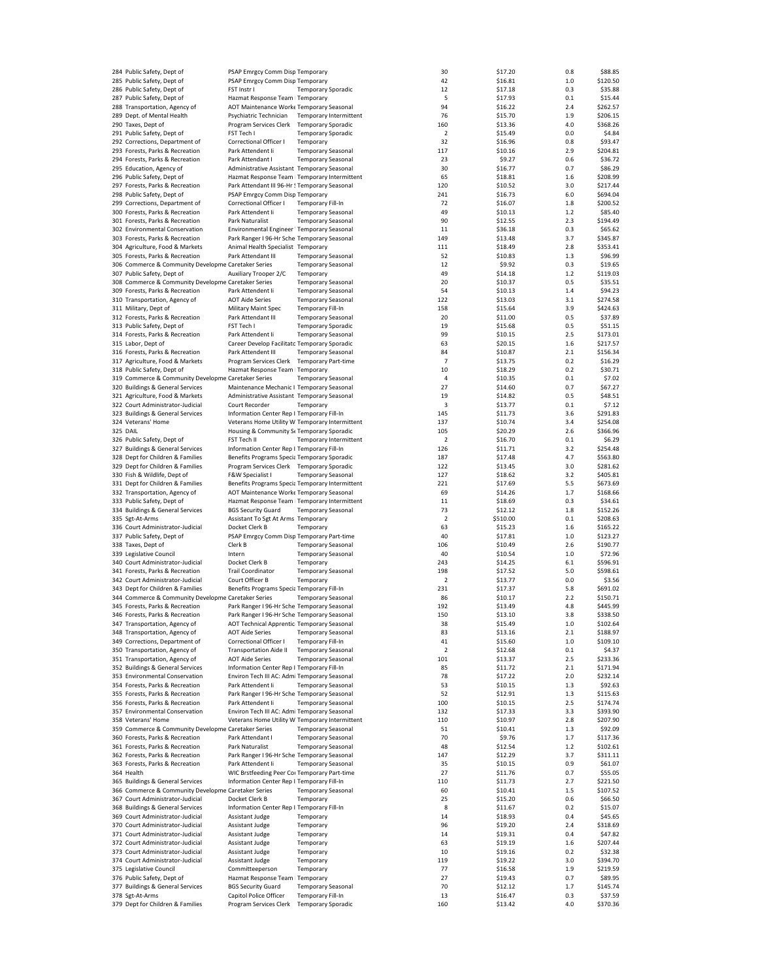| 284 Public Safety, Dept of                          | PSAP Emrgcy Comm Disp Temporary                  |                                                       |                        | 30                      | \$17.20            | 0.8        | \$88.85             |
|-----------------------------------------------------|--------------------------------------------------|-------------------------------------------------------|------------------------|-------------------------|--------------------|------------|---------------------|
| 285 Public Safety, Dept of                          | PSAP Emrgcy Comm Disp Temporary                  |                                                       |                        | 42                      | \$16.81            | $1.0$      | \$120.50            |
| 286 Public Safety, Dept of                          | FST Instr I                                      | <b>Temporary Sporadic</b>                             |                        | 12                      | \$17.18            | 0.3        | \$35.88             |
|                                                     |                                                  |                                                       |                        |                         |                    |            |                     |
| 287 Public Safety, Dept of                          | Hazmat Response Team   Temporary                 |                                                       |                        | 5                       | \$17.93            | 0.1        | \$15.44             |
| 288 Transportation, Agency of                       | AOT Maintenance Worke Temporary Seasonal         |                                                       |                        | 94                      | \$16.22            | 2.4        | \$262.57            |
| 289 Dept. of Mental Health                          | Psychiatric Technician                           |                                                       | Temporary Intermittent | 76                      | \$15.70            | 1.9        | \$206.15            |
| 290 Taxes, Dept of                                  | Program Services Clerk                           | <b>Temporary Sporadic</b>                             |                        | 160                     | \$13.36            | 4.0        | \$368.26            |
| 291 Public Safety, Dept of                          | FST Tech I                                       | <b>Temporary Sporadic</b>                             |                        | $\overline{\mathbf{2}}$ | \$15.49            | 0.0        | \$4.84              |
| 292 Corrections, Department of                      | Correctional Officer I                           | Temporary                                             |                        | 32                      | \$16.96            | 0.8        | \$93.47             |
| 293 Forests, Parks & Recreation                     | Park Attendent Ii                                | <b>Temporary Seasonal</b>                             |                        | 117                     | \$10.16            | 2.9        | \$204.81            |
| 294 Forests, Parks & Recreation                     | Park Attendant I                                 | <b>Temporary Seasonal</b>                             |                        | 23                      | \$9.27             | 0.6        | \$36.72             |
|                                                     |                                                  |                                                       |                        |                         |                    |            |                     |
| 295 Education, Agency of                            | Administrative Assistant Temporary Seasonal      |                                                       |                        | 30                      | \$16.77            | 0.7        | \$86.29             |
| 296 Public Safety, Dept of                          | Hazmat Response Team   Temporary Intermittent    |                                                       |                        | 65                      | \$18.81            | 1.6        | \$208.99            |
| 297 Forests, Parks & Recreation                     | Park Attendant III 96-Hr ! Temporary Seasonal    |                                                       |                        | 120                     | \$10.52            | 3.0        | \$217.44            |
| 298 Public Safety, Dept of                          | PSAP Emrgcy Comm Disp Temporary                  |                                                       |                        | 241                     | \$16.73            | 6.0        | \$694.04            |
| 299 Corrections, Department of                      | Correctional Officer I                           | Temporary Fill-In                                     |                        | 72                      | \$16.07            | 1.8        | \$200.52            |
| 300 Forests, Parks & Recreation                     | Park Attendent li                                | <b>Temporary Seasonal</b>                             |                        | 49                      | \$10.13            | 1.2        | \$85.40             |
| 301 Forests, Parks & Recreation                     | Park Naturalist                                  | <b>Temporary Seasonal</b>                             |                        | 90                      | \$12.55            | 2.3        | \$194.49            |
|                                                     |                                                  |                                                       |                        |                         |                    |            |                     |
| 302 Environmental Conservation                      | Environmental Engineer ' Temporary Seasonal      |                                                       |                        | 11                      | \$36.18            | 0.3        | \$65.62             |
| 303 Forests, Parks & Recreation                     | Park Ranger I 96-Hr Sche Temporary Seasonal      |                                                       |                        | 149                     | \$13.48            | 3.7        | \$345.87            |
| 304 Agriculture, Food & Markets                     | Animal Health Specialist Temporary               |                                                       |                        | 111                     | \$18.49            | 2.8        | \$353.41            |
| 305 Forests, Parks & Recreation                     | Park Attendant III                               | <b>Temporary Seasonal</b>                             |                        | 52                      | \$10.83            | 1.3        | \$96.99             |
| 306 Commerce & Community Developme Caretaker Series |                                                  | <b>Temporary Seasonal</b>                             |                        | 12                      | \$9.92             | 0.3        | \$19.65             |
| 307 Public Safety, Dept of                          | Auxiliary Trooper 2/C                            | Temporary                                             |                        | 49                      | \$14.18            | 1.2        | \$119.03            |
| 308 Commerce & Community Developme Caretaker Series |                                                  | <b>Temporary Seasonal</b>                             |                        | 20                      | \$10.37            | 0.5        | \$35.51             |
|                                                     |                                                  |                                                       |                        |                         |                    |            |                     |
| 309 Forests, Parks & Recreation                     | Park Attendent Ii                                | <b>Temporary Seasonal</b>                             |                        | 54                      | \$10.13            | 1.4        | \$94.23             |
| 310 Transportation, Agency of                       | <b>AOT Aide Series</b>                           | <b>Temporary Seasonal</b>                             |                        | 122                     | \$13.03            | 3.1        | \$274.58            |
| 311 Military, Dept of                               | Military Maint Spec                              | <b>Temporary Fill-In</b>                              |                        | 158                     | \$15.64            | 3.9        | \$424.63            |
| 312 Forests, Parks & Recreation                     | Park Attendant III                               | <b>Temporary Seasonal</b>                             |                        | 20                      | \$11.00            | 0.5        | \$37.89             |
| 313 Public Safety, Dept of                          | FST Tech I                                       | <b>Temporary Sporadic</b>                             |                        | 19                      | \$15.68            | 0.5        | \$51.15             |
| 314 Forests, Parks & Recreation                     | Park Attendent Ii                                | <b>Temporary Seasonal</b>                             |                        | 99                      | \$10.15            | 2.5        | \$173.01            |
|                                                     |                                                  |                                                       |                        |                         |                    |            |                     |
| 315 Labor, Dept of                                  | Career Develop Facilitato Temporary Sporadic     |                                                       |                        | 63                      | \$20.15            | 1.6        | \$217.57            |
| 316 Forests, Parks & Recreation                     | Park Attendent III                               | <b>Temporary Seasonal</b>                             |                        | 84                      | \$10.87            | 2.1        | \$156.34            |
| 317 Agriculture, Food & Markets                     | Program Services Clerk Temporary Part-time       |                                                       |                        | $\overline{7}$          | \$13.75            | 0.2        | \$16.29             |
| 318 Public Safety, Dept of                          | Hazmat Response Team   Temporary                 |                                                       |                        | 10                      | \$18.29            | 0.2        | \$30.71             |
| 319 Commerce & Community Developme Caretaker Series |                                                  | <b>Temporary Seasonal</b>                             |                        | 4                       | \$10.35            | 0.1        | \$7.02              |
| 320 Buildings & General Services                    | Maintenance Mechanic I Temporary Seasonal        |                                                       |                        | 27                      | \$14.60            | 0.7        | \$67.27             |
|                                                     |                                                  |                                                       |                        | 19                      |                    | 0.5        |                     |
| 321 Agriculture, Food & Markets                     | Administrative Assistant Temporary Seasonal      |                                                       |                        |                         | \$14.82            |            | \$48.51             |
| 322 Court Administrator-Judicial                    | Court Recorder                                   | Temporary                                             |                        | 3                       | \$13.77            | 0.1        | \$7.12              |
| 323 Buildings & General Services                    | Information Center Rep I Temporary Fill-In       |                                                       |                        | 145                     | \$11.73            | 3.6        | \$291.83            |
| 324 Veterans' Home                                  | Veterans Home Utility W Temporary Intermittent   |                                                       |                        | 137                     | \$10.74            | 3.4        | \$254.08            |
| 325 DAIL                                            | Housing & Community St Temporary Sporadic        |                                                       |                        | 105                     | \$20.29            | 2.6        | \$366.96            |
| 326 Public Safety, Dept of                          | FST Tech II                                      |                                                       | Temporary Intermittent | $\overline{\mathbf{2}}$ | \$16.70            | 0.1        | \$6.29              |
| 327 Buildings & General Services                    | Information Center Rep I Temporary Fill-In       |                                                       |                        | 126                     | \$11.71            | 3.2        | \$254.48            |
| 328 Dept for Children & Families                    |                                                  |                                                       |                        | 187                     | \$17.48            | 4.7        | \$563.80            |
|                                                     | Benefits Programs Specia Temporary Sporadic      |                                                       |                        |                         |                    |            |                     |
| 329 Dept for Children & Families                    | Program Services Clerk Temporary Sporadic        |                                                       |                        | 122                     | \$13.45            | 3.0        | \$281.62            |
| 330 Fish & Wildlife, Dept of                        | F&W Specialist I                                 | <b>Temporary Seasonal</b>                             |                        | 127                     | \$18.62            | 3.2        | \$405.81            |
| 331 Dept for Children & Families                    | Benefits Programs Specia Temporary Intermittent  |                                                       |                        | 221                     | \$17.69            | 5.5        | \$673.69            |
| 332 Transportation, Agency of                       | AOT Maintenance Worke Temporary Seasonal         |                                                       |                        | 69                      | \$14.26            | 1.7        | \$168.66            |
| 333 Public Safety, Dept of                          | Hazmat Response Team   Temporary Intermittent    |                                                       |                        | 11                      | \$18.69            | 0.3        | \$34.61             |
| 334 Buildings & General Services                    | <b>BGS Security Guard</b>                        | <b>Temporary Seasonal</b>                             |                        | 73                      | \$12.12            | 1.8        | \$152.26            |
| 335 Sgt-At-Arms                                     | Assistant To Sgt At Arms Temporary               |                                                       |                        | $\overline{\mathbf{2}}$ | \$510.00           | 0.1        | \$208.63            |
|                                                     |                                                  |                                                       |                        |                         |                    |            |                     |
| 336 Court Administrator-Judicial                    | Docket Clerk B                                   | Temporary                                             |                        | 63                      | \$15.23            | 1.6        | \$165.22            |
| 337 Public Safety, Dept of                          | PSAP Emrgcy Comm Disp Temporary Part-time        |                                                       |                        | 40                      | \$17.81            | 1.0        | \$123.27            |
| 338 Taxes, Dept of                                  | Clerk B                                          | <b>Temporary Seasonal</b>                             |                        | 106                     | \$10.49            | 2.6        | \$190.77            |
| 339 Legislative Council                             | Intern                                           | <b>Temporary Seasonal</b>                             |                        | 40                      | \$10.54            | $1.0$      | \$72.96             |
| 340 Court Administrator-Judicial                    | Docket Clerk B                                   | Temporary                                             |                        | 243                     | \$14.25            | 6.1        | \$596.91            |
| 341 Forests, Parks & Recreation                     | <b>Trail Coordinator</b>                         | <b>Temporary Seasonal</b>                             |                        | 198                     | \$17.52            | 5.0        | \$598.61            |
|                                                     |                                                  |                                                       |                        |                         |                    |            |                     |
| 342 Court Administrator-Judicial                    | Court Officer B                                  | Temporary                                             |                        | 2                       | \$13.77            | 0.0        | \$3.56              |
| 343 Dept for Children & Families                    | Benefits Programs Specia Temporary Fill-In       |                                                       |                        | 231                     | \$17.37            | 5.8        | \$691.02            |
| 344 Commerce & Community Developme Caretaker Series |                                                  | <b>Temporary Seasonal</b>                             |                        | 86                      | \$10.17            | 2.2        | \$150.71            |
| 345 Forests, Parks & Recreation                     | Park Ranger I 96-Hr Sche Temporary Seasonal      |                                                       |                        | 192                     | \$13.49            | 4.8        | \$445.99            |
| 346 Forests, Parks & Recreation                     | Park Ranger I 96-Hr Sche Temporary Seasonal      |                                                       |                        | 150                     | \$13.10            | 3.8        | \$338.50            |
| 347 Transportation, Agency of                       | AOT Technical Apprentic Temporary Seasonal       |                                                       |                        | 38                      | \$15.49            | 1.0        | \$102.64            |
| 348 Transportation, Agency of                       | <b>AOT Aide Series</b>                           | <b>Temporary Seasonal</b>                             |                        | 83                      | \$13.16            | 2.1        | \$188.97            |
|                                                     |                                                  |                                                       |                        |                         |                    |            | \$109.10            |
| 349 Corrections, Department of                      | Correctional Officer I                           | Temporary Fill-In                                     |                        | 41                      | \$15.60            | 1.0        |                     |
| 350 Transportation, Agency of                       | <b>Transportation Aide II</b>                    | <b>Temporary Seasonal</b>                             |                        | $\overline{\mathbf{2}}$ | \$12.68            | 0.1        | \$4.37              |
| 351 Transportation, Agency of                       | <b>AOT Aide Series</b>                           | <b>Temporary Seasonal</b>                             |                        | 101                     | \$13.37            | 2.5        | \$233.36            |
| 352 Buildings & General Services                    | Information Center Rep I Temporary Fill-In       |                                                       |                        | 85                      | \$11.72            | 2.1        | \$171.94            |
| 353 Environmental Conservation                      | Environ Tech III AC: Admi Temporary Seasonal     |                                                       |                        | 78                      | \$17.22            | 2.0        | \$232.14            |
| 354 Forests, Parks & Recreation                     | Park Attendent Ii                                | <b>Temporary Seasonal</b>                             |                        | 53                      | \$10.15            | 1.3        | \$92.63             |
| 355 Forests, Parks & Recreation                     | Park Ranger I 96-Hr Sche Temporary Seasonal      |                                                       |                        | 52                      | \$12.91            | 1.3        | \$115.63            |
| 356 Forests, Parks & Recreation                     | Park Attendent Ii                                | <b>Temporary Seasonal</b>                             |                        | 100                     | \$10.15            | 2.5        | \$174.74            |
| 357 Environmental Conservation                      |                                                  |                                                       |                        |                         |                    | 3.3        | \$393.90            |
|                                                     | Environ Tech III AC: Admi Temporary Seasonal     |                                                       |                        | 132                     | \$17.33            |            |                     |
| 358 Veterans' Home                                  | Veterans Home Utility W Temporary Intermittent   |                                                       |                        | 110                     | \$10.97            | 2.8        | \$207.90            |
| 359 Commerce & Community Developme Caretaker Series |                                                  | <b>Temporary Seasonal</b>                             |                        | 51                      | \$10.41            | 1.3        | \$92.09             |
| 360 Forests, Parks & Recreation                     | Park Attendant I                                 | <b>Temporary Seasonal</b>                             |                        | 70                      | \$9.76             | 1.7        | \$117.36            |
| 361 Forests, Parks & Recreation                     | Park Naturalist                                  | <b>Temporary Seasonal</b>                             |                        | 48                      | \$12.54            | 1.2        | \$102.61            |
| 362 Forests, Parks & Recreation                     | Park Ranger I 96-Hr Sche Temporary Seasonal      |                                                       |                        | 147                     | \$12.29            | 3.7        | \$311.11            |
| 363 Forests, Parks & Recreation                     | Park Attendent Ii                                | <b>Temporary Seasonal</b>                             |                        | 35                      | \$10.15            | 0.9        | \$61.07             |
| 364 Health                                          | WIC Brstfeeding Peer Coi Temporary Part-time     |                                                       |                        | 27                      | \$11.76            | 0.7        | \$55.05             |
|                                                     |                                                  |                                                       |                        |                         |                    |            |                     |
| 365 Buildings & General Services                    | Information Center Rep I Temporary Fill-In       |                                                       |                        | 110                     | \$11.73            | 2.7        | \$221.50            |
| 366 Commerce & Community Developme Caretaker Series |                                                  | <b>Temporary Seasonal</b>                             |                        | 60                      | \$10.41            | 1.5        | \$107.52            |
| 367 Court Administrator-Judicial                    | Docket Clerk B                                   | Temporary                                             |                        | 25                      | \$15.20            | 0.6        | \$66.50             |
| 368 Buildings & General Services                    | Information Center Rep I Temporary Fill-In       |                                                       |                        | 8                       | \$11.67            | 0.2        | \$15.07             |
| 369 Court Administrator-Judicial                    | Assistant Judge                                  | Temporary                                             |                        | 14                      | \$18.93            | 0.4        | \$45.65             |
| 370 Court Administrator-Judicial                    | Assistant Judge                                  | Temporary                                             |                        | 96                      | \$19.20            | 2.4        | \$318.69            |
| 371 Court Administrator-Judicial                    | Assistant Judge                                  | Temporary                                             |                        | 14                      | \$19.31            | 0.4        | \$47.82             |
| 372 Court Administrator-Judicial                    | Assistant Judge                                  | Temporary                                             |                        | 63                      | \$19.19            | 1.6        | \$207.44            |
|                                                     |                                                  |                                                       |                        |                         |                    |            |                     |
| 373 Court Administrator-Judicial                    | Assistant Judge                                  | Temporary                                             |                        | 10                      | \$19.16            | 0.2        | \$32.38             |
| 374 Court Administrator-Judicial                    | Assistant Judge                                  | Temporary                                             |                        | 119                     | \$19.22            | 3.0        | \$394.70            |
|                                                     |                                                  | Temporary                                             |                        | 77                      | \$16.58            | 1.9        | \$219.59            |
| 375 Legislative Council                             | Committeeperson                                  |                                                       |                        |                         |                    |            |                     |
| 376 Public Safety, Dept of                          | Hazmat Response Team   Temporary                 |                                                       |                        | 27                      | \$19.43            | 0.7        | \$89.95             |
| 377 Buildings & General Services                    | <b>BGS Security Guard</b>                        | <b>Temporary Seasonal</b>                             |                        | 70                      | \$12.12            | 1.7        | \$145.74            |
|                                                     |                                                  |                                                       |                        |                         |                    |            |                     |
| 378 Sgt-At-Arms<br>379 Dept for Children & Families | Capitol Police Officer<br>Program Services Clerk | <b>Temporary Fill-In</b><br><b>Temporary Sporadic</b> |                        | 13<br>160               | \$16.47<br>\$13.42 | 0.3<br>4.0 | \$37.59<br>\$370.36 |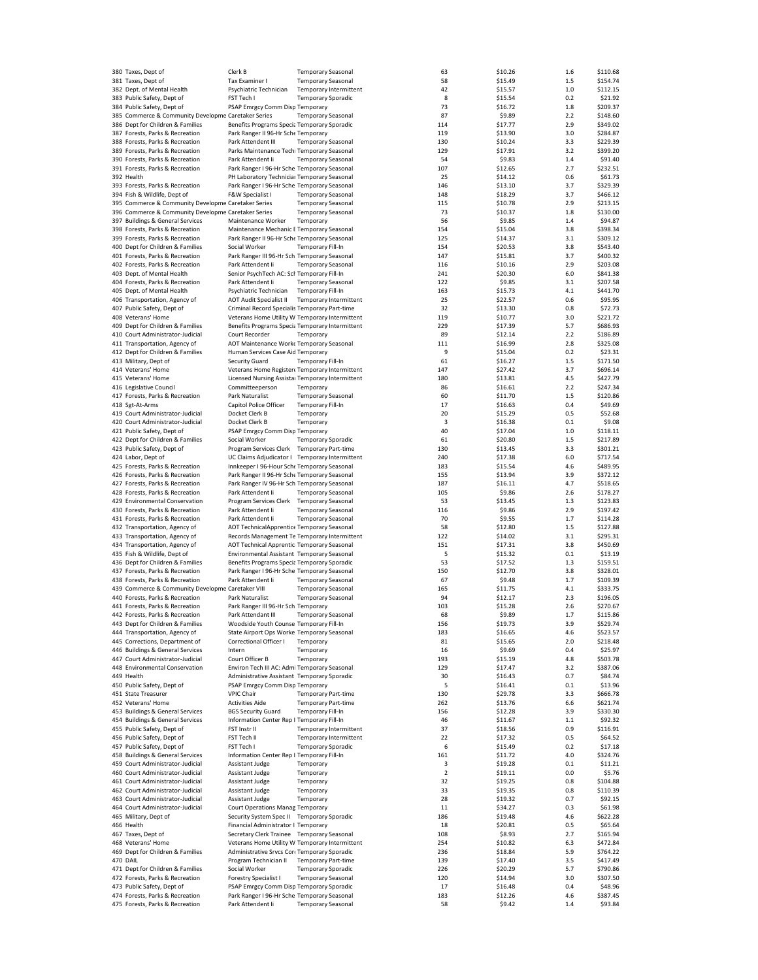| 380 Taxes, Dept of                                  | Clerk B                                          | <b>Temporary Seasonal</b>  |                               | 63             | \$10.26 | 1.6 | \$110.68 |
|-----------------------------------------------------|--------------------------------------------------|----------------------------|-------------------------------|----------------|---------|-----|----------|
| 381 Taxes, Dept of                                  | Tax Examiner I                                   | <b>Temporary Seasonal</b>  |                               | 58             | \$15.49 | 1.5 | \$154.74 |
|                                                     |                                                  |                            |                               | 42             | \$15.57 |     | \$112.15 |
| 382 Dept. of Mental Health                          | Psychiatric Technician                           |                            | Temporary Intermittent        |                |         | 1.0 |          |
| 383 Public Safety, Dept of                          | FST Tech I                                       | <b>Temporary Sporadic</b>  |                               | 8              | \$15.54 | 0.2 | \$21.92  |
| 384 Public Safety, Dept of                          | PSAP Emrgcy Comm Disp Temporary                  |                            |                               | 73             | \$16.72 | 1.8 | \$209.37 |
| 385 Commerce & Community Developme Caretaker Series |                                                  | <b>Temporary Seasonal</b>  |                               | 87             | \$9.89  | 2.2 | \$148.60 |
| 386 Dept for Children & Families                    | Benefits Programs Specia Temporary Sporadic      |                            |                               | 114            | \$17.77 | 2.9 | \$349.02 |
| 387 Forests, Parks & Recreation                     | Park Ranger II 96-Hr Sche Temporary              |                            |                               | 119            | \$13.90 | 3.0 | \$284.87 |
|                                                     |                                                  |                            |                               |                |         |     |          |
| 388 Forests, Parks & Recreation                     | Park Attendent III                               | <b>Temporary Seasonal</b>  |                               | 130            | \$10.24 | 3.3 | \$229.39 |
| 389 Forests, Parks & Recreation                     | Parks Maintenance Techi Temporary Seasonal       |                            |                               | 129            | \$17.91 | 3.2 | \$399.20 |
| 390 Forests, Parks & Recreation                     | Park Attendent li                                | <b>Temporary Seasonal</b>  |                               | 54             | \$9.83  | 1.4 | \$91.40  |
| 391 Forests, Parks & Recreation                     | Park Ranger I 96-Hr Sche Temporary Seasonal      |                            |                               | 107            | \$12.65 | 2.7 | \$232.51 |
|                                                     |                                                  |                            |                               |                |         |     |          |
| 392 Health                                          | PH Laboratory Technicial Temporary Seasonal      |                            |                               | 25             | \$14.12 | 0.6 | \$61.73  |
| 393 Forests, Parks & Recreation                     | Park Ranger I 96-Hr Sche Temporary Seasonal      |                            |                               | 146            | \$13.10 | 3.7 | \$329.39 |
| 394 Fish & Wildlife, Dept of                        | F&W Specialist I                                 | <b>Temporary Seasonal</b>  |                               | 148            | \$18.29 | 3.7 | \$466.12 |
| 395 Commerce & Community Developme Caretaker Series |                                                  | <b>Temporary Seasonal</b>  |                               | 115            | \$10.78 | 2.9 | \$213.15 |
| 396 Commerce & Community Developme Caretaker Series |                                                  |                            |                               |                |         |     |          |
|                                                     |                                                  | <b>Temporary Seasonal</b>  |                               | 73             | \$10.37 | 1.8 | \$130.00 |
| 397 Buildings & General Services                    | Maintenance Worker                               | Temporary                  |                               | 56             | \$9.85  | 1.4 | \$94.87  |
| 398 Forests, Parks & Recreation                     | Maintenance Mechanic E Temporary Seasonal        |                            |                               | 154            | \$15.04 | 3.8 | \$398.34 |
| 399 Forests, Parks & Recreation                     | Park Ranger II 96-Hr Sche Temporary Seasonal     |                            |                               | 125            | \$14.37 | 3.1 | \$309.12 |
|                                                     |                                                  |                            |                               |                |         |     |          |
| 400 Dept for Children & Families                    | Social Worker                                    | Temporary Fill-In          |                               | 154            | \$20.53 | 3.8 | \$543.40 |
| 401 Forests, Parks & Recreation                     | Park Ranger III 96-Hr Sch Temporary Seasonal     |                            |                               | 147            | \$15.81 | 3.7 | \$400.32 |
| 402 Forests, Parks & Recreation                     | Park Attendent li                                | <b>Temporary Seasonal</b>  |                               | 116            | \$10.16 | 2.9 | \$203.08 |
| 403 Dept. of Mental Health                          | Senior PsychTech AC: Scl Temporary Fill-In       |                            |                               | 241            | \$20.30 | 6.0 | \$841.38 |
| 404 Forests, Parks & Recreation                     | Park Attendent Ii                                | <b>Temporary Seasonal</b>  |                               | 122            | \$9.85  | 3.1 | \$207.58 |
|                                                     |                                                  |                            |                               |                |         |     |          |
| 405 Dept. of Mental Health                          | Psychiatric Technician                           | Temporary Fill-In          |                               | 163            | \$15.73 | 4.1 | \$441.70 |
| 406 Transportation, Agency of                       | <b>AOT Audit Specialist II</b>                   |                            | Temporary Intermittent        | 25             | \$22.57 | 0.6 | \$95.95  |
| 407 Public Safety, Dept of                          | Criminal Record Specialis Temporary Part-time    |                            |                               | 32             | \$13.30 | 0.8 | \$72.73  |
| 408 Veterans' Home                                  | Veterans Home Utility W Temporary Intermittent   |                            |                               | 119            | \$10.77 | 3.0 | \$221.72 |
|                                                     |                                                  |                            |                               |                |         |     |          |
| 409 Dept for Children & Families                    | Benefits Programs Specia Temporary Intermittent  |                            |                               | 229            | \$17.39 | 5.7 | \$686.93 |
| 410 Court Administrator-Judicial                    | Court Recorder                                   | Temporary                  |                               | 89             | \$12.14 | 2.2 | \$186.89 |
| 411 Transportation, Agency of                       | AOT Maintenance Worke Temporary Seasonal         |                            |                               | 111            | \$16.99 | 2.8 | \$325.08 |
| 412 Dept for Children & Families                    | Human Services Case Aid Temporary                |                            |                               | 9              | \$15.04 | 0.2 | \$23.31  |
|                                                     |                                                  |                            |                               |                |         |     |          |
| 413 Military, Dept of                               | Security Guard                                   | Temporary Fill-In          |                               | 61             | \$16.27 | 1.5 | \$171.50 |
| 414 Veterans' Home                                  | Veterans Home Register« Temporary Intermittent   |                            |                               | 147            | \$27.42 | 3.7 | \$696.14 |
| 415 Veterans' Home                                  | Licensed Nursing Assistal Temporary Intermittent |                            |                               | 180            | \$13.81 | 4.5 | \$427.79 |
| 416 Legislative Council                             |                                                  |                            |                               |                |         | 2.2 | \$247.34 |
|                                                     | Committeeperson                                  | Temporary                  |                               | 86             | \$16.61 |     |          |
| 417 Forests, Parks & Recreation                     | Park Naturalist                                  | <b>Temporary Seasonal</b>  |                               | 60             | \$11.70 | 1.5 | \$120.86 |
| 418 Sgt-At-Arms                                     | Capitol Police Officer                           | Temporary Fill-In          |                               | 17             | \$16.63 | 0.4 | \$49.69  |
| 419 Court Administrator-Judicial                    | Docket Clerk B                                   | Temporary                  |                               | 20             | \$15.29 | 0.5 | \$52.68  |
|                                                     |                                                  |                            |                               |                |         |     |          |
| 420 Court Administrator-Judicial                    | Docket Clerk B                                   | Temporary                  |                               | 3              | \$16.38 | 0.1 | \$9.08   |
| 421 Public Safety, Dept of                          | PSAP Emrgcy Comm Disp Temporary                  |                            |                               | 40             | \$17.04 | 1.0 | \$118.11 |
| 422 Dept for Children & Families                    | Social Worker                                    | <b>Temporary Sporadic</b>  |                               | 61             | \$20.80 | 1.5 | \$217.89 |
| 423 Public Safety, Dept of                          | Program Services Clerk Temporary Part-time       |                            |                               | 130            | \$13.45 | 3.3 | \$301.21 |
| 424 Labor, Dept of                                  | UC Claims Adjudicator I Temporary Intermittent   |                            |                               | 240            | \$17.38 | 6.0 | \$717.54 |
|                                                     |                                                  |                            |                               |                |         |     |          |
| 425 Forests, Parks & Recreation                     | Innkeeper I 96-Hour Sche Temporary Seasonal      |                            |                               | 183            | \$15.54 | 4.6 | \$489.95 |
| 426 Forests, Parks & Recreation                     | Park Ranger II 96-Hr Sche Temporary Seasonal     |                            |                               | 155            | \$13.94 | 3.9 | \$372.12 |
| 427 Forests, Parks & Recreation                     | Park Ranger IV 96-Hr Sch Temporary Seasonal      |                            |                               | 187            | \$16.11 | 4.7 | \$518.65 |
| 428 Forests, Parks & Recreation                     | Park Attendent Ii                                | <b>Temporary Seasonal</b>  |                               | 105            | \$9.86  | 2.6 | \$178.27 |
|                                                     |                                                  |                            |                               |                |         |     |          |
| 429 Environmental Conservation                      | Program Services Clerk Temporary Seasonal        |                            |                               | 53             | \$13.45 | 1.3 | \$123.83 |
| 430 Forests, Parks & Recreation                     | Park Attendent li                                | <b>Temporary Seasonal</b>  |                               | 116            | \$9.86  | 2.9 | \$197.42 |
| 431 Forests, Parks & Recreation                     | Park Attendent li                                | <b>Temporary Seasonal</b>  |                               | 70             | \$9.55  | 1.7 | \$114.28 |
| 432 Transportation, Agency of                       | AOT TechnicalApprentice Temporary Seasonal       |                            |                               | 58             | \$12.80 | 1.5 | \$127.88 |
|                                                     |                                                  |                            |                               |                |         |     |          |
| 433 Transportation, Agency of                       | Records Management Te Temporary Intermittent     |                            |                               | 122            | \$14.02 | 3.1 | \$295.31 |
| 434 Transportation, Agency of                       | AOT Technical Apprentic Temporary Seasonal       |                            |                               | 151            | \$17.31 | 3.8 | \$450.69 |
| 435 Fish & Wildlife, Dept of                        | Environmental Assistant Temporary Seasonal       |                            |                               | 5              | \$15.32 | 0.1 | \$13.19  |
| 436 Dept for Children & Families                    | Benefits Programs Specia Temporary Sporadic      |                            |                               | 53             | \$17.52 | 1.3 | \$159.51 |
|                                                     |                                                  |                            |                               | 150            | \$12.70 | 3.8 | \$328.01 |
| 437 Forests, Parks & Recreation                     | Park Ranger I 96-Hr Sche Temporary Seasonal      |                            |                               |                |         |     |          |
| 438 Forests, Parks & Recreation                     | Park Attendent Ii                                | <b>Temporary Seasonal</b>  |                               | 67             | \$9.48  | 1.7 | \$109.39 |
| 439 Commerce & Community Developme Caretaker VIII   |                                                  | <b>Temporary Seasonal</b>  |                               | 165            | \$11.75 | 4.1 | \$333.75 |
| 440 Forests, Parks & Recreation                     | Park Naturalist                                  | <b>Temporary Seasonal</b>  |                               | 94             | \$12.17 | 2.3 | \$196.05 |
| 441 Forests, Parks & Recreation                     | Park Ranger III 96-Hr Sch Temporary              |                            |                               | 103            | \$15.28 | 2.6 | \$270.67 |
|                                                     |                                                  |                            |                               |                |         |     |          |
| 442 Forests, Parks & Recreation                     | Park Attendant III                               | <b>Temporary Seasonal</b>  |                               | 68             | \$9.89  | 1.7 | \$115.86 |
| 443 Dept for Children & Families                    | Woodside Youth Counse Temporary Fill-In          |                            |                               | 156            | \$19.73 | 3.9 | \$529.74 |
| 444 Transportation, Agency of                       | State Airport Ops Worke Temporary Seasonal       |                            |                               | 183            | \$16.65 | 4.6 | \$523.57 |
| 445 Corrections, Department of                      | Correctional Officer I                           | Temporary                  |                               | 81             | \$15.65 | 2.0 | \$218.48 |
| 446 Buildings & General Services                    | Intern                                           | Temporary                  |                               | 16             | \$9.69  | 0.4 | \$25.97  |
|                                                     |                                                  |                            |                               |                |         |     |          |
| 447 Court Administrator-Judicial                    | Court Officer B                                  | Temporary                  |                               | 193            | \$15.19 | 4.8 | \$503.78 |
| 448 Environmental Conservation                      | Environ Tech III AC: Admi Temporary Seasonal     |                            |                               | 129            | \$17.47 | 3.2 | \$387.06 |
| 449 Health                                          | Administrative Assistant Temporary Sporadic      |                            |                               | 30             | \$16.43 | 0.7 | \$84.74  |
| 450 Public Safety, Dept of                          | PSAP Emrgcy Comm Disp Temporary                  |                            |                               | 5              | \$16.41 | 0.1 | \$13.96  |
| 451 State Treasurer                                 | <b>VPIC Chair</b>                                | <b>Temporary Part-time</b> |                               | 130            | \$29.78 | 3.3 | \$666.78 |
|                                                     |                                                  |                            |                               |                |         |     |          |
| 452 Veterans' Home                                  | <b>Activities Aide</b>                           | <b>Temporary Part-time</b> |                               | 262            | \$13.76 | 6.6 | \$621.74 |
| 453 Buildings & General Services                    | <b>BGS Security Guard</b>                        | Temporary Fill-In          |                               | 156            | \$12.28 | 3.9 | \$330.30 |
| 454 Buildings & General Services                    | Information Center Rep I Temporary Fill-In       |                            |                               | 46             | \$11.67 | 1.1 | \$92.32  |
| 455 Public Safety, Dept of                          | FST Instr II                                     |                            | Temporary Intermittent        | 37             | \$18.56 | 0.9 | \$116.91 |
|                                                     |                                                  |                            |                               |                |         |     |          |
| 456 Public Safety, Dept of                          | FST Tech II                                      |                            | <b>Temporary Intermittent</b> | 22             | \$17.32 | 0.5 | \$64.52  |
| 457 Public Safety, Dept of                          | FST Tech I                                       | <b>Temporary Sporadic</b>  |                               | 6              | \$15.49 | 0.2 | \$17.18  |
| 458 Buildings & General Services                    | Information Center Rep I Temporary Fill-In       |                            |                               | 161            | \$11.72 | 4.0 | \$324.76 |
| 459 Court Administrator-Judicial                    | Assistant Judge                                  | Temporary                  |                               | 3              | \$19.28 | 0.1 | \$11.21  |
|                                                     |                                                  |                            |                               |                | \$19.11 |     |          |
| 460 Court Administrator-Judicial                    | Assistant Judge                                  | Temporary                  |                               | $\overline{2}$ |         | 0.0 | \$5.76   |
| 461 Court Administrator-Judicial                    | Assistant Judge                                  | Temporary                  |                               | 32             | \$19.25 | 0.8 | \$104.88 |
| 462 Court Administrator-Judicial                    | Assistant Judge                                  | Temporary                  |                               | 33             | \$19.35 | 0.8 | \$110.39 |
| 463 Court Administrator-Judicial                    | Assistant Judge                                  | Temporary                  |                               | 28             | \$19.32 | 0.7 | \$92.15  |
|                                                     |                                                  |                            |                               |                |         |     |          |
| 464 Court Administrator-Judicial                    | Court Operations Manag Temporary                 |                            |                               | 11             | \$34.27 | 0.3 | \$61.98  |
| 465 Military, Dept of                               | Security System Spec II Temporary Sporadic       |                            |                               | 186            | \$19.48 | 4.6 | \$622.28 |
| 466 Health                                          | Financial Administrator I Temporary              |                            |                               | 18             | \$20.81 | 0.5 | \$65.64  |
| 467 Taxes, Dept of                                  | Secretary Clerk Trainee Temporary Seasonal       |                            |                               | 108            | \$8.93  | 2.7 | \$165.94 |
|                                                     |                                                  |                            |                               |                |         |     |          |
| 468 Veterans' Home                                  | Veterans Home Utility W Temporary Intermittent   |                            |                               | 254            | \$10.82 | 6.3 | \$472.84 |
| 469 Dept for Children & Families                    | Administrative Srvcs Corr Temporary Sporadic     |                            |                               | 236            | \$18.84 | 5.9 | \$764.22 |
| 470 DAIL                                            | Program Technician II                            | <b>Temporary Part-time</b> |                               | 139            | \$17.40 | 3.5 | \$417.49 |
| 471 Dept for Children & Families                    | Social Worker                                    | <b>Temporary Sporadic</b>  |                               | 226            | \$20.29 | 5.7 | \$790.86 |
|                                                     |                                                  |                            |                               |                |         |     |          |
| 472 Forests, Parks & Recreation                     | Forestry Specialist I                            | <b>Temporary Seasonal</b>  |                               | 120            | \$14.94 | 3.0 | \$307.50 |
| 473 Public Safety, Dept of                          | PSAP Emrgcy Comm Disp Temporary Sporadic         |                            |                               | 17             | \$16.48 | 0.4 | \$48.96  |
| 474 Forests, Parks & Recreation                     | Park Ranger I 96-Hr Sche Temporary Seasonal      |                            |                               | 183            | \$12.26 | 4.6 | \$387.45 |
| 475 Forests, Parks & Recreation                     | Park Attendent Ii                                | <b>Temporary Seasonal</b>  |                               | 58             | \$9.42  | 1.4 | \$93.84  |
|                                                     |                                                  |                            |                               |                |         |     |          |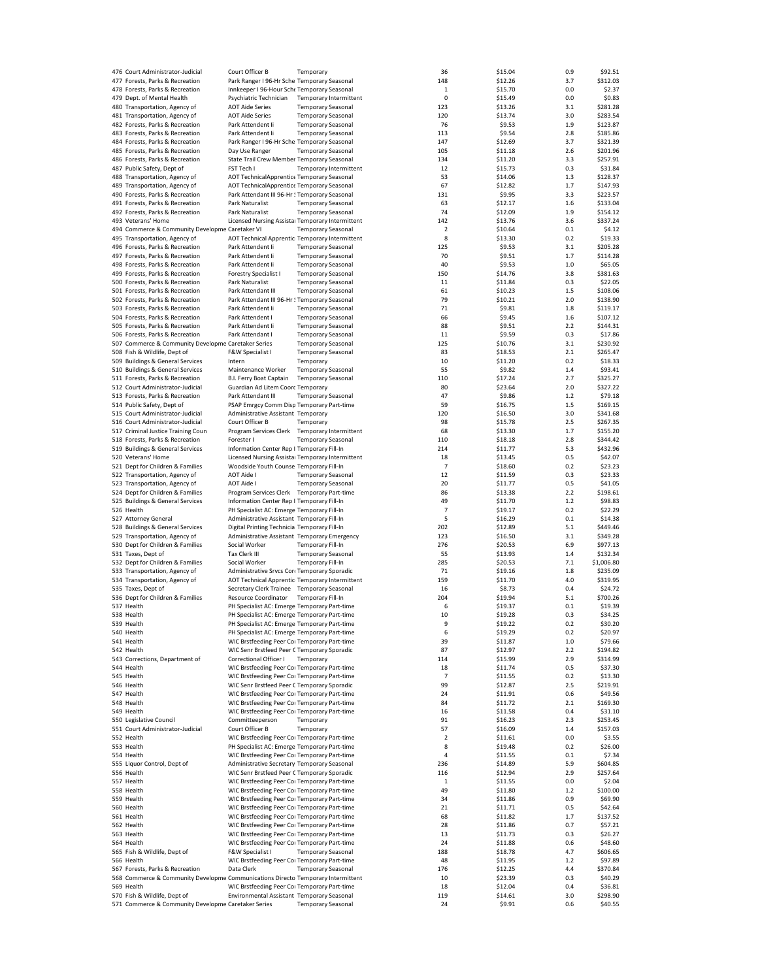| 476 Court Administrator-Judicial                                                 | Court Officer B                                  | Temporary                 |                               | 36             | \$15.04 | 0.9 | \$92.51    |
|----------------------------------------------------------------------------------|--------------------------------------------------|---------------------------|-------------------------------|----------------|---------|-----|------------|
| 477 Forests, Parks & Recreation                                                  | Park Ranger I 96-Hr Sche Temporary Seasonal      |                           |                               | 148            | \$12.26 | 3.7 | \$312.03   |
|                                                                                  | Innkeeper I 96-Hour Sche Temporary Seasonal      |                           |                               |                | \$15.70 | 0.0 |            |
| 478 Forests, Parks & Recreation                                                  |                                                  |                           |                               | 1              |         |     | \$2.37     |
| 479 Dept. of Mental Health                                                       | Psychiatric Technician                           |                           | <b>Temporary Intermittent</b> | 0              | \$15.49 | 0.0 | \$0.83     |
| 480 Transportation, Agency of                                                    | <b>AOT Aide Series</b>                           | <b>Temporary Seasonal</b> |                               | 123            | \$13.26 | 3.1 | \$281.28   |
| 481 Transportation, Agency of                                                    | <b>AOT Aide Series</b>                           | <b>Temporary Seasonal</b> |                               | 120            | \$13.74 | 3.0 | \$283.54   |
| 482 Forests, Parks & Recreation                                                  | Park Attendent Ii                                | <b>Temporary Seasonal</b> |                               | 76             | \$9.53  | 1.9 | \$123.87   |
| 483 Forests, Parks & Recreation                                                  | Park Attendent Ii                                | <b>Temporary Seasonal</b> |                               | 113            | \$9.54  | 2.8 | \$185.86   |
|                                                                                  |                                                  |                           |                               |                |         |     |            |
| 484 Forests, Parks & Recreation                                                  | Park Ranger I 96-Hr Sche Temporary Seasonal      |                           |                               | 147            | \$12.69 | 3.7 | \$321.39   |
| 485 Forests, Parks & Recreation                                                  | Day Use Ranger                                   | <b>Temporary Seasonal</b> |                               | 105            | \$11.18 | 2.6 | \$201.96   |
| 486 Forests, Parks & Recreation                                                  | State Trail Crew Member Temporary Seasonal       |                           |                               | 134            | \$11.20 | 3.3 | \$257.91   |
| 487 Public Safety, Dept of                                                       | FST Tech I                                       |                           | Temporary Intermittent        | 12             | \$15.73 | 0.3 | \$31.84    |
| 488 Transportation, Agency of                                                    | AOT TechnicalApprentice Temporary Seasonal       |                           |                               | 53             | \$14.06 | 1.3 | \$128.37   |
|                                                                                  |                                                  |                           |                               |                |         |     |            |
| 489 Transportation, Agency of                                                    | AOT TechnicalApprentice Temporary Seasonal       |                           |                               | 67             | \$12.82 | 1.7 | \$147.93   |
| 490 Forests, Parks & Recreation                                                  | Park Attendant III 96-Hr ! Temporary Seasonal    |                           |                               | 131            | \$9.95  | 3.3 | \$223.57   |
| 491 Forests, Parks & Recreation                                                  | Park Naturalist                                  | <b>Temporary Seasonal</b> |                               | 63             | \$12.17 | 1.6 | \$133.04   |
| 492 Forests, Parks & Recreation                                                  | Park Naturalist                                  | <b>Temporary Seasonal</b> |                               | 74             | \$12.09 | 1.9 | \$154.12   |
|                                                                                  |                                                  |                           |                               | 142            |         |     | \$337.24   |
| 493 Veterans' Home                                                               | Licensed Nursing Assista: Temporary Intermittent |                           |                               |                | \$13.76 | 3.6 |            |
| 494 Commerce & Community Developme Caretaker VI                                  |                                                  | <b>Temporary Seasonal</b> |                               | 2              | \$10.64 | 0.1 | \$4.12     |
| 495 Transportation, Agency of                                                    | AOT Technical Apprentic Temporary Intermittent   |                           |                               | 8              | \$13.30 | 0.2 | \$19.33    |
| 496 Forests, Parks & Recreation                                                  | Park Attendent li                                | <b>Temporary Seasonal</b> |                               | 125            | \$9.53  | 3.1 | \$205.28   |
| 497 Forests, Parks & Recreation                                                  | Park Attendent Ii                                | <b>Temporary Seasonal</b> |                               | 70             | \$9.51  | 1.7 | \$114.28   |
|                                                                                  |                                                  |                           |                               |                |         |     |            |
| 498 Forests, Parks & Recreation                                                  | Park Attendent Ii                                | <b>Temporary Seasonal</b> |                               | 40             | \$9.53  | 1.0 | \$65.05    |
| 499 Forests, Parks & Recreation                                                  | <b>Forestry Specialist I</b>                     | <b>Temporary Seasonal</b> |                               | 150            | \$14.76 | 3.8 | \$381.63   |
| 500 Forests, Parks & Recreation                                                  | Park Naturalist                                  | <b>Temporary Seasonal</b> |                               | 11             | \$11.84 | 0.3 | \$22.05    |
| 501 Forests, Parks & Recreation                                                  | Park Attendant III                               | <b>Temporary Seasonal</b> |                               | 61             | \$10.23 | 1.5 | \$108.06   |
|                                                                                  |                                                  |                           |                               |                |         |     |            |
| 502 Forests, Parks & Recreation                                                  | Park Attendant III 96-Hr ! Temporary Seasonal    |                           |                               | 79             | \$10.21 | 2.0 | \$138.90   |
| 503 Forests, Parks & Recreation                                                  | Park Attendent li                                | <b>Temporary Seasonal</b> |                               | 71             | \$9.81  | 1.8 | \$119.17   |
| 504 Forests, Parks & Recreation                                                  | Park Attendent I                                 | <b>Temporary Seasonal</b> |                               | 66             | \$9.45  | 1.6 | \$107.12   |
| 505 Forests, Parks & Recreation                                                  | Park Attendent Ii                                | <b>Temporary Seasonal</b> |                               | 88             | \$9.51  | 2.2 | \$144.31   |
|                                                                                  |                                                  |                           |                               |                |         |     |            |
| 506 Forests, Parks & Recreation                                                  | Park Attendant I                                 | <b>Temporary Seasonal</b> |                               | 11             | \$9.59  | 0.3 | \$17.86    |
| 507 Commerce & Community Developme Caretaker Series                              |                                                  | <b>Temporary Seasonal</b> |                               | 125            | \$10.76 | 3.1 | \$230.92   |
| 508 Fish & Wildlife, Dept of                                                     | <b>F&amp;W Specialist I</b>                      | <b>Temporary Seasonal</b> |                               | 83             | \$18.53 | 2.1 | \$265.47   |
|                                                                                  | Intern                                           |                           |                               | 10             | \$11.20 | 0.2 | \$18.33    |
| 509 Buildings & General Services                                                 |                                                  | Temporary                 |                               |                |         |     |            |
| 510 Buildings & General Services                                                 | Maintenance Worker                               | <b>Temporary Seasonal</b> |                               | 55             | \$9.82  | 1.4 | \$93.41    |
| 511 Forests, Parks & Recreation                                                  | B.I. Ferry Boat Captain                          | <b>Temporary Seasonal</b> |                               | 110            | \$17.24 | 2.7 | \$325.27   |
| 512 Court Administrator-Judicial                                                 | Guardian Ad Litem Coorc Temporary                |                           |                               | 80             | \$23.64 | 2.0 | \$327.22   |
|                                                                                  |                                                  | <b>Temporary Seasonal</b> |                               | 47             |         | 1.2 |            |
| 513 Forests, Parks & Recreation                                                  | Park Attendant III                               |                           |                               |                | \$9.86  |     | \$79.18    |
| 514 Public Safety, Dept of                                                       | PSAP Emrgcy Comm Disp Temporary Part-time        |                           |                               | 59             | \$16.75 | 1.5 | \$169.15   |
| 515 Court Administrator-Judicial                                                 | Administrative Assistant Temporary               |                           |                               | 120            | \$16.50 | 3.0 | \$341.68   |
| 516 Court Administrator-Judicial                                                 | Court Officer B                                  | Temporary                 |                               | 98             | \$15.78 | 2.5 | \$267.35   |
| 517 Criminal Justice Training Coun                                               | Program Services Clerk Temporary Intermittent    |                           |                               | 68             | \$13.30 | 1.7 | \$155.20   |
|                                                                                  |                                                  |                           |                               |                |         |     |            |
| 518 Forests, Parks & Recreation                                                  | Forester I                                       | <b>Temporary Seasonal</b> |                               | 110            | \$18.18 | 2.8 | \$344.42   |
| 519 Buildings & General Services                                                 | Information Center Rep I Temporary Fill-In       |                           |                               | 214            | \$11.77 | 5.3 | \$432.96   |
| 520 Veterans' Home                                                               | Licensed Nursing Assistal Temporary Intermittent |                           |                               | 18             | \$13.45 | 0.5 | \$42.07    |
|                                                                                  | Woodside Youth Counse Temporary Fill-In          |                           |                               | $\overline{7}$ | \$18.60 | 0.2 | \$23.23    |
| 521 Dept for Children & Families                                                 |                                                  |                           |                               |                |         |     |            |
| 522 Transportation, Agency of                                                    | <b>AOT Aide I</b>                                | <b>Temporary Seasonal</b> |                               | 12             | \$11.59 | 0.3 | \$23.33    |
| 523 Transportation, Agency of                                                    | <b>AOT Aide I</b>                                | <b>Temporary Seasonal</b> |                               | 20             | \$11.77 | 0.5 | \$41.05    |
| 524 Dept for Children & Families                                                 | Program Services Clerk Temporary Part-time       |                           |                               | 86             | \$13.38 | 2.2 | \$198.61   |
| 525 Buildings & General Services                                                 | Information Center Rep I Temporary Fill-In       |                           |                               | 49             | \$11.70 | 1.2 | \$98.83    |
|                                                                                  |                                                  |                           |                               |                |         |     |            |
| 526 Health                                                                       | PH Specialist AC: Emerge Temporary Fill-In       |                           |                               | 7              | \$19.17 | 0.2 | \$22.29    |
| 527 Attorney General                                                             | Administrative Assistant Temporary Fill-In       |                           |                               | 5              | \$16.29 | 0.1 | \$14.38    |
| 528 Buildings & General Services                                                 | Digital Printing Technicia Temporary Fill-In     |                           |                               | 202            | \$12.89 | 5.1 | \$449.46   |
| 529 Transportation, Agency of                                                    | Administrative Assistant Temporary Emergency     |                           |                               | 123            | \$16.50 | 3.1 | \$349.28   |
|                                                                                  |                                                  |                           |                               |                |         |     |            |
| 530 Dept for Children & Families                                                 | Social Worker                                    | Temporary Fill-In         |                               | 276            | \$20.53 | 6.9 | \$977.13   |
| 531 Taxes, Dept of                                                               | Tax Clerk III                                    | <b>Temporary Seasonal</b> |                               | 55             | \$13.93 | 1.4 | \$132.34   |
| 532 Dept for Children & Families                                                 | Social Worker                                    | <b>Temporary Fill-In</b>  |                               | 285            | \$20.53 | 7.1 | \$1,006.80 |
| 533 Transportation, Agency of                                                    | Administrative Srvcs Core Temporary Sporadic     |                           |                               | 71             | \$19.16 | 1.8 | \$235.09   |
|                                                                                  |                                                  |                           |                               |                |         |     |            |
| 534 Transportation, Agency of                                                    | AOT Technical Apprentic Temporary Intermittent   |                           |                               | 159            | \$11.70 | 4.0 | \$319.95   |
| 535 Taxes, Dept of                                                               | Secretary Clerk Trainee Temporary Seasonal       |                           |                               | 16             | \$8.73  | 0.4 | \$24.72    |
| 536 Dept for Children & Families                                                 | Resource Coordinator                             | <b>Temporary Fill-In</b>  |                               | 204            | \$19.94 | 5.1 | \$700.26   |
| 537 Health                                                                       | PH Specialist AC: Emerge Temporary Part-time     |                           |                               | 6              | \$19.37 | 0.1 | \$19.39    |
|                                                                                  |                                                  |                           |                               |                |         |     |            |
| 538 Health                                                                       | PH Specialist AC: Emerge Temporary Part-time     |                           |                               | 10             | \$19.28 | 0.3 | \$34.25    |
| 539 Health                                                                       | PH Specialist AC: Emerge Temporary Part-time     |                           |                               | 9              | \$19.22 | 0.2 | \$30.20    |
| 540 Health                                                                       | PH Specialist AC: Emerge Temporary Part-time     |                           |                               | 6              | \$19.29 | 0.2 | \$20.97    |
| 541 Health                                                                       | WIC Brstfeeding Peer Coi Temporary Part-time     |                           |                               | 39             | \$11.87 | 1.0 | \$79.66    |
| 542 Health                                                                       | WIC Senr Brstfeed Peer C Temporary Sporadic      |                           |                               | 87             | \$12.97 | 2.2 | \$194.82   |
|                                                                                  |                                                  |                           |                               |                |         |     |            |
| 543 Corrections, Department of                                                   | Correctional Officer I                           | Temporary                 |                               | 114            | \$15.99 | 2.9 | \$314.99   |
| 544 Health                                                                       | WIC Brstfeeding Peer Coi Temporary Part-time     |                           |                               | 18             | \$11.74 | 0.5 | \$37.30    |
| 545 Health                                                                       | WIC Brstfeeding Peer Coi Temporary Part-time     |                           |                               | 7              | \$11.55 | 0.2 | \$13.30    |
| 546 Health                                                                       | WIC Senr Brstfeed Peer C Temporary Sporadic      |                           |                               | 99             | \$12.87 | 2.5 | \$219.91   |
| 547 Health                                                                       | WIC Brstfeeding Peer Coi Temporary Part-time     |                           |                               | 24             | \$11.91 | 0.6 | \$49.56    |
|                                                                                  |                                                  |                           |                               |                |         |     |            |
| 548 Health                                                                       | WIC Brstfeeding Peer Coi Temporary Part-time     |                           |                               | 84             | \$11.72 | 2.1 | \$169.30   |
| 549 Health                                                                       | WIC Brstfeeding Peer Coi Temporary Part-time     |                           |                               | 16             | \$11.58 | 0.4 | \$31.10    |
| 550 Legislative Council                                                          | Committeeperson                                  | Temporary                 |                               | 91             | \$16.23 | 2.3 | \$253.45   |
| 551 Court Administrator-Judicial                                                 |                                                  |                           |                               | 57             |         | 1.4 |            |
|                                                                                  | Court Officer B                                  | Temporary                 |                               |                | \$16.09 |     | \$157.03   |
| 552 Health                                                                       | WIC Brstfeeding Peer Coi Temporary Part-time     |                           |                               | 2              | \$11.61 | 0.0 | \$3.55     |
| 553 Health                                                                       | PH Specialist AC: Emerge Temporary Part-time     |                           |                               | 8              | \$19.48 | 0.2 | \$26.00    |
| 554 Health                                                                       | WIC Brstfeeding Peer Coi Temporary Part-time     |                           |                               | 4              | \$11.55 | 0.1 | \$7.34     |
| 555 Liquor Control, Dept of                                                      | Administrative Secretary Temporary Seasonal      |                           |                               | 236            | \$14.89 | 5.9 | \$604.85   |
|                                                                                  |                                                  |                           |                               |                |         |     |            |
| 556 Health                                                                       | WIC Senr Brstfeed Peer C Temporary Sporadic      |                           |                               | 116            | \$12.94 | 2.9 | \$257.64   |
| 557 Health                                                                       | WIC Brstfeeding Peer Coi Temporary Part-time     |                           |                               | 1              | \$11.55 | 0.0 | \$2.04     |
| 558 Health                                                                       | WIC Brstfeeding Peer Coi Temporary Part-time     |                           |                               | 49             | \$11.80 | 1.2 | \$100.00   |
| 559 Health                                                                       | WIC Brstfeeding Peer Coi Temporary Part-time     |                           |                               | 34             | \$11.86 | 0.9 | \$69.90    |
|                                                                                  |                                                  |                           |                               |                |         |     |            |
| 560 Health                                                                       | WIC Brstfeeding Peer Coi Temporary Part-time     |                           |                               | 21             | \$11.71 | 0.5 | \$42.64    |
| 561 Health                                                                       | WIC Brstfeeding Peer Coi Temporary Part-time     |                           |                               | 68             | \$11.82 | 1.7 | \$137.52   |
| 562 Health                                                                       | WIC Brstfeeding Peer Coi Temporary Part-time     |                           |                               | 28             | \$11.86 | 0.7 | \$57.21    |
|                                                                                  |                                                  |                           |                               |                |         |     |            |
| 563 Health                                                                       | WIC Brstfeeding Peer Coi Temporary Part-time     |                           |                               | 13             | \$11.73 | 0.3 | \$26.27    |
| 564 Health                                                                       | WIC Brstfeeding Peer Coi Temporary Part-time     |                           |                               | 24             | \$11.88 | 0.6 | \$48.60    |
| 565 Fish & Wildlife, Dept of                                                     | F&W Specialist I                                 | <b>Temporary Seasonal</b> |                               | 188            | \$18.78 | 4.7 | \$606.65   |
| 566 Health                                                                       | WIC Brstfeeding Peer Coi Temporary Part-time     |                           |                               | 48             | \$11.95 | 1.2 | \$97.89    |
|                                                                                  |                                                  |                           |                               | 176            |         | 4.4 | \$370.84   |
| 567 Forests, Parks & Recreation                                                  | Data Clerk                                       | <b>Temporary Seasonal</b> |                               |                | \$12.25 |     |            |
| 568 Commerce & Community Developme Communications Directo Temporary Intermittent |                                                  |                           |                               | 10             | \$23.39 | 0.3 | \$40.29    |
| 569 Health                                                                       | WIC Brstfeeding Peer Coi Temporary Part-time     |                           |                               | 18             | \$12.04 | 0.4 | \$36.81    |
| 570 Fish & Wildlife, Dept of                                                     | Environmental Assistant Temporary Seasonal       |                           |                               | 119            | \$14.61 | 3.0 | \$298.90   |
| 571 Commerce & Community Developme Caretaker Series                              |                                                  | <b>Temporary Seasonal</b> |                               | 24             | \$9.91  | 0.6 | \$40.55    |
|                                                                                  |                                                  |                           |                               |                |         |     |            |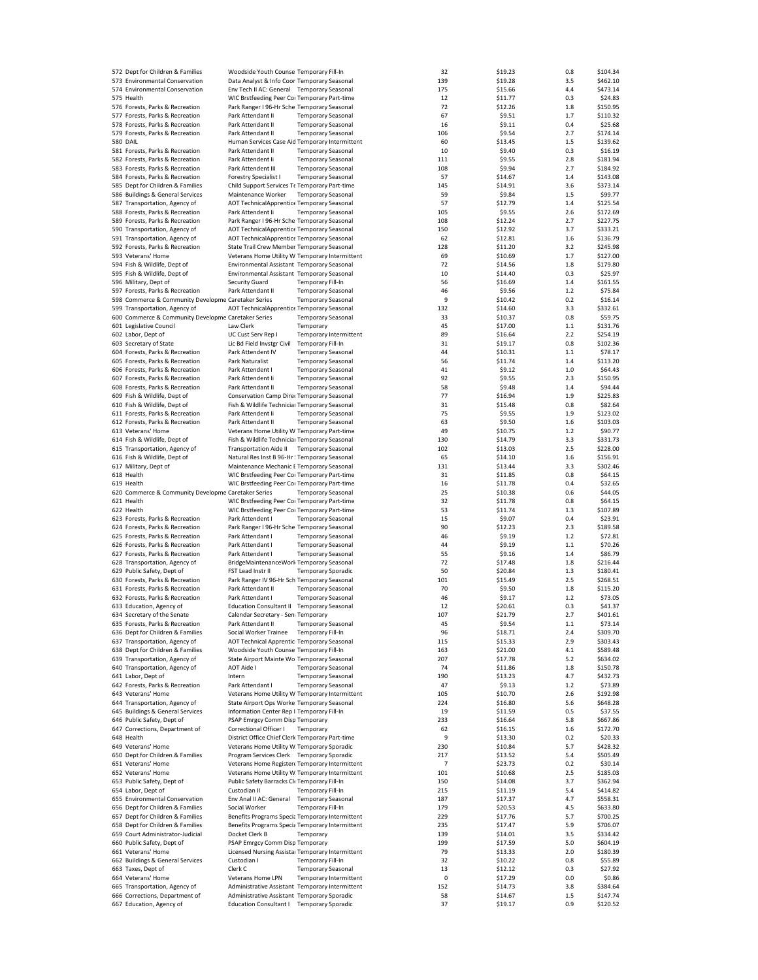|                 | 572 Dept for Children & Families                    | Woodside Youth Counse Temporary Fill-In          |                           |                        | 32  | \$19.23 | 0.8   | \$104.34 |
|-----------------|-----------------------------------------------------|--------------------------------------------------|---------------------------|------------------------|-----|---------|-------|----------|
|                 | 573 Environmental Conservation                      | Data Analyst & Info Coor Temporary Seasonal      |                           |                        | 139 | \$19.28 | 3.5   | \$462.10 |
|                 | 574 Environmental Conservation                      | Env Tech II AC: General Temporary Seasonal       |                           |                        | 175 | \$15.66 | 4.4   | \$473.14 |
|                 |                                                     |                                                  |                           |                        |     |         |       |          |
|                 | 575 Health                                          | WIC Brstfeeding Peer Coi Temporary Part-time     |                           |                        | 12  | \$11.77 | 0.3   | \$24.83  |
|                 | 576 Forests, Parks & Recreation                     | Park Ranger I 96-Hr Sche Temporary Seasonal      |                           |                        | 72  | \$12.26 | 1.8   | \$150.95 |
|                 | 577 Forests, Parks & Recreation                     | Park Attendant II                                | <b>Temporary Seasonal</b> |                        | 67  | \$9.51  | 1.7   | \$110.32 |
|                 | 578 Forests, Parks & Recreation                     | Park Attendant II                                | <b>Temporary Seasonal</b> |                        | 16  | \$9.11  | 0.4   | \$25.68  |
|                 | 579 Forests, Parks & Recreation                     | Park Attendant II                                | <b>Temporary Seasonal</b> |                        | 106 | \$9.54  | 2.7   | \$174.14 |
| <b>580 DAIL</b> |                                                     | Human Services Case Aid Temporary Intermittent   |                           |                        | 60  | \$13.45 | 1.5   | \$139.62 |
|                 | 581 Forests, Parks & Recreation                     | Park Attendant II                                | <b>Temporary Seasonal</b> |                        | 10  | \$9.40  | 0.3   | \$16.19  |
|                 | 582 Forests, Parks & Recreation                     | Park Attendent Ii                                | <b>Temporary Seasonal</b> |                        | 111 | \$9.55  | 2.8   | \$181.94 |
|                 | 583 Forests, Parks & Recreation                     | Park Attendent III                               | <b>Temporary Seasonal</b> |                        | 108 | \$9.94  | 2.7   | \$184.92 |
|                 | 584 Forests, Parks & Recreation                     | <b>Forestry Specialist I</b>                     | <b>Temporary Seasonal</b> |                        | 57  | \$14.67 | 1.4   | \$143.08 |
|                 | 585 Dept for Children & Families                    |                                                  |                           |                        | 145 | \$14.91 | 3.6   | \$373.14 |
|                 |                                                     | Child Support Services Te Temporary Part-time    |                           |                        |     |         |       |          |
|                 | 586 Buildings & General Services                    | Maintenance Worker                               | <b>Temporary Seasonal</b> |                        | 59  | \$9.84  | 1.5   | \$99.77  |
|                 | 587 Transportation, Agency of                       | AOT TechnicalApprentice Temporary Seasonal       |                           |                        | 57  | \$12.79 | 1.4   | \$125.54 |
|                 | 588 Forests, Parks & Recreation                     | Park Attendent Ii                                | <b>Temporary Seasonal</b> |                        | 105 | \$9.55  | 2.6   | \$172.69 |
|                 | 589 Forests, Parks & Recreation                     | Park Ranger I 96-Hr Sche Temporary Seasonal      |                           |                        | 108 | \$12.24 | 2.7   | \$227.75 |
|                 | 590 Transportation, Agency of                       | AOT TechnicalApprentice Temporary Seasonal       |                           |                        | 150 | \$12.92 | 3.7   | \$333.21 |
|                 | 591 Transportation, Agency of                       | AOT TechnicalApprentice Temporary Seasonal       |                           |                        | 62  | \$12.81 | 1.6   | \$136.79 |
|                 | 592 Forests, Parks & Recreation                     | State Trail Crew Member Temporary Seasonal       |                           |                        | 128 | \$11.20 | 3.2   | \$245.98 |
|                 | 593 Veterans' Home                                  | Veterans Home Utility W Temporary Intermittent   |                           |                        | 69  | \$10.69 | 1.7   | \$127.00 |
|                 | 594 Fish & Wildlife, Dept of                        | Environmental Assistant Temporary Seasonal       |                           |                        | 72  | \$14.56 | 1.8   | \$179.80 |
|                 |                                                     |                                                  |                           |                        |     |         | 0.3   |          |
|                 | 595 Fish & Wildlife, Dept of                        | Environmental Assistant Temporary Seasonal       |                           |                        | 10  | \$14.40 |       | \$25.97  |
|                 | 596 Military, Dept of                               | Security Guard                                   | <b>Temporary Fill-In</b>  |                        | 56  | \$16.69 | 1.4   | \$161.55 |
|                 | 597 Forests, Parks & Recreation                     | Park Attendant II                                | <b>Temporary Seasonal</b> |                        | 46  | \$9.56  | $1.2$ | \$75.84  |
|                 | 598 Commerce & Community Developme Caretaker Series |                                                  | <b>Temporary Seasonal</b> |                        | 9   | \$10.42 | 0.2   | \$16.14  |
|                 | 599 Transportation, Agency of                       | AOT TechnicalApprentice Temporary Seasonal       |                           |                        | 132 | \$14.60 | 3.3   | \$332.61 |
|                 | 600 Commerce & Community Developme Caretaker Series |                                                  | <b>Temporary Seasonal</b> |                        | 33  | \$10.37 | 0.8   | \$59.75  |
|                 | 601 Legislative Council                             | Law Clerk                                        | Temporary                 |                        | 45  | \$17.00 | 1.1   | \$131.76 |
|                 | 602 Labor, Dept of                                  | UC Cust Serv Rep I                               |                           | Temporary Intermittent | 89  | \$16.64 | 2.2   | \$254.19 |
|                 |                                                     | Lic Bd Field Invster Civil                       | Temporary Fill-In         |                        | 31  | \$19.17 | 0.8   | \$102.36 |
|                 | 603 Secretary of State                              |                                                  |                           |                        |     |         |       |          |
|                 | 604 Forests, Parks & Recreation                     | Park Attendent IV                                | <b>Temporary Seasonal</b> |                        | 44  | \$10.31 | 1.1   | \$78.17  |
|                 | 605 Forests, Parks & Recreation                     | Park Naturalist                                  | <b>Temporary Seasonal</b> |                        | 56  | \$11.74 | 1.4   | \$113.20 |
|                 | 606 Forests, Parks & Recreation                     | Park Attendent I                                 | <b>Temporary Seasonal</b> |                        | 41  | \$9.12  | 1.0   | \$64.43  |
|                 | 607 Forests, Parks & Recreation                     | Park Attendent Ii                                | <b>Temporary Seasonal</b> |                        | 92  | \$9.55  | 2.3   | \$150.95 |
|                 | 608 Forests, Parks & Recreation                     | Park Attendant II                                | <b>Temporary Seasonal</b> |                        | 58  | \$9.48  | 1.4   | \$94.44  |
|                 | 609 Fish & Wildlife, Dept of                        | Conservation Camp Direc Temporary Seasonal       |                           |                        | 77  | \$16.94 | 1.9   | \$225.83 |
|                 | 610 Fish & Wildlife, Dept of                        | Fish & Wildlife Technicial Temporary Seasonal    |                           |                        | 31  | \$15.48 | 0.8   | \$82.64  |
|                 |                                                     |                                                  |                           |                        |     |         |       |          |
|                 | 611 Forests, Parks & Recreation                     | Park Attendent Ii                                | <b>Temporary Seasonal</b> |                        | 75  | \$9.55  | 1.9   | \$123.02 |
|                 | 612 Forests, Parks & Recreation                     | Park Attendant II                                | <b>Temporary Seasonal</b> |                        | 63  | \$9.50  | 1.6   | \$103.03 |
|                 | 613 Veterans' Home                                  | Veterans Home Utility W Temporary Part-time      |                           |                        | 49  | \$10.75 | 1.2   | \$90.77  |
|                 | 614 Fish & Wildlife, Dept of                        | Fish & Wildlife Technicial Temporary Seasonal    |                           |                        | 130 | \$14.79 | 3.3   | \$331.73 |
|                 | 615 Transportation, Agency of                       | Transportation Aide II Temporary Seasonal        |                           |                        | 102 | \$13.03 | 2.5   | \$228.00 |
|                 | 616 Fish & Wildlife, Dept of                        | Natural Res Inst B 96-Hr ! Temporary Seasonal    |                           |                        | 65  | \$14.10 | 1.6   | \$156.91 |
|                 | 617 Military, Dept of                               | Maintenance Mechanic E Temporary Seasonal        |                           |                        | 131 | \$13.44 | 3.3   | \$302.46 |
|                 | 618 Health                                          | WIC Brstfeeding Peer Coi Temporary Part-time     |                           |                        | 31  | \$11.85 | 0.8   | \$64.15  |
|                 | 619 Health                                          | WIC Brstfeeding Peer Coi Temporary Part-time     |                           |                        | 16  | \$11.78 | 0.4   | \$32.65  |
|                 |                                                     |                                                  |                           |                        | 25  | \$10.38 | 0.6   | \$44.05  |
|                 | 620 Commerce & Community Developme Caretaker Series |                                                  | <b>Temporary Seasonal</b> |                        |     |         |       |          |
|                 | 621 Health                                          | WIC Brstfeeding Peer Coi Temporary Part-time     |                           |                        | 32  | \$11.78 | 0.8   | \$64.15  |
|                 | 622 Health                                          | WIC Brstfeeding Peer Coi Temporary Part-time     |                           |                        | 53  | \$11.74 | 1.3   | \$107.89 |
|                 | 623 Forests, Parks & Recreation                     | Park Attendent I                                 | <b>Temporary Seasonal</b> |                        | 15  | \$9.07  | 0.4   | \$23.91  |
|                 | 624 Forests, Parks & Recreation                     | Park Ranger I 96-Hr Sche Temporary Seasonal      |                           |                        | 90  | \$12.23 | 2.3   | \$189.58 |
|                 | 625 Forests, Parks & Recreation                     | Park Attendant I                                 | <b>Temporary Seasonal</b> |                        | 46  | \$9.19  | 1.2   | \$72.81  |
|                 | 626 Forests, Parks & Recreation                     | Park Attendant I                                 | <b>Temporary Seasonal</b> |                        | 44  | \$9.19  | 1.1   | \$70.26  |
|                 | 627 Forests, Parks & Recreation                     | Park Attendent I                                 | <b>Temporary Seasonal</b> |                        | 55  | \$9.16  | 1.4   | \$86.79  |
|                 | 628 Transportation, Agency of                       | BridgeMaintenanceWork Temporary Seasonal         |                           |                        | 72  | \$17.48 | 1.8   | \$216.44 |
|                 |                                                     |                                                  |                           |                        | 50  |         |       |          |
|                 | 629 Public Safety, Dept of                          | FST Lead Instr II                                | <b>Temporary Sporadic</b> |                        |     | \$20.84 | 1.3   | \$180.41 |
|                 | 630 Forests, Parks & Recreation                     | Park Ranger IV 96-Hr Sch Temporary Seasonal      |                           |                        | 101 | \$15.49 | 2.5   | \$268.51 |
|                 | 631 Forests, Parks & Recreation                     | Park Attendant II                                | <b>Temporary Seasonal</b> |                        | 70  | \$9.50  | 1.8   | \$115.20 |
|                 | 632 Forests, Parks & Recreation                     | Park Attendant I                                 | <b>Temporary Seasonal</b> |                        | 46  | \$9.17  | 1.2   | \$73.05  |
|                 | 633 Education, Agency of                            | Education Consultant II Temporary Seasonal       |                           |                        | 12  | \$20.61 | 0.3   | \$41.37  |
|                 | 634 Secretary of the Senate                         | Calendar Secretary - Sen: Temporary              |                           |                        | 107 | \$21.79 | 2.7   | \$401.61 |
|                 | 635 Forests, Parks & Recreation                     | Park Attendant II                                | <b>Temporary Seasonal</b> |                        | 45  | \$9.54  | 1.1   | \$73.14  |
|                 | 636 Dept for Children & Families                    | Social Worker Trainee                            | Temporary Fill-In         |                        | 96  | \$18.71 | 2.4   | \$309.70 |
|                 | 637 Transportation, Agency of                       | AOT Technical Apprentic Temporary Seasonal       |                           |                        | 115 | \$15.33 | 2.9   | \$303.43 |
|                 | 638 Dept for Children & Families                    | Woodside Youth Counse Temporary Fill-In          |                           |                        | 163 | \$21.00 | 4.1   | \$589.48 |
|                 | 639 Transportation, Agency of                       | State Airport Mainte Wo Temporary Seasonal       |                           |                        | 207 | \$17.78 | 5.2   | \$634.02 |
|                 |                                                     |                                                  |                           |                        |     |         |       |          |
|                 | 640 Transportation, Agency of                       | <b>AOT Aide I</b>                                | <b>Temporary Seasonal</b> |                        | 74  | \$11.86 | 1.8   | \$150.78 |
|                 | 641 Labor, Dept of                                  | Intern                                           | <b>Temporary Seasonal</b> |                        | 190 | \$13.23 | 4.7   | \$432.73 |
|                 | 642 Forests, Parks & Recreation                     | Park Attendant I                                 | <b>Temporary Seasonal</b> |                        | 47  | \$9.13  | 1.2   | \$73.89  |
|                 | 643 Veterans' Home                                  | Veterans Home Utility W Temporary Intermittent   |                           |                        | 105 | \$10.70 | 2.6   | \$192.98 |
|                 | 644 Transportation, Agency of                       | State Airport Ops Worke Temporary Seasonal       |                           |                        | 224 | \$16.80 | 5.6   | \$648.28 |
|                 | 645 Buildings & General Services                    | Information Center Rep I Temporary Fill-In       |                           |                        | 19  | \$11.59 | 0.5   | \$37.55  |
|                 | 646 Public Safety, Dept of                          | PSAP Emrgcy Comm Disp Temporary                  |                           |                        | 233 | \$16.64 | 5.8   | \$667.86 |
|                 | 647 Corrections, Department of                      | Correctional Officer I                           | Temporary                 |                        | 62  | \$16.15 | 1.6   | \$172.70 |
|                 | 648 Health                                          | District Office Chief Clerk Temporary Part-time  |                           |                        | 9   | \$13.30 | 0.2   | \$20.33  |
|                 | 649 Veterans' Home                                  | Veterans Home Utility W Temporary Sporadic       |                           |                        | 230 | \$10.84 | 5.7   | \$428.32 |
|                 | 650 Dept for Children & Families                    | Program Services Clerk Temporary Sporadic        |                           |                        |     |         |       | \$505.49 |
|                 |                                                     |                                                  |                           |                        | 217 | \$13.52 | 5.4   |          |
|                 | 651 Veterans' Home                                  | Veterans Home Register« Temporary Intermittent   |                           |                        | 7   | \$23.73 | 0.2   | \$30.14  |
|                 | 652 Veterans' Home                                  | Veterans Home Utility W Temporary Intermittent   |                           |                        | 101 | \$10.68 | 2.5   | \$185.03 |
|                 | 653 Public Safety, Dept of                          | Public Safety Barracks Cle Temporary Fill-In     |                           |                        | 150 | \$14.08 | 3.7   | \$362.94 |
|                 | 654 Labor, Dept of                                  | Custodian II                                     | <b>Temporary Fill-In</b>  |                        | 215 | \$11.19 | 5.4   | \$414.82 |
|                 | 655 Environmental Conservation                      | Env Anal II AC: General                          | <b>Temporary Seasonal</b> |                        | 187 | \$17.37 | 4.7   | \$558.31 |
|                 | 656 Dept for Children & Families                    | Social Worker                                    | <b>Temporary Fill-In</b>  |                        | 179 | \$20.53 | 4.5   | \$633.80 |
|                 | 657 Dept for Children & Families                    | Benefits Programs Specia Temporary Intermittent  |                           |                        | 229 | \$17.76 | 5.7   | \$700.25 |
|                 | 658 Dept for Children & Families                    | Benefits Programs Specia Temporary Intermittent  |                           |                        | 235 | \$17.47 | 5.9   | \$706.07 |
|                 | 659 Court Administrator-Judicial                    | Docket Clerk B                                   | Temporary                 |                        | 139 | \$14.01 | 3.5   | \$334.42 |
|                 |                                                     |                                                  |                           |                        |     |         |       |          |
|                 | 660 Public Safety, Dept of                          | PSAP Emrgcy Comm Disp Temporary                  |                           |                        | 199 | \$17.59 | 5.0   | \$604.19 |
|                 | 661 Veterans' Home                                  | Licensed Nursing Assista: Temporary Intermittent |                           |                        | 79  | \$13.33 | 2.0   | \$180.39 |
|                 | 662 Buildings & General Services                    | Custodian I                                      | Temporary Fill-In         |                        | 32  | \$10.22 | 0.8   | \$55.89  |
|                 | 663 Taxes, Dept of                                  | Clerk C                                          | <b>Temporary Seasonal</b> |                        | 13  | \$12.12 | 0.3   | \$27.92  |
|                 | 664 Veterans' Home                                  | Veterans Home LPN                                |                           | Temporary Intermittent | 0   | \$17.29 | 0.0   | \$0.86   |
|                 | 665 Transportation, Agency of                       | Administrative Assistant Temporary Intermittent  |                           |                        | 152 | \$14.73 | 3.8   | \$384.64 |
|                 | 666 Corrections, Department of                      | Administrative Assistant Temporary Sporadic      |                           |                        | 58  | \$14.67 | 1.5   | \$147.74 |
|                 | 667 Education, Agency of                            | Education Consultant I Temporary Sporadic        |                           |                        | 37  | \$19.17 | 0.9   | \$120.52 |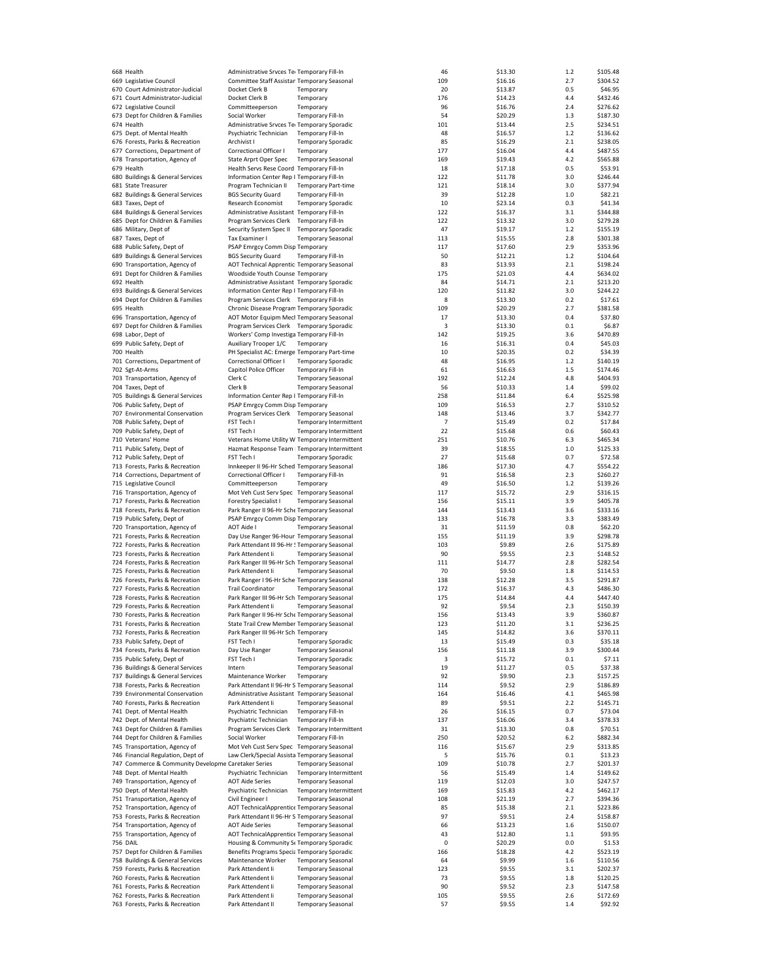| 668 Health                                                         | Administrative Srvces Tel Temporary Fill-In                                       |                                                        |                               | 46        | \$13.30          | 1.2            | \$105.48            |
|--------------------------------------------------------------------|-----------------------------------------------------------------------------------|--------------------------------------------------------|-------------------------------|-----------|------------------|----------------|---------------------|
| 669 Legislative Council                                            | Committee Staff Assistan Temporary Seasonal                                       |                                                        |                               | 109       | \$16.16          | 2.7            | \$304.52            |
| 670 Court Administrator-Judicial                                   | Docket Clerk B                                                                    | Temporary                                              |                               | 20        | \$13.87          | 0.5            | \$46.95             |
|                                                                    |                                                                                   |                                                        |                               |           |                  |                |                     |
| 671 Court Administrator-Judicial                                   | Docket Clerk B                                                                    | Temporary                                              |                               | 176       | \$14.23          | 4.4            | \$432.46            |
| 672 Legislative Council                                            | Committeeperson                                                                   | Temporary                                              |                               | 96        | \$16.76          | 2.4            | \$276.62            |
| 673 Dept for Children & Families                                   | Social Worker                                                                     | <b>Temporary Fill-In</b>                               |                               | 54        | \$20.29          | 1.3            | \$187.30            |
| 674 Health                                                         | Administrative Srvces Tei Temporary Sporadic                                      |                                                        |                               | 101       | \$13.44          | 2.5            | \$234.51            |
| 675 Dept. of Mental Health                                         | Psychiatric Technician                                                            | Temporary Fill-In                                      |                               | 48        | \$16.57          | $1.2$          | \$136.62            |
| 676 Forests, Parks & Recreation                                    | Archivist I                                                                       | <b>Temporary Sporadic</b>                              |                               | 85        | \$16.29          | 2.1            | \$238.05            |
|                                                                    | Correctional Officer I                                                            |                                                        |                               |           |                  |                |                     |
| 677 Corrections, Department of                                     |                                                                                   | Temporary                                              |                               | 177       | \$16.04          | 4.4            | \$487.55            |
| 678 Transportation, Agency of                                      | State Arprt Oper Spec                                                             | <b>Temporary Seasonal</b>                              |                               | 169       | \$19.43          | 4.2            | \$565.88            |
| 679 Health                                                         | Health Servs Rese Coord Temporary Fill-In                                         |                                                        |                               | 18        | \$17.18          | 0.5            | \$53.91             |
| 680 Buildings & General Services                                   | Information Center Rep I Temporary Fill-In                                        |                                                        |                               | 122       | \$11.78          | 3.0            | \$246.44            |
| 681 State Treasurer                                                | Program Technician II                                                             | <b>Temporary Part-time</b>                             |                               | 121       | \$18.14          | 3.0            | \$377.94            |
| 682 Buildings & General Services                                   | <b>BGS Security Guard</b>                                                         | <b>Temporary Fill-In</b>                               |                               | 39        | \$12.28          | 1.0            | \$82.21             |
|                                                                    |                                                                                   |                                                        |                               |           |                  |                |                     |
| 683 Taxes, Dept of                                                 | Research Economist                                                                | <b>Temporary Sporadic</b>                              |                               | 10        | \$23.14          | 0.3            | \$41.34             |
| 684 Buildings & General Services                                   | Administrative Assistant Temporary Fill-In                                        |                                                        |                               | 122       | \$16.37          | 3.1            | \$344.88            |
| 685 Dept for Children & Families                                   | Program Services Clerk Temporary Fill-In                                          |                                                        |                               | 122       | \$13.32          | 3.0            | \$279.28            |
| 686 Military, Dept of                                              | Security System Spec II                                                           | <b>Temporary Sporadic</b>                              |                               | 47        | \$19.17          | $1.2$          | \$155.19            |
| 687 Taxes, Dept of                                                 | Tax Examiner I                                                                    | <b>Temporary Seasonal</b>                              |                               | 113       | \$15.55          | 2.8            | \$301.38            |
|                                                                    | PSAP Emrgcy Comm Disp Temporary                                                   |                                                        |                               |           |                  | 2.9            | \$353.96            |
| 688 Public Safety, Dept of                                         |                                                                                   |                                                        |                               | 117       | \$17.60          |                |                     |
| 689 Buildings & General Services                                   | <b>BGS Security Guard</b>                                                         | Temporary Fill-In                                      |                               | 50        | \$12.21          | 1.2            | \$104.64            |
| 690 Transportation, Agency of                                      | AOT Technical Apprentic Temporary Seasonal                                        |                                                        |                               | 83        | \$13.93          | 2.1            | \$198.24            |
| 691 Dept for Children & Families                                   | Woodside Youth Counse Temporary                                                   |                                                        |                               | 175       | \$21.03          | 4.4            | \$634.02            |
| 692 Health                                                         | Administrative Assistant Temporary Sporadic                                       |                                                        |                               | 84        | \$14.71          | 2.1            | \$213.20            |
| 693 Buildings & General Services                                   | Information Center Rep I Temporary Fill-In                                        |                                                        |                               | 120       | \$11.82          | 3.0            | \$244.22            |
|                                                                    |                                                                                   |                                                        |                               |           |                  |                |                     |
| 694 Dept for Children & Families                                   | Program Services Clerk Temporary Fill-In                                          |                                                        |                               | 8         | \$13.30          | 0.2            | \$17.61             |
| 695 Health                                                         | Chronic Disease Program Temporary Sporadic                                        |                                                        |                               | 109       | \$20.29          | 2.7            | \$381.58            |
| 696 Transportation, Agency of                                      | AOT Motor Equipm Mecl Temporary Seasonal                                          |                                                        |                               | 17        | \$13.30          | 0.4            | \$37.80             |
| 697 Dept for Children & Families                                   | Program Services Clerk Temporary Sporadic                                         |                                                        |                               | 3         | \$13.30          | 0.1            | \$6.87              |
| 698 Labor, Dept of                                                 | Workers' Comp Investiga Temporary Fill-In                                         |                                                        |                               | 142       | \$19.25          | 3.6            | \$470.89            |
|                                                                    |                                                                                   |                                                        |                               |           |                  |                |                     |
| 699 Public Safety, Dept of                                         | Auxiliary Trooper 1/C                                                             | Temporary                                              |                               | 16        | \$16.31          | 0.4            | \$45.03             |
| 700 Health                                                         | PH Specialist AC: Emerge Temporary Part-time                                      |                                                        |                               | 10        | \$20.35          | 0.2            | \$34.39             |
| 701 Corrections, Department of                                     | Correctional Officer I                                                            | <b>Temporary Sporadic</b>                              |                               | 48        | \$16.95          | 1.2            | \$140.19            |
| 702 Sgt-At-Arms                                                    | Capitol Police Officer                                                            | Temporary Fill-In                                      |                               | 61        | \$16.63          | 1.5            | \$174.46            |
| 703 Transportation, Agency of                                      | Clerk C                                                                           | <b>Temporary Seasonal</b>                              |                               | 192       | \$12.24          | 4.8            | \$404.93            |
| 704 Taxes, Dept of                                                 | Clerk B                                                                           | <b>Temporary Seasonal</b>                              |                               | 56        | \$10.33          | 1.4            | \$99.02             |
|                                                                    |                                                                                   |                                                        |                               |           |                  |                |                     |
| 705 Buildings & General Services                                   | Information Center Rep I Temporary Fill-In                                        |                                                        |                               | 258       | \$11.84          | 6.4            | \$525.98            |
| 706 Public Safety, Dept of                                         | PSAP Emrgcy Comm Disp Temporary                                                   |                                                        |                               | 109       | \$16.53          | 2.7            | \$310.52            |
| 707 Environmental Conservation                                     | Program Services Clerk Temporary Seasonal                                         |                                                        |                               | 148       | \$13.46          | 3.7            | \$342.77            |
| 708 Public Safety, Dept of                                         | FST Tech I                                                                        |                                                        | Temporary Intermittent        | 7         | \$15.49          | 0.2            | \$17.84             |
| 709 Public Safety, Dept of                                         | FST Tech I                                                                        |                                                        | <b>Temporary Intermittent</b> | 22        | \$15.68          | 0.6            | \$60.43             |
| 710 Veterans' Home                                                 | Veterans Home Utility W Temporary Intermittent                                    |                                                        |                               | 251       | \$10.76          | 6.3            | \$465.34            |
|                                                                    |                                                                                   |                                                        |                               |           |                  |                |                     |
| 711 Public Safety, Dept of                                         | Hazmat Response Team   Temporary Intermittent                                     |                                                        |                               | 39        | \$18.55          | 1.0            | \$125.33            |
| 712 Public Safety, Dept of                                         | FST Tech I                                                                        | <b>Temporary Sporadic</b>                              |                               | 27        | \$15.68          | 0.7            | \$72.58             |
| 713 Forests, Parks & Recreation                                    | Innkeeper II 96-Hr Sched Temporary Seasonal                                       |                                                        |                               | 186       | \$17.30          | 4.7            | \$554.22            |
| 714 Corrections, Department of                                     | Correctional Officer I                                                            | <b>Temporary Fill-In</b>                               |                               | 91        | \$16.58          | 2.3            | \$260.27            |
| 715 Legislative Council                                            | Committeeperson                                                                   | Temporary                                              |                               | 49        | \$16.50          | 1.2            | \$139.26            |
|                                                                    |                                                                                   |                                                        |                               |           |                  |                |                     |
| 716 Transportation, Agency of                                      | Mot Veh Cust Serv Spec Temporary Seasonal                                         |                                                        |                               | 117       | \$15.72          | 2.9            | \$316.15            |
| 717 Forests, Parks & Recreation                                    | <b>Forestry Specialist I</b>                                                      | <b>Temporary Seasonal</b>                              |                               | 156       | \$15.11          | 3.9            | \$405.78            |
| 718 Forests, Parks & Recreation                                    | Park Ranger II 96-Hr Sche Temporary Seasonal                                      |                                                        |                               | 144       | \$13.43          | 3.6            | \$333.16            |
| 719 Public Safety, Dept of                                         | PSAP Emrgcy Comm Disp Temporary                                                   |                                                        |                               | 133       | \$16.78          | 3.3            | \$383.49            |
| 720 Transportation, Agency of                                      | AOT Aide I                                                                        | <b>Temporary Seasonal</b>                              |                               | 31        | \$11.59          | 0.8            | \$62.20             |
|                                                                    |                                                                                   |                                                        |                               |           |                  |                |                     |
| 721 Forests, Parks & Recreation                                    | Day Use Ranger 96-Hour Temporary Seasonal                                         |                                                        |                               | 155       | \$11.19          | 3.9            | \$298.78            |
| 722 Forests, Parks & Recreation                                    | Park Attendant III 96-Hr ! Temporary Seasonal                                     |                                                        |                               | 103       | \$9.89           | 2.6            | \$175.89            |
| 723 Forests, Parks & Recreation                                    | Park Attendent Ii                                                                 | <b>Temporary Seasonal</b>                              |                               | 90        | \$9.55           | 2.3            | \$148.52            |
| 724 Forests, Parks & Recreation                                    | Park Ranger III 96-Hr Sch Temporary Seasonal                                      |                                                        |                               | 111       | \$14.77          | 2.8            | \$282.54            |
| 725 Forests, Parks & Recreation                                    | Park Attendent Ii                                                                 | <b>Temporary Seasonal</b>                              |                               | 70        | \$9.50           | 1.8            | \$114.53            |
| 726 Forests, Parks & Recreation                                    | Park Ranger I 96-Hr Sche Temporary Seasonal                                       |                                                        |                               | 138       | \$12.28          | 3.5            | \$291.87            |
|                                                                    |                                                                                   |                                                        |                               |           |                  |                |                     |
| 727 Forests, Parks & Recreation                                    | <b>Trail Coordinator</b>                                                          | <b>Temporary Seasonal</b>                              |                               | 172       | \$16.37          | 4.3            | \$486.30            |
| 728 Forests, Parks & Recreation                                    | Park Ranger III 96-Hr Sch Temporary Seasonal                                      |                                                        |                               | 175       | \$14.84          | 4.4            | \$447.40            |
| 729 Forests, Parks & Recreation                                    | Park Attendent Ii                                                                 | <b>Temporary Seasonal</b>                              |                               | 92        | \$9.54           | 2.3            | \$150.39            |
| 730 Forests, Parks & Recreation                                    | Park Ranger II 96-Hr Sche Temporary Seasonal                                      |                                                        |                               | 156       | \$13.43          | 3.9            | \$360.87            |
| 731 Forests, Parks & Recreation                                    |                                                                                   |                                                        |                               | 123       |                  | 3.1            |                     |
| 732 Forests, Parks & Recreation                                    | State Trail Crew Member Temporary Seasonal<br>Park Ranger III 96-Hr Sch Temporary |                                                        |                               |           | \$11.20          |                | \$236.25            |
|                                                                    |                                                                                   |                                                        |                               |           |                  |                |                     |
| 733 Public Safety, Dept of                                         |                                                                                   |                                                        |                               | 145       | \$14.82          | 3.6            | \$370.11            |
|                                                                    | FST Tech I                                                                        |                                                        | <b>Temporary Sporadic</b>     | 13        | \$15.49          | 0.3            | \$35.18             |
| 734 Forests, Parks & Recreation                                    | Day Use Ranger                                                                    | <b>Temporary Seasonal</b>                              |                               | 156       | \$11.18          | 3.9            | \$300.44            |
| 735 Public Safety, Dept of                                         | FST Tech I                                                                        | <b>Temporary Sporadic</b>                              |                               | 3         | \$15.72          | 0.1            | \$7.11              |
| 736 Buildings & General Services                                   | Intern                                                                            | <b>Temporary Seasonal</b>                              |                               | 19        | \$11.27          | 0.5            | \$37.38             |
|                                                                    | Maintenance Worker                                                                | Temporary                                              |                               | 92        |                  | 2.3            | \$157.25            |
| 737 Buildings & General Services                                   |                                                                                   |                                                        |                               |           | \$9.90           |                |                     |
| 738 Forests, Parks & Recreation                                    | Park Attendant II 96-Hr S Temporary Seasonal                                      |                                                        |                               | 114       | \$9.52           | 2.9            | \$186.89            |
| 739 Environmental Conservation                                     | Administrative Assistant Temporary Seasonal                                       |                                                        |                               | 164       | \$16.46          | 4.1            | \$465.98            |
| 740 Forests, Parks & Recreation                                    | Park Attendent Ii                                                                 | <b>Temporary Seasonal</b>                              |                               | 89        | \$9.51           | 2.2            | \$145.71            |
| 741 Dept. of Mental Health                                         | Psychiatric Technician                                                            | Temporary Fill-In                                      |                               | 26        | \$16.15          | 0.7            | \$73.04             |
| 742 Dept. of Mental Health                                         | Psychiatric Technician                                                            | Temporary Fill-In                                      |                               | 137       | \$16.06          | 3.4            | \$378.33            |
|                                                                    |                                                                                   |                                                        |                               |           |                  |                |                     |
| 743 Dept for Children & Families                                   | Program Services Clerk                                                            |                                                        | Temporary Intermittent        | 31        | \$13.30          | 0.8            | \$70.51             |
| 744 Dept for Children & Families                                   | Social Worker                                                                     | <b>Temporary Fill-In</b>                               |                               | 250       | \$20.52          | 6.2            | \$882.34            |
| 745 Transportation, Agency of                                      | Mot Veh Cust Serv Spec Temporary Seasonal                                         |                                                        |                               | 116       | \$15.67          | 2.9            | \$313.85            |
| 746 Financial Regulation, Dept of                                  | Law Clerk/Special Assista Temporary Seasonal                                      |                                                        |                               | 5         | \$15.76          | 0.1            | \$13.23             |
| 747 Commerce & Community Developme Caretaker Series                |                                                                                   | <b>Temporary Seasonal</b>                              |                               | 109       | \$10.78          | 2.7            | \$201.37            |
| 748 Dept. of Mental Health                                         | Psychiatric Technician                                                            |                                                        |                               | 56        |                  | 1.4            | \$149.62            |
|                                                                    |                                                                                   |                                                        | Temporary Intermittent        |           | \$15.49          |                |                     |
| 749 Transportation, Agency of                                      | <b>AOT Aide Series</b>                                                            | <b>Temporary Seasonal</b>                              |                               | 119       | \$12.03          | 3.0            | \$247.57            |
| 750 Dept. of Mental Health                                         | Psychiatric Technician                                                            |                                                        | Temporary Intermittent        | 169       | \$15.83          | 4.2            | \$462.17            |
| 751 Transportation, Agency of                                      | Civil Engineer I                                                                  | <b>Temporary Seasonal</b>                              |                               | 108       | \$21.19          | 2.7            | \$394.36            |
| 752 Transportation, Agency of                                      | AOT TechnicalApprentice Temporary Seasonal                                        |                                                        |                               | 85        | \$15.38          | 2.1            | \$223.86            |
| 753 Forests, Parks & Recreation                                    | Park Attendant II 96-Hr S Temporary Seasonal                                      |                                                        |                               | 97        | \$9.51           | 2.4            | \$158.87            |
|                                                                    |                                                                                   |                                                        |                               |           |                  |                |                     |
| 754 Transportation, Agency of                                      | <b>AOT Aide Series</b>                                                            | <b>Temporary Seasonal</b>                              |                               | 66        | \$13.23          | 1.6            | \$150.07            |
| 755 Transportation, Agency of                                      | AOT TechnicalApprentice Temporary Seasonal                                        |                                                        |                               | 43        | \$12.80          | $1.1$          | \$93.95             |
| <b>756 DAIL</b>                                                    | Housing & Community St Temporary Sporadic                                         |                                                        |                               | 0         | \$20.29          | 0.0            | \$1.53              |
| 757 Dept for Children & Families                                   | Benefits Programs Specia Temporary Sporadic                                       |                                                        |                               | 166       | \$18.28          | 4.2            | \$523.19            |
| 758 Buildings & General Services                                   | Maintenance Worker                                                                | <b>Temporary Seasonal</b>                              |                               | 64        | \$9.99           | 1.6            | \$110.56            |
|                                                                    | Park Attendent Ii                                                                 |                                                        |                               | 123       |                  |                | \$202.37            |
| 759 Forests, Parks & Recreation                                    |                                                                                   | <b>Temporary Seasonal</b>                              |                               |           | \$9.55           | 3.1            |                     |
| 760 Forests, Parks & Recreation                                    | Park Attendent li                                                                 | <b>Temporary Seasonal</b>                              |                               | 73        | \$9.55           | 1.8            | \$120.25            |
| 761 Forests, Parks & Recreation                                    | Park Attendent Ii                                                                 | <b>Temporary Seasonal</b>                              |                               | 90        | \$9.52           | 2.3            | \$147.58            |
| 762 Forests, Parks & Recreation<br>763 Forests, Parks & Recreation | Park Attendent li<br>Park Attendant II                                            | <b>Temporary Seasonal</b><br><b>Temporary Seasonal</b> |                               | 105<br>57 | \$9.55<br>\$9.55 | 2.6<br>$1.4\,$ | \$172.69<br>\$92.92 |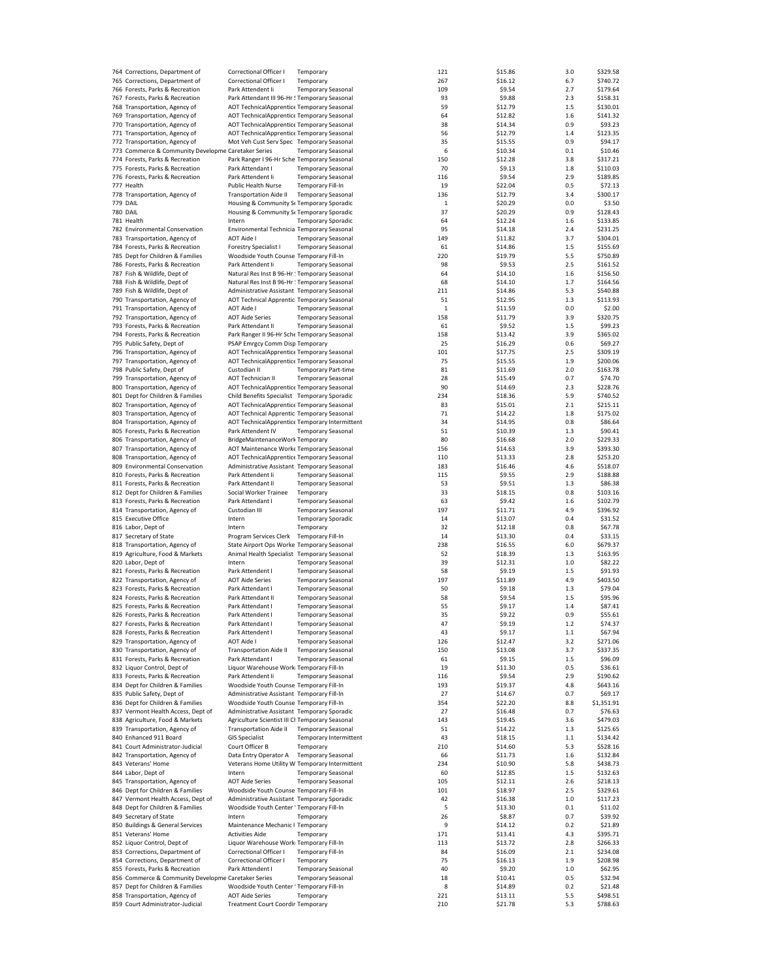| 764 Corrections, Department of                                    | Correctional Officer I                                             | Temporary                  |                        | 121          | \$15.86            | 3.0        | \$329.58             |
|-------------------------------------------------------------------|--------------------------------------------------------------------|----------------------------|------------------------|--------------|--------------------|------------|----------------------|
| 765 Corrections, Department of                                    | Correctional Officer I                                             | Temporary                  |                        | 267          | \$16.12            | 6.7        | \$740.72             |
| 766 Forests, Parks & Recreation                                   | Park Attendent Ii                                                  | <b>Temporary Seasonal</b>  |                        | 109          | \$9.54             | 2.7        | \$179.64             |
|                                                                   |                                                                    |                            |                        |              |                    |            |                      |
| 767 Forests, Parks & Recreation                                   | Park Attendant III 96-Hr ! Temporary Seasonal                      |                            |                        | 93           | \$9.88             | 2.3        | \$158.31             |
| 768 Transportation, Agency of                                     | AOT TechnicalApprentice Temporary Seasonal                         |                            |                        | 59           | \$12.79            | 1.5        | \$130.01             |
| 769 Transportation, Agency of                                     | AOT TechnicalApprentice Temporary Seasonal                         |                            |                        | 64           | \$12.82            | 1.6        | \$141.32             |
| 770 Transportation, Agency of                                     | AOT TechnicalApprentice Temporary Seasonal                         |                            |                        | 38           | \$14.34            | 0.9        | \$93.23              |
| 771 Transportation, Agency of                                     | AOT TechnicalApprentice Temporary Seasonal                         |                            |                        | 56           | \$12.79            | 1.4        | \$123.35             |
|                                                                   |                                                                    |                            |                        |              |                    |            |                      |
| 772 Transportation, Agency of                                     | Mot Veh Cust Serv Spec Temporary Seasonal                          |                            |                        | 35           | \$15.55            | 0.9        | \$94.17              |
| 773 Commerce & Community Developme Caretaker Series               |                                                                    | <b>Temporary Seasonal</b>  |                        | 6            | \$10.34            | 0.1        | \$10.46              |
| 774 Forests, Parks & Recreation                                   | Park Ranger I 96-Hr Sche Temporary Seasonal                        |                            |                        | 150          | \$12.28            | 3.8        | \$317.21             |
| 775 Forests, Parks & Recreation                                   | Park Attendant I                                                   | <b>Temporary Seasonal</b>  |                        | 70           | \$9.13             | 1.8        | \$110.03             |
| 776 Forests, Parks & Recreation                                   | Park Attendent Ii                                                  | <b>Temporary Seasonal</b>  |                        | 116          | \$9.54             | 2.9        | \$189.85             |
|                                                                   |                                                                    |                            |                        |              |                    |            |                      |
| 777 Health                                                        | <b>Public Health Nurse</b>                                         | <b>Temporary Fill-In</b>   |                        | 19           | \$22.04            | 0.5        | \$72.13              |
| 778 Transportation, Agency of                                     | <b>Transportation Aide II</b>                                      | <b>Temporary Seasonal</b>  |                        | 136          | \$12.79            | 3.4        | \$300.17             |
| <b>779 DAIL</b>                                                   | Housing & Community St Temporary Sporadic                          |                            |                        | 1            | \$20.29            | 0.0        | \$3.50               |
| <b>780 DAIL</b>                                                   | Housing & Community St Temporary Sporadic                          |                            |                        | 37           | \$20.29            | 0.9        | \$128.43             |
| 781 Health                                                        | Intern                                                             | <b>Temporary Sporadic</b>  |                        | 64           | \$12.24            | 1.6        | \$133.85             |
|                                                                   |                                                                    |                            |                        |              |                    |            |                      |
| 782 Environmental Conservation                                    | Environmental Technicia Temporary Seasonal                         |                            |                        | 95           | \$14.18            | 2.4        | \$231.25             |
| 783 Transportation, Agency of                                     | <b>AOT Aide I</b>                                                  | <b>Temporary Seasonal</b>  |                        | 149          | \$11.82            | 3.7        | \$304.01             |
| 784 Forests, Parks & Recreation                                   | <b>Forestry Specialist I</b>                                       | <b>Temporary Seasonal</b>  |                        | 61           | \$14.86            | 1.5        | \$155.69             |
| 785 Dept for Children & Families                                  | Woodside Youth Counse Temporary Fill-In                            |                            |                        | 220          | \$19.79            | 5.5        | \$750.89             |
|                                                                   | Park Attendent Ii                                                  |                            |                        | 98           |                    | 2.5        |                      |
| 786 Forests, Parks & Recreation                                   |                                                                    | <b>Temporary Seasonal</b>  |                        |              | \$9.53             |            | \$161.52             |
| 787 Fish & Wildlife, Dept of                                      | Natural Res Inst B 96-Hr ! Temporary Seasonal                      |                            |                        | 64           | \$14.10            | 1.6        | \$156.50             |
| 788 Fish & Wildlife, Dept of                                      | Natural Res Inst B 96-Hr ! Temporary Seasonal                      |                            |                        | 68           | \$14.10            | 1.7        | \$164.56             |
| 789 Fish & Wildlife, Dept of                                      | Administrative Assistant Temporary Seasonal                        |                            |                        | 211          | \$14.86            | 5.3        | \$540.88             |
| 790 Transportation, Agency of                                     | AOT Technical Apprentic Temporary Seasonal                         |                            |                        | 51           | \$12.95            | 1.3        | \$113.93             |
|                                                                   |                                                                    |                            |                        |              |                    |            |                      |
| 791 Transportation, Agency of                                     | <b>AOT Aide I</b>                                                  | <b>Temporary Seasonal</b>  |                        | $\mathbf{1}$ | \$11.59            | 0.0        | \$2.00               |
| 792 Transportation, Agency of                                     | <b>AOT Aide Series</b>                                             | <b>Temporary Seasonal</b>  |                        | 158          | \$11.79            | 3.9        | \$320.75             |
| 793 Forests, Parks & Recreation                                   | Park Attendant II                                                  | <b>Temporary Seasonal</b>  |                        | 61           | \$9.52             | 1.5        | \$99.23              |
| 794 Forests, Parks & Recreation                                   | Park Ranger II 96-Hr Sche Temporary Seasonal                       |                            |                        | 158          | \$13.42            | 3.9        | \$365.02             |
| 795 Public Safety, Dept of                                        | PSAP Emrgcy Comm Disp Temporary                                    |                            |                        | 25           | \$16.29            | 0.6        | \$69.27              |
|                                                                   |                                                                    |                            |                        |              |                    |            |                      |
| 796 Transportation, Agency of                                     | AOT TechnicalApprentice Temporary Seasonal                         |                            |                        | 101          | \$17.75            | 2.5        | \$309.19             |
| 797 Transportation, Agency of                                     | AOT TechnicalApprentice Temporary Seasonal                         |                            |                        | 75           | \$15.55            | 1.9        | \$200.06             |
| 798 Public Safety, Dept of                                        | Custodian II                                                       | <b>Temporary Part-time</b> |                        | 81           | \$11.69            | 2.0        | \$163.78             |
| 799 Transportation, Agency of                                     | AOT Technician II                                                  | <b>Temporary Seasonal</b>  |                        | 28           | \$15.49            | 0.7        | \$74.70              |
|                                                                   |                                                                    |                            |                        |              |                    |            |                      |
| 800 Transportation, Agency of                                     | AOT TechnicalApprentice Temporary Seasonal                         |                            |                        | 90           | \$14.69            | 2.3        | \$228.76             |
| 801 Dept for Children & Families                                  | Child Benefits Specialist Temporary Sporadic                       |                            |                        | 234          | \$18.36            | 5.9        | \$740.52             |
| 802 Transportation, Agency of                                     | AOT TechnicalApprentice Temporary Seasonal                         |                            |                        | 83           | \$15.01            | 2.1        | \$215.11             |
| 803 Transportation, Agency of                                     | AOT Technical Apprentic Temporary Seasonal                         |                            |                        | 71           | \$14.22            | 1.8        | \$175.02             |
|                                                                   |                                                                    |                            |                        |              |                    |            |                      |
| 804 Transportation, Agency of                                     | AOT TechnicalApprentice Temporary Intermittent                     |                            |                        | 34           | \$14.95            | 0.8        | \$86.64              |
| 805 Forests, Parks & Recreation                                   | Park Attendent IV                                                  | <b>Temporary Seasonal</b>  |                        | 51           | \$10.39            | 1.3        | \$90.41              |
| 806 Transportation, Agency of                                     | BridgeMaintenanceWork Temporary                                    |                            |                        | 80           | \$16.68            | 2.0        | \$229.33             |
| 807 Transportation, Agency of                                     | AOT Maintenance Worke Temporary Seasonal                           |                            |                        | 156          | \$14.63            | 3.9        | \$393.30             |
| 808 Transportation, Agency of                                     | AOT TechnicalApprentice Temporary Seasonal                         |                            |                        | 110          | \$13.33            | 2.8        | \$253.20             |
|                                                                   |                                                                    |                            |                        |              |                    |            |                      |
| 809 Environmental Conservation                                    | Administrative Assistant Temporary Seasonal                        |                            |                        | 183          | \$16.46            | 4.6        | \$518.07             |
| 810 Forests, Parks & Recreation                                   | Park Attendent li                                                  | <b>Temporary Seasonal</b>  |                        | 115          | \$9.55             | 2.9        | \$188.88             |
| 811 Forests, Parks & Recreation                                   | Park Attendant II                                                  | <b>Temporary Seasonal</b>  |                        | 53           | \$9.51             | 1.3        | \$86.38              |
| 812 Dept for Children & Families                                  | Social Worker Trainee                                              | Temporary                  |                        | 33           | \$18.15            | 0.8        | \$103.16             |
| 813 Forests, Parks & Recreation                                   | Park Attendant I                                                   | <b>Temporary Seasonal</b>  |                        | 63           | \$9.42             | 1.6        | \$102.79             |
|                                                                   |                                                                    |                            |                        |              |                    |            |                      |
| 814 Transportation, Agency of                                     | Custodian III                                                      | <b>Temporary Seasonal</b>  |                        | 197          | \$11.71            | 4.9        | \$396.92             |
| 815 Executive Office                                              | Intern                                                             | <b>Temporary Sporadic</b>  |                        | 14           | \$13.07            | 0.4        | \$31.52              |
| 816 Labor, Dept of                                                | Intern                                                             | Temporary                  |                        | 32           | \$12.18            | 0.8        | \$67.78              |
| 817 Secretary of State                                            | Program Services Clerk Temporary Fill-In                           |                            |                        | 14           | \$13.30            | 0.4        | \$33.15              |
|                                                                   | State Airport Ops Worke Temporary Seasonal                         |                            |                        |              |                    | 6.0        | \$679.37             |
| 818 Transportation, Agency of                                     |                                                                    |                            |                        | 238          | \$16.55            |            |                      |
| 819 Agriculture, Food & Markets                                   | Animal Health Specialist Temporary Seasonal                        |                            |                        | 52           | \$18.39            | 1.3        | \$163.95             |
| 820 Labor, Dept of                                                | Intern                                                             | <b>Temporary Seasonal</b>  |                        | 39           | \$12.31            | $1.0$      | \$82.22              |
| 821 Forests, Parks & Recreation                                   | Park Attendent I                                                   | <b>Temporary Seasonal</b>  |                        | 58           | \$9.19             | 1.5        | \$91.93              |
| 822 Transportation, Agency of                                     | <b>AOT Aide Series</b>                                             | <b>Temporary Seasonal</b>  |                        | 197          | \$11.89            | 4.9        | \$403.50             |
|                                                                   |                                                                    |                            |                        |              |                    |            | \$79.04              |
| 823 Forests, Parks & Recreation                                   | Park Attendant I                                                   | <b>Temporary Seasonal</b>  |                        | 50           | \$9.18             | 1.3        |                      |
| 824 Forests, Parks & Recreation                                   | Park Attendant II                                                  | <b>Temporary Seasonal</b>  |                        | 58           | \$9.54             | 1.5        | \$95.96              |
| 825 Forests, Parks & Recreation                                   | Park Attendant I                                                   | <b>Temporary Seasonal</b>  |                        | 55           | \$9.17             | 1.4        | \$87.41              |
| 826 Forests, Parks & Recreation                                   | Park Attendent I                                                   | <b>Temporary Seasonal</b>  |                        | 35           | \$9.22             | 0.9        | \$55.61              |
| 827 Forests, Parks & Recreation                                   | Park Attendant I                                                   | Temporary Seasonal         |                        | 47           | \$9.19             | 1.2        | \$74.37              |
| 828 Forests, Parks & Recreation                                   |                                                                    | <b>Temporary Seasonal</b>  |                        |              |                    |            |                      |
|                                                                   | Park Attendent I                                                   |                            |                        | 43           | \$9.17             | 1.1        | \$67.94              |
| 829 Transportation, Agency of                                     | AOT Aide I                                                         | <b>Temporary Seasonal</b>  |                        | 126          | \$12.47            | 3.2        | \$271.06             |
| 830 Transportation, Agency of                                     | <b>Transportation Aide II</b>                                      | <b>Temporary Seasonal</b>  |                        | 150          | \$13.08            | 3.7        | \$337.35             |
| 831 Forests, Parks & Recreation                                   | Park Attendant I                                                   | <b>Temporary Seasonal</b>  |                        | 61           | \$9.15             | 1.5        | \$96.09              |
| 832 Liquor Control, Dept of                                       | Liquor Warehouse Work Temporary Fill-In                            |                            |                        | 19           | \$11.30            | 0.5        | \$36.61              |
| 833 Forests, Parks & Recreation                                   | Park Attendent Ii                                                  | <b>Temporary Seasonal</b>  |                        | 116          | \$9.54             | 2.9        | \$190.62             |
|                                                                   |                                                                    |                            |                        |              |                    |            |                      |
| 834 Dept for Children & Families                                  | Woodside Youth Counse Temporary Fill-In                            |                            |                        | 193          | \$19.37            | 4.8        | \$643.16             |
| 835 Public Safety, Dept of                                        | Administrative Assistant Temporary Fill-In                         |                            |                        | 27           | \$14.67            | 0.7        | \$69.17              |
| 836 Dept for Children & Families                                  | Woodside Youth Counse Temporary Fill-In                            |                            |                        | 354          | \$22.20            | 8.8        | \$1,351.91           |
| 837 Vermont Health Access, Dept of                                | Administrative Assistant Temporary Sporadic                        |                            |                        | 27           | \$16.48            | 0.7        | \$76.63              |
| 838 Agriculture, Food & Markets                                   | Agriculture Scientist III CI Temporary Seasonal                    |                            |                        | 143          |                    | 3.6        | \$479.03             |
|                                                                   |                                                                    |                            |                        |              | \$19.45            |            |                      |
| 839 Transportation, Agency of                                     | <b>Transportation Aide II</b>                                      | <b>Temporary Seasonal</b>  |                        | 51           | \$14.22            | 1.3        | \$125.65             |
| 840 Enhanced 911 Board                                            | <b>GIS Specialist</b>                                              |                            | Temporary Intermittent | 43           | \$18.15            | $1.1$      | \$134.42             |
| 841 Court Administrator-Judicial                                  | Court Officer B                                                    | Temporary                  |                        | 210          | \$14.60            | 5.3        | \$528.16             |
|                                                                   |                                                                    |                            |                        |              |                    |            |                      |
|                                                                   |                                                                    |                            |                        |              |                    |            |                      |
| 842 Transportation, Agency of                                     | Data Entry Operator A Temporary Seasonal                           |                            |                        | 66           | \$11.73            | 1.6        | \$132.84             |
| 843 Veterans' Home                                                | Veterans Home Utility W Temporary Intermittent                     |                            |                        | 234          | \$10.90            | 5.8        | \$438.73             |
| 844 Labor, Dept of                                                | Intern                                                             | <b>Temporary Seasonal</b>  |                        | 60           | \$12.85            | 1.5        | \$132.63             |
| 845 Transportation, Agency of                                     | <b>AOT Aide Series</b>                                             | <b>Temporary Seasonal</b>  |                        | 105          | \$12.11            | 2.6        | \$218.13             |
| 846 Dept for Children & Families                                  | Woodside Youth Counse Temporary Fill-In                            |                            |                        | 101          | \$18.97            | 2.5        | \$329.61             |
|                                                                   |                                                                    |                            |                        |              |                    |            |                      |
| 847 Vermont Health Access, Dept of                                | Administrative Assistant Temporary Sporadic                        |                            |                        | 42           | \$16.38            | 1.0        | \$117.23             |
| 848 Dept for Children & Families                                  | Woodside Youth Center ' Temporary Fill-In                          |                            |                        | 5            | \$13.30            | 0.1        | \$11.02              |
| 849 Secretary of State                                            | Intern                                                             | Temporary                  |                        | 26           | \$8.87             | 0.7        | \$39.92              |
| 850 Buildings & General Services                                  | Maintenance Mechanic I Temporary                                   |                            |                        | 9            | \$14.12            | 0.2        | \$21.89              |
| 851 Veterans' Home                                                | <b>Activities Aide</b>                                             | Temporary                  |                        | 171          |                    | 4.3        | \$395.71             |
|                                                                   |                                                                    |                            |                        |              | \$13.41            |            |                      |
| 852 Liquor Control, Dept of                                       | Liquor Warehouse Work Temporary Fill-In                            |                            |                        | 113          | \$13.72            | 2.8        | \$266.33             |
| 853 Corrections, Department of                                    | Correctional Officer I                                             | <b>Temporary Fill-In</b>   |                        | 84           | \$16.09            | 2.1        | \$234.08             |
| 854 Corrections, Department of                                    | Correctional Officer I                                             | Temporary                  |                        | 75           | \$16.13            | 1.9        | \$208.98             |
| 855 Forests, Parks & Recreation                                   | Park Attendent I                                                   | <b>Temporary Seasonal</b>  |                        | 40           | \$9.20             | 1.0        | \$62.95              |
|                                                                   |                                                                    |                            |                        |              |                    |            |                      |
| 856 Commerce & Community Developme Caretaker Series               |                                                                    | <b>Temporary Seasonal</b>  |                        | 18           | \$10.41            | 0.5        | \$32.94              |
| 857 Dept for Children & Families                                  | Woodside Youth Center ' Temporary Fill-In                          |                            |                        | 8            | \$14.89            | 0.2        | \$21.48              |
| 858 Transportation, Agency of<br>859 Court Administrator-Judicial | <b>AOT Aide Series</b><br><b>Treatment Court Coordir Temporary</b> | Temporary                  |                        | 221<br>210   | \$13.11<br>\$21.78 | 5.5<br>5.3 | \$498.51<br>\$788.63 |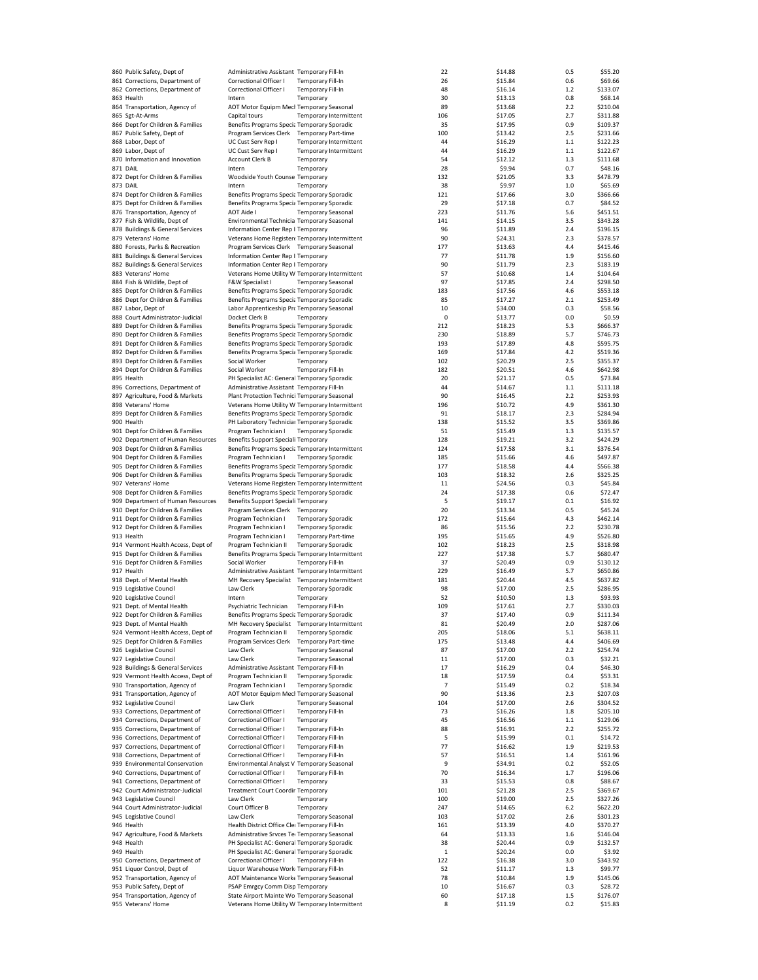| 860 Public Safety, Dept of                          | Administrative Assistant Temporary Fill-In                                                   |                            |                        | 22           | \$14.88            | 0.5        | \$55.20             |
|-----------------------------------------------------|----------------------------------------------------------------------------------------------|----------------------------|------------------------|--------------|--------------------|------------|---------------------|
| 861 Corrections, Department of                      | Correctional Officer I                                                                       | <b>Temporary Fill-In</b>   |                        | 26           | \$15.84            | 0.6        | \$69.66             |
| 862 Corrections, Department of                      | Correctional Officer I                                                                       | <b>Temporary Fill-In</b>   |                        | 48           | \$16.14            | $1.2$      | \$133.07            |
|                                                     |                                                                                              |                            |                        |              |                    |            |                     |
| 863 Health                                          | Intern                                                                                       | Temporary                  |                        | 30           | \$13.13            | 0.8        | \$68.14             |
| 864 Transportation, Agency of                       | AOT Motor Equipm Mecl Temporary Seasonal                                                     |                            |                        | 89           | \$13.68            | 2.2        | \$210.04            |
| 865 Sgt-At-Arms                                     | Capital tours                                                                                |                            | Temporary Intermittent | 106          | \$17.05            | 2.7        | \$311.88            |
| 866 Dept for Children & Families                    | Benefits Programs Specia Temporary Sporadic                                                  |                            |                        | 35           | \$17.95            | 0.9        | \$109.37            |
| 867 Public Safety, Dept of                          | Program Services Clerk Temporary Part-time                                                   |                            |                        | 100          | \$13.42            | 2.5        | \$231.66            |
| 868 Labor, Dept of                                  | UC Cust Serv Rep I                                                                           |                            | Temporary Intermittent | 44           | \$16.29            | $1.1$      | \$122.23            |
|                                                     |                                                                                              |                            |                        |              |                    |            |                     |
| 869 Labor, Dept of                                  | UC Cust Serv Rep I                                                                           |                            | Temporary Intermittent | 44           | \$16.29            | 1.1        | \$122.67            |
| 870 Information and Innovation                      | Account Clerk B                                                                              | Temporary                  |                        | 54           | \$12.12            | 1.3        | \$111.68            |
| 871 DAIL                                            | Intern                                                                                       | Temporary                  |                        | 28           | \$9.94             | 0.7        | \$48.16             |
| 872 Dept for Children & Families                    | Woodside Youth Counse Temporary                                                              |                            |                        | 132          | \$21.05            | 3.3        | \$478.79            |
| 873 DAIL                                            | Intern                                                                                       | Temporary                  |                        | 38           | \$9.97             | $1.0$      | \$65.69             |
| 874 Dept for Children & Families                    | Benefits Programs Specia Temporary Sporadic                                                  |                            |                        | 121          | \$17.66            | 3.0        | \$366.66            |
|                                                     |                                                                                              |                            |                        |              |                    |            |                     |
| 875 Dept for Children & Families                    | Benefits Programs Specia Temporary Sporadic                                                  |                            |                        | 29           | \$17.18            | 0.7        | \$84.52             |
| 876 Transportation, Agency of                       | <b>AOT Aide I</b>                                                                            | <b>Temporary Seasonal</b>  |                        | 223          | \$11.76            | 5.6        | \$451.51            |
| 877 Fish & Wildlife, Dept of                        | Environmental Technicia Temporary Seasonal                                                   |                            |                        | 141          | \$14.15            | 3.5        | \$343.28            |
| 878 Buildings & General Services                    | Information Center Rep I Temporary                                                           |                            |                        | 96           | \$11.89            | 2.4        | \$196.15            |
| 879 Veterans' Home                                  | Veterans Home Register« Temporary Intermittent                                               |                            |                        | 90           | \$24.31            | 2.3        | \$378.57            |
|                                                     |                                                                                              |                            |                        |              |                    |            |                     |
| 880 Forests, Parks & Recreation                     | Program Services Clerk Temporary Seasonal                                                    |                            |                        | 177          | \$13.63            | 4.4        | \$415.46            |
| 881 Buildings & General Services                    | Information Center Rep I Temporary                                                           |                            |                        | 77           | \$11.78            | 1.9        | \$156.60            |
| 882 Buildings & General Services                    | Information Center Rep I Temporary                                                           |                            |                        | 90           | \$11.79            | 2.3        | \$183.19            |
| 883 Veterans' Home                                  | Veterans Home Utility W Temporary Intermittent                                               |                            |                        | 57           | \$10.68            | $1.4\,$    | \$104.64            |
| 884 Fish & Wildlife, Dept of                        | F&W Specialist I                                                                             | <b>Temporary Seasonal</b>  |                        | 97           | \$17.85            | 2.4        | \$298.50            |
|                                                     |                                                                                              |                            |                        |              |                    |            |                     |
| 885 Dept for Children & Families                    | Benefits Programs Specia Temporary Sporadic                                                  |                            |                        | 183          | \$17.56            | 4.6        | \$553.18            |
| 886 Dept for Children & Families                    | Benefits Programs Specia Temporary Sporadic                                                  |                            |                        | 85           | \$17.27            | 2.1        | \$253.49            |
| 887 Labor, Dept of                                  | Labor Apprenticeship Prc Temporary Seasonal                                                  |                            |                        | 10           | \$34.00            | 0.3        | \$58.56             |
| 888 Court Administrator-Judicial                    | Docket Clerk B                                                                               | Temporary                  |                        | $\pmb{0}$    | \$13.77            | 0.0        | \$0.59              |
| 889 Dept for Children & Families                    | Benefits Programs Specia Temporary Sporadic                                                  |                            |                        | 212          | \$18.23            | 5.3        | \$666.37            |
| 890 Dept for Children & Families                    | Benefits Programs Specia Temporary Sporadic                                                  |                            |                        |              |                    |            |                     |
|                                                     |                                                                                              |                            |                        | 230          | \$18.89            | 5.7        | \$746.73            |
| 891 Dept for Children & Families                    | Benefits Programs Specia Temporary Sporadic                                                  |                            |                        | 193          | \$17.89            | 4.8        | \$595.75            |
| 892 Dept for Children & Families                    | Benefits Programs Specia Temporary Sporadic                                                  |                            |                        | 169          | \$17.84            | 4.2        | \$519.36            |
| 893 Dept for Children & Families                    | Social Worker                                                                                | Temporary                  |                        | 102          | \$20.29            | 2.5        | \$355.37            |
| 894 Dept for Children & Families                    | Social Worker                                                                                | Temporary Fill-In          |                        | 182          | \$20.51            | 4.6        | \$642.98            |
|                                                     | PH Specialist AC: General Temporary Sporadic                                                 |                            |                        |              |                    | 0.5        |                     |
| 895 Health                                          |                                                                                              |                            |                        | 20           | \$21.17            |            | \$73.84             |
| 896 Corrections, Department of                      | Administrative Assistant Temporary Fill-In                                                   |                            |                        | 44           | \$14.67            | $1.1$      | \$111.18            |
| 897 Agriculture, Food & Markets                     | Plant Protection Technici Temporary Seasonal                                                 |                            |                        | 90           | \$16.45            | 2.2        | \$253.93            |
| 898 Veterans' Home                                  | Veterans Home Utility W Temporary Intermittent                                               |                            |                        | 196          | \$10.72            | 4.9        | \$361.30            |
| 899 Dept for Children & Families                    | Benefits Programs Specia Temporary Sporadic                                                  |                            |                        | 91           | \$18.17            | 2.3        | \$284.94            |
|                                                     |                                                                                              |                            |                        |              |                    |            |                     |
| 900 Health                                          | PH Laboratory Technicial Temporary Sporadic                                                  |                            |                        | 138          | \$15.52            | 3.5        | \$369.86            |
| 901 Dept for Children & Families                    | Program Technician I                                                                         | <b>Temporary Sporadic</b>  |                        | 51           | \$15.49            | 1.3        | \$135.57            |
| 902 Department of Human Resources                   | Benefits Support Speciali Temporary                                                          |                            |                        | 128          | \$19.21            | 3.2        | \$424.29            |
| 903 Dept for Children & Families                    | Benefits Programs Specia Temporary Intermittent                                              |                            |                        | 124          | \$17.58            | 3.1        | \$376.54            |
|                                                     |                                                                                              |                            |                        |              |                    |            |                     |
| 904 Dept for Children & Families                    | Program Technician I                                                                         | <b>Temporary Sporadic</b>  |                        | 185          | \$15.66            | 4.6        | \$497.87            |
| 905 Dept for Children & Families                    | Benefits Programs Specia Temporary Sporadic                                                  |                            |                        | 177          | \$18.58            | 4.4        | \$566.38            |
| 906 Dept for Children & Families                    | Benefits Programs Specia Temporary Sporadic                                                  |                            |                        | 103          | \$18.32            | 2.6        | \$325.25            |
| 907 Veterans' Home                                  | Veterans Home Register« Temporary Intermittent                                               |                            |                        | 11           | \$24.56            | 0.3        | \$45.84             |
| 908 Dept for Children & Families                    | Benefits Programs Specia Temporary Sporadic                                                  |                            |                        | 24           | \$17.38            | 0.6        | \$72.47             |
| 909 Department of Human Resources                   | Benefits Support Speciali Temporary                                                          |                            |                        | 5            | \$19.17            | 0.1        | \$16.92             |
|                                                     |                                                                                              |                            |                        |              |                    |            |                     |
| 910 Dept for Children & Families                    | Program Services Clerk Temporary                                                             |                            |                        | 20           | \$13.34            | 0.5        | \$45.24             |
| 911 Dept for Children & Families                    | Program Technician I                                                                         | <b>Temporary Sporadic</b>  |                        | 172          | \$15.64            | 4.3        | \$462.14            |
| 912 Dept for Children & Families                    | Program Technician I                                                                         | <b>Temporary Sporadic</b>  |                        | 86           | \$15.56            | 2.2        | \$230.78            |
| 913 Health                                          | Program Technician I                                                                         | <b>Temporary Part-time</b> |                        | 195          | \$15.65            | 4.9        | \$526.80            |
| 914 Vermont Health Access, Dept of                  | Program Technician II                                                                        | <b>Temporary Sporadic</b>  |                        | 102          | \$18.23            | 2.5        | \$318.98            |
|                                                     |                                                                                              |                            |                        |              |                    |            |                     |
| 915 Dept for Children & Families                    | Benefits Programs Specia Temporary Intermittent                                              |                            |                        | 227          | \$17.38            | 5.7        | \$680.47            |
| 916 Dept for Children & Families                    | Social Worker                                                                                | <b>Temporary Fill-In</b>   |                        | 37           | \$20.49            | 0.9        | \$130.12            |
| 917 Health                                          | Administrative Assistant Temporary Intermittent                                              |                            |                        | 229          | \$16.49            | 5.7        | \$650.86            |
| 918 Dept. of Mental Health                          | MH Recovery Specialist Temporary Intermittent                                                |                            |                        | 181          | \$20.44            | 4.5        | \$637.82            |
| 919 Legislative Council                             | Law Clerk                                                                                    | <b>Temporary Sporadic</b>  |                        | 98           | \$17.00            | 2.5        | \$286.95            |
|                                                     |                                                                                              |                            |                        |              |                    |            |                     |
| 920 Legislative Council                             | Intern                                                                                       | Temporary                  |                        | 52           | \$10.50            | 1.3        | \$93.93             |
| 921 Dept. of Mental Health                          | Psychiatric Technician                                                                       | Temporary Fill-In          |                        | 109          | \$17.61            | 2.7        | \$330.03            |
| 922 Dept for Children & Families                    | Benefits Programs Specia Temporary Sporadic                                                  |                            |                        | 37           | \$17.40            | 0.9        | \$111.34            |
| 923 Dept. of Mental Health                          | MH Recovery Specialist                                                                       |                            | Temporary Intermittent | 81           | \$20.49            | 2.0        | \$287.06            |
| 924 Vermont Health Access, Dept of                  | Program Technician II                                                                        | <b>Temporary Sporadic</b>  |                        | 205          | \$18.06            | 5.1        | \$638.11            |
| 925 Dept for Children & Families                    |                                                                                              |                            |                        |              |                    |            |                     |
|                                                     | Program Services Clerk                                                                       | <b>Temporary Part-time</b> |                        | 175          | \$13.48            | 4.4        | \$406.69            |
| 926 Legislative Council                             | Law Clerk                                                                                    | <b>Temporary Seasonal</b>  |                        | 87           | \$17.00            | 2.2        | \$254.74            |
| 927 Legislative Council                             | Law Clerk                                                                                    | <b>Temporary Seasonal</b>  |                        | 11           | \$17.00            | 0.3        | \$32.21             |
| 928 Buildings & General Services                    | Administrative Assistant Temporary Fill-In                                                   |                            |                        | 17           | \$16.29            | 0.4        | \$46.30             |
| 929 Vermont Health Access, Dept of                  | Program Technician II                                                                        | <b>Temporary Sporadic</b>  |                        | 18           | \$17.59            | 0.4        | \$53.31             |
| 930 Transportation, Agency of                       |                                                                                              |                            |                        | 7            |                    | 0.2        | \$18.34             |
|                                                     | Program Technician I                                                                         | <b>Temporary Sporadic</b>  |                        |              | \$15.49            |            |                     |
| 931 Transportation, Agency of                       | AOT Motor Equipm Mecl Temporary Seasonal                                                     |                            |                        | 90           | \$13.36            | 2.3        | \$207.03            |
| 932 Legislative Council                             | Law Clerk                                                                                    | <b>Temporary Seasonal</b>  |                        | 104          | \$17.00            | 2.6        | \$304.52            |
| 933 Corrections, Department of                      | Correctional Officer I                                                                       | <b>Temporary Fill-In</b>   |                        | 73           | \$16.26            | 1.8        | \$205.10            |
| 934 Corrections, Department of                      | Correctional Officer I                                                                       | Temporary                  |                        | 45           | \$16.56            | $1.1\,$    | \$129.06            |
|                                                     |                                                                                              |                            |                        |              |                    |            |                     |
| 935 Corrections, Department of                      | Correctional Officer I                                                                       | <b>Temporary Fill-In</b>   |                        | 88           | \$16.91            | 2.2        | \$255.72            |
| 936 Corrections, Department of                      | Correctional Officer I                                                                       | <b>Temporary Fill-In</b>   |                        | 5            | \$15.99            | 0.1        | \$14.72             |
| 937 Corrections, Department of                      | Correctional Officer I                                                                       | <b>Temporary Fill-In</b>   |                        | 77           | \$16.62            | 1.9        | \$219.53            |
| 938 Corrections, Department of                      | Correctional Officer I                                                                       | <b>Temporary Fill-In</b>   |                        | 57           | \$16.51            | 1.4        | \$161.96            |
| 939 Environmental Conservation                      | Environmental Analyst V Temporary Seasonal                                                   |                            |                        | 9            | \$34.91            | 0.2        | \$52.05             |
| 940 Corrections, Department of                      | Correctional Officer I                                                                       | <b>Temporary Fill-In</b>   |                        | 70           | \$16.34            | 1.7        | \$196.06            |
|                                                     |                                                                                              |                            |                        |              |                    |            |                     |
| 941 Corrections, Department of                      | Correctional Officer I                                                                       | Temporary                  |                        | 33           | \$15.53            | 0.8        | \$88.67             |
| 942 Court Administrator-Judicial                    | <b>Treatment Court Coordir Temporary</b>                                                     |                            |                        | 101          | \$21.28            | 2.5        | \$369.67            |
| 943 Legislative Council                             | Law Clerk                                                                                    | Temporary                  |                        | 100          | \$19.00            | 2.5        | \$327.26            |
| 944 Court Administrator-Judicial                    | Court Officer B                                                                              | Temporary                  |                        | 247          | \$14.65            | 6.2        | \$622.20            |
|                                                     |                                                                                              |                            |                        |              |                    |            |                     |
| 945 Legislative Council                             | Law Clerk                                                                                    | <b>Temporary Seasonal</b>  |                        | 103          | \$17.02            | 2.6        | \$301.23            |
| 946 Health                                          | Health District Office Clei Temporary Fill-In                                                |                            |                        | 161          | \$13.39            | 4.0        | \$370.27            |
| 947 Agriculture, Food & Markets                     | Administrative Srvces Ter Temporary Seasonal                                                 |                            |                        | 64           | \$13.33            | 1.6        | \$146.04            |
| 948 Health                                          | PH Specialist AC: General Temporary Sporadic                                                 |                            |                        | 38           | \$20.44            | 0.9        | \$132.57            |
| 949 Health                                          | PH Specialist AC: General Temporary Sporadic                                                 |                            |                        | $\mathbf{1}$ | \$20.24            | 0.0        | \$3.92              |
|                                                     | Correctional Officer I                                                                       |                            |                        |              |                    |            |                     |
|                                                     |                                                                                              | <b>Temporary Fill-In</b>   |                        | 122          | \$16.38            | 3.0        | \$343.92            |
| 950 Corrections, Department of                      |                                                                                              |                            |                        |              |                    |            |                     |
| 951 Liquor Control, Dept of                         | Liquor Warehouse Work Temporary Fill-In                                                      |                            |                        | 52           | \$11.17            | 1.3        | \$99.77             |
| 952 Transportation, Agency of                       | AOT Maintenance Worke Temporary Seasonal                                                     |                            |                        | 78           | \$10.84            | 1.9        | \$145.06            |
| 953 Public Safety, Dept of                          | PSAP Emrgcy Comm Disp Temporary                                                              |                            |                        | 10           | \$16.67            | 0.3        |                     |
|                                                     |                                                                                              |                            |                        |              |                    |            | \$28.72             |
| 954 Transportation, Agency of<br>955 Veterans' Home | State Airport Mainte Wo Temporary Seasonal<br>Veterans Home Utility W Temporary Intermittent |                            |                        | 60<br>8      | \$17.18<br>\$11.19 | 1.5<br>0.2 | \$176.07<br>\$15.83 |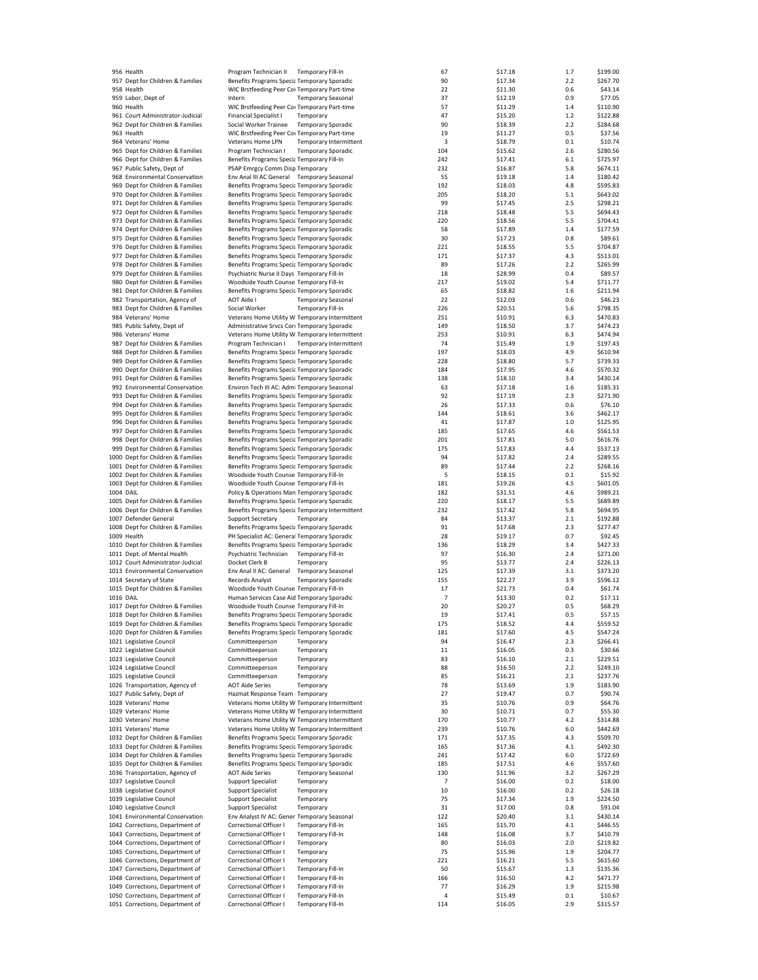|           |                                   |                                                 |                           |                        | 67  | \$17.18 |         | \$199.00 |
|-----------|-----------------------------------|-------------------------------------------------|---------------------------|------------------------|-----|---------|---------|----------|
|           | 956 Health                        | Program Technician II                           | Temporary Fill-In         |                        |     |         | 1.7     |          |
|           | 957 Dept for Children & Families  | Benefits Programs Specia Temporary Sporadic     |                           |                        | 90  | \$17.34 | 2.2     | \$267.70 |
|           | 958 Health                        | WIC Brstfeeding Peer Coi Temporary Part-time    |                           |                        | 22  | \$11.30 | 0.6     | \$43.14  |
|           | 959 Labor, Dept of                | Intern                                          | <b>Temporary Seasonal</b> |                        | 37  | \$12.19 | 0.9     | \$77.05  |
|           | 960 Health                        | WIC Brstfeeding Peer Coi Temporary Part-time    |                           |                        | 57  | \$11.29 | 1.4     | \$110.90 |
|           | 961 Court Administrator-Judicial  | <b>Financial Specialist I</b>                   | Temporary                 |                        | 47  | \$15.20 | $1.2\,$ | \$122.88 |
|           |                                   |                                                 |                           |                        | 90  |         | 2.2     |          |
|           | 962 Dept for Children & Families  | Social Worker Trainee                           | <b>Temporary Sporadic</b> |                        |     | \$18.39 |         | \$284.68 |
|           | 963 Health                        | WIC Brstfeeding Peer Coi Temporary Part-time    |                           |                        | 19  | \$11.27 | 0.5     | \$37.56  |
|           | 964 Veterans' Home                | Veterans Home LPN                               |                           | Temporary Intermittent | 3   | \$18.79 | 0.1     | \$10.74  |
|           | 965 Dept for Children & Families  | Program Technician I                            | <b>Temporary Sporadic</b> |                        | 104 | \$15.62 | 2.6     | \$280.56 |
|           | 966 Dept for Children & Families  | Benefits Programs Specia Temporary Fill-In      |                           |                        | 242 | \$17.41 | 6.1     | \$725.97 |
|           |                                   |                                                 |                           |                        |     |         |         |          |
|           | 967 Public Safety, Dept of        | PSAP Emrgcy Comm Disp Temporary                 |                           |                        | 232 | \$16.87 | 5.8     | \$674.11 |
|           | 968 Environmental Conservation    | Env Anal III AC General Temporary Seasonal      |                           |                        | 55  | \$19.18 | 1.4     | \$180.42 |
|           | 969 Dept for Children & Families  | Benefits Programs Specia Temporary Sporadic     |                           |                        | 192 | \$18.03 | 4.8     | \$595.83 |
|           | 970 Dept for Children & Families  | Benefits Programs Specia Temporary Sporadic     |                           |                        | 205 | \$18.20 | 5.1     | \$643.02 |
|           |                                   |                                                 |                           |                        |     |         |         |          |
|           | 971 Dept for Children & Families  | Benefits Programs Specia Temporary Sporadic     |                           |                        | 99  | \$17.45 | 2.5     | \$298.21 |
|           | 972 Dept for Children & Families  | Benefits Programs Specia Temporary Sporadic     |                           |                        | 218 | \$18.48 | 5.5     | \$694.43 |
|           | 973 Dept for Children & Families  | Benefits Programs Specia Temporary Sporadic     |                           |                        | 220 | \$18.56 | 5.5     | \$704.41 |
|           | 974 Dept for Children & Families  | Benefits Programs Specia Temporary Sporadic     |                           |                        | 58  | \$17.89 | 1.4     | \$177.59 |
|           |                                   |                                                 |                           |                        |     |         |         |          |
|           | 975 Dept for Children & Families  | Benefits Programs Specia Temporary Sporadic     |                           |                        | 30  | \$17.23 | 0.8     | \$89.61  |
|           | 976 Dept for Children & Families  | Benefits Programs Specia Temporary Sporadic     |                           |                        | 221 | \$18.55 | 5.5     | \$704.87 |
|           | 977 Dept for Children & Families  | Benefits Programs Specia Temporary Sporadic     |                           |                        | 171 | \$17.37 | 4.3     | \$513.01 |
|           | 978 Dept for Children & Families  | Benefits Programs Specia Temporary Sporadic     |                           |                        | 89  | \$17.26 | 2.2     | \$265.99 |
|           | 979 Dept for Children & Families  | Psychiatric Nurse II Days Temporary Fill-In     |                           |                        | 18  | \$28.99 | 0.4     | \$89.57  |
|           |                                   |                                                 |                           |                        | 217 | \$19.02 | 5.4     | \$711.77 |
|           | 980 Dept for Children & Families  | Woodside Youth Counse Temporary Fill-In         |                           |                        |     |         |         |          |
|           | 981 Dept for Children & Families  | Benefits Programs Specia Temporary Sporadic     |                           |                        | 65  | \$18.82 | 1.6     | \$211.94 |
|           | 982 Transportation, Agency of     | AOT Aide I                                      | <b>Temporary Seasonal</b> |                        | 22  | \$12.03 | 0.6     | \$46.23  |
|           | 983 Dept for Children & Families  | Social Worker                                   | <b>Temporary Fill-In</b>  |                        | 226 | \$20.51 | 5.6     | \$798.35 |
|           | 984 Veterans' Home                | Veterans Home Utility W Temporary Intermittent  |                           |                        | 251 | \$10.91 | 6.3     | \$470.83 |
|           |                                   |                                                 |                           |                        |     |         |         |          |
|           | 985 Public Safety, Dept of        | Administrative Srvcs Corr Temporary Sporadic    |                           |                        | 149 | \$18.50 | 3.7     | \$474.23 |
|           | 986 Veterans' Home                | Veterans Home Utility W Temporary Intermittent  |                           |                        | 253 | \$10.91 | 6.3     | \$474.94 |
|           | 987 Dept for Children & Families  | Program Technician I                            |                           | Temporary Intermittent | 74  | \$15.49 | 1.9     | \$197.43 |
|           | 988 Dept for Children & Families  | Benefits Programs Specia Temporary Sporadic     |                           |                        | 197 | \$18.03 | 4.9     | \$610.94 |
|           | 989 Dept for Children & Families  |                                                 |                           |                        |     |         |         |          |
|           |                                   | Benefits Programs Specia Temporary Sporadic     |                           |                        | 228 | \$18.80 | 5.7     | \$739.33 |
|           | 990 Dept for Children & Families  | Benefits Programs Specia Temporary Sporadic     |                           |                        | 184 | \$17.95 | 4.6     | \$570.32 |
|           | 991 Dept for Children & Families  | Benefits Programs Specia Temporary Sporadic     |                           |                        | 138 | \$18.10 | 3.4     | \$430.14 |
|           | 992 Environmental Conservation    | Environ Tech III AC: Admi Temporary Seasonal    |                           |                        | 63  | \$17.18 | 1.6     | \$185.31 |
|           |                                   | Benefits Programs Specia Temporary Sporadic     |                           |                        |     | \$17.19 | 2.3     |          |
|           | 993 Dept for Children & Families  |                                                 |                           |                        | 92  |         |         | \$271.90 |
|           | 994 Dept for Children & Families  | Benefits Programs Specia Temporary Sporadic     |                           |                        | 26  | \$17.33 | 0.6     | \$76.10  |
|           | 995 Dept for Children & Families  | Benefits Programs Specia Temporary Sporadic     |                           |                        | 144 | \$18.61 | 3.6     | \$462.17 |
|           | 996 Dept for Children & Families  | Benefits Programs Specia Temporary Sporadic     |                           |                        | 41  | \$17.87 | 1.0     | \$125.95 |
|           | 997 Dept for Children & Families  | Benefits Programs Specia Temporary Sporadic     |                           |                        | 185 | \$17.65 | 4.6     | \$561.53 |
|           |                                   |                                                 |                           |                        |     |         |         |          |
|           | 998 Dept for Children & Families  | Benefits Programs Specia Temporary Sporadic     |                           |                        | 201 | \$17.81 | 5.0     | \$616.76 |
|           | 999 Dept for Children & Families  | Benefits Programs Specia Temporary Sporadic     |                           |                        | 175 | \$17.83 | 4.4     | \$537.13 |
|           | 1000 Dept for Children & Families | Benefits Programs Specia Temporary Sporadic     |                           |                        | 94  | \$17.82 | 2.4     | \$289.55 |
|           | 1001 Dept for Children & Families | Benefits Programs Specia Temporary Sporadic     |                           |                        | 89  | \$17.44 | 2.2     | \$268.16 |
|           | 1002 Dept for Children & Families | Woodside Youth Counse Temporary Fill-In         |                           |                        | 5   | \$18.15 | 0.1     | \$15.92  |
|           |                                   |                                                 |                           |                        |     |         |         |          |
|           | 1003 Dept for Children & Families | Woodside Youth Counse Temporary Fill-In         |                           |                        | 181 | \$19.26 | 4.5     | \$601.05 |
| 1004 DAIL |                                   | Policy & Operations Man Temporary Sporadic      |                           |                        | 182 | \$31.51 | 4.6     | \$989.21 |
|           | 1005 Dept for Children & Families | Benefits Programs Specia Temporary Sporadic     |                           |                        | 220 | \$18.17 | 5.5     | \$689.89 |
|           | 1006 Dept for Children & Families | Benefits Programs Specia Temporary Intermittent |                           |                        | 232 | \$17.42 | 5.8     | \$694.95 |
|           |                                   |                                                 |                           |                        |     |         |         |          |
|           | 1007 Defender General             | <b>Support Secretary</b>                        | Temporary                 |                        | 84  | \$13.37 | 2.1     | \$192.88 |
|           | 1008 Dept for Children & Families | Benefits Programs Specia Temporary Sporadic     |                           |                        | 91  | \$17.68 | 2.3     | \$277.47 |
|           | 1009 Health                       | PH Specialist AC: General Temporary Sporadic    |                           |                        | 28  | \$19.17 | 0.7     | \$92.45  |
|           | 1010 Dept for Children & Families | Benefits Programs Specia Temporary Sporadic     |                           |                        | 136 | \$18.29 | 3.4     | \$427.33 |
|           | 1011 Dept. of Mental Health       | Psychiatric Technician                          | Temporary Fill-In         |                        | 97  |         | 2.4     | \$271.00 |
|           |                                   |                                                 |                           |                        |     | \$16.30 |         |          |
|           | 1012 Court Administrator-Judicial | Docket Clerk B                                  | Temporary                 |                        | 95  | \$13.77 | 2.4     | \$226.13 |
|           | 1013 Environmental Conservation   | Env Anal II AC: General                         | <b>Temporary Seasonal</b> |                        | 125 | \$17.39 | 3.1     | \$373.20 |
|           | 1014 Secretary of State           | Records Analyst                                 | <b>Temporary Sporadic</b> |                        | 155 | \$22.27 | 3.9     | \$596.12 |
|           | 1015 Dept for Children & Families | Woodside Youth Counse Temporary Fill-In         |                           |                        | 17  | \$21.73 | 0.4     | \$61.74  |
| 1016 DAIL |                                   |                                                 |                           |                        |     |         |         |          |
|           |                                   | Human Services Case Aid Temporary Sporadic      |                           |                        | 7   | \$13.30 | 0.2     | \$17.11  |
|           | 1017 Dept for Children & Families | Woodside Youth Counse Temporary Fill-In         |                           |                        | 20  | \$20.27 | 0.5     | \$68.29  |
|           | 1018 Dept for Children & Families | Benefits Programs Specia Temporary Sporadic     |                           |                        | 19  | \$17.41 | 0.5     | \$57.15  |
|           | 1019 Dept for Children & Families | Benefits Programs Specia Temporary Sporadic     |                           |                        | 175 | \$18.52 | 4.4     | \$559.52 |
|           | 1020 Dept for Children & Families | Benefits Programs Specia Temporary Sporadic     |                           |                        | 181 | \$17.60 | 4.5     | \$547.24 |
|           | 1021 Legislative Council          | Committeeperson                                 | Temporary                 |                        | 94  | \$16.47 | 2.3     | \$266.41 |
|           |                                   |                                                 |                           |                        |     |         |         |          |
|           | 1022 Legislative Council          | Committeeperson                                 | Temporary                 |                        | 11  | \$16.05 | 0.3     | \$30.66  |
|           | 1023 Legislative Council          | Committeeperson                                 | Temporary                 |                        | 83  | \$16.10 | 2.1     | \$229.51 |
|           | 1024 Legislative Council          | Committeeperson                                 | Temporary                 |                        | 88  | \$16.50 | 2.2     | \$249.10 |
|           | 1025 Legislative Council          | Committeeperson                                 | Temporary                 |                        | 85  | \$16.21 | 2.1     | \$237.76 |
|           | 1026 Transportation, Agency of    | <b>AOT Aide Series</b>                          | Temporary                 |                        | 78  | \$13.69 | 1.9     | \$183.90 |
|           |                                   |                                                 |                           |                        |     |         |         |          |
|           | 1027 Public Safety, Dept of       | Hazmat Response Team   Temporary                |                           |                        | 27  | \$19.47 | 0.7     | \$90.74  |
|           | 1028 Veterans' Home               | Veterans Home Utility W Temporary Intermittent  |                           |                        | 35  | \$10.76 | 0.9     | \$64.76  |
|           | 1029 Veterans' Home               | Veterans Home Utility W Temporary Intermittent  |                           |                        | 30  | \$10.71 | 0.7     | \$55.30  |
|           | 1030 Veterans' Home               | Veterans Home Utility W Temporary Intermittent  |                           |                        | 170 | \$10.77 | 4.2     | \$314.88 |
|           |                                   |                                                 |                           |                        |     |         |         |          |
|           | 1031 Veterans' Home               | Veterans Home Utility W Temporary Intermittent  |                           |                        | 239 | \$10.76 | 6.0     | \$442.69 |
|           | 1032 Dept for Children & Families | Benefits Programs Specia Temporary Sporadic     |                           |                        | 171 | \$17.35 | 4.3     | \$509.70 |
|           | 1033 Dept for Children & Families | Benefits Programs Specia Temporary Sporadic     |                           |                        | 165 | \$17.36 | 4.1     | \$492.30 |
|           | 1034 Dept for Children & Families | Benefits Programs Specia Temporary Sporadic     |                           |                        | 241 | \$17.42 | 6.0     | \$722.69 |
|           | 1035 Dept for Children & Families | Benefits Programs Specia Temporary Sporadic     |                           |                        | 185 | \$17.51 | 4.6     | \$557.60 |
|           |                                   |                                                 |                           |                        |     |         |         |          |
|           | 1036 Transportation, Agency of    | <b>AOT Aide Series</b>                          | <b>Temporary Seasonal</b> |                        | 130 | \$11.96 | 3.2     | \$267.29 |
|           | 1037 Legislative Council          | <b>Support Specialist</b>                       | Temporary                 |                        | 7   | \$16.00 | 0.2     | \$18.00  |
|           | 1038 Legislative Council          | <b>Support Specialist</b>                       | Temporary                 |                        | 10  | \$16.00 | 0.2     | \$26.18  |
|           | 1039 Legislative Council          | <b>Support Specialist</b>                       | Temporary                 |                        | 75  | \$17.34 | 1.9     | \$224.50 |
|           |                                   |                                                 |                           |                        |     |         |         | \$91.04  |
|           | 1040 Legislative Council          | <b>Support Specialist</b>                       | Temporary                 |                        | 31  | \$17.00 | 0.8     |          |
|           | 1041 Environmental Conservation   | Env Analyst IV AC: Gener Temporary Seasonal     |                           |                        | 122 | \$20.40 | 3.1     | \$430.14 |
|           | 1042 Corrections, Department of   | Correctional Officer I                          | Temporary Fill-In         |                        | 165 | \$15.70 | 4.1     | \$446.55 |
|           | 1043 Corrections, Department of   | Correctional Officer I                          | <b>Temporary Fill-In</b>  |                        | 148 | \$16.08 | 3.7     | \$410.79 |
|           | 1044 Corrections, Department of   | Correctional Officer I                          | Temporary                 |                        | 80  | \$16.03 | 2.0     | \$219.82 |
|           |                                   |                                                 |                           |                        |     |         |         |          |
|           | 1045 Corrections, Department of   | Correctional Officer I                          | Temporary                 |                        | 75  | \$15.96 | 1.9     | \$204.77 |
|           | 1046 Corrections, Department of   | Correctional Officer I                          | Temporary                 |                        | 221 | \$16.21 | 5.5     | \$615.60 |
|           | 1047 Corrections, Department of   | Correctional Officer I                          | <b>Temporary Fill-In</b>  |                        | 50  | \$15.67 | 1.3     | \$135.36 |
|           | 1048 Corrections, Department of   | Correctional Officer I                          | <b>Temporary Fill-In</b>  |                        | 166 | \$16.50 | 4.2     | \$471.77 |
|           | 1049 Corrections, Department of   | Correctional Officer I                          | Temporary Fill-In         |                        | 77  | \$16.29 | 1.9     | \$215.98 |
|           |                                   |                                                 |                           |                        |     |         |         |          |
|           | 1050 Corrections, Department of   | Correctional Officer I                          | Temporary Fill-In         |                        | 4   | \$15.49 | 0.1     | \$10.67  |
|           | 1051 Corrections, Department of   | Correctional Officer I                          | Temporary Fill-In         |                        | 114 | \$16.05 | 2.9     | \$315.57 |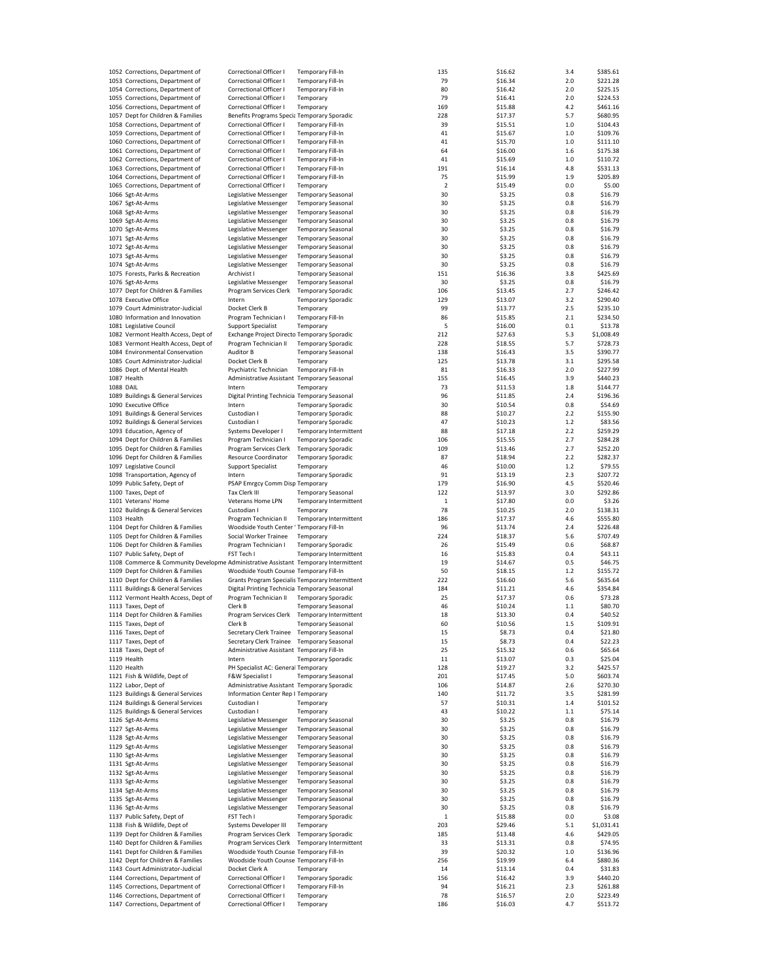|                  | 1052 Corrections, Department of                                                     | Correctional Officer I                          | <b>Temporary Fill-In</b>  |                        | 135            | \$16.62 | 3.4 | \$385.61   |
|------------------|-------------------------------------------------------------------------------------|-------------------------------------------------|---------------------------|------------------------|----------------|---------|-----|------------|
|                  | 1053 Corrections, Department of                                                     | Correctional Officer I                          | Temporary Fill-In         |                        | 79             | \$16.34 | 2.0 | \$221.28   |
|                  | 1054 Corrections, Department of                                                     | <b>Correctional Officer I</b>                   | Temporary Fill-In         |                        | 80             | \$16.42 | 2.0 | \$225.15   |
|                  |                                                                                     |                                                 |                           |                        |                |         |     |            |
|                  | 1055 Corrections, Department of                                                     | Correctional Officer I                          | Temporary                 |                        | 79             | \$16.41 | 2.0 | \$224.53   |
|                  | 1056 Corrections, Department of                                                     | Correctional Officer I                          | Temporary                 |                        | 169            | \$15.88 | 4.2 | \$461.16   |
|                  | 1057 Dept for Children & Families                                                   | Benefits Programs Specia Temporary Sporadic     |                           |                        | 228            | \$17.37 | 5.7 | \$680.95   |
|                  | 1058 Corrections, Department of                                                     | Correctional Officer I                          | Temporary Fill-In         |                        | 39             | \$15.51 | 1.0 | \$104.43   |
|                  | 1059 Corrections, Department of                                                     | Correctional Officer I                          | <b>Temporary Fill-In</b>  |                        | 41             | \$15.67 | 1.0 | \$109.76   |
|                  | 1060 Corrections, Department of                                                     |                                                 |                           |                        |                |         |     |            |
|                  |                                                                                     | Correctional Officer I                          | Temporary Fill-In         |                        | 41             | \$15.70 | 1.0 | \$111.10   |
|                  | 1061 Corrections, Department of                                                     | Correctional Officer I                          | <b>Temporary Fill-In</b>  |                        | 64             | \$16.00 | 1.6 | \$175.38   |
|                  | 1062 Corrections, Department of                                                     | Correctional Officer I                          | Temporary Fill-In         |                        | 41             | \$15.69 | 1.0 | \$110.72   |
|                  | 1063 Corrections, Department of                                                     | Correctional Officer I                          | <b>Temporary Fill-In</b>  |                        | 191            | \$16.14 | 4.8 | \$531.13   |
|                  | 1064 Corrections, Department of                                                     | Correctional Officer I                          | <b>Temporary Fill-In</b>  |                        | 75             | \$15.99 | 1.9 | \$205.89   |
|                  | 1065 Corrections, Department of                                                     | Correctional Officer I                          | Temporary                 |                        | $\overline{2}$ | \$15.49 | 0.0 | \$5.00     |
|                  |                                                                                     |                                                 |                           |                        |                |         |     |            |
|                  | 1066 Sgt-At-Arms                                                                    | Legislative Messenger                           | <b>Temporary Seasonal</b> |                        | 30             | \$3.25  | 0.8 | \$16.79    |
|                  | 1067 Sgt-At-Arms                                                                    | Legislative Messenger                           | <b>Temporary Seasonal</b> |                        | 30             | \$3.25  | 0.8 | \$16.79    |
|                  | 1068 Sgt-At-Arms                                                                    | Legislative Messenger                           | <b>Temporary Seasonal</b> |                        | 30             | \$3.25  | 0.8 | \$16.79    |
|                  | 1069 Sgt-At-Arms                                                                    | Legislative Messenger                           | <b>Temporary Seasonal</b> |                        | 30             | \$3.25  | 0.8 | \$16.79    |
|                  | 1070 Sgt-At-Arms                                                                    | Legislative Messenger                           | <b>Temporary Seasonal</b> |                        | 30             | \$3.25  | 0.8 | \$16.79    |
|                  | 1071 Sgt-At-Arms                                                                    | Legislative Messenger                           | <b>Temporary Seasonal</b> |                        |                |         |     |            |
|                  |                                                                                     |                                                 |                           |                        | 30             | \$3.25  | 0.8 | \$16.79    |
|                  | 1072 Sgt-At-Arms                                                                    | Legislative Messenger                           | <b>Temporary Seasonal</b> |                        | 30             | \$3.25  | 0.8 | \$16.79    |
|                  | 1073 Sgt-At-Arms                                                                    | Legislative Messenger                           | <b>Temporary Seasonal</b> |                        | 30             | \$3.25  | 0.8 | \$16.79    |
|                  | 1074 Sgt-At-Arms                                                                    | Legislative Messenger                           | <b>Temporary Seasonal</b> |                        | 30             | \$3.25  | 0.8 | \$16.79    |
|                  | 1075 Forests, Parks & Recreation                                                    | Archivist I                                     | <b>Temporary Seasonal</b> |                        | 151            | \$16.36 | 3.8 | \$425.69   |
|                  | 1076 Sgt-At-Arms                                                                    | Legislative Messenger                           | <b>Temporary Seasonal</b> |                        | 30             | \$3.25  | 0.8 | \$16.79    |
|                  |                                                                                     |                                                 |                           |                        |                |         |     |            |
|                  | 1077 Dept for Children & Families                                                   | Program Services Clerk                          | <b>Temporary Sporadic</b> |                        | 106            | \$13.45 | 2.7 | \$246.42   |
|                  | 1078 Executive Office                                                               | Intern                                          | <b>Temporary Sporadic</b> |                        | 129            | \$13.07 | 3.2 | \$290.40   |
|                  | 1079 Court Administrator-Judicial                                                   | Docket Clerk B                                  | Temporary                 |                        | 99             | \$13.77 | 2.5 | \$235.10   |
|                  | 1080 Information and Innovation                                                     | Program Technician I                            | Temporary Fill-In         |                        | 86             | \$15.85 | 2.1 | \$234.50   |
|                  | 1081 Legislative Council                                                            | <b>Support Specialist</b>                       | Temporary                 |                        | 5              | \$16.00 | 0.1 | \$13.78    |
|                  |                                                                                     |                                                 |                           |                        |                |         |     |            |
|                  | 1082 Vermont Health Access, Dept of                                                 | Exchange Project Directo Temporary Sporadic     |                           |                        | 212            | \$27.63 | 5.3 | \$1,008.49 |
|                  | 1083 Vermont Health Access, Dept of                                                 | Program Technician II                           | <b>Temporary Sporadic</b> |                        | 228            | \$18.55 | 5.7 | \$728.73   |
|                  | 1084 Environmental Conservation                                                     | Auditor B                                       | <b>Temporary Seasonal</b> |                        | 138            | \$16.43 | 3.5 | \$390.77   |
|                  | 1085 Court Administrator-Judicial                                                   | Docket Clerk B                                  | Temporary                 |                        | 125            | \$13.78 | 3.1 | \$295.58   |
|                  | 1086 Dept. of Mental Health                                                         | Psychiatric Technician                          | Temporary Fill-In         |                        | 81             | \$16.33 | 2.0 | \$227.99   |
|                  | 1087 Health                                                                         | Administrative Assistant Temporary Seasonal     |                           |                        | 155            | \$16.45 | 3.9 | \$440.23   |
|                  |                                                                                     |                                                 |                           |                        |                |         |     |            |
| <b>1088 DAIL</b> |                                                                                     | Intern                                          | Temporary                 |                        | 73             | \$11.53 | 1.8 | \$144.77   |
|                  | 1089 Buildings & General Services                                                   | Digital Printing Technicia Temporary Seasonal   |                           |                        | 96             | \$11.85 | 2.4 | \$196.36   |
|                  | 1090 Executive Office                                                               | Intern                                          | <b>Temporary Sporadic</b> |                        | 30             | \$10.54 | 0.8 | \$54.69    |
|                  | 1091 Buildings & General Services                                                   | Custodian I                                     | <b>Temporary Sporadic</b> |                        | 88             | \$10.27 | 2.2 | \$155.90   |
|                  | 1092 Buildings & General Services                                                   | Custodian I                                     | <b>Temporary Sporadic</b> |                        | 47             | \$10.23 | 1.2 | \$83.56    |
|                  |                                                                                     |                                                 |                           |                        | 88             | \$17.18 | 2.2 | \$259.29   |
|                  | 1093 Education, Agency of                                                           | Systems Developer I                             |                           | Temporary Intermittent |                |         |     |            |
|                  | 1094 Dept for Children & Families                                                   | Program Technician I                            | <b>Temporary Sporadic</b> |                        | 106            | \$15.55 | 2.7 | \$284.28   |
|                  | 1095 Dept for Children & Families                                                   | Program Services Clerk                          | <b>Temporary Sporadic</b> |                        | 109            | \$13.46 | 2.7 | \$252.20   |
|                  | 1096 Dept for Children & Families                                                   | Resource Coordinator                            | <b>Temporary Sporadic</b> |                        | 87             | \$18.94 | 2.2 | \$282.37   |
|                  | 1097 Legislative Council                                                            | <b>Support Specialist</b>                       | Temporary                 |                        | 46             | \$10.00 | 1.2 | \$79.55    |
|                  | 1098 Transportation, Agency of                                                      | Intern                                          | <b>Temporary Sporadic</b> |                        | 91             | \$13.19 | 2.3 | \$207.72   |
|                  |                                                                                     |                                                 |                           |                        |                |         |     |            |
|                  | 1099 Public Safety, Dept of                                                         | PSAP Emrgcy Comm Disp Temporary                 |                           |                        | 179            | \$16.90 | 4.5 | \$520.46   |
|                  | 1100 Taxes, Dept of                                                                 | Tax Clerk III                                   | <b>Temporary Seasonal</b> |                        | 122            | \$13.97 | 3.0 | \$292.86   |
|                  | 1101 Veterans' Home                                                                 | Veterans Home LPN                               |                           | Temporary Intermittent | 1              | \$17.80 | 0.0 | \$3.26     |
|                  | 1102 Buildings & General Services                                                   | Custodian I                                     | Temporary                 |                        | 78             | \$10.25 | 2.0 | \$138.31   |
|                  | 1103 Health                                                                         | Program Technician II                           |                           | Temporary Intermittent | 186            | \$17.37 | 4.6 | \$555.80   |
|                  |                                                                                     |                                                 |                           |                        | 96             |         |     | \$226.48   |
|                  | 1104 Dept for Children & Families                                                   | Woodside Youth Center ' Temporary Fill-In       |                           |                        |                | \$13.74 | 2.4 |            |
|                  | 1105 Dept for Children & Families                                                   | Social Worker Trainee                           | Temporary                 |                        | 224            | \$18.37 | 5.6 | \$707.49   |
|                  | 1106 Dept for Children & Families                                                   | Program Technician I                            | <b>Temporary Sporadic</b> |                        | 26             | \$15.49 | 0.6 | \$68.87    |
|                  | 1107 Public Safety, Dept of                                                         | FST Tech I                                      |                           | Temporary Intermittent | 16             | \$15.83 | 0.4 | \$43.11    |
|                  | 1108 Commerce & Community Developme Administrative Assistant Temporary Intermittent |                                                 |                           |                        | 19             | \$14.67 | 0.5 | \$46.75    |
|                  | 1109 Dept for Children & Families                                                   | Woodside Youth Counse Temporary Fill-In         |                           |                        | 50             | \$18.15 | 1.2 | \$155.72   |
|                  |                                                                                     |                                                 |                           |                        |                |         |     |            |
|                  | 1110 Dept for Children & Families                                                   | Grants Program Specialis Temporary Intermittent |                           |                        | 222            | \$16.60 | 5.6 | \$635.64   |
|                  | 1111 Buildings & General Services                                                   | Digital Printing Technicia Temporary Seasonal   |                           |                        | 184            | \$11.21 | 4.6 | \$354.84   |
|                  | 1112 Vermont Health Access, Dept of                                                 | Program Technician II                           | <b>Temporary Sporadic</b> |                        | 25             | \$17.37 | 0.6 | \$73.28    |
|                  | 1113 Taxes, Dept of                                                                 | Clerk B                                         | <b>Temporary Seasonal</b> |                        | 46             | \$10.24 | 1.1 | \$80.70    |
|                  | 1114 Dept for Children & Families                                                   | Program Services Clerk Temporary Intermittent   |                           |                        | 18             | \$13.30 | 0.4 | \$40.52    |
|                  |                                                                                     |                                                 |                           |                        |                |         |     |            |
|                  | 1115 Taxes, Dept of                                                                 | Clerk B                                         | Temporary Seasonal        |                        | 60             | \$10.56 | 1.5 | \$109.91   |
|                  | 1116 Taxes, Dept of                                                                 | Secretary Clerk Trainee Temporary Seasonal      |                           |                        | 15             | \$8.73  | 0.4 | \$21.80    |
|                  | 1117 Taxes, Dept of                                                                 | Secretary Clerk Trainee                         | <b>Temporary Seasonal</b> |                        | 15             | \$8.73  | 0.4 | \$22.23    |
|                  | 1118 Taxes, Dept of                                                                 | Administrative Assistant Temporary Fill-In      |                           |                        | 25             | \$15.32 | 0.6 | \$65.64    |
|                  | 1119 Health                                                                         | Intern                                          | <b>Temporary Sporadic</b> |                        | 11             | \$13.07 | 0.3 | \$25.04    |
|                  | 1120 Health                                                                         | PH Specialist AC: General Temporary             |                           |                        | 128            | \$19.27 | 3.2 | \$425.57   |
|                  |                                                                                     |                                                 |                           |                        |                |         |     |            |
|                  | 1121 Fish & Wildlife, Dept of                                                       | F&W Specialist I                                | <b>Temporary Seasonal</b> |                        | 201            | \$17.45 | 5.0 | \$603.74   |
|                  | 1122 Labor, Dept of                                                                 | Administrative Assistant Temporary Sporadic     |                           |                        | 106            | \$14.87 | 2.6 | \$270.30   |
|                  | 1123 Buildings & General Services                                                   | Information Center Rep I Temporary              |                           |                        | 140            | \$11.72 | 3.5 | \$281.99   |
|                  | 1124 Buildings & General Services                                                   | Custodian I                                     | Temporary                 |                        | 57             | \$10.31 | 1.4 | \$101.52   |
|                  | 1125 Buildings & General Services                                                   | Custodian I                                     | Temporary                 |                        | 43             | \$10.22 | 1.1 | \$75.14    |
|                  | 1126 Sgt-At-Arms                                                                    |                                                 |                           |                        |                |         |     |            |
|                  |                                                                                     | Legislative Messenger                           | <b>Temporary Seasonal</b> |                        | 30             | \$3.25  | 0.8 | \$16.79    |
|                  | 1127 Sgt-At-Arms                                                                    | Legislative Messenger                           | <b>Temporary Seasonal</b> |                        | 30             | \$3.25  | 0.8 | \$16.79    |
|                  | 1128 Sgt-At-Arms                                                                    | Legislative Messenger                           | <b>Temporary Seasonal</b> |                        | 30             | \$3.25  | 0.8 | \$16.79    |
|                  | 1129 Sgt-At-Arms                                                                    | Legislative Messenger                           | <b>Temporary Seasonal</b> |                        | 30             | \$3.25  | 0.8 | \$16.79    |
|                  | 1130 Sgt-At-Arms                                                                    | Legislative Messenger                           | <b>Temporary Seasonal</b> |                        | 30             | \$3.25  | 0.8 | \$16.79    |
|                  | 1131 Sgt-At-Arms                                                                    | Legislative Messenger                           | <b>Temporary Seasonal</b> |                        | 30             | \$3.25  | 0.8 | \$16.79    |
|                  |                                                                                     |                                                 |                           |                        |                |         |     |            |
|                  | 1132 Sgt-At-Arms                                                                    | Legislative Messenger                           | <b>Temporary Seasonal</b> |                        | 30             | \$3.25  | 0.8 | \$16.79    |
|                  | 1133 Sgt-At-Arms                                                                    | Legislative Messenger                           | <b>Temporary Seasonal</b> |                        | 30             | \$3.25  | 0.8 | \$16.79    |
|                  | 1134 Sgt-At-Arms                                                                    | Legislative Messenger                           | <b>Temporary Seasonal</b> |                        | 30             | \$3.25  | 0.8 | \$16.79    |
|                  | 1135 Sgt-At-Arms                                                                    | Legislative Messenger                           | <b>Temporary Seasonal</b> |                        | 30             | \$3.25  | 0.8 | \$16.79    |
|                  | 1136 Sgt-At-Arms                                                                    | Legislative Messenger                           | <b>Temporary Seasonal</b> |                        | 30             | \$3.25  | 0.8 | \$16.79    |
|                  | 1137 Public Safety, Dept of                                                         | FST Tech I                                      |                           |                        |                |         |     |            |
|                  |                                                                                     |                                                 | <b>Temporary Sporadic</b> |                        | $\mathbf 1$    | \$15.88 | 0.0 | \$3.08     |
|                  | 1138 Fish & Wildlife, Dept of                                                       | Systems Developer III                           | Temporary                 |                        | 203            | \$29.46 | 5.1 | \$1,031.41 |
|                  | 1139 Dept for Children & Families                                                   | Program Services Clerk                          | <b>Temporary Sporadic</b> |                        | 185            | \$13.48 | 4.6 | \$429.05   |
|                  | 1140 Dept for Children & Families                                                   | Program Services Clerk                          |                           | Temporary Intermittent | 33             | \$13.31 | 0.8 | \$74.95    |
|                  | 1141 Dept for Children & Families                                                   | Woodside Youth Counse Temporary Fill-In         |                           |                        | 39             | \$20.32 | 1.0 | \$136.96   |
|                  | 1142 Dept for Children & Families                                                   | Woodside Youth Counse Temporary Fill-In         |                           |                        | 256            | \$19.99 | 6.4 | \$880.36   |
|                  |                                                                                     |                                                 |                           |                        |                |         |     |            |
|                  | 1143 Court Administrator-Judicial                                                   | Docket Clerk A                                  | Temporary                 |                        | 14             | \$13.14 | 0.4 | \$31.83    |
|                  | 1144 Corrections, Department of                                                     | Correctional Officer I                          | <b>Temporary Sporadic</b> |                        | 156            | \$16.42 | 3.9 | \$440.20   |
|                  |                                                                                     |                                                 |                           |                        |                |         |     |            |
|                  | 1145 Corrections, Department of                                                     | Correctional Officer I                          | Temporary Fill-In         |                        | 94             | \$16.21 | 2.3 | \$261.88   |
|                  | 1146 Corrections, Department of                                                     | Correctional Officer I                          | Temporary                 |                        | 78             | \$16.57 | 2.0 | \$223.49   |
|                  | 1147 Corrections, Department of                                                     | Correctional Officer I                          | Temporary                 |                        | 186            | \$16.03 | 4.7 | \$513.72   |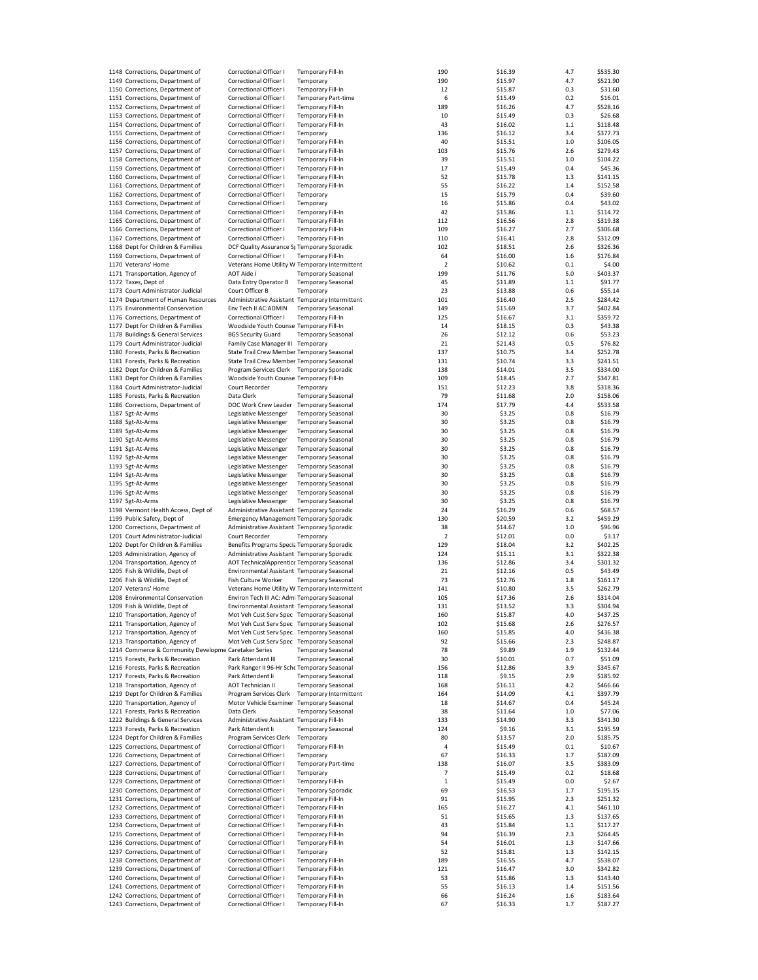| 1148 Corrections, Department of                                    | Correctional Officer I                           | Temporary Fill-In                                    | 190         | \$16.39            | 4.7        | \$535.30             |
|--------------------------------------------------------------------|--------------------------------------------------|------------------------------------------------------|-------------|--------------------|------------|----------------------|
| 1149 Corrections, Department of                                    | Correctional Officer I                           | Temporary                                            | 190         | \$15.97            | 4.7        | \$521.90             |
| 1150 Corrections, Department of                                    | Correctional Officer I                           | <b>Temporary Fill-In</b>                             | 12          | \$15.87            | 0.3        | \$31.60              |
|                                                                    |                                                  |                                                      |             |                    |            |                      |
| 1151 Corrections, Department of                                    | Correctional Officer I                           | <b>Temporary Part-time</b>                           | 6           | \$15.49            | 0.2        | \$16.01              |
| 1152 Corrections, Department of                                    | Correctional Officer I                           | Temporary Fill-In                                    | 189         | \$16.26            | 4.7        | \$528.16             |
| 1153 Corrections, Department of                                    | Correctional Officer I                           | Temporary Fill-In                                    | 10          | \$15.49            | 0.3        | \$26.68              |
| 1154 Corrections, Department of                                    | Correctional Officer I                           | <b>Temporary Fill-In</b>                             | 43          | \$16.02            | $1.1$      | \$118.48             |
| 1155 Corrections, Department of                                    | Correctional Officer I                           | Temporary                                            | 136         | \$16.12            | 3.4        | \$377.73             |
| 1156 Corrections, Department of                                    | Correctional Officer I                           | <b>Temporary Fill-In</b>                             | 40          | \$15.51            | 1.0        | \$106.05             |
|                                                                    |                                                  |                                                      |             |                    |            |                      |
| 1157 Corrections, Department of                                    | Correctional Officer I                           | <b>Temporary Fill-In</b>                             | 103         | \$15.76            | 2.6        | \$279.43             |
| 1158 Corrections, Department of                                    | Correctional Officer I                           | Temporary Fill-In                                    | 39          | \$15.51            | 1.0        | \$104.22             |
| 1159 Corrections, Department of                                    | Correctional Officer I                           | <b>Temporary Fill-In</b>                             | 17          | \$15.49            | 0.4        | \$45.36              |
| 1160 Corrections, Department of                                    | Correctional Officer I                           | <b>Temporary Fill-In</b>                             | 52          | \$15.78            | 1.3        | \$141.15             |
| 1161 Corrections, Department of                                    | Correctional Officer I                           | Temporary Fill-In                                    | 55          | \$16.22            | 1.4        | \$152.58             |
|                                                                    | Correctional Officer I                           |                                                      |             |                    |            |                      |
| 1162 Corrections, Department of                                    |                                                  | Temporary                                            | 15          | \$15.79            | 0.4        | \$39.60              |
| 1163 Corrections, Department of                                    | Correctional Officer I                           | Temporary                                            | 16          | \$15.86            | 0.4        | \$43.02              |
| 1164 Corrections, Department of                                    | Correctional Officer I                           | Temporary Fill-In                                    | 42          | \$15.86            | 1.1        | \$114.72             |
| 1165 Corrections, Department of                                    | Correctional Officer I                           | Temporary Fill-In                                    | 112         | \$16.56            | 2.8        | \$319.38             |
| 1166 Corrections, Department of                                    | Correctional Officer I                           | Temporary Fill-In                                    | 109         | \$16.27            | 2.7        | \$306.68             |
| 1167 Corrections, Department of                                    | Correctional Officer I                           | <b>Temporary Fill-In</b>                             | 110         | \$16.41            | 2.8        | \$312.09             |
|                                                                    |                                                  |                                                      |             |                    |            |                      |
| 1168 Dept for Children & Families                                  | DCF Quality Assurance St Temporary Sporadic      |                                                      | 102         | \$18.51            | 2.6        | \$326.36             |
| 1169 Corrections, Department of                                    | Correctional Officer I                           | <b>Temporary Fill-In</b>                             | 64          | \$16.00            | 1.6        | \$176.84             |
| 1170 Veterans' Home                                                | Veterans Home Utility W Temporary Intermittent   |                                                      | 2           | \$10.62            | 0.1        | \$4.00               |
| 1171 Transportation, Agency of                                     | AOT Aide I                                       | <b>Temporary Seasonal</b>                            | 199         | \$11.76            | 5.0        | \$403.37             |
| 1172 Taxes, Dept of                                                | Data Entry Operator B                            | <b>Temporary Seasonal</b>                            | 45          | \$11.89            | $1.1$      | \$91.77              |
|                                                                    |                                                  |                                                      |             |                    |            |                      |
| 1173 Court Administrator-Judicial                                  | Court Officer B                                  | Temporary                                            | 23          | \$13.88            | 0.6        | \$55.14              |
| 1174 Department of Human Resources                                 | Administrative Assistant Temporary Intermittent  |                                                      | 101         | \$16.40            | 2.5        | \$284.42             |
| 1175 Environmental Conservation                                    | Env Tech II AC:ADMIN                             | <b>Temporary Seasonal</b>                            | 149         | \$15.69            | 3.7        | \$402.84             |
| 1176 Corrections, Department of                                    | Correctional Officer I                           | <b>Temporary Fill-In</b>                             | 125         | \$16.67            | 3.1        | \$359.72             |
| 1177 Dept for Children & Families                                  | Woodside Youth Counse Temporary Fill-In          |                                                      | 14          | \$18.15            | 0.3        | \$43.38              |
|                                                                    | <b>BGS Security Guard</b>                        |                                                      |             |                    |            |                      |
| 1178 Buildings & General Services                                  |                                                  | <b>Temporary Seasonal</b>                            | 26          | \$12.12            | 0.6        | \$53.23              |
| 1179 Court Administrator-Judicial                                  | Family Case Manager III Temporary                |                                                      | 21          | \$21.43            | 0.5        | \$76.82              |
| 1180 Forests, Parks & Recreation                                   | State Trail Crew Member Temporary Seasonal       |                                                      | 137         | \$10.75            | 3.4        | \$252.78             |
| 1181 Forests, Parks & Recreation                                   | State Trail Crew Member Temporary Seasonal       |                                                      | 131         | \$10.74            | 3.3        | \$241.51             |
| 1182 Dept for Children & Families                                  | Program Services Clerk Temporary Sporadic        |                                                      | 138         | \$14.01            | 3.5        | \$334.00             |
| 1183 Dept for Children & Families                                  | Woodside Youth Counse Temporary Fill-In          |                                                      | 109         | \$18.45            | 2.7        | \$347.81             |
|                                                                    |                                                  |                                                      |             |                    |            |                      |
| 1184 Court Administrator-Judicial                                  | Court Recorder                                   | Temporary                                            | 151         | \$12.23            | 3.8        | \$318.36             |
| 1185 Forests, Parks & Recreation                                   | Data Clerk                                       | <b>Temporary Seasonal</b>                            | 79          | \$11.68            | 2.0        | \$158.06             |
| 1186 Corrections, Department of                                    | DOC Work Crew Leader Temporary Seasonal          |                                                      | 174         | \$17.79            | 4.4        | \$533.58             |
| 1187 Sgt-At-Arms                                                   | Legislative Messenger                            | <b>Temporary Seasonal</b>                            | 30          | \$3.25             | 0.8        | \$16.79              |
| 1188 Sgt-At-Arms                                                   | Legislative Messenger                            | <b>Temporary Seasonal</b>                            | 30          | \$3.25             | 0.8        | \$16.79              |
|                                                                    |                                                  |                                                      | 30          |                    |            | \$16.79              |
| 1189 Sgt-At-Arms                                                   | Legislative Messenger                            | <b>Temporary Seasonal</b>                            |             | \$3.25             | 0.8        |                      |
| 1190 Sgt-At-Arms                                                   | Legislative Messenger                            | <b>Temporary Seasonal</b>                            | 30          | \$3.25             | 0.8        | \$16.79              |
| 1191 Sgt-At-Arms                                                   | Legislative Messenger                            | <b>Temporary Seasonal</b>                            | 30          | \$3.25             | 0.8        | \$16.79              |
| 1192 Sgt-At-Arms                                                   | Legislative Messenger                            | <b>Temporary Seasonal</b>                            | 30          | \$3.25             | 0.8        | \$16.79              |
| 1193 Sgt-At-Arms                                                   | Legislative Messenger                            | <b>Temporary Seasonal</b>                            | 30          | \$3.25             | 0.8        | \$16.79              |
| 1194 Sgt-At-Arms                                                   | Legislative Messenger                            | <b>Temporary Seasonal</b>                            | 30          | \$3.25             | 0.8        | \$16.79              |
|                                                                    |                                                  |                                                      |             |                    |            |                      |
| 1195 Sgt-At-Arms                                                   | Legislative Messenger                            | <b>Temporary Seasonal</b>                            | 30          | \$3.25             | 0.8        | \$16.79              |
| 1196 Sgt-At-Arms                                                   | Legislative Messenger                            | <b>Temporary Seasonal</b>                            | 30          | \$3.25             | 0.8        | \$16.79              |
| 1197 Sgt-At-Arms                                                   | Legislative Messenger                            | <b>Temporary Seasonal</b>                            | 30          | \$3.25             | 0.8        | \$16.79              |
| 1198 Vermont Health Access, Dept of                                | Administrative Assistant Temporary Sporadic      |                                                      | 24          | \$16.29            | 0.6        | \$68.57              |
| 1199 Public Safety, Dept of                                        | <b>Emergency Management Temporary Sporadic</b>   |                                                      | 130         | \$20.59            | 3.2        | \$459.29             |
|                                                                    |                                                  |                                                      |             |                    |            |                      |
| 1200 Corrections, Department of                                    | Administrative Assistant Temporary Sporadic      |                                                      | 38          | \$14.67            | 1.0        | \$96.96              |
| 1201 Court Administrator-Judicial                                  | Court Recorder                                   | Temporary                                            | $\mathbf 2$ | \$12.01            | 0.0        | \$3.17               |
| 1202 Dept for Children & Families                                  | Benefits Programs Specia Temporary Sporadic      |                                                      | 129         | \$18.04            | 3.2        | \$402.25             |
| 1203 Administration, Agency of                                     | Administrative Assistant Temporary Sporadic      |                                                      | 124         | \$15.11            | 3.1        | \$322.38             |
| 1204 Transportation, Agency of                                     | AOT TechnicalApprentice Temporary Seasonal       |                                                      | 136         | \$12.86            | 3.4        | \$301.32             |
| 1205 Fish & Wildlife, Dept of                                      | Environmental Assistant Temporary Seasonal       |                                                      | 21          | \$12.16            | 0.5        | \$43.49              |
|                                                                    |                                                  |                                                      |             |                    |            |                      |
| 1206 Fish & Wildlife, Dept of                                      | Fish Culture Worker                              | <b>Temporary Seasonal</b>                            | 73          | \$12.76            | 1.8        | \$161.17             |
| 1207 Veterans' Home                                                | Veterans Home Utility W Temporary Intermittent   |                                                      | 141         | \$10.80            | 3.5        | \$262.79             |
| 1208 Environmental Conservation                                    | Environ Tech III AC: Admi Temporary Seasonal     |                                                      | 105         | \$17.36            | 2.6        | \$314.04             |
| 1209 Fish & Wildlife, Dept of                                      | Environmental Assistant Temporary Seasonal       |                                                      | 131         | \$13.52            | 3.3        | \$304.94             |
| 1210 Transportation, Agency of                                     | Mot Veh Cust Serv Spec Temporary Seasonal        |                                                      | 160         | \$15.87            | 4.0        | \$437.25             |
|                                                                    |                                                  |                                                      |             |                    |            |                      |
| 1211 Transportation, Agency of                                     | Mot Veh Cust Serv Spec Temporary Seasonal        |                                                      | 102         | \$15.68            | 2.6        | \$276.57             |
| 1212 Transportation, Agency of                                     | Mot Veh Cust Serv Spec Temporary Seasonal        |                                                      | 160         | \$15.85            | 4.0        | \$436.38             |
| 1213 Transportation, Agency of                                     | Mot Veh Cust Serv Spec Temporary Seasonal        |                                                      | 92          | \$15.66            | 2.3        | \$248.87             |
| 1214 Commerce & Community Developme Caretaker Series               |                                                  | <b>Temporary Seasonal</b>                            | 78          | \$9.89             | 1.9        | \$132.44             |
| 1215 Forests, Parks & Recreation                                   | Park Attendant III                               | <b>Temporary Seasonal</b>                            | 30          | \$10.01            | 0.7        | \$51.09              |
| 1216 Forests, Parks & Recreation                                   | Park Ranger II 96-Hr Sche Temporary Seasonal     |                                                      | 156         | \$12.86            | 3.9        | \$345.67             |
| 1217 Forests, Parks & Recreation                                   | Park Attendent Ii                                | <b>Temporary Seasonal</b>                            | 118         | \$9.15             | 2.9        | \$185.92             |
|                                                                    |                                                  |                                                      |             |                    |            |                      |
| 1218 Transportation, Agency of                                     | <b>AOT Technician II</b>                         | <b>Temporary Seasonal</b>                            | 168         | \$16.11            | 4.2        | \$466.66             |
| 1219 Dept for Children & Families                                  | Program Services Clerk Temporary Intermittent    |                                                      | 164         | \$14.09            | 4.1        | \$397.79             |
| 1220 Transportation, Agency of                                     | Motor Vehicle Examiner Temporary Seasonal        |                                                      | 18          | \$14.67            | 0.4        | \$45.24              |
| 1221 Forests, Parks & Recreation                                   | Data Clerk                                       | <b>Temporary Seasonal</b>                            | 38          | \$11.64            | 1.0        | \$77.06              |
| 1222 Buildings & General Services                                  | Administrative Assistant Temporary Fill-In       |                                                      | 133         | \$14.90            | 3.3        | \$341.30             |
| 1223 Forests, Parks & Recreation                                   | Park Attendent Ii                                | <b>Temporary Seasonal</b>                            |             |                    | 3.1        |                      |
|                                                                    |                                                  |                                                      | 124         | \$9.16             |            | \$195.59             |
| 1224 Dept for Children & Families                                  | Program Services Clerk                           | Temporary                                            | 80          | \$13.57            | 2.0        | \$185.75             |
| 1225 Corrections, Department of                                    | Correctional Officer I                           | Temporary Fill-In                                    | 4           | \$15.49            | 0.1        | \$10.67              |
| 1226 Corrections, Department of                                    | Correctional Officer I                           | Temporary                                            | 67          | \$16.33            | 1.7        | \$187.09             |
| 1227 Corrections, Department of                                    | Correctional Officer I                           | <b>Temporary Part-time</b>                           | 138         | \$16.07            | 3.5        | \$383.09             |
| 1228 Corrections, Department of                                    | Correctional Officer I                           | Temporary                                            | 7           | \$15.49            | 0.2        | \$18.68              |
|                                                                    |                                                  |                                                      |             |                    |            |                      |
| 1229 Corrections, Department of                                    | Correctional Officer I                           | Temporary Fill-In                                    | 1           | \$15.49            | 0.0        | \$2.67               |
| 1230 Corrections, Department of                                    | Correctional Officer I                           | <b>Temporary Sporadic</b>                            | 69          | \$16.53            | 1.7        | \$195.15             |
| 1231 Corrections, Department of                                    | Correctional Officer I                           | Temporary Fill-In                                    | 91          | \$15.95            | 2.3        | \$251.32             |
| 1232 Corrections, Department of                                    | Correctional Officer I                           | <b>Temporary Fill-In</b>                             | 165         | \$16.27            | 4.1        | \$461.10             |
| 1233 Corrections, Department of                                    | Correctional Officer I                           | Temporary Fill-In                                    | 51          | \$15.65            | 1.3        | \$137.65             |
| 1234 Corrections, Department of                                    | Correctional Officer I                           | Temporary Fill-In                                    | 43          |                    | 1.1        | \$117.27             |
|                                                                    |                                                  |                                                      |             | \$15.84            |            |                      |
|                                                                    | Correctional Officer I                           | Temporary Fill-In                                    | 94          | \$16.39            | 2.3        | \$264.45             |
| 1235 Corrections, Department of                                    |                                                  | Temporary Fill-In                                    | 54          | \$16.01            | 1.3        | \$147.66             |
| 1236 Corrections, Department of                                    | Correctional Officer I                           |                                                      |             |                    |            |                      |
| 1237 Corrections, Department of                                    | Correctional Officer I                           | Temporary                                            | 52          | \$15.81            | 1.3        | \$142.15             |
|                                                                    |                                                  |                                                      | 189         |                    |            |                      |
| 1238 Corrections, Department of                                    | Correctional Officer I                           | Temporary Fill-In                                    |             | \$16.55            | 4.7        | \$538.07             |
| 1239 Corrections, Department of                                    | Correctional Officer I                           | <b>Temporary Fill-In</b>                             | 121         | \$16.47            | 3.0        | \$342.82             |
| 1240 Corrections, Department of                                    | Correctional Officer I                           | <b>Temporary Fill-In</b>                             | 53          | \$15.86            | 1.3        | \$143.40             |
| 1241 Corrections, Department of                                    | Correctional Officer I                           | Temporary Fill-In                                    | 55          | \$16.13            | 1.4        | \$151.56             |
| 1242 Corrections, Department of<br>1243 Corrections, Department of | Correctional Officer I<br>Correctional Officer I | <b>Temporary Fill-In</b><br><b>Temporary Fill-In</b> | 66<br>67    | \$16.24<br>\$16.33 | 1.6<br>1.7 | \$183.64<br>\$187.27 |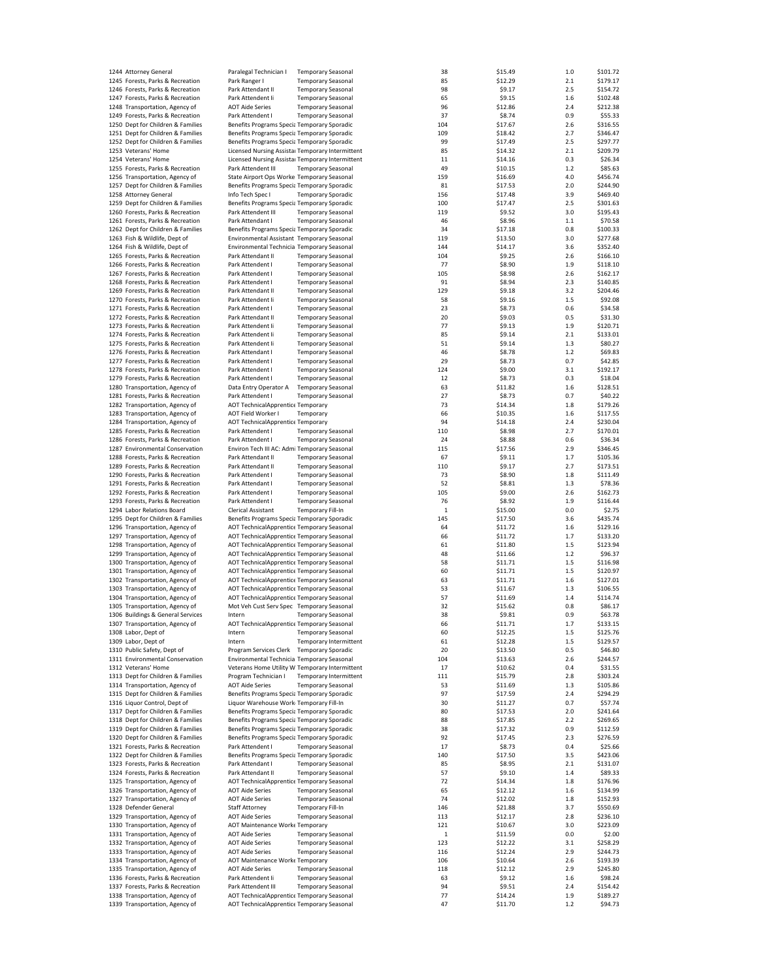| 1244 Attorney General                                            | Paralegal Technician I                                                                   | <b>Temporary Seasonal</b> |                               | 38           | \$15.49            | 1.0        | \$101.72            |
|------------------------------------------------------------------|------------------------------------------------------------------------------------------|---------------------------|-------------------------------|--------------|--------------------|------------|---------------------|
|                                                                  |                                                                                          |                           |                               |              |                    |            |                     |
| 1245 Forests, Parks & Recreation                                 | Park Ranger I                                                                            | <b>Temporary Seasonal</b> |                               | 85           | \$12.29            | 2.1        | \$179.17            |
| 1246 Forests, Parks & Recreation                                 | Park Attendant II                                                                        | <b>Temporary Seasonal</b> |                               | 98           | \$9.17             | 2.5        | \$154.72            |
| 1247 Forests, Parks & Recreation                                 | Park Attendent li                                                                        | <b>Temporary Seasonal</b> |                               | 65           | \$9.15             | 1.6        | \$102.48            |
| 1248 Transportation, Agency of                                   | <b>AOT Aide Series</b>                                                                   | <b>Temporary Seasonal</b> |                               | 96           | \$12.86            | 2.4        | \$212.38            |
| 1249 Forests, Parks & Recreation                                 | Park Attendent I                                                                         | <b>Temporary Seasonal</b> |                               | 37           | \$8.74             | 0.9        | \$55.33             |
| 1250 Dept for Children & Families                                | Benefits Programs Specia Temporary Sporadic                                              |                           |                               | 104          | \$17.67            | 2.6        | \$316.55            |
| 1251 Dept for Children & Families                                | Benefits Programs Specia Temporary Sporadic                                              |                           |                               | 109          | \$18.42            | 2.7        | \$346.47            |
| 1252 Dept for Children & Families                                | Benefits Programs Specia Temporary Sporadic                                              |                           |                               | 99           | \$17.49            | 2.5        | \$297.77            |
|                                                                  |                                                                                          |                           |                               |              |                    |            |                     |
| 1253 Veterans' Home                                              | Licensed Nursing Assistal Temporary Intermittent                                         |                           |                               | 85           | \$14.32            | 2.1        | \$209.79            |
| 1254 Veterans' Home                                              | Licensed Nursing Assista: Temporary Intermittent                                         |                           |                               | 11           | \$14.16            | 0.3        | \$26.34             |
| 1255 Forests, Parks & Recreation                                 | Park Attendent III                                                                       | <b>Temporary Seasonal</b> |                               | 49           | \$10.15            | 1.2        | \$85.63             |
| 1256 Transportation, Agency of                                   | State Airport Ops Worke Temporary Seasonal                                               |                           |                               | 159          | \$16.69            | 4.0        | \$456.74            |
| 1257 Dept for Children & Families                                | Benefits Programs Specia Temporary Sporadic                                              |                           |                               | 81           | \$17.53            | 2.0        | \$244.90            |
| 1258 Attorney General                                            | Info Tech Spec I                                                                         | <b>Temporary Sporadic</b> |                               | 156          | \$17.48            | 3.9        | \$469.40            |
|                                                                  |                                                                                          |                           |                               |              |                    |            |                     |
| 1259 Dept for Children & Families                                | Benefits Programs Specia Temporary Sporadic                                              |                           |                               | 100          | \$17.47            | 2.5        | \$301.63            |
| 1260 Forests, Parks & Recreation                                 | Park Attendent III                                                                       | <b>Temporary Seasonal</b> |                               | 119          | \$9.52             | 3.0        | \$195.43            |
| 1261 Forests, Parks & Recreation                                 | Park Attendant I                                                                         | <b>Temporary Seasonal</b> |                               | 46           | \$8.96             | 1.1        | \$70.58             |
| 1262 Dept for Children & Families                                | Benefits Programs Specia Temporary Sporadic                                              |                           |                               | 34           | \$17.18            | 0.8        | \$100.33            |
| 1263 Fish & Wildlife, Dept of                                    | Environmental Assistant Temporary Seasonal                                               |                           |                               | 119          | \$13.50            | 3.0        | \$277.68            |
|                                                                  |                                                                                          |                           |                               |              | \$14.17            |            |                     |
| 1264 Fish & Wildlife, Dept of                                    | Environmental Technicia Temporary Seasonal                                               |                           |                               | 144          |                    | 3.6        | \$352.40            |
| 1265 Forests, Parks & Recreation                                 | Park Attendant II                                                                        | <b>Temporary Seasonal</b> |                               | 104          | \$9.25             | 2.6        | \$166.10            |
| 1266 Forests, Parks & Recreation                                 | Park Attendent I                                                                         | <b>Temporary Seasonal</b> |                               | 77           | \$8.90             | 1.9        | \$118.10            |
| 1267 Forests, Parks & Recreation                                 | Park Attendent I                                                                         | <b>Temporary Seasonal</b> |                               | 105          | \$8.98             | 2.6        | \$162.17            |
| 1268 Forests, Parks & Recreation                                 | Park Attendent I                                                                         | <b>Temporary Seasonal</b> |                               | 91           | \$8.94             | 2.3        | \$140.85            |
| 1269 Forests, Parks & Recreation                                 | Park Attendant II                                                                        | <b>Temporary Seasonal</b> |                               | 129          | \$9.18             | 3.2        | \$204.46            |
|                                                                  |                                                                                          |                           |                               |              |                    |            |                     |
| 1270 Forests, Parks & Recreation                                 | Park Attendent Ii                                                                        | <b>Temporary Seasonal</b> |                               | 58           | \$9.16             | 1.5        | \$92.08             |
| 1271 Forests, Parks & Recreation                                 | Park Attendent I                                                                         | <b>Temporary Seasonal</b> |                               | 23           | \$8.73             | 0.6        | \$34.58             |
| 1272 Forests, Parks & Recreation                                 | Park Attendant II                                                                        | <b>Temporary Seasonal</b> |                               | 20           | \$9.03             | 0.5        | \$31.30             |
| 1273 Forests, Parks & Recreation                                 | Park Attendent li                                                                        | <b>Temporary Seasonal</b> |                               | 77           | \$9.13             | 1.9        | \$120.71            |
| 1274 Forests, Parks & Recreation                                 | Park Attendent Ii                                                                        | <b>Temporary Seasonal</b> |                               | 85           | \$9.14             | 2.1        | \$133.01            |
|                                                                  | Park Attendent Ii                                                                        |                           |                               | 51           |                    |            |                     |
| 1275 Forests, Parks & Recreation                                 |                                                                                          | <b>Temporary Seasonal</b> |                               |              | \$9.14             | 1.3        | \$80.27             |
| 1276 Forests, Parks & Recreation                                 | Park Attendant I                                                                         | <b>Temporary Seasonal</b> |                               | 46           | \$8.78             | 1.2        | \$69.83             |
| 1277 Forests, Parks & Recreation                                 | Park Attendent I                                                                         | <b>Temporary Seasonal</b> |                               | 29           | \$8.73             | 0.7        | \$42.85             |
| 1278 Forests, Parks & Recreation                                 | Park Attendent I                                                                         | <b>Temporary Seasonal</b> |                               | 124          | \$9.00             | 3.1        | \$192.17            |
| 1279 Forests, Parks & Recreation                                 | Park Attendent I                                                                         | <b>Temporary Seasonal</b> |                               | 12           | \$8.73             | 0.3        | \$18.04             |
| 1280 Transportation, Agency of                                   | Data Entry Operator A                                                                    | <b>Temporary Seasonal</b> |                               | 63           | \$11.82            | 1.6        | \$128.51            |
|                                                                  |                                                                                          |                           |                               |              |                    |            |                     |
| 1281 Forests, Parks & Recreation                                 | Park Attendent I                                                                         | <b>Temporary Seasonal</b> |                               | 27           | \$8.73             | 0.7        | \$40.22             |
| 1282 Transportation, Agency of                                   | <b>AOT TechnicalApprentice Temporary</b>                                                 |                           |                               | 73           | \$14.34            | 1.8        | \$179.26            |
| 1283 Transportation, Agency of                                   | AOT Field Worker I                                                                       | Temporary                 |                               | 66           | \$10.35            | 1.6        | \$117.55            |
| 1284 Transportation, Agency of                                   | <b>AOT TechnicalApprentice Temporary</b>                                                 |                           |                               | 94           | \$14.18            | 2.4        | \$230.04            |
| 1285 Forests, Parks & Recreation                                 | Park Attendent I                                                                         | <b>Temporary Seasonal</b> |                               | 110          | \$8.98             | 2.7        | \$170.01            |
| 1286 Forests, Parks & Recreation                                 | Park Attendent I                                                                         |                           |                               | 24           | \$8.88             | $0.6\,$    | \$36.34             |
|                                                                  |                                                                                          | <b>Temporary Seasonal</b> |                               |              |                    |            |                     |
| 1287 Environmental Conservation                                  | Environ Tech III AC: Admi Temporary Seasonal                                             |                           |                               | 115          | \$17.56            | 2.9        | \$346.45            |
| 1288 Forests, Parks & Recreation                                 | Park Attendant II                                                                        | <b>Temporary Seasonal</b> |                               | 67           | \$9.11             | 1.7        | \$105.36            |
| 1289 Forests, Parks & Recreation                                 | Park Attendant II                                                                        | <b>Temporary Seasonal</b> |                               | 110          | \$9.17             | 2.7        | \$173.51            |
| 1290 Forests, Parks & Recreation                                 | Park Attendent I                                                                         | <b>Temporary Seasonal</b> |                               | 73           | \$8.90             | 1.8        | \$111.49            |
| 1291 Forests, Parks & Recreation                                 | Park Attendant I                                                                         | <b>Temporary Seasonal</b> |                               | 52           | \$8.81             | 1.3        | \$78.36             |
|                                                                  |                                                                                          |                           |                               |              |                    |            |                     |
| 1292 Forests, Parks & Recreation                                 | Park Attendent I                                                                         | <b>Temporary Seasonal</b> |                               | 105          | \$9.00             | 2.6        | \$162.73            |
| 1293 Forests, Parks & Recreation                                 | Park Attendent I                                                                         | <b>Temporary Seasonal</b> |                               | 76           | \$8.92             | 1.9        | \$116.44            |
| 1294 Labor Relations Board                                       | <b>Clerical Assistant</b>                                                                | <b>Temporary Fill-In</b>  |                               | $\mathbf{1}$ | \$15.00            | 0.0        | \$2.75              |
| 1295 Dept for Children & Families                                | Benefits Programs Specia Temporary Sporadic                                              |                           |                               | 145          | \$17.50            | 3.6        | \$435.74            |
| 1296 Transportation, Agency of                                   | AOT TechnicalApprentice Temporary Seasonal                                               |                           |                               | 64           | \$11.72            | 1.6        | \$129.16            |
|                                                                  |                                                                                          |                           |                               |              |                    |            | \$133.20            |
| 1297 Transportation, Agency of                                   | AOT TechnicalApprentice Temporary Seasonal                                               |                           |                               | 66           | \$11.72            | 1.7        |                     |
| 1298 Transportation, Agency of                                   | AOT TechnicalApprentice Temporary Seasonal                                               |                           |                               | 61           | \$11.80            | 1.5        | \$123.94            |
| 1299 Transportation, Agency of                                   | AOT TechnicalApprentice Temporary Seasonal                                               |                           |                               | 48           | \$11.66            | 1.2        | \$96.37             |
| 1300 Transportation, Agency of                                   | AOT TechnicalApprentice Temporary Seasonal                                               |                           |                               | 58           | \$11.71            | 1.5        | \$116.98            |
| 1301 Transportation, Agency of                                   | AOT TechnicalApprentice Temporary Seasonal                                               |                           |                               | 60           | \$11.71            | 1.5        | \$120.97            |
| 1302 Transportation, Agency of                                   | AOT TechnicalApprentice Temporary Seasonal                                               |                           |                               | 63           | \$11.71            | 1.6        | \$127.01            |
|                                                                  |                                                                                          |                           |                               |              |                    |            |                     |
| 1303 Transportation, Agency of                                   | AOT TechnicalApprentice Temporary Seasonal                                               |                           |                               | 53           | \$11.67            | 1.3        | \$106.55            |
| 1304 Transportation, Agency of                                   | AOT TechnicalApprentice Temporary Seasonal                                               |                           |                               | 57           | \$11.69            | 1.4        | \$114.74            |
| 1305 Transportation, Agency of                                   | Mot Veh Cust Serv Spec Temporary Seasonal                                                |                           |                               | 32           | \$15.62            | 0.8        | \$86.17             |
| 1306 Buildings & General Services                                | Intern                                                                                   | <b>Temporary Seasonal</b> |                               | 38           | \$9.81             | 0.9        | \$63.78             |
| 1307 Transportation, Agency of                                   | AOT TechnicalApprentice Temporary Seasonal                                               |                           |                               | 66           | \$11.71            | 1.7        | \$133.15            |
|                                                                  |                                                                                          |                           |                               |              |                    |            |                     |
| 1308 Labor, Dept of                                              | Intern                                                                                   | <b>Temporary Seasonal</b> |                               | 60           | \$12.25            | $1.5$      | \$125.76            |
| 1309 Labor, Dept of                                              | Intern                                                                                   |                           | <b>Temporary Intermittent</b> | 61           | \$12.28            | 1.5        | \$129.57            |
| 1310 Public Safety, Dept of                                      | Program Services Clerk Temporary Sporadic                                                |                           |                               | 20           | \$13.50            | 0.5        | \$46.80             |
| 1311 Environmental Conservation                                  | Environmental Technicia Temporary Seasonal                                               |                           |                               | 104          | \$13.63            | 2.6        | \$244.57            |
| 1312 Veterans' Home                                              | Veterans Home Utility W Temporary Intermittent                                           |                           |                               | 17           | \$10.62            | 0.4        | \$31.55             |
| 1313 Dept for Children & Families                                | Program Technician I                                                                     |                           | Temporary Intermittent        | 111          | \$15.79            | 2.8        | \$303.24            |
| 1314 Transportation, Agency of                                   | <b>AOT Aide Series</b>                                                                   |                           |                               |              | \$11.69            |            | \$105.86            |
|                                                                  |                                                                                          | <b>Temporary Seasonal</b> |                               | 53           |                    | 1.3        |                     |
| 1315 Dept for Children & Families                                | Benefits Programs Specia Temporary Sporadic                                              |                           |                               | 97           | \$17.59            | 2.4        | \$294.29            |
| 1316 Liquor Control, Dept of                                     | Liquor Warehouse Work Temporary Fill-In                                                  |                           |                               | 30           | \$11.27            | 0.7        | \$57.74             |
|                                                                  |                                                                                          |                           |                               |              |                    | 2.0        | \$241.64            |
| 1317 Dept for Children & Families                                | Benefits Programs Specia Temporary Sporadic                                              |                           |                               | 80           | \$17.53            |            |                     |
|                                                                  |                                                                                          |                           |                               |              |                    |            |                     |
| 1318 Dept for Children & Families                                | Benefits Programs Specia Temporary Sporadic                                              |                           |                               | 88           | \$17.85            | 2.2        | \$269.65            |
| 1319 Dept for Children & Families                                | Benefits Programs Specia Temporary Sporadic                                              |                           |                               | 38           | \$17.32            | 0.9        | \$112.59            |
| 1320 Dept for Children & Families                                | Benefits Programs Specia Temporary Sporadic                                              |                           |                               | 92           | \$17.45            | 2.3        | \$276.59            |
| 1321 Forests, Parks & Recreation                                 | Park Attendent I                                                                         | <b>Temporary Seasonal</b> |                               | 17           | \$8.73             | 0.4        | \$25.66             |
| 1322 Dept for Children & Families                                | Benefits Programs Specia Temporary Sporadic                                              |                           |                               | 140          | \$17.50            | 3.5        | \$423.06            |
| 1323 Forests, Parks & Recreation                                 | Park Attendant I                                                                         | <b>Temporary Seasonal</b> |                               | 85           | \$8.95             | 2.1        | \$131.07            |
|                                                                  |                                                                                          |                           |                               |              |                    |            |                     |
| 1324 Forests, Parks & Recreation                                 | Park Attendant II                                                                        | <b>Temporary Seasonal</b> |                               | 57           | \$9.10             | 1.4        | \$89.33             |
| 1325 Transportation, Agency of                                   | AOT TechnicalApprentice Temporary Seasonal                                               |                           |                               | 72           | \$14.34            | 1.8        | \$176.96            |
| 1326 Transportation, Agency of                                   | <b>AOT Aide Series</b>                                                                   | <b>Temporary Seasonal</b> |                               | 65           | \$12.12            | 1.6        | \$134.99            |
| 1327 Transportation, Agency of                                   | <b>AOT Aide Series</b>                                                                   | <b>Temporary Seasonal</b> |                               | 74           | \$12.02            | 1.8        | \$152.93            |
| 1328 Defender General                                            | <b>Staff Attorney</b>                                                                    | <b>Temporary Fill-In</b>  |                               | 146          | \$21.88            | 3.7        | \$550.69            |
| 1329 Transportation, Agency of                                   | <b>AOT Aide Series</b>                                                                   | <b>Temporary Seasonal</b> |                               | 113          | \$12.17            | 2.8        | \$236.10            |
|                                                                  |                                                                                          |                           |                               | 121          |                    |            |                     |
| 1330 Transportation, Agency of                                   | AOT Maintenance Worke Temporary                                                          |                           |                               |              | \$10.67            | 3.0        | \$223.09            |
| 1331 Transportation, Agency of                                   | <b>AOT Aide Series</b>                                                                   | <b>Temporary Seasonal</b> |                               | 1            | \$11.59            | 0.0        | \$2.00              |
| 1332 Transportation, Agency of                                   | <b>AOT Aide Series</b>                                                                   | <b>Temporary Seasonal</b> |                               | 123          | \$12.22            | 3.1        | \$258.29            |
| 1333 Transportation, Agency of                                   | <b>AOT Aide Series</b>                                                                   | <b>Temporary Seasonal</b> |                               | 116          | \$12.24            | 2.9        | \$244.73            |
| 1334 Transportation, Agency of                                   | AOT Maintenance Worke Temporary                                                          |                           |                               | 106          | \$10.64            | 2.6        | \$193.39            |
| 1335 Transportation, Agency of                                   | <b>AOT Aide Series</b>                                                                   | <b>Temporary Seasonal</b> |                               | 118          | \$12.12            | 2.9        | \$245.80            |
|                                                                  |                                                                                          |                           |                               |              |                    |            |                     |
| 1336 Forests, Parks & Recreation                                 | Park Attendent Ii                                                                        | <b>Temporary Seasonal</b> |                               | 63           | \$9.12             | 1.6        | \$98.24             |
| 1337 Forests, Parks & Recreation                                 | Park Attendent III                                                                       | <b>Temporary Seasonal</b> |                               | 94           | \$9.51             | 2.4        | \$154.42            |
| 1338 Transportation, Agency of<br>1339 Transportation, Agency of | AOT TechnicalApprentice Temporary Seasonal<br>AOT TechnicalApprentice Temporary Seasonal |                           |                               | 77<br>47     | \$14.24<br>\$11.70 | 1.9<br>1.2 | \$189.27<br>\$94.73 |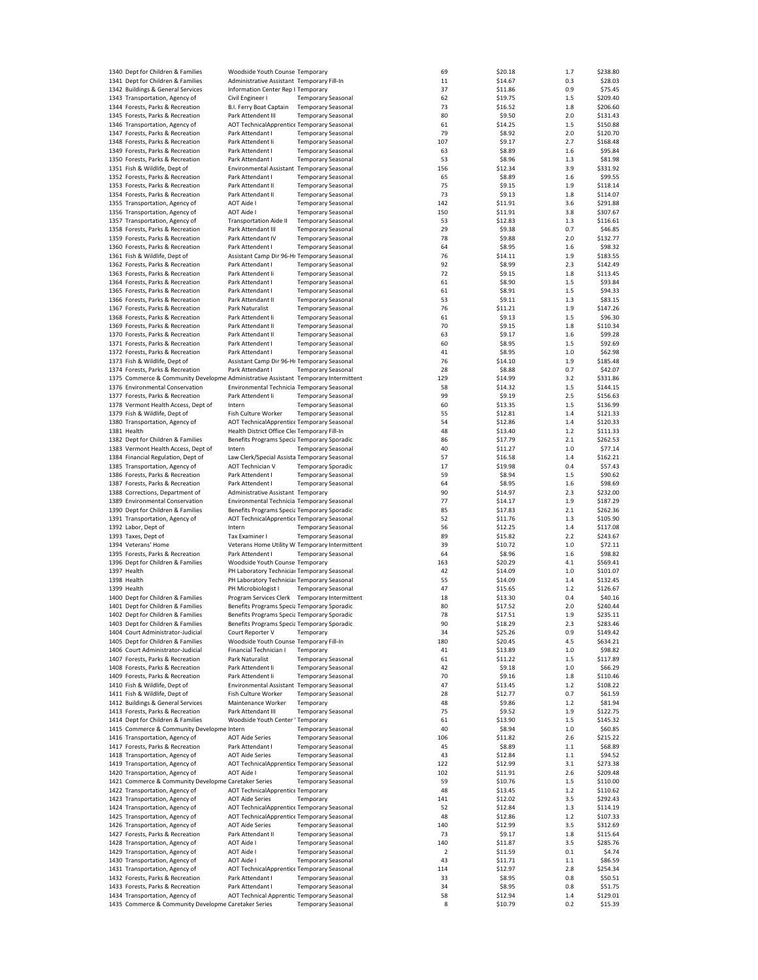| 1340 Dept for Children & Families                                                   | Woodside Youth Counse Temporary                |                           | 69          | \$20.18 | 1.7   | \$238.80 |
|-------------------------------------------------------------------------------------|------------------------------------------------|---------------------------|-------------|---------|-------|----------|
| 1341 Dept for Children & Families                                                   | Administrative Assistant Temporary Fill-In     |                           | 11          | \$14.67 | 0.3   | \$28.03  |
| 1342 Buildings & General Services                                                   | Information Center Rep I Temporary             |                           | 37          | \$11.86 | 0.9   | \$75.45  |
| 1343 Transportation, Agency of                                                      | Civil Engineer I                               | <b>Temporary Seasonal</b> | 62          | \$19.75 | 1.5   | \$209.40 |
| 1344 Forests, Parks & Recreation                                                    | B.I. Ferry Boat Captain                        | <b>Temporary Seasonal</b> | 73          | \$16.52 | 1.8   | \$206.60 |
|                                                                                     |                                                |                           | 80          |         | 2.0   |          |
| 1345 Forests, Parks & Recreation                                                    | Park Attendent III                             | <b>Temporary Seasonal</b> |             | \$9.50  |       | \$131.43 |
| 1346 Transportation, Agency of                                                      | AOT TechnicalApprentice Temporary Seasonal     |                           | 61          | \$14.25 | 1.5   | \$150.88 |
| 1347 Forests, Parks & Recreation                                                    | Park Attendant I                               | <b>Temporary Seasonal</b> | 79          | \$8.92  | 2.0   | \$120.70 |
| 1348 Forests, Parks & Recreation                                                    | Park Attendent Ii                              | <b>Temporary Seasonal</b> | 107         | \$9.17  | 2.7   | \$168.48 |
| 1349 Forests, Parks & Recreation                                                    | Park Attendent I                               | <b>Temporary Seasonal</b> | 63          | \$8.89  | 1.6   | \$95.84  |
| 1350 Forests, Parks & Recreation                                                    | Park Attendant I                               | <b>Temporary Seasonal</b> | 53          | \$8.96  | 1.3   | \$81.98  |
| 1351 Fish & Wildlife, Dept of                                                       | Environmental Assistant Temporary Seasonal     |                           | 156         | \$12.34 | 3.9   | \$331.92 |
| 1352 Forests, Parks & Recreation                                                    | Park Attendant I                               | <b>Temporary Seasonal</b> | 65          | \$8.89  | 1.6   | \$99.55  |
| 1353 Forests, Parks & Recreation                                                    | Park Attendant II                              | <b>Temporary Seasonal</b> | 75          | \$9.15  | 1.9   | \$118.14 |
| 1354 Forests, Parks & Recreation                                                    | Park Attendant II                              | <b>Temporary Seasonal</b> | 73          | \$9.13  | 1.8   | \$114.07 |
| 1355 Transportation, Agency of                                                      | <b>AOT Aide I</b>                              | <b>Temporary Seasonal</b> | 142         | \$11.91 | 3.6   | \$291.88 |
| 1356 Transportation, Agency of                                                      | <b>AOT Aide I</b>                              | <b>Temporary Seasonal</b> | 150         | \$11.91 | 3.8   | \$307.67 |
|                                                                                     | <b>Transportation Aide II</b>                  |                           |             |         | 1.3   | \$116.61 |
| 1357 Transportation, Agency of                                                      |                                                | <b>Temporary Seasonal</b> | 53          | \$12.83 |       |          |
| 1358 Forests, Parks & Recreation                                                    | Park Attendant III                             | <b>Temporary Seasonal</b> | 29          | \$9.38  | 0.7   | \$46.85  |
| 1359 Forests, Parks & Recreation                                                    | Park Attendant IV                              | <b>Temporary Seasonal</b> | 78          | \$9.88  | 2.0   | \$132.77 |
| 1360 Forests, Parks & Recreation                                                    | Park Attendent I                               | <b>Temporary Seasonal</b> | 64          | \$8.95  | 1.6   | \$98.32  |
| 1361 Fish & Wildlife, Dept of                                                       | Assistant Camp Dir 96-Hr Temporary Seasonal    |                           | 76          | \$14.11 | 1.9   | \$183.55 |
| 1362 Forests, Parks & Recreation                                                    | Park Attendant I                               | <b>Temporary Seasonal</b> | 92          | \$8.99  | 2.3   | \$142.49 |
| 1363 Forests, Parks & Recreation                                                    | Park Attendent Ii                              | <b>Temporary Seasonal</b> | 72          | \$9.15  | 1.8   | \$113.45 |
| 1364 Forests, Parks & Recreation                                                    | Park Attendant I                               | <b>Temporary Seasonal</b> | 61          | \$8.90  | 1.5   | \$93.84  |
| 1365 Forests, Parks & Recreation                                                    | Park Attendant I                               | <b>Temporary Seasonal</b> | 61          | \$8.91  | 1.5   | \$94.33  |
| 1366 Forests, Parks & Recreation                                                    | Park Attendant II                              | <b>Temporary Seasonal</b> | 53          | \$9.11  | 1.3   | \$83.15  |
| 1367 Forests, Parks & Recreation                                                    | Park Naturalist                                | <b>Temporary Seasonal</b> | 76          | \$11.21 | 1.9   | \$147.26 |
| 1368 Forests, Parks & Recreation                                                    | Park Attendent Ii                              | <b>Temporary Seasonal</b> | 61          | \$9.13  | 1.5   | \$96.30  |
| 1369 Forests, Parks & Recreation                                                    | Park Attendant II                              | <b>Temporary Seasonal</b> | 70          | \$9.15  | 1.8   | \$110.34 |
| 1370 Forests, Parks & Recreation                                                    | Park Attendant II                              |                           |             |         |       |          |
|                                                                                     |                                                | <b>Temporary Seasonal</b> | 63          | \$9.17  | 1.6   | \$99.28  |
| 1371 Forests, Parks & Recreation                                                    | Park Attendent I                               | <b>Temporary Seasonal</b> | 60          | \$8.95  | 1.5   | \$92.69  |
| 1372 Forests, Parks & Recreation                                                    | Park Attendant I                               | <b>Temporary Seasonal</b> | 41          | \$8.95  | 1.0   | \$62.98  |
| 1373 Fish & Wildlife, Dept of                                                       | Assistant Camp Dir 96-Hr Temporary Seasonal    |                           | 76          | \$14.10 | 1.9   | \$185.48 |
| 1374 Forests, Parks & Recreation                                                    | Park Attendant I                               | <b>Temporary Seasonal</b> | 28          | \$8.88  | 0.7   | \$42.07  |
| 1375 Commerce & Community Developme Administrative Assistant Temporary Intermittent |                                                |                           | 129         | \$14.99 | 3.2   | \$331.86 |
| 1376 Environmental Conservation                                                     | Environmental Technicia Temporary Seasonal     |                           | 58          | \$14.32 | 1.5   | \$144.15 |
| 1377 Forests, Parks & Recreation                                                    | Park Attendent li                              | <b>Temporary Seasonal</b> | 99          | \$9.19  | 2.5   | \$156.63 |
| 1378 Vermont Health Access, Dept of                                                 | Intern                                         | <b>Temporary Seasonal</b> | 60          | \$13.35 | 1.5   | \$136.99 |
| 1379 Fish & Wildlife, Dept of                                                       |                                                | <b>Temporary Seasonal</b> |             | \$12.81 |       | \$121.33 |
|                                                                                     | Fish Culture Worker                            |                           | 55          |         | 1.4   |          |
| 1380 Transportation, Agency of                                                      | AOT TechnicalApprentice Temporary Seasonal     |                           | 54          | \$12.86 | 1.4   | \$120.33 |
| 1381 Health                                                                         | Health District Office Clei Temporary Fill-In  |                           | 48          | \$13.40 | 1.2   | \$111.33 |
| 1382 Dept for Children & Families                                                   | Benefits Programs Specia Temporary Sporadic    |                           | 86          | \$17.79 | 2.1   | \$262.53 |
| 1383 Vermont Health Access, Dept of                                                 | Intern                                         | <b>Temporary Seasonal</b> | 40          | \$11.27 | 1.0   | \$77.14  |
| 1384 Financial Regulation, Dept of                                                  | Law Clerk/Special Assista Temporary Seasonal   |                           | 57          | \$16.58 | 1.4   | \$162.21 |
| 1385 Transportation, Agency of                                                      | AOT Technician V                               | <b>Temporary Sporadic</b> | 17          | \$19.98 | 0.4   | \$57.43  |
| 1386 Forests, Parks & Recreation                                                    | Park Attendent I                               | <b>Temporary Seasonal</b> | 59          | \$8.94  | 1.5   | \$90.62  |
| 1387 Forests, Parks & Recreation                                                    | Park Attendent I                               | <b>Temporary Seasonal</b> | 64          | \$8.95  | 1.6   | \$98.69  |
| 1388 Corrections, Department of                                                     | Administrative Assistant Temporary             |                           | 90          | \$14.97 | 2.3   | \$232.00 |
| 1389 Environmental Conservation                                                     | Environmental Technicia Temporary Seasonal     |                           | 77          | \$14.17 | 1.9   | \$187.29 |
| 1390 Dept for Children & Families                                                   | Benefits Programs Specia Temporary Sporadic    |                           | 85          | \$17.83 | 2.1   | \$262.36 |
| 1391 Transportation, Agency of                                                      | AOT TechnicalApprentice Temporary Seasonal     |                           | 52          | \$11.76 | 1.3   | \$105.90 |
|                                                                                     |                                                |                           |             |         |       |          |
| 1392 Labor, Dept of                                                                 | Intern                                         | <b>Temporary Seasonal</b> | 56          | \$12.25 | 1.4   | \$117.08 |
| 1393 Taxes, Dept of                                                                 | Tax Examiner I                                 | <b>Temporary Seasonal</b> | 89          | \$15.82 | 2.2   | \$243.67 |
| 1394 Veterans' Home                                                                 | Veterans Home Utility W Temporary Intermittent |                           | 39          | \$10.72 | 1.0   | \$72.11  |
| 1395 Forests, Parks & Recreation                                                    | Park Attendent I                               | <b>Temporary Seasonal</b> | 64          | \$8.96  | 1.6   | \$98.82  |
| 1396 Dept for Children & Families                                                   | Woodside Youth Counse Temporary                |                           | 163         | \$20.29 | 4.1   | \$569.41 |
| 1397 Health                                                                         | PH Laboratory Technicial Temporary Seasonal    |                           | 42          | \$14.09 | 1.0   | \$101.07 |
| 1398 Health                                                                         | PH Laboratory Technicial Temporary Seasonal    |                           | 55          | \$14.09 | 1.4   | \$132.45 |
| 1399 Health                                                                         | PH Microbiologist I                            | <b>Temporary Seasonal</b> | 47          | \$15.65 | 1.2   | \$126.67 |
| 1400 Dept for Children & Families                                                   | Program Services Clerk Temporary Intermittent  |                           | 18          | \$13.30 | 0.4   | \$40.16  |
| 1401 Dept for Children & Families                                                   | Benefits Programs Specia Temporary Sporadic    |                           | 80          | \$17.52 | 2.0   | \$240.44 |
| 1402 Dept for Children & Families                                                   | Benefits Programs Specia Temporary Sporadic    |                           | 78          | \$17.51 | 1.9   | \$235.11 |
| 1403 Dept for Children & Families                                                   | Benefits Programs Specia Temporary Sporadic    |                           | 90          | \$18.29 | 2.3   | \$283.46 |
| 1404 Court Administrator-Judicial                                                   | Court Reporter V                               | Temporary                 | 34          | \$25.26 | 0.9   | \$149.42 |
| 1405 Dept for Children & Families                                                   | Woodside Youth Counse Temporary Fill-In        |                           | 180         | \$20.45 | 4.5   |          |
| 1406 Court Administrator-Judicial                                                   | Financial Technician I                         |                           | 41          |         |       | \$634.21 |
|                                                                                     |                                                | Temporary                 |             | \$13.89 | 1.0   | \$98.82  |
| 1407 Forests, Parks & Recreation                                                    | Park Naturalist                                | <b>Temporary Seasonal</b> | 61          | \$11.22 | 1.5   | \$117.89 |
| 1408 Forests, Parks & Recreation                                                    | Park Attendent Ii                              | <b>Temporary Seasonal</b> | 42          | \$9.18  | $1.0$ | \$66.29  |
| 1409 Forests, Parks & Recreation                                                    | Park Attendent li                              | <b>Temporary Seasonal</b> | 70          | \$9.16  | 1.8   | \$110.46 |
| 1410 Fish & Wildlife, Dept of                                                       | Environmental Assistant Temporary Seasonal     |                           | 47          | \$13.45 | 1.2   | \$108.22 |
| 1411 Fish & Wildlife, Dept of                                                       | Fish Culture Worker                            | <b>Temporary Seasonal</b> | 28          | \$12.77 | 0.7   | \$61.59  |
| 1412 Buildings & General Services                                                   | Maintenance Worker                             | Temporary                 | 48          | \$9.86  | $1.2$ | \$81.94  |
| 1413 Forests, Parks & Recreation                                                    | Park Attendant III                             | <b>Temporary Seasonal</b> | 75          | \$9.52  | 1.9   | \$122.75 |
| 1414 Dept for Children & Families                                                   | Woodside Youth Center ' Temporary              |                           | 61          | \$13.90 | 1.5   | \$145.32 |
| 1415 Commerce & Community Developme Intern                                          |                                                | <b>Temporary Seasonal</b> | 40          | \$8.94  | 1.0   | \$60.85  |
| 1416 Transportation, Agency of                                                      | <b>AOT Aide Series</b>                         | <b>Temporary Seasonal</b> | 106         | \$11.82 | 2.6   | \$215.22 |
| 1417 Forests, Parks & Recreation                                                    | Park Attendant I                               | <b>Temporary Seasonal</b> | 45          | \$8.89  | 1.1   | \$68.89  |
| 1418 Transportation, Agency of                                                      | <b>AOT Aide Series</b>                         | <b>Temporary Seasonal</b> | 43          | \$12.84 | 1.1   | \$94.52  |
| 1419 Transportation, Agency of                                                      | AOT TechnicalApprentice Temporary Seasonal     |                           | 122         | \$12.99 | 3.1   | \$273.38 |
| 1420 Transportation, Agency of                                                      | <b>AOT Aide I</b>                              | <b>Temporary Seasonal</b> | 102         | \$11.91 | 2.6   | \$209.48 |
| 1421 Commerce & Community Developme Caretaker Series                                |                                                | <b>Temporary Seasonal</b> | 59          | \$10.76 | 1.5   | \$110.00 |
|                                                                                     |                                                |                           |             |         |       |          |
| 1422 Transportation, Agency of                                                      | AOT TechnicalApprentice Temporary              |                           | 48          | \$13.45 | 1.2   | \$110.62 |
| 1423 Transportation, Agency of                                                      | <b>AOT Aide Series</b>                         | Temporary                 | 141         | \$12.02 | 3.5   | \$292.43 |
| 1424 Transportation, Agency of                                                      | AOT TechnicalApprentice Temporary Seasonal     |                           | 52          | \$12.84 | 1.3   | \$114.19 |
| 1425 Transportation, Agency of                                                      | AOT TechnicalApprentice Temporary Seasonal     |                           | 48          | \$12.86 | 1.2   | \$107.33 |
| 1426 Transportation, Agency of                                                      | <b>AOT Aide Series</b>                         | <b>Temporary Seasonal</b> | 140         | \$12.99 | 3.5   | \$312.69 |
| 1427 Forests, Parks & Recreation                                                    | Park Attendant II                              | <b>Temporary Seasonal</b> | 73          | \$9.17  | 1.8   | \$115.64 |
| 1428 Transportation, Agency of                                                      | AOT Aide I                                     | <b>Temporary Seasonal</b> | 140         | \$11.87 | 3.5   | \$285.76 |
| 1429 Transportation, Agency of                                                      | <b>AOT Aide I</b>                              | <b>Temporary Seasonal</b> | $\mathbf 2$ | \$11.59 | 0.1   | \$4.74   |
| 1430 Transportation, Agency of                                                      | AOT Aide I                                     | <b>Temporary Seasonal</b> | 43          | \$11.71 | 1.1   | \$86.59  |
| 1431 Transportation, Agency of                                                      | AOT TechnicalApprentice Temporary Seasonal     |                           | 114         | \$12.97 | 2.8   | \$254.34 |
| 1432 Forests, Parks & Recreation                                                    | Park Attendant I                               | <b>Temporary Seasonal</b> | 33          | \$8.95  | 0.8   | \$50.51  |
| 1433 Forests, Parks & Recreation                                                    | Park Attendant I                               | <b>Temporary Seasonal</b> | 34          | \$8.95  | 0.8   | \$51.75  |
| 1434 Transportation, Agency of                                                      | AOT Technical Apprentic Temporary Seasonal     |                           | 58          | \$12.94 | 1.4   | \$129.01 |
| 1435 Commerce & Community Developme Caretaker Series                                |                                                | <b>Temporary Seasonal</b> | 8           | \$10.79 | 0.2   | \$15.39  |
|                                                                                     |                                                |                           |             |         |       |          |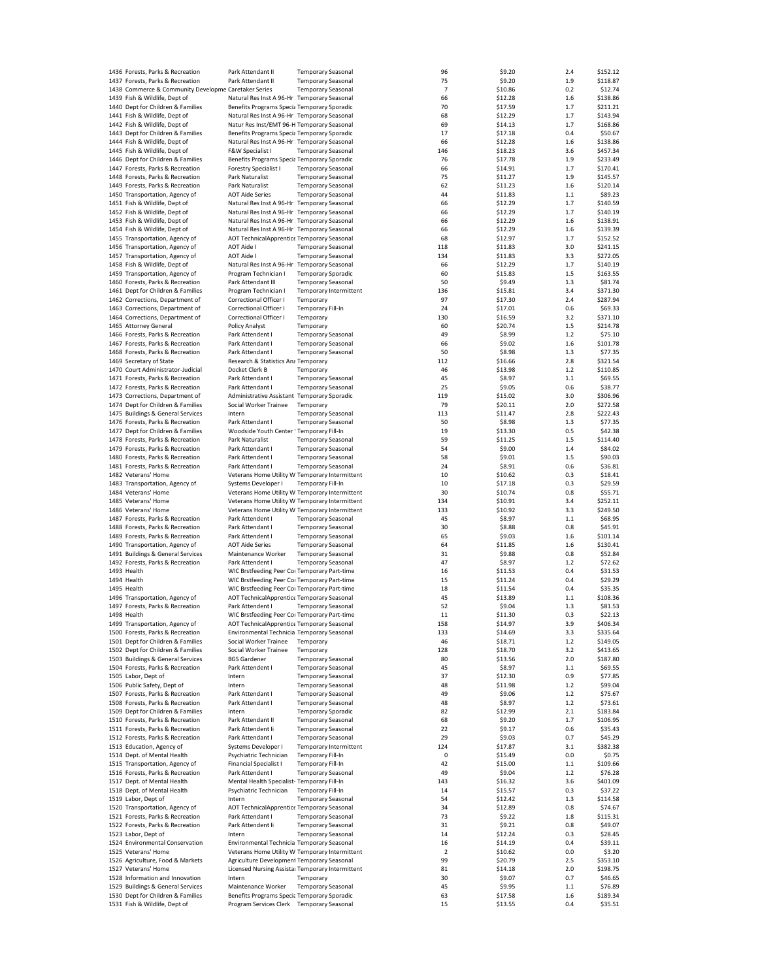| 1436 Forests, Parks & Recreation                                   | Park Attendant II                                                                        | <b>Temporary Seasonal</b> |                        | 96       | \$9.20             | 2.4        | \$152.12            |
|--------------------------------------------------------------------|------------------------------------------------------------------------------------------|---------------------------|------------------------|----------|--------------------|------------|---------------------|
| 1437 Forests, Parks & Recreation                                   | Park Attendant II                                                                        | <b>Temporary Seasonal</b> |                        | 75       | \$9.20             | 1.9        | \$118.87            |
|                                                                    |                                                                                          |                           |                        |          |                    |            |                     |
| 1438 Commerce & Community Developme Caretaker Series               |                                                                                          | <b>Temporary Seasonal</b> |                        | 7        | \$10.86            | 0.2        | \$12.74             |
| 1439 Fish & Wildlife, Dept of                                      | Natural Res Inst A 96-Hr : Temporary Seasonal                                            |                           |                        | 66       | \$12.28            | 1.6        | \$138.86            |
| 1440 Dept for Children & Families                                  | Benefits Programs Specia Temporary Sporadic                                              |                           |                        | 70       | \$17.59            | 1.7        | \$211.21            |
| 1441 Fish & Wildlife, Dept of                                      | Natural Res Inst A 96-Hr : Temporary Seasonal                                            |                           |                        | 68       | \$12.29            | 1.7        | \$143.94            |
| 1442 Fish & Wildlife, Dept of                                      | Natur Res Inst/EMT 96-H Temporary Seasonal                                               |                           |                        | 69       | \$14.13            | 1.7        | \$168.86            |
| 1443 Dept for Children & Families                                  |                                                                                          |                           |                        | 17       | \$17.18            | 0.4        | \$50.67             |
|                                                                    | Benefits Programs Specia Temporary Sporadic                                              |                           |                        |          |                    |            |                     |
| 1444 Fish & Wildlife, Dept of                                      | Natural Res Inst A 96-Hr : Temporary Seasonal                                            |                           |                        | 66       | \$12.28            | 1.6        | \$138.86            |
| 1445 Fish & Wildlife, Dept of                                      | F&W Specialist I                                                                         | <b>Temporary Seasonal</b> |                        | 146      | \$18.23            | 3.6        | \$457.34            |
| 1446 Dept for Children & Families                                  | Benefits Programs Specia Temporary Sporadic                                              |                           |                        | 76       | \$17.78            | 1.9        | \$233.49            |
| 1447 Forests, Parks & Recreation                                   | Forestry Specialist I                                                                    | <b>Temporary Seasonal</b> |                        | 66       | \$14.91            | 1.7        | \$170.41            |
| 1448 Forests, Parks & Recreation                                   | Park Naturalist                                                                          | <b>Temporary Seasonal</b> |                        | 75       | \$11.27            | 1.9        | \$145.57            |
|                                                                    |                                                                                          |                           |                        |          |                    |            |                     |
| 1449 Forests, Parks & Recreation                                   | Park Naturalist                                                                          | <b>Temporary Seasonal</b> |                        | 62       | \$11.23            | 1.6        | \$120.14            |
| 1450 Transportation, Agency of                                     | <b>AOT Aide Series</b>                                                                   | <b>Temporary Seasonal</b> |                        | 44       | \$11.83            | 1.1        | \$89.23             |
| 1451 Fish & Wildlife, Dept of                                      | Natural Res Inst A 96-Hr : Temporary Seasonal                                            |                           |                        | 66       | \$12.29            | 1.7        | \$140.59            |
| 1452 Fish & Wildlife, Dept of                                      | Natural Res Inst A 96-Hr : Temporary Seasonal                                            |                           |                        | 66       | \$12.29            | 1.7        | \$140.19            |
|                                                                    |                                                                                          |                           |                        |          |                    |            |                     |
| 1453 Fish & Wildlife, Dept of                                      | Natural Res Inst A 96-Hr : Temporary Seasonal                                            |                           |                        | 66       | \$12.29            | 1.6        | \$138.91            |
| 1454 Fish & Wildlife, Dept of                                      | Natural Res Inst A 96-Hr : Temporary Seasonal                                            |                           |                        | 66       | \$12.29            | 1.6        | \$139.39            |
| 1455 Transportation, Agency of                                     | AOT TechnicalApprentice Temporary Seasonal                                               |                           |                        | 68       | \$12.97            | 1.7        | \$152.52            |
| 1456 Transportation, Agency of                                     | <b>AOT Aide I</b>                                                                        | <b>Temporary Seasonal</b> |                        | 118      | \$11.83            | 3.0        | \$241.15            |
|                                                                    | <b>AOT Aide I</b>                                                                        |                           |                        |          |                    | 3.3        |                     |
| 1457 Transportation, Agency of                                     |                                                                                          | <b>Temporary Seasonal</b> |                        | 134      | \$11.83            |            | \$272.05            |
| 1458 Fish & Wildlife, Dept of                                      | Natural Res Inst A 96-Hr : Temporary Seasonal                                            |                           |                        | 66       | \$12.29            | 1.7        | \$140.19            |
| 1459 Transportation, Agency of                                     | Program Technician I                                                                     | <b>Temporary Sporadic</b> |                        | 60       | \$15.83            | 1.5        | \$163.55            |
| 1460 Forests, Parks & Recreation                                   | Park Attendant III                                                                       | <b>Temporary Seasonal</b> |                        | 50       | \$9.49             | 1.3        | \$81.74             |
| 1461 Dept for Children & Families                                  | Program Technician I                                                                     |                           | Temporary Intermittent | 136      | \$15.81            | 3.4        | \$371.30            |
|                                                                    |                                                                                          |                           |                        |          |                    |            |                     |
| 1462 Corrections, Department of                                    | Correctional Officer I                                                                   | Temporary                 |                        | 97       | \$17.30            | 2.4        | \$287.94            |
| 1463 Corrections, Department of                                    | Correctional Officer I                                                                   | Temporary Fill-In         |                        | 24       | \$17.01            | 0.6        | \$69.33             |
| 1464 Corrections, Department of                                    | Correctional Officer I                                                                   | Temporary                 |                        | 130      | \$16.59            | 3.2        | \$371.10            |
| 1465 Attorney General                                              | Policy Analyst                                                                           | Temporary                 |                        | 60       | \$20.74            | 1.5        | \$214.78            |
|                                                                    |                                                                                          |                           |                        |          |                    |            |                     |
| 1466 Forests, Parks & Recreation                                   | Park Attendent I                                                                         | <b>Temporary Seasonal</b> |                        | 49       | \$8.99             | 1.2        | \$75.10             |
| 1467 Forests, Parks & Recreation                                   | Park Attendant I                                                                         | <b>Temporary Seasonal</b> |                        | 66       | \$9.02             | 1.6        | \$101.78            |
| 1468 Forests, Parks & Recreation                                   | Park Attendant I                                                                         | <b>Temporary Seasonal</b> |                        | 50       | \$8.98             | 1.3        | \$77.35             |
| 1469 Secretary of State                                            | Research & Statistics Ana Temporary                                                      |                           |                        | 112      | \$16.66            | 2.8        | \$321.54            |
|                                                                    |                                                                                          |                           |                        |          |                    |            |                     |
| 1470 Court Administrator-Judicial                                  | Docket Clerk B                                                                           | Temporary                 |                        | 46       | \$13.98            | 1.2        | \$110.85            |
| 1471 Forests, Parks & Recreation                                   | Park Attendant I                                                                         | <b>Temporary Seasonal</b> |                        | 45       | \$8.97             | 1.1        | \$69.55             |
| 1472 Forests, Parks & Recreation                                   | Park Attendant I                                                                         | <b>Temporary Seasonal</b> |                        | 25       | \$9.05             | 0.6        | \$38.77             |
| 1473 Corrections, Department of                                    | Administrative Assistant Temporary Sporadic                                              |                           |                        | 119      | \$15.02            | 3.0        | \$306.96            |
|                                                                    |                                                                                          |                           |                        |          |                    |            |                     |
| 1474 Dept for Children & Families                                  | Social Worker Trainee                                                                    | Temporary                 |                        | 79       | \$20.11            | 2.0        | \$272.58            |
| 1475 Buildings & General Services                                  | Intern                                                                                   | <b>Temporary Seasonal</b> |                        | 113      | \$11.47            | 2.8        | \$222.43            |
| 1476 Forests, Parks & Recreation                                   | Park Attendant I                                                                         | <b>Temporary Seasonal</b> |                        | 50       | \$8.98             | 1.3        | \$77.35             |
| 1477 Dept for Children & Families                                  | Woodside Youth Center ' Temporary Fill-In                                                |                           |                        | 19       | \$13.30            | 0.5        | \$42.38             |
|                                                                    |                                                                                          |                           |                        |          |                    |            | \$114.40            |
| 1478 Forests, Parks & Recreation                                   | Park Naturalist                                                                          | <b>Temporary Seasonal</b> |                        | 59       | \$11.25            | 1.5        |                     |
| 1479 Forests, Parks & Recreation                                   | Park Attendant I                                                                         | <b>Temporary Seasonal</b> |                        | 54       | \$9.00             | 1.4        | \$84.02             |
| 1480 Forests, Parks & Recreation                                   | Park Attendent I                                                                         | <b>Temporary Seasonal</b> |                        | 58       | \$9.01             | 1.5        | \$90.03             |
| 1481 Forests, Parks & Recreation                                   | Park Attendant I                                                                         | <b>Temporary Seasonal</b> |                        | 24       | \$8.91             | 0.6        | \$36.81             |
| 1482 Veterans' Home                                                | Veterans Home Utility W Temporary Intermittent                                           |                           |                        | 10       | \$10.62            | 0.3        | \$18.41             |
|                                                                    |                                                                                          |                           |                        |          |                    |            |                     |
| 1483 Transportation, Agency of                                     | Systems Developer I                                                                      | <b>Temporary Fill-In</b>  |                        | 10       | \$17.18            | 0.3        | \$29.59             |
| 1484 Veterans' Home                                                | Veterans Home Utility W Temporary Intermittent                                           |                           |                        | 30       | \$10.74            | 0.8        | \$55.71             |
| 1485 Veterans' Home                                                | Veterans Home Utility W Temporary Intermittent                                           |                           |                        | 134      | \$10.91            | 3.4        | \$252.11            |
| 1486 Veterans' Home                                                | Veterans Home Utility W Temporary Intermittent                                           |                           |                        | 133      | \$10.92            | 3.3        | \$249.50            |
|                                                                    |                                                                                          |                           |                        |          |                    |            |                     |
| 1487 Forests, Parks & Recreation                                   | Park Attendent I                                                                         | <b>Temporary Seasonal</b> |                        | 45       | \$8.97             | 1.1        | \$68.95             |
| 1488 Forests, Parks & Recreation                                   | Park Attendant I                                                                         | <b>Temporary Seasonal</b> |                        | 30       | \$8.88             | 0.8        | \$45.91             |
| 1489 Forests, Parks & Recreation                                   | Park Attendent I                                                                         | <b>Temporary Seasonal</b> |                        | 65       | \$9.03             | 1.6        | \$101.14            |
| 1490 Transportation, Agency of                                     | <b>AOT Aide Series</b>                                                                   | <b>Temporary Seasonal</b> |                        | 64       | \$11.85            | 1.6        | \$130.41            |
|                                                                    |                                                                                          |                           |                        |          |                    |            |                     |
| 1491 Buildings & General Services                                  | Maintenance Worker                                                                       | <b>Temporary Seasonal</b> |                        | 31       | \$9.88             | 0.8        | \$52.84             |
| 1492 Forests, Parks & Recreation                                   | Park Attendent I                                                                         | <b>Temporary Seasonal</b> |                        | 47       | \$8.97             | 1.2        | \$72.62             |
| 1493 Health                                                        | WIC Brstfeeding Peer Coi Temporary Part-time                                             |                           |                        | 16       | \$11.53            | 0.4        | \$31.53             |
| 1494 Health                                                        | WIC Brstfeeding Peer Coi Temporary Part-time                                             |                           |                        | 15       | \$11.24            | 0.4        | \$29.29             |
| 1495 Health                                                        |                                                                                          |                           |                        |          |                    | 0.4        |                     |
|                                                                    | WIC Brstfeeding Peer Coi Temporary Part-time                                             |                           |                        | 18       | \$11.54            |            | \$35.35             |
| 1496 Transportation, Agency of                                     | AOT TechnicalApprentice Temporary Seasonal                                               |                           |                        | 45       | \$13.89            | 1.1        | \$108.36            |
| 1497 Forests, Parks & Recreation                                   | Park Attendent I                                                                         | <b>Temporary Seasonal</b> |                        | 52       | \$9.04             | 1.3        | \$81.53             |
| 1498 Health                                                        | WIC Brstfeeding Peer Coi Temporary Part-time                                             |                           |                        | 11       | \$11.30            | 0.3        | \$22.13             |
| 1499 Transportation, Agency of                                     | AOT TechnicalApprentice Temporary Seasonal                                               |                           |                        | 158      | \$14.97            | 3.9        | \$406.34            |
|                                                                    |                                                                                          |                           |                        |          |                    |            |                     |
| 1500 Forests, Parks & Recreation                                   | Environmental Technicia Temporary Seasonal                                               |                           |                        | 133      | \$14.69            | 3.3        | \$335.64            |
| 1501 Dept for Children & Families                                  | Social Worker Trainee                                                                    | Temporary                 |                        | 46       | \$18.71            | 1.2        | \$149.05            |
| 1502 Dept for Children & Families                                  | Social Worker Trainee                                                                    | Temporary                 |                        | 128      | \$18.70            | 3.2        | \$413.65            |
| 1503 Buildings & General Services                                  | <b>BGS Gardener</b>                                                                      | <b>Temporary Seasonal</b> |                        | 80       | \$13.56            | 2.0        | \$187.80            |
| 1504 Forests, Parks & Recreation                                   | Park Attendent I                                                                         | <b>Temporary Seasonal</b> |                        | 45       | \$8.97             | 1.1        | \$69.55             |
|                                                                    |                                                                                          |                           |                        |          |                    |            |                     |
| 1505 Labor, Dept of                                                | Intern                                                                                   | <b>Temporary Seasonal</b> |                        | 37       | \$12.30            | 0.9        | \$77.85             |
| 1506 Public Safety, Dept of                                        | Intern                                                                                   | <b>Temporary Seasonal</b> |                        | 48       | \$11.98            | 1.2        | \$99.04             |
| 1507 Forests, Parks & Recreation                                   | Park Attendant I                                                                         | <b>Temporary Seasonal</b> |                        | 49       | \$9.06             | 1.2        | \$75.67             |
| 1508 Forests, Parks & Recreation                                   | Park Attendant I                                                                         | <b>Temporary Seasonal</b> |                        | 48       | \$8.97             | 1.2        | \$73.61             |
| 1509 Dept for Children & Families                                  | Intern                                                                                   | <b>Temporary Sporadic</b> |                        | 82       | \$12.99            | 2.1        | \$183.84            |
|                                                                    |                                                                                          |                           |                        |          |                    |            |                     |
| 1510 Forests, Parks & Recreation                                   | Park Attendant II                                                                        | <b>Temporary Seasonal</b> |                        | 68       | \$9.20             | 1.7        | \$106.95            |
| 1511 Forests, Parks & Recreation                                   | Park Attendent Ii                                                                        | <b>Temporary Seasonal</b> |                        | 22       | \$9.17             | 0.6        | \$35.43             |
| 1512 Forests, Parks & Recreation                                   | Park Attendant I                                                                         | <b>Temporary Seasonal</b> |                        | 29       | \$9.03             | 0.7        | \$45.29             |
| 1513 Education, Agency of                                          | Systems Developer I                                                                      |                           | Temporary Intermittent | 124      | \$17.87            | 3.1        | \$382.38            |
|                                                                    |                                                                                          |                           |                        |          |                    |            |                     |
| 1514 Dept. of Mental Health                                        | Psychiatric Technician                                                                   | Temporary Fill-In         |                        | 0        | \$15.49            | 0.0        | \$0.75              |
| 1515 Transportation, Agency of                                     | Financial Specialist I                                                                   | Temporary Fill-In         |                        | 42       | \$15.00            | 1.1        | \$109.66            |
| 1516 Forests, Parks & Recreation                                   | Park Attendent I                                                                         | <b>Temporary Seasonal</b> |                        | 49       | \$9.04             | 1.2        | \$76.28             |
| 1517 Dept. of Mental Health                                        | Mental Health Specialist- Temporary Fill-In                                              |                           |                        | 143      | \$16.32            | 3.6        | \$401.09            |
|                                                                    |                                                                                          |                           |                        |          |                    |            |                     |
| 1518 Dept. of Mental Health                                        | Psychiatric Technician                                                                   | Temporary Fill-In         |                        | 14       | \$15.57            | 0.3        | \$37.22             |
|                                                                    | Intern                                                                                   | <b>Temporary Seasonal</b> |                        | 54       | \$12.42            | 1.3        | \$114.58            |
| 1519 Labor, Dept of                                                |                                                                                          |                           |                        | 34       | \$12.89            | 0.8        | \$74.67             |
|                                                                    |                                                                                          |                           |                        |          |                    |            |                     |
| 1520 Transportation, Agency of                                     | AOT TechnicalApprentice Temporary Seasonal                                               |                           |                        |          |                    |            |                     |
| 1521 Forests, Parks & Recreation                                   | Park Attendant I                                                                         | <b>Temporary Seasonal</b> |                        | 73       | \$9.22             | 1.8        | \$115.31            |
| 1522 Forests, Parks & Recreation                                   | Park Attendent Ii                                                                        | <b>Temporary Seasonal</b> |                        | 31       | \$9.21             | 0.8        | \$49.07             |
| 1523 Labor, Dept of                                                | Intern                                                                                   | <b>Temporary Seasonal</b> |                        | 14       | \$12.24            | 0.3        | \$28.45             |
| 1524 Environmental Conservation                                    | Environmental Technicia Temporary Seasonal                                               |                           |                        | 16       | \$14.19            | 0.4        | \$39.11             |
|                                                                    |                                                                                          |                           |                        |          |                    |            |                     |
| 1525 Veterans' Home                                                | Veterans Home Utility W Temporary Intermittent                                           |                           |                        | 2        | \$10.62            | 0.0        | \$3.20              |
| 1526 Agriculture, Food & Markets                                   | Agriculture Development Temporary Seasonal                                               |                           |                        | 99       | \$20.79            | 2.5        | \$353.10            |
| 1527 Veterans' Home                                                | Licensed Nursing Assista: Temporary Intermittent                                         |                           |                        | 81       | \$14.18            | 2.0        | \$198.75            |
| 1528 Information and Innovation                                    | Intern                                                                                   | Temporary                 |                        | 30       | \$9.07             | 0.7        | \$46.65             |
|                                                                    |                                                                                          |                           |                        |          |                    |            |                     |
| 1529 Buildings & General Services                                  | Maintenance Worker                                                                       | <b>Temporary Seasonal</b> |                        | 45       | \$9.95             | 1.1        | \$76.89             |
| 1530 Dept for Children & Families<br>1531 Fish & Wildlife, Dept of | Benefits Programs Specia Temporary Sporadic<br>Program Services Clerk Temporary Seasonal |                           |                        | 63<br>15 | \$17.58<br>\$13.55 | 1.6<br>0.4 | \$189.34<br>\$35.51 |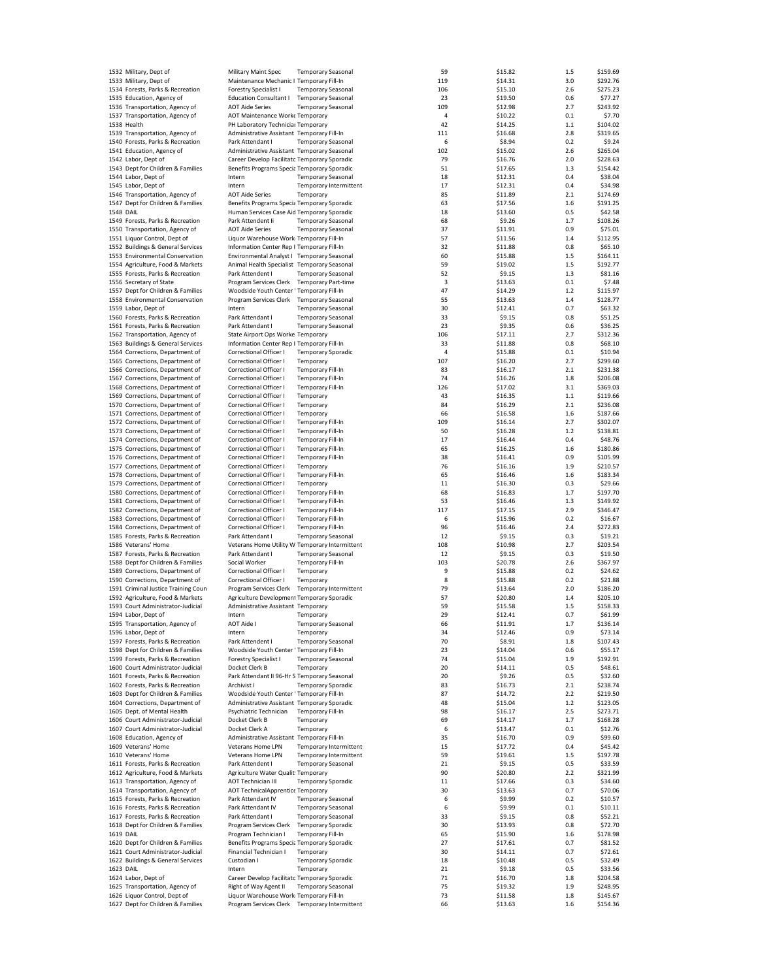|                  | 1532 Military, Dept of              | Military Maint Spec                            | <b>Temporary Seasonal</b> |                        | 59  | \$15.82 | 1.5     | \$159.69 |
|------------------|-------------------------------------|------------------------------------------------|---------------------------|------------------------|-----|---------|---------|----------|
|                  | 1533 Military, Dept of              | Maintenance Mechanic I Temporary Fill-In       |                           |                        | 119 | \$14.31 | 3.0     | \$292.76 |
|                  |                                     |                                                |                           |                        |     |         |         |          |
|                  | 1534 Forests, Parks & Recreation    | <b>Forestry Specialist I</b>                   | <b>Temporary Seasonal</b> |                        | 106 | \$15.10 | 2.6     | \$275.23 |
|                  | 1535 Education, Agency of           | <b>Education Consultant I</b>                  | <b>Temporary Seasonal</b> |                        | 23  | \$19.50 | 0.6     | \$77.27  |
|                  | 1536 Transportation, Agency of      | <b>AOT Aide Series</b>                         | <b>Temporary Seasonal</b> |                        | 109 | \$12.98 | 2.7     | \$243.92 |
|                  | 1537 Transportation, Agency of      | AOT Maintenance Worke Temporary                |                           |                        | 4   | \$10.22 | 0.1     | \$7.70   |
|                  | 1538 Health                         | PH Laboratory Technicial Temporary             |                           |                        | 42  | \$14.25 | $1.1\,$ | \$104.02 |
|                  | 1539 Transportation, Agency of      | Administrative Assistant Temporary Fill-In     |                           |                        | 111 | \$16.68 | 2.8     | \$319.65 |
|                  |                                     |                                                |                           |                        |     |         |         |          |
|                  | 1540 Forests, Parks & Recreation    | Park Attendant I                               | <b>Temporary Seasonal</b> |                        | 6   | \$8.94  | 0.2     | \$9.24   |
|                  | 1541 Education, Agency of           | Administrative Assistant Temporary Seasonal    |                           |                        | 102 | \$15.02 | 2.6     | \$265.04 |
|                  | 1542 Labor, Dept of                 | Career Develop Facilitato Temporary Sporadic   |                           |                        | 79  | \$16.76 | 2.0     | \$228.63 |
|                  | 1543 Dept for Children & Families   | Benefits Programs Specia Temporary Sporadic    |                           |                        | 51  | \$17.65 | 1.3     | \$154.42 |
|                  | 1544 Labor, Dept of                 | Intern                                         | <b>Temporary Seasonal</b> |                        | 18  | \$12.31 | 0.4     | \$38.04  |
|                  |                                     |                                                |                           |                        |     |         |         |          |
|                  | 1545 Labor, Dept of                 | Intern                                         |                           | Temporary Intermittent | 17  | \$12.31 | 0.4     | \$34.98  |
|                  | 1546 Transportation, Agency of      | <b>AOT Aide Series</b>                         | Temporary                 |                        | 85  | \$11.89 | 2.1     | \$174.69 |
|                  | 1547 Dept for Children & Families   | Benefits Programs Specia Temporary Sporadic    |                           |                        | 63  | \$17.56 | 1.6     | \$191.25 |
| <b>1548 DAIL</b> |                                     | Human Services Case Aid Temporary Sporadic     |                           |                        | 18  | \$13.60 | 0.5     | \$42.58  |
|                  |                                     | Park Attendent Ii                              |                           |                        | 68  |         | 1.7     | \$108.26 |
|                  | 1549 Forests, Parks & Recreation    |                                                | <b>Temporary Seasonal</b> |                        |     | \$9.26  |         |          |
|                  | 1550 Transportation, Agency of      | <b>AOT Aide Series</b>                         | <b>Temporary Seasonal</b> |                        | 37  | \$11.91 | 0.9     | \$75.01  |
|                  | 1551 Liquor Control, Dept of        | Liquor Warehouse Work Temporary Fill-In        |                           |                        | 57  | \$11.56 | 1.4     | \$112.95 |
|                  | 1552 Buildings & General Services   | Information Center Rep I Temporary Fill-In     |                           |                        | 32  | \$11.88 | 0.8     | \$65.10  |
|                  | 1553 Environmental Conservation     | Environmental Analyst I Temporary Seasonal     |                           |                        | 60  | \$15.88 | 1.5     | \$164.11 |
|                  |                                     |                                                |                           |                        |     |         |         |          |
|                  | 1554 Agriculture, Food & Markets    | Animal Health Specialist Temporary Seasonal    |                           |                        | 59  | \$19.02 | 1.5     | \$192.77 |
|                  | 1555 Forests, Parks & Recreation    | Park Attendent I                               | <b>Temporary Seasonal</b> |                        | 52  | \$9.15  | 1.3     | \$81.16  |
|                  | 1556 Secretary of State             | Program Services Clerk Temporary Part-time     |                           |                        | 3   | \$13.63 | 0.1     | \$7.48   |
|                  | 1557 Dept for Children & Families   | Woodside Youth Center ' Temporary Fill-In      |                           |                        | 47  | \$14.29 | 1.2     | \$115.97 |
|                  | 1558 Environmental Conservation     | Program Services Clerk Temporary Seasonal      |                           |                        | 55  | \$13.63 | 1.4     | \$128.77 |
|                  |                                     |                                                |                           |                        |     |         |         |          |
|                  | 1559 Labor, Dept of                 | Intern                                         | <b>Temporary Seasonal</b> |                        | 30  | \$12.41 | 0.7     | \$63.32  |
|                  | 1560 Forests, Parks & Recreation    | Park Attendant I                               | <b>Temporary Seasonal</b> |                        | 33  | \$9.15  | 0.8     | \$51.25  |
|                  | 1561 Forests, Parks & Recreation    | Park Attendant I                               | <b>Temporary Seasonal</b> |                        | 23  | \$9.35  | 0.6     | \$36.25  |
|                  | 1562 Transportation, Agency of      | State Airport Ops Worke Temporary              |                           |                        | 106 | \$17.11 | 2.7     | \$312.36 |
|                  |                                     |                                                |                           |                        |     |         |         |          |
|                  | 1563 Buildings & General Services   | Information Center Rep I Temporary Fill-In     |                           |                        | 33  | \$11.88 | 0.8     | \$68.10  |
|                  | 1564 Corrections, Department of     | Correctional Officer I                         | <b>Temporary Sporadic</b> |                        | 4   | \$15.88 | 0.1     | \$10.94  |
|                  | 1565 Corrections, Department of     | Correctional Officer I                         | Temporary                 |                        | 107 | \$16.20 | 2.7     | \$299.60 |
|                  | 1566 Corrections, Department of     | Correctional Officer I                         | Temporary Fill-In         |                        | 83  | \$16.17 | 2.1     | \$231.38 |
|                  | 1567 Corrections, Department of     | Correctional Officer I                         | Temporary Fill-In         |                        | 74  | \$16.26 | 1.8     | \$206.08 |
|                  |                                     |                                                |                           |                        |     |         |         |          |
|                  | 1568 Corrections, Department of     | Correctional Officer I                         | Temporary Fill-In         |                        | 126 | \$17.02 | 3.1     | \$369.03 |
|                  | 1569 Corrections, Department of     | Correctional Officer I                         | Temporary                 |                        | 43  | \$16.35 | 1.1     | \$119.66 |
|                  | 1570 Corrections, Department of     | Correctional Officer I                         | Temporary                 |                        | 84  | \$16.29 | 2.1     | \$236.08 |
|                  |                                     | Correctional Officer I                         |                           |                        |     |         | 1.6     |          |
|                  | 1571 Corrections, Department of     |                                                | Temporary                 |                        | 66  | \$16.58 |         | \$187.66 |
|                  | 1572 Corrections, Department of     | Correctional Officer I                         | Temporary Fill-In         |                        | 109 | \$16.14 | 2.7     | \$302.07 |
|                  | 1573 Corrections, Department of     | Correctional Officer I                         | Temporary Fill-In         |                        | 50  | \$16.28 | 1.2     | \$138.81 |
|                  | 1574 Corrections, Department of     | Correctional Officer I                         | Temporary Fill-In         |                        | 17  | \$16.44 | 0.4     | \$48.76  |
|                  | 1575 Corrections, Department of     | Correctional Officer I                         | Temporary Fill-In         |                        | 65  | \$16.25 | 1.6     | \$180.86 |
|                  |                                     |                                                |                           |                        |     |         |         |          |
|                  | 1576 Corrections, Department of     | Correctional Officer I                         | <b>Temporary Fill-In</b>  |                        | 38  | \$16.41 | 0.9     | \$105.99 |
|                  | 1577 Corrections, Department of     | Correctional Officer I                         | Temporary                 |                        | 76  | \$16.16 | 1.9     | \$210.57 |
|                  | 1578 Corrections, Department of     | Correctional Officer I                         | Temporary Fill-In         |                        | 65  | \$16.46 | 1.6     | \$183.34 |
|                  | 1579 Corrections, Department of     | Correctional Officer I                         | Temporary                 |                        | 11  | \$16.30 | 0.3     | \$29.66  |
|                  | 1580 Corrections, Department of     | Correctional Officer I                         | Temporary Fill-In         |                        | 68  | \$16.83 | 1.7     | \$197.70 |
|                  |                                     |                                                |                           |                        |     |         |         |          |
|                  | 1581 Corrections, Department of     | Correctional Officer I                         | <b>Temporary Fill-In</b>  |                        | 53  | \$16.46 | 1.3     | \$149.92 |
|                  | 1582 Corrections, Department of     | Correctional Officer I                         | <b>Temporary Fill-In</b>  |                        | 117 | \$17.15 | 2.9     | \$346.47 |
|                  | 1583 Corrections, Department of     | Correctional Officer I                         | <b>Temporary Fill-In</b>  |                        | 6   | \$15.96 | 0.2     | \$16.67  |
|                  | 1584 Corrections, Department of     | Correctional Officer I                         | <b>Temporary Fill-In</b>  |                        | 96  | \$16.46 | 2.4     | \$272.83 |
|                  |                                     |                                                |                           |                        | 12  |         | 0.3     |          |
|                  | 1585 Forests, Parks & Recreation    | Park Attendant I                               | <b>Temporary Seasonal</b> |                        |     | \$9.15  |         | \$19.21  |
|                  | 1586 Veterans' Home                 | Veterans Home Utility W Temporary Intermittent |                           |                        | 108 | \$10.98 | 2.7     | \$203.54 |
|                  | 1587 Forests, Parks & Recreation    | Park Attendant I                               | <b>Temporary Seasonal</b> |                        | 12  | \$9.15  | 0.3     | \$19.50  |
|                  | 1588 Dept for Children & Families   | Social Worker                                  | <b>Temporary Fill-In</b>  |                        | 103 | \$20.78 | 2.6     | \$367.97 |
|                  | 1589 Corrections, Department of     | Correctional Officer I                         | Temporary                 |                        | 9   | \$15.88 | 0.2     | \$24.62  |
|                  | 1590 Corrections, Department of     |                                                |                           |                        |     |         |         | \$21.88  |
|                  |                                     | Correctional Officer I                         | Temporary                 |                        | 8   | \$15.88 | 0.2     |          |
|                  | 1591 Criminal Justice Training Coun | Program Services Clerk                         |                           | Temporary Intermittent | 79  | \$13.64 | 2.0     | \$186.20 |
|                  | 1592 Agriculture, Food & Markets    | Agriculture Development Temporary Sporadic     |                           |                        | 57  | \$20.80 | 1.4     | \$205.10 |
|                  | 1593 Court Administrator-Judicial   | Administrative Assistant Temporary             |                           |                        | 59  | \$15.58 | 1.5     | \$158.33 |
|                  | 1594 Labor, Dept of                 | Intern                                         | Temporary                 |                        | 29  | \$12.41 | 0.7     | \$61.99  |
|                  |                                     |                                                |                           |                        |     |         |         |          |
|                  | 1595 Transportation, Agency of      | AOT Aide I                                     | Temporary Seasonal        |                        | 66  | \$11.91 | 1.7     | \$136.14 |
|                  | 1596 Labor, Dept of                 | Intern                                         | Temporary                 |                        | 34  | \$12.46 | 0.9     | \$73.14  |
|                  | 1597 Forests, Parks & Recreation    | Park Attendent I                               | <b>Temporary Seasonal</b> |                        | 70  | \$8.91  | 1.8     | \$107.43 |
|                  | 1598 Dept for Children & Families   | Woodside Youth Center ' Temporary Fill-In      |                           |                        | 23  | \$14.04 | 0.6     | \$55.17  |
|                  | 1599 Forests, Parks & Recreation    | Forestry Specialist I                          | <b>Temporary Seasonal</b> |                        | 74  | \$15.04 | 1.9     | \$192.91 |
|                  | 1600 Court Administrator-Judicial   |                                                |                           |                        |     |         |         |          |
|                  |                                     | Docket Clerk B                                 | Temporary                 |                        | 20  | \$14.11 | 0.5     | \$48.61  |
|                  | 1601 Forests, Parks & Recreation    | Park Attendant II 96-Hr S Temporary Seasonal   |                           |                        | 20  | \$9.26  | 0.5     | \$32.60  |
|                  | 1602 Forests, Parks & Recreation    | Archivist I                                    | <b>Temporary Sporadic</b> |                        | 83  | \$16.73 | 2.1     | \$238.74 |
|                  | 1603 Dept for Children & Families   | Woodside Youth Center ' Temporary Fill-In      |                           |                        | 87  | \$14.72 | 2.2     | \$219.50 |
|                  | 1604 Corrections, Department of     | Administrative Assistant Temporary Sporadic    |                           |                        | 48  | \$15.04 | 1.2     | \$123.05 |
|                  |                                     |                                                |                           |                        |     |         |         |          |
|                  | 1605 Dept. of Mental Health         | Psychiatric Technician                         | Temporary Fill-In         |                        | 98  | \$16.17 | 2.5     | \$273.71 |
|                  | 1606 Court Administrator-Judicial   | Docket Clerk B                                 | Temporary                 |                        | 69  | \$14.17 | 1.7     | \$168.28 |
|                  | 1607 Court Administrator-Judicial   | Docket Clerk A                                 | Temporary                 |                        | 6   | \$13.47 | 0.1     | \$12.76  |
|                  | 1608 Education, Agency of           | Administrative Assistant Temporary Fill-In     |                           |                        | 35  | \$16.70 | 0.9     | \$99.60  |
|                  | 1609 Veterans' Home                 | Veterans Home LPN                              |                           | Temporary Intermittent | 15  | \$17.72 | 0.4     | \$45.42  |
|                  |                                     |                                                |                           |                        |     |         |         |          |
|                  | 1610 Veterans' Home                 | Veterans Home LPN                              |                           | Temporary Intermittent | 59  | \$19.61 | $1.5\,$ | \$197.78 |
|                  | 1611 Forests, Parks & Recreation    | Park Attendent I                               | <b>Temporary Seasonal</b> |                        | 21  | \$9.15  | 0.5     | \$33.59  |
|                  | 1612 Agriculture, Food & Markets    | Agriculture Water Qualit Temporary             |                           |                        | 90  | \$20.80 | 2.2     | \$321.99 |
|                  | 1613 Transportation, Agency of      | AOT Technician III                             | <b>Temporary Sporadic</b> |                        | 11  | \$17.66 | 0.3     | \$34.60  |
|                  |                                     |                                                |                           |                        |     |         |         |          |
|                  | 1614 Transportation, Agency of      | AOT TechnicalApprentice Temporary              |                           |                        | 30  | \$13.63 | 0.7     | \$70.06  |
|                  | 1615 Forests, Parks & Recreation    | Park Attendant IV                              | <b>Temporary Seasonal</b> |                        | 6   | \$9.99  | 0.2     | \$10.57  |
|                  | 1616 Forests, Parks & Recreation    | Park Attendant IV                              | <b>Temporary Seasonal</b> |                        | 6   | \$9.99  | 0.1     | \$10.11  |
|                  | 1617 Forests, Parks & Recreation    | Park Attendant I                               | <b>Temporary Seasonal</b> |                        | 33  | \$9.15  | 0.8     | \$52.21  |
|                  | 1618 Dept for Children & Families   |                                                |                           |                        | 30  |         | 0.8     | \$72.70  |
|                  |                                     | Program Services Clerk                         | <b>Temporary Sporadic</b> |                        |     | \$13.93 |         |          |
| 1619 DAIL        |                                     | Program Technician I                           | <b>Temporary Fill-In</b>  |                        | 65  | \$15.90 | 1.6     | \$178.98 |
|                  | 1620 Dept for Children & Families   | Benefits Programs Specia Temporary Sporadic    |                           |                        | 27  | \$17.61 | 0.7     | \$81.52  |
|                  | 1621 Court Administrator-Judicial   | Financial Technician I                         | Temporary                 |                        | 30  | \$14.11 | 0.7     | \$72.61  |
|                  | 1622 Buildings & General Services   | Custodian I                                    | <b>Temporary Sporadic</b> |                        | 18  | \$10.48 | 0.5     | \$32.49  |
| 1623 DAIL        |                                     | Intern                                         |                           |                        |     |         |         |          |
|                  |                                     |                                                | Temporary                 |                        | 21  | \$9.18  | 0.5     | \$33.56  |
|                  | 1624 Labor, Dept of                 | Career Develop Facilitato Temporary Sporadic   |                           |                        | 71  | \$16.70 | 1.8     | \$204.58 |
|                  | 1625 Transportation, Agency of      | Right of Way Agent II                          | <b>Temporary Seasonal</b> |                        | 75  | \$19.32 | 1.9     | \$248.95 |
|                  | 1626 Liquor Control, Dept of        | Liquor Warehouse Work Temporary Fill-In        |                           |                        | 73  | \$11.58 | 1.8     | \$145.67 |
|                  | 1627 Dept for Children & Families   | Program Services Clerk                         |                           | Temporary Intermittent | 66  | \$13.63 | 1.6     | \$154.36 |
|                  |                                     |                                                |                           |                        |     |         |         |          |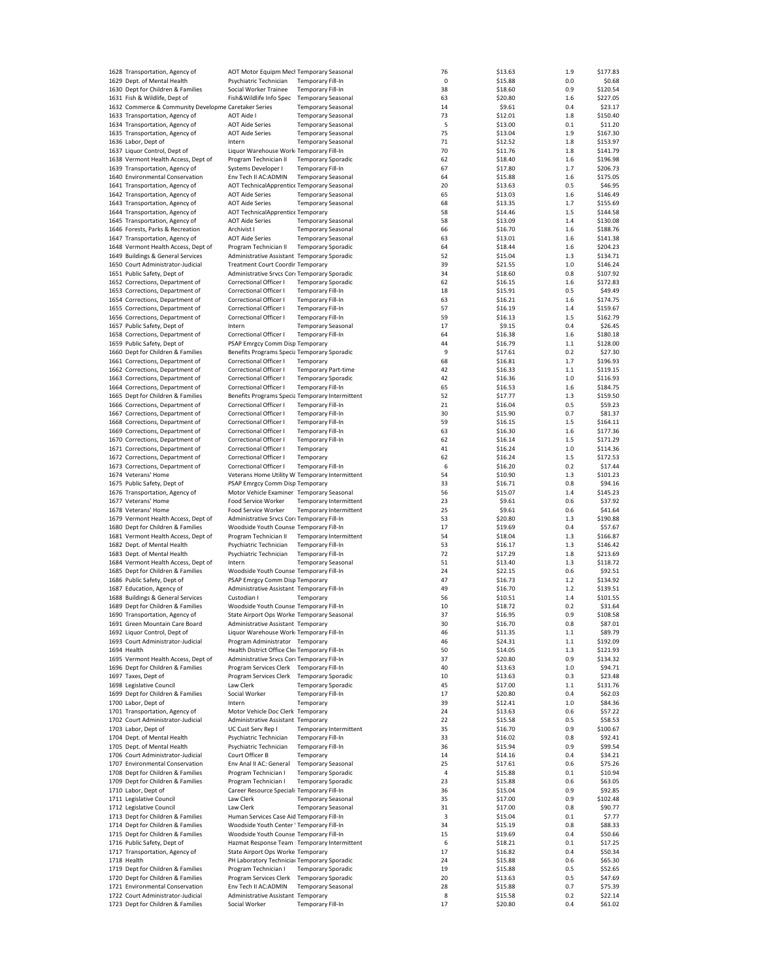| 1628 Transportation, Agency of                                   | AOT Motor Equipm Mecl Temporary Seasonal        |                                                        |                               | 76      | \$13.63 | 1.9     | \$177.83 |
|------------------------------------------------------------------|-------------------------------------------------|--------------------------------------------------------|-------------------------------|---------|---------|---------|----------|
| 1629 Dept. of Mental Health                                      | Psychiatric Technician                          | Temporary Fill-In                                      |                               | $\bf 0$ | \$15.88 | 0.0     | \$0.68   |
| 1630 Dept for Children & Families                                | Social Worker Trainee                           | Temporary Fill-In                                      |                               | 38      | \$18.60 | 0.9     | \$120.54 |
| 1631 Fish & Wildlife, Dept of                                    | Fish&Wildlife Info Spec                         | <b>Temporary Seasonal</b>                              |                               | 63      | \$20.80 | 1.6     | \$227.05 |
| 1632 Commerce & Community Developme Caretaker Series             |                                                 | <b>Temporary Seasonal</b>                              |                               | 14      | \$9.61  | 0.4     | \$23.17  |
| 1633 Transportation, Agency of                                   | <b>AOT Aide I</b>                               | <b>Temporary Seasonal</b>                              |                               | 73      | \$12.01 | 1.8     | \$150.40 |
|                                                                  | <b>AOT Aide Series</b>                          |                                                        |                               | 5       | \$13.00 | 0.1     | \$11.20  |
| 1634 Transportation, Agency of<br>1635 Transportation, Agency of |                                                 | <b>Temporary Seasonal</b><br><b>Temporary Seasonal</b> |                               | 75      |         | 1.9     | \$167.30 |
|                                                                  | <b>AOT Aide Series</b>                          |                                                        |                               |         | \$13.04 |         |          |
| 1636 Labor, Dept of                                              | Intern                                          | <b>Temporary Seasonal</b>                              |                               | 71      | \$12.52 | 1.8     | \$153.97 |
| 1637 Liquor Control, Dept of                                     | Liquor Warehouse Work Temporary Fill-In         |                                                        |                               | 70      | \$11.76 | 1.8     | \$141.79 |
| 1638 Vermont Health Access, Dept of                              | Program Technician II                           | <b>Temporary Sporadic</b>                              |                               | 62      | \$18.40 | 1.6     | \$196.98 |
| 1639 Transportation, Agency of                                   | Systems Developer I                             | <b>Temporary Fill-In</b>                               |                               | 67      | \$17.80 | 1.7     | \$206.73 |
| 1640 Environmental Conservation                                  | Env Tech II AC:ADMIN                            | <b>Temporary Seasonal</b>                              |                               | 64      | \$15.88 | 1.6     | \$175.05 |
| 1641 Transportation, Agency of                                   | AOT TechnicalApprentice Temporary Seasonal      |                                                        |                               | 20      | \$13.63 | 0.5     | \$46.95  |
| 1642 Transportation, Agency of                                   | <b>AOT Aide Series</b>                          | <b>Temporary Seasonal</b>                              |                               | 65      | \$13.03 | 1.6     | \$146.49 |
| 1643 Transportation, Agency of                                   | <b>AOT Aide Series</b>                          | <b>Temporary Seasonal</b>                              |                               | 68      | \$13.35 | 1.7     | \$155.69 |
| 1644 Transportation, Agency of                                   | AOT TechnicalApprentice Temporary               |                                                        |                               | 58      | \$14.46 | 1.5     | \$144.58 |
| 1645 Transportation, Agency of                                   | <b>AOT Aide Series</b>                          | <b>Temporary Seasonal</b>                              |                               | 58      | \$13.09 | $1.4\,$ | \$130.08 |
| 1646 Forests, Parks & Recreation                                 | Archivist I                                     |                                                        |                               | 66      |         | 1.6     | \$188.76 |
|                                                                  |                                                 | <b>Temporary Seasonal</b>                              |                               |         | \$16.70 |         |          |
| 1647 Transportation, Agency of                                   | <b>AOT Aide Series</b>                          | <b>Temporary Seasonal</b>                              |                               | 63      | \$13.01 | 1.6     | \$141.38 |
| 1648 Vermont Health Access, Dept of                              | Program Technician II                           | <b>Temporary Sporadic</b>                              |                               | 64      | \$18.44 | 1.6     | \$204.23 |
| 1649 Buildings & General Services                                | Administrative Assistant Temporary Sporadic     |                                                        |                               | 52      | \$15.04 | 1.3     | \$134.71 |
| 1650 Court Administrator-Judicial                                | <b>Treatment Court Coordir Temporary</b>        |                                                        |                               | 39      | \$21.55 | 1.0     | \$146.24 |
| 1651 Public Safety, Dept of                                      | Administrative Srvcs Core Temporary Sporadic    |                                                        |                               | 34      | \$18.60 | 0.8     | \$107.92 |
| 1652 Corrections, Department of                                  | Correctional Officer I                          | <b>Temporary Sporadic</b>                              |                               | 62      | \$16.15 | 1.6     | \$172.83 |
| 1653 Corrections, Department of                                  | Correctional Officer I                          | Temporary Fill-In                                      |                               | 18      | \$15.91 | 0.5     | \$49.49  |
| 1654 Corrections, Department of                                  | Correctional Officer I                          | Temporary Fill-In                                      |                               | 63      | \$16.21 | 1.6     | \$174.75 |
| 1655 Corrections, Department of                                  | Correctional Officer I                          | Temporary Fill-In                                      |                               | 57      | \$16.19 | 1.4     | \$159.67 |
| 1656 Corrections, Department of                                  | Correctional Officer I                          | Temporary Fill-In                                      |                               | 59      | \$16.13 | 1.5     | \$162.79 |
| 1657 Public Safety, Dept of                                      | Intern                                          | <b>Temporary Seasonal</b>                              |                               | 17      | \$9.15  | 0.4     | \$26.45  |
| 1658 Corrections, Department of                                  | Correctional Officer I                          | <b>Temporary Fill-In</b>                               |                               | 64      | \$16.38 | 1.6     | \$180.18 |
| 1659 Public Safety, Dept of                                      | PSAP Emrgcy Comm Disp Temporary                 |                                                        |                               | 44      | \$16.79 | 1.1     | \$128.00 |
| 1660 Dept for Children & Families                                | Benefits Programs Specia Temporary Sporadic     |                                                        |                               | 9       |         | 0.2     |          |
|                                                                  |                                                 |                                                        |                               |         | \$17.61 |         | \$27.30  |
| 1661 Corrections, Department of                                  | Correctional Officer I                          | Temporary                                              |                               | 68      | \$16.81 | 1.7     | \$196.93 |
| 1662 Corrections, Department of                                  | Correctional Officer I                          | <b>Temporary Part-time</b>                             |                               | 42      | \$16.33 | 1.1     | \$119.15 |
| 1663 Corrections, Department of                                  | Correctional Officer I                          | <b>Temporary Sporadic</b>                              |                               | 42      | \$16.36 | 1.0     | \$116.93 |
| 1664 Corrections, Department of                                  | Correctional Officer I                          | Temporary Fill-In                                      |                               | 65      | \$16.53 | 1.6     | \$184.75 |
| 1665 Dept for Children & Families                                | Benefits Programs Specia Temporary Intermittent |                                                        |                               | 52      | \$17.77 | 1.3     | \$159.50 |
| 1666 Corrections, Department of                                  | Correctional Officer I                          | Temporary Fill-In                                      |                               | 21      | \$16.04 | 0.5     | \$59.23  |
| 1667 Corrections, Department of                                  | Correctional Officer I                          | Temporary Fill-In                                      |                               | 30      | \$15.90 | 0.7     | \$81.37  |
| 1668 Corrections, Department of                                  | Correctional Officer I                          | <b>Temporary Fill-In</b>                               |                               | 59      | \$16.15 | 1.5     | \$164.11 |
| 1669 Corrections, Department of                                  | Correctional Officer I                          | Temporary Fill-In                                      |                               | 63      | \$16.30 | 1.6     | \$177.36 |
|                                                                  | Correctional Officer I                          | Temporary Fill-In                                      |                               | 62      |         | 1.5     | \$171.29 |
| 1670 Corrections, Department of                                  |                                                 |                                                        |                               |         | \$16.14 |         |          |
| 1671 Corrections, Department of                                  | Correctional Officer I                          | Temporary                                              |                               | 41      | \$16.24 | 1.0     | \$114.36 |
| 1672 Corrections, Department of                                  | Correctional Officer I                          | Temporary                                              |                               | 62      | \$16.24 | 1.5     | \$172.53 |
| 1673 Corrections, Department of                                  | Correctional Officer I                          | <b>Temporary Fill-In</b>                               |                               | 6       | \$16.20 | 0.2     | \$17.44  |
| 1674 Veterans' Home                                              | Veterans Home Utility W Temporary Intermittent  |                                                        |                               | 54      | \$10.90 | 1.3     | \$101.23 |
| 1675 Public Safety, Dept of                                      | PSAP Emrgcy Comm Disp Temporary                 |                                                        |                               | 33      | \$16.71 | 0.8     | \$94.16  |
| 1676 Transportation, Agency of                                   | Motor Vehicle Examiner Temporary Seasonal       |                                                        |                               | 56      | \$15.07 | 1.4     | \$145.23 |
| 1677 Veterans' Home                                              | Food Service Worker                             |                                                        | <b>Temporary Intermittent</b> | 23      | \$9.61  | 0.6     | \$37.92  |
| 1678 Veterans' Home                                              | Food Service Worker                             |                                                        | <b>Temporary Intermittent</b> | 25      | \$9.61  | 0.6     | \$41.64  |
| 1679 Vermont Health Access, Dept of                              | Administrative Srvcs Core Temporary Fill-In     |                                                        |                               | 53      | \$20.80 | 1.3     | \$190.88 |
| 1680 Dept for Children & Families                                | Woodside Youth Counse Temporary Fill-In         |                                                        |                               | 17      | \$19.69 | 0.4     | \$57.67  |
| 1681 Vermont Health Access, Dept of                              | Program Technician II                           |                                                        | <b>Temporary Intermittent</b> | 54      | \$18.04 | 1.3     | \$166.87 |
| 1682 Dept. of Mental Health                                      | Psychiatric Technician                          | Temporary Fill-In                                      |                               | 53      | \$16.17 | 1.3     | \$146.42 |
| 1683 Dept. of Mental Health                                      | Psychiatric Technician                          |                                                        |                               |         |         |         |          |
|                                                                  |                                                 | Temporary Fill-In                                      |                               | 72      | \$17.29 | 1.8     | \$213.69 |
| 1684 Vermont Health Access, Dept of                              | Intern                                          | <b>Temporary Seasonal</b>                              |                               | 51      | \$13.40 | 1.3     | \$118.72 |
| 1685 Dept for Children & Families                                | Woodside Youth Counse Temporary Fill-In         |                                                        |                               | 24      | \$22.15 | 0.6     | \$92.51  |
| 1686 Public Safety, Dept of                                      | PSAP Emrgcy Comm Disp Temporary                 |                                                        |                               | 47      | \$16.73 | 1.2     | \$134.92 |
| 1687 Education, Agency of                                        | Administrative Assistant Temporary Fill-In      |                                                        |                               | 49      | \$16.70 | 1.2     | \$139.51 |
| 1688 Buildings & General Services                                | Custodian I                                     | Temporary                                              |                               | 56      | \$10.51 | 1.4     | \$101.55 |
| 1689 Dept for Children & Families                                | Woodside Youth Counse Temporary Fill-In         |                                                        |                               | 10      | \$18.72 | 0.2     | \$31.64  |
| 1690 Transportation, Agency of                                   | State Airport Ops Worke Temporary Seasonal      |                                                        |                               | 37      | \$16.95 | 0.9     | \$108.58 |
| 1691 Green Mountain Care Board                                   | Administrative Assistant Temporary              |                                                        |                               | 30      | \$16.70 | 0.8     | \$87.01  |
| 1692 Liquor Control, Dept of                                     | Liquor Warehouse Work Temporary Fill-In         |                                                        |                               | 46      | \$11.35 | $1.1\,$ | \$89.79  |
| 1693 Court Administrator-Judicial                                | Program Administrator Temporary                 |                                                        |                               | 46      | \$24.31 | 1.1     | \$192.09 |
| 1694 Health                                                      | Health District Office Cleı Temporary Fill-In   |                                                        |                               | 50      | \$14.05 | 1.3     | \$121.93 |
| 1695 Vermont Health Access, Dept of                              | Administrative Srvcs Corr Temporary Fill-In     |                                                        |                               | 37      | \$20.80 | 0.9     | \$134.32 |
| 1696 Dept for Children & Families                                | Program Services Clerk Temporary Fill-In        |                                                        |                               | 40      | \$13.63 | 1.0     | \$94.71  |
| 1697 Taxes, Dept of                                              | Program Services Clerk Temporary Sporadic       |                                                        |                               | 10      | \$13.63 | 0.3     | \$23.48  |
| 1698 Legislative Council                                         | Law Clerk                                       | <b>Temporary Sporadic</b>                              |                               | 45      | \$17.00 | 1.1     | \$131.76 |
| 1699 Dept for Children & Families                                | Social Worker                                   | Temporary Fill-In                                      |                               | 17      |         | 0.4     | \$62.03  |
|                                                                  |                                                 |                                                        |                               |         | \$20.80 |         |          |
| 1700 Labor, Dept of                                              | Intern                                          | Temporary                                              |                               | 39      | \$12.41 | 1.0     | \$84.36  |
| 1701 Transportation, Agency of                                   | Motor Vehicle Doc Clerk Temporary               |                                                        |                               | 24      | \$13.63 | 0.6     | \$57.22  |
| 1702 Court Administrator-Judicial                                | Administrative Assistant Temporary              |                                                        |                               | 22      | \$15.58 | 0.5     | \$58.53  |
| 1703 Labor, Dept of                                              | UC Cust Serv Rep I                              |                                                        | Temporary Intermittent        | 35      | \$16.70 | 0.9     | \$100.67 |
| 1704 Dept. of Mental Health                                      | Psychiatric Technician                          | Temporary Fill-In                                      |                               | 33      | \$16.02 | 0.8     | \$92.41  |
| 1705 Dept. of Mental Health                                      | Psychiatric Technician                          | Temporary Fill-In                                      |                               | 36      | \$15.94 | 0.9     | \$99.54  |
| 1706 Court Administrator-Judicial                                | Court Officer B                                 | Temporary                                              |                               | 14      | \$14.16 | 0.4     | \$34.21  |
| 1707 Environmental Conservation                                  | Env Anal II AC: General                         | <b>Temporary Seasonal</b>                              |                               | 25      | \$17.61 | 0.6     | \$75.26  |
| 1708 Dept for Children & Families                                | Program Technician I                            | <b>Temporary Sporadic</b>                              |                               | 4       | \$15.88 | 0.1     | \$10.94  |
| 1709 Dept for Children & Families                                | Program Technician I                            | <b>Temporary Sporadic</b>                              |                               | 23      | \$15.88 | 0.6     | \$63.05  |
| 1710 Labor, Dept of                                              | Career Resource Speciali: Temporary Fill-In     |                                                        |                               | 36      | \$15.04 | 0.9     | \$92.85  |
| 1711 Legislative Council                                         | Law Clerk                                       | <b>Temporary Seasonal</b>                              |                               | 35      | \$17.00 | 0.9     | \$102.48 |
| 1712 Legislative Council                                         | Law Clerk                                       | <b>Temporary Seasonal</b>                              |                               | 31      | \$17.00 | 0.8     | \$90.77  |
|                                                                  |                                                 |                                                        |                               |         |         |         |          |
| 1713 Dept for Children & Families                                | Human Services Case Aid Temporary Fill-In       |                                                        |                               | 3       | \$15.04 | 0.1     | \$7.77   |
| 1714 Dept for Children & Families                                | Woodside Youth Center ' Temporary Fill-In       |                                                        |                               | 34      | \$15.19 | 0.8     | \$88.33  |
| 1715 Dept for Children & Families                                | Woodside Youth Counse Temporary Fill-In         |                                                        |                               | 15      | \$19.69 | 0.4     | \$50.66  |
| 1716 Public Safety, Dept of                                      | Hazmat Response Team   Temporary Intermittent   |                                                        |                               | 6       | \$18.21 | 0.1     | \$17.25  |
| 1717 Transportation, Agency of                                   | State Airport Ops Worke Temporary               |                                                        |                               | 17      | \$16.82 | 0.4     | \$50.34  |
| 1718 Health                                                      | PH Laboratory Technicial Temporary Sporadic     |                                                        |                               | 24      | \$15.88 | 0.6     | \$65.30  |
| 1719 Dept for Children & Families                                | Program Technician I                            | <b>Temporary Sporadic</b>                              |                               | 19      | \$15.88 | 0.5     | \$52.65  |
| 1720 Dept for Children & Families                                | Program Services Clerk                          | <b>Temporary Sporadic</b>                              |                               | 20      | \$13.63 | 0.5     | \$47.69  |
| 1721 Environmental Conservation                                  | Env Tech II AC:ADMIN                            | <b>Temporary Seasonal</b>                              |                               | 28      | \$15.88 | 0.7     | \$75.39  |
| 1722 Court Administrator-Judicial                                | Administrative Assistant Temporary              |                                                        |                               | 8       | \$15.58 | 0.2     | \$22.14  |
| 1723 Dept for Children & Families                                | Social Worker                                   | Temporary Fill-In                                      |                               | 17      | \$20.80 | 0.4     | \$61.02  |
|                                                                  |                                                 |                                                        |                               |         |         |         |          |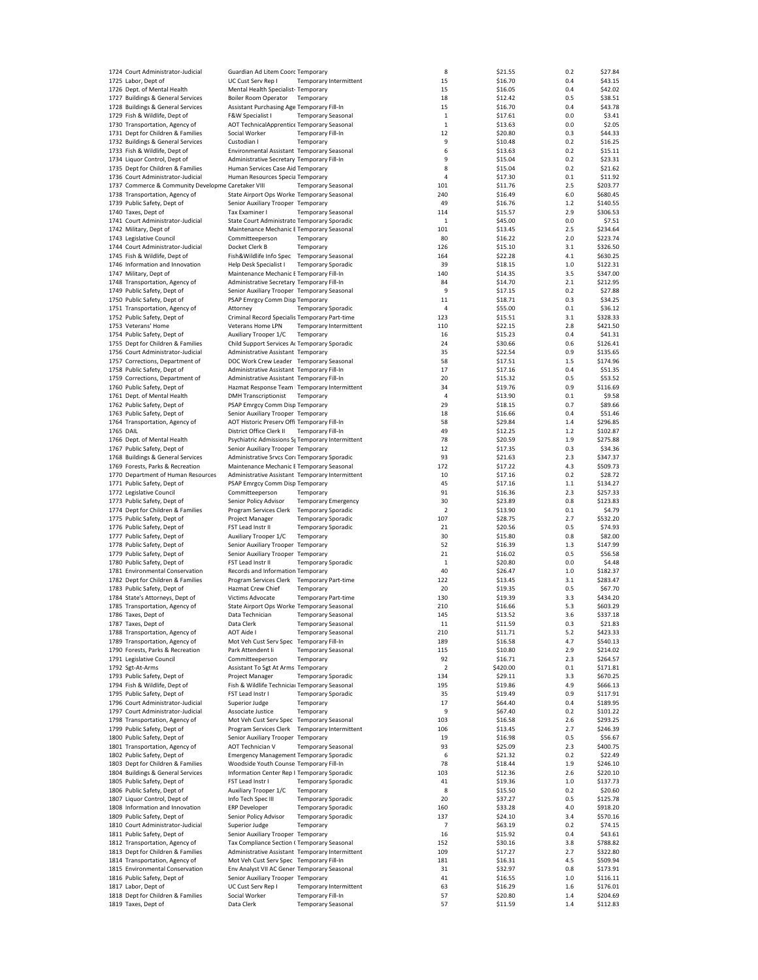| 1724 Court Administrator-Judicial                  | Guardian Ad Litem Coorc Temporary                |                            |                               | 8              | \$21.55  | 0.2   | \$27.84  |
|----------------------------------------------------|--------------------------------------------------|----------------------------|-------------------------------|----------------|----------|-------|----------|
| 1725 Labor, Dept of                                | UC Cust Serv Rep I                               |                            | <b>Temporary Intermittent</b> | 15             | \$16.70  | 0.4   | \$43.15  |
| 1726 Dept. of Mental Health                        | Mental Health Specialist-Temporary               |                            |                               | 15             | \$16.05  | 0.4   | \$42.02  |
|                                                    |                                                  |                            |                               |                |          |       |          |
| 1727 Buildings & General Services                  | Boiler Room Operator                             | Temporary                  |                               | 18             | \$12.42  | 0.5   | \$38.51  |
| 1728 Buildings & General Services                  | Assistant Purchasing Age Temporary Fill-In       |                            |                               | 15             | \$16.70  | 0.4   | \$43.78  |
| 1729 Fish & Wildlife, Dept of                      | F&W Specialist I                                 | <b>Temporary Seasonal</b>  |                               | $\mathbf{1}$   | \$17.61  | 0.0   | \$3.41   |
| 1730 Transportation, Agency of                     | AOT TechnicalApprentice Temporary Seasonal       |                            |                               | 1              | \$13.63  | 0.0   | \$2.05   |
| 1731 Dept for Children & Families                  | Social Worker                                    | <b>Temporary Fill-In</b>   |                               | 12             | \$20.80  | 0.3   | \$44.33  |
|                                                    |                                                  |                            |                               | 9              |          |       |          |
| 1732 Buildings & General Services                  | Custodian I                                      | Temporary                  |                               |                | \$10.48  | 0.2   | \$16.25  |
| 1733 Fish & Wildlife, Dept of                      | Environmental Assistant Temporary Seasonal       |                            |                               | 6              | \$13.63  | 0.2   | \$15.11  |
| 1734 Liquor Control, Dept of                       | Administrative Secretary Temporary Fill-In       |                            |                               | 9              | \$15.04  | 0.2   | \$23.31  |
| 1735 Dept for Children & Families                  | Human Services Case Aid Temporary                |                            |                               | 8              | \$15.04  | 0.2   | \$21.62  |
| 1736 Court Administrator-Judicial                  | Human Resources Specia Temporary                 |                            |                               | $\pmb{4}$      | \$17.30  | 0.1   | \$11.92  |
|                                                    |                                                  |                            |                               |                |          |       |          |
| 1737 Commerce & Community Developme Caretaker VIII |                                                  | <b>Temporary Seasonal</b>  |                               | 101            | \$11.76  | 2.5   | \$203.77 |
| 1738 Transportation, Agency of                     | State Airport Ops Worke Temporary Seasonal       |                            |                               | 240            | \$16.49  | 6.0   | \$680.45 |
| 1739 Public Safety, Dept of                        | Senior Auxiliary Trooper Temporary               |                            |                               | 49             | \$16.76  | $1.2$ | \$140.55 |
| 1740 Taxes, Dept of                                | Tax Examiner I                                   | <b>Temporary Seasonal</b>  |                               | 114            | \$15.57  | 2.9   | \$306.53 |
| 1741 Court Administrator-Judicial                  | State Court Administrato Temporary Sporadic      |                            |                               | 1              | \$45.00  | 0.0   | \$7.51   |
|                                                    |                                                  |                            |                               |                |          |       |          |
| 1742 Military, Dept of                             | Maintenance Mechanic E Temporary Seasonal        |                            |                               | 101            | \$13.45  | 2.5   | \$234.64 |
| 1743 Legislative Council                           | Committeeperson                                  | Temporary                  |                               | 80             | \$16.22  | 2.0   | \$223.74 |
| 1744 Court Administrator-Judicial                  | Docket Clerk B                                   | Temporary                  |                               | 126            | \$15.10  | 3.1   | \$326.50 |
| 1745 Fish & Wildlife, Dept of                      | Fish&Wildlife Info Spec Temporary Seasonal       |                            |                               | 164            | \$22.28  | 4.1   | \$630.25 |
|                                                    |                                                  |                            |                               |                |          |       |          |
| 1746 Information and Innovation                    | Help Desk Specialist I                           | <b>Temporary Sporadic</b>  |                               | 39             | \$18.15  | 1.0   | \$122.31 |
| 1747 Military, Dept of                             | Maintenance Mechanic E Temporary Fill-In         |                            |                               | 140            | \$14.35  | 3.5   | \$347.00 |
| 1748 Transportation, Agency of                     | Administrative Secretary Temporary Fill-In       |                            |                               | 84             | \$14.70  | 2.1   | \$212.95 |
| 1749 Public Safety, Dept of                        | Senior Auxiliary Trooper Temporary Seasonal      |                            |                               | 9              | \$17.15  | 0.2   | \$27.88  |
| 1750 Public Safety, Dept of                        | PSAP Emrgcy Comm Disp Temporary                  |                            |                               | 11             | \$18.71  | 0.3   | \$34.25  |
|                                                    |                                                  |                            |                               |                |          |       |          |
| 1751 Transportation, Agency of                     | Attorney                                         | <b>Temporary Sporadic</b>  |                               | $\overline{4}$ | \$55.00  | 0.1   | \$36.12  |
| 1752 Public Safety, Dept of                        | Criminal Record Specialis Temporary Part-time    |                            |                               | 123            | \$15.51  | 3.1   | \$328.33 |
| 1753 Veterans' Home                                | Veterans Home LPN                                |                            | Temporary Intermittent        | 110            | \$22.15  | 2.8   | \$421.50 |
|                                                    |                                                  |                            |                               |                |          | 0.4   |          |
| 1754 Public Safety, Dept of                        | Auxiliary Trooper 1/C                            | Temporary                  |                               | 16             | \$15.23  |       | \$41.31  |
| 1755 Dept for Children & Families                  | Child Support Services Ar Temporary Sporadic     |                            |                               | 24             | \$30.66  | 0.6   | \$126.41 |
| 1756 Court Administrator-Judicial                  | Administrative Assistant Temporary               |                            |                               | 35             | \$22.54  | 0.9   | \$135.65 |
| 1757 Corrections, Department of                    | DOC Work Crew Leader Temporary Seasonal          |                            |                               | 58             | \$17.51  | 1.5   | \$174.96 |
|                                                    | Administrative Assistant Temporary Fill-In       |                            |                               | 17             | \$17.16  | 0.4   | \$51.35  |
| 1758 Public Safety, Dept of                        |                                                  |                            |                               |                |          |       |          |
| 1759 Corrections, Department of                    | Administrative Assistant Temporary Fill-In       |                            |                               | 20             | \$15.32  | 0.5   | \$53.52  |
| 1760 Public Safety, Dept of                        | Hazmat Response Team   Temporary Intermittent    |                            |                               | 34             | \$19.76  | 0.9   | \$116.69 |
| 1761 Dept. of Mental Health                        | <b>DMH Transcriptionist</b>                      | Temporary                  |                               | 4              | \$13.90  | 0.1   | \$9.58   |
| 1762 Public Safety, Dept of                        | PSAP Emrgcy Comm Disp Temporary                  |                            |                               | 29             | \$18.15  | 0.7   | \$89.66  |
|                                                    |                                                  |                            |                               |                |          |       |          |
| 1763 Public Safety, Dept of                        | Senior Auxiliary Trooper Temporary               |                            |                               | 18             | \$16.66  | 0.4   | \$51.46  |
| 1764 Transportation, Agency of                     | AOT Historic Preserv Offi Temporary Fill-In      |                            |                               | 58             | \$29.84  | 1.4   | \$296.85 |
| 1765 DAIL                                          | District Office Clerk II                         | Temporary Fill-In          |                               | 49             | \$12.25  | 1.2   | \$102.87 |
| 1766 Dept. of Mental Health                        | Psychiatric Admissions S; Temporary Intermittent |                            |                               | 78             | \$20.59  | 1.9   | \$275.88 |
|                                                    |                                                  |                            |                               |                |          |       |          |
| 1767 Public Safety, Dept of                        | Senior Auxiliary Trooper Temporary               |                            |                               | 12             | \$17.35  | 0.3   | \$34.36  |
| 1768 Buildings & General Services                  | Administrative Srvcs Corr Temporary Sporadic     |                            |                               | 93             | \$21.63  | 2.3   | \$347.37 |
| 1769 Forests, Parks & Recreation                   | Maintenance Mechanic E Temporary Seasonal        |                            |                               | 172            | \$17.22  | 4.3   | \$509.73 |
| 1770 Department of Human Resources                 | Administrative Assistant Temporary Intermittent  |                            |                               | 10             | \$17.16  | 0.2   | \$28.72  |
| 1771 Public Safety, Dept of                        | PSAP Emrgcy Comm Disp Temporary                  |                            |                               | 45             | \$17.16  | $1.1$ | \$134.27 |
|                                                    |                                                  |                            |                               |                |          |       |          |
| 1772 Legislative Council                           | Committeeperson                                  | Temporary                  |                               | 91             | \$16.36  | 2.3   | \$257.33 |
| 1773 Public Safety, Dept of                        | Senior Policy Advisor                            | <b>Temporary Emergency</b> |                               | 30             | \$23.89  | 0.8   | \$123.83 |
| 1774 Dept for Children & Families                  | Program Services Clerk                           | <b>Temporary Sporadic</b>  |                               | 2              | \$13.90  | 0.1   | \$4.79   |
| 1775 Public Safety, Dept of                        | Project Manager                                  | <b>Temporary Sporadic</b>  |                               | 107            | \$28.75  | 2.7   | \$532.20 |
|                                                    |                                                  |                            |                               |                |          |       |          |
| 1776 Public Safety, Dept of                        | FST Lead Instr II                                | <b>Temporary Sporadic</b>  |                               | 21             | \$20.56  | 0.5   | \$74.93  |
| 1777 Public Safety, Dept of                        | Auxiliary Trooper 1/C                            | Temporary                  |                               | 30             | \$15.80  | 0.8   | \$82.00  |
| 1778 Public Safety, Dept of                        | Senior Auxiliary Trooper Temporary               |                            |                               | 52             | \$16.39  | 1.3   | \$147.99 |
| 1779 Public Safety, Dept of                        | Senior Auxiliary Trooper Temporary               |                            |                               | 21             | \$16.02  | 0.5   | \$56.58  |
| 1780 Public Safety, Dept of                        | FST Lead Instr II                                | <b>Temporary Sporadic</b>  |                               | $\mathbf 1$    | \$20.80  | 0.0   | \$4.48   |
|                                                    |                                                  |                            |                               |                |          |       |          |
| 1781 Environmental Conservation                    | Records and Information Temporary                |                            |                               | 40             | \$26.47  | 1.0   | \$182.37 |
| 1782 Dept for Children & Families                  | Program Services Clerk Temporary Part-time       |                            |                               | 122            | \$13.45  | 3.1   | \$283.47 |
| 1783 Public Safety, Dept of                        | Hazmat Crew Chief                                | Temporary                  |                               | 20             | \$19.35  | 0.5   | \$67.70  |
| 1784 State's Attorneys, Dept of                    | Victims Advocate                                 | <b>Temporary Part-time</b> |                               | 130            | \$19.39  | 3.3   | \$434.20 |
|                                                    |                                                  |                            |                               |                |          |       |          |
| 1785 Transportation, Agency of                     | State Airport Ops Worke Temporary Seasonal       |                            |                               | 210            | \$16.66  | 5.3   | \$603.29 |
| 1786 Taxes, Dept of                                | Data Technician                                  | <b>Temporary Seasonal</b>  |                               | 145            | \$13.52  | 3.6   | \$337.18 |
| 1787 Taxes, Dept of                                | Data Clerk                                       | Temporary Seasonal         |                               | 11             | \$11.59  | 0.3   | \$21.83  |
| 1788 Transportation, Agency of                     | <b>AOT Aide I</b>                                | <b>Temporary Seasonal</b>  |                               | 210            | \$11.71  | 5.2   | \$423.33 |
| 1789 Transportation, Agency of                     | Mot Veh Cust Serv Spec Temporary Fill-In         |                            |                               | 189            | \$16.58  | 4.7   | \$540.13 |
|                                                    |                                                  |                            |                               |                |          |       |          |
| 1790 Forests, Parks & Recreation                   | Park Attendent Ii                                | <b>Temporary Seasonal</b>  |                               | 115            | \$10.80  | 2.9   | \$214.02 |
| 1791 Legislative Council                           | Committeeperson                                  | Temporary                  |                               | 92             | \$16.71  | 2.3   | \$264.57 |
| 1792 Sgt-At-Arms                                   | Assistant To Sgt At Arms Temporary               |                            |                               | 2              | \$420.00 | 0.1   | \$171.81 |
| 1793 Public Safety, Dept of                        | Project Manager                                  | <b>Temporary Sporadic</b>  |                               | 134            | \$29.11  | 3.3   | \$670.25 |
| 1794 Fish & Wildlife, Dept of                      | Fish & Wildlife Technicial Temporary Seasonal    |                            |                               | 195            | \$19.86  | 4.9   | \$666.13 |
|                                                    | FST Lead Instr I                                 |                            |                               |                |          |       |          |
| 1795 Public Safety, Dept of                        |                                                  | <b>Temporary Sporadic</b>  |                               | 35             | \$19.49  | 0.9   | \$117.91 |
| 1796 Court Administrator-Judicial                  | Superior Judge                                   | Temporary                  |                               | 17             | \$64.40  | 0.4   | \$189.95 |
| 1797 Court Administrator-Judicial                  | Associate Justice                                | Temporary                  |                               | 9              | \$67.40  | 0.2   | \$101.22 |
| 1798 Transportation, Agency of                     | Mot Veh Cust Serv Spec Temporary Seasonal        |                            |                               | 103            | \$16.58  | 2.6   | \$293.25 |
|                                                    |                                                  |                            |                               |                |          |       |          |
| 1799 Public Safety, Dept of                        | Program Services Clerk                           |                            | Temporary Intermittent        | 106            | \$13.45  | 2.7   | \$246.39 |
| 1800 Public Safety, Dept of                        | Senior Auxiliary Trooper Temporary               |                            |                               | 19             | \$16.98  | 0.5   | \$56.67  |
| 1801 Transportation, Agency of                     | AOT Technician V                                 | <b>Temporary Seasonal</b>  |                               | 93             | \$25.09  | 2.3   | \$400.75 |
| 1802 Public Safety, Dept of                        | <b>Emergency Management Temporary Sporadic</b>   |                            |                               | 6              | \$21.32  | 0.2   | \$22.49  |
| 1803 Dept for Children & Families                  | Woodside Youth Counse Temporary Fill-In          |                            |                               | 78             | \$18.44  | 1.9   | \$246.10 |
|                                                    |                                                  |                            |                               |                |          |       |          |
| 1804 Buildings & General Services                  | Information Center Rep I Temporary Sporadic      |                            |                               | 103            | \$12.36  | 2.6   | \$220.10 |
| 1805 Public Safety, Dept of                        | FST Lead Instr I                                 | <b>Temporary Sporadic</b>  |                               | 41             | \$19.36  | 1.0   | \$137.73 |
| 1806 Public Safety, Dept of                        | Auxiliary Trooper 1/C                            | Temporary                  |                               | 8              | \$15.50  | 0.2   | \$20.60  |
| 1807 Liquor Control, Dept of                       | Info Tech Spec III                               | <b>Temporary Sporadic</b>  |                               | 20             | \$37.27  | 0.5   | \$125.78 |
|                                                    |                                                  |                            |                               |                |          |       |          |
| 1808 Information and Innovation                    | <b>ERP Developer</b>                             | <b>Temporary Sporadic</b>  |                               | 160            | \$33.28  | 4.0   | \$918.20 |
| 1809 Public Safety, Dept of                        | Senior Policy Advisor                            | <b>Temporary Sporadic</b>  |                               | 137            | \$24.10  | 3.4   | \$570.16 |
| 1810 Court Administrator-Judicial                  | Superior Judge                                   | Temporary                  |                               | 7              | \$63.19  | 0.2   | \$74.15  |
| 1811 Public Safety, Dept of                        | Senior Auxiliary Trooper Temporary               |                            |                               | 16             | \$15.92  | 0.4   | \$43.61  |
|                                                    |                                                  |                            |                               |                |          |       |          |
| 1812 Transportation, Agency of                     | Tax Compliance Section ( Temporary Seasonal      |                            |                               | 152            | \$30.16  | 3.8   | \$788.82 |
| 1813 Dept for Children & Families                  | Administrative Assistant Temporary Intermittent  |                            |                               | 109            | \$17.27  | 2.7   | \$322.80 |
| 1814 Transportation, Agency of                     | Mot Veh Cust Serv Spec Temporary Fill-In         |                            |                               | 181            | \$16.31  | 4.5   | \$509.94 |
| 1815 Environmental Conservation                    | Env Analyst VII AC Gener Temporary Seasonal      |                            |                               | 31             | \$32.97  | 0.8   | \$173.91 |
|                                                    |                                                  |                            |                               |                |          |       |          |
| 1816 Public Safety, Dept of                        | Senior Auxiliary Trooper Temporary               |                            |                               | 41             | \$16.55  | 1.0   | \$116.11 |
| 1817 Labor, Dept of                                | UC Cust Serv Rep I                               |                            | <b>Temporary Intermittent</b> | 63             | \$16.29  | 1.6   | \$176.01 |
| 1818 Dept for Children & Families                  | Social Worker                                    | <b>Temporary Fill-In</b>   |                               | 57             | \$20.80  | 1.4   | \$204.69 |
|                                                    |                                                  |                            |                               | 57             |          |       |          |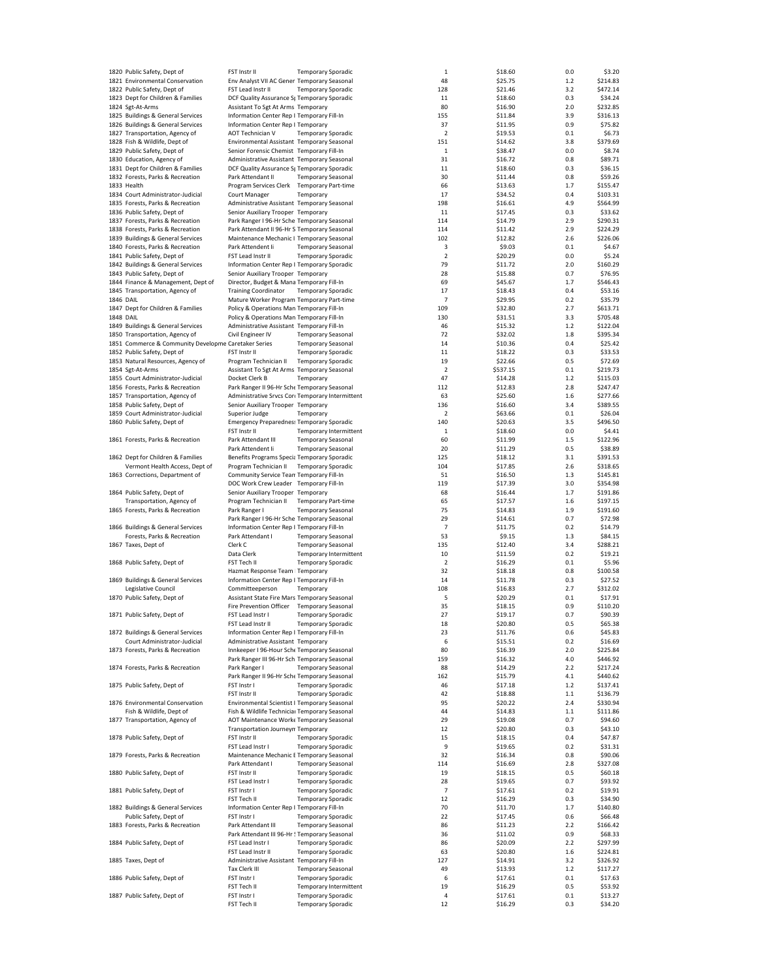|                  | 1820 Public Safety, Dept of                          | FST Instr II                                                    | <b>Temporary Sporadic</b>  |                               | $\mathbf{1}$            | \$18.60            | 0.0        | \$3.20             |
|------------------|------------------------------------------------------|-----------------------------------------------------------------|----------------------------|-------------------------------|-------------------------|--------------------|------------|--------------------|
|                  | 1821 Environmental Conservation                      | Env Analyst VII AC Gener Temporary Seasonal                     |                            |                               | 48                      | \$25.75            | 1.2        | \$214.83           |
|                  | 1822 Public Safety, Dept of                          | FST Lead Instr II                                               | <b>Temporary Sporadic</b>  |                               | 128                     | \$21.46            | 3.2        | \$472.14           |
|                  | 1823 Dept for Children & Families                    | DCF Quality Assurance St Temporary Sporadic                     |                            |                               | 11                      | \$18.60            | 0.3        | \$34.24            |
|                  | 1824 Sgt-At-Arms                                     | Assistant To Sgt At Arms Temporary                              |                            |                               | 80                      | \$16.90            | 2.0        | \$232.85           |
|                  | 1825 Buildings & General Services                    | Information Center Rep I Temporary Fill-In                      |                            |                               | 155                     | \$11.84            | 3.9        | \$316.13           |
|                  | 1826 Buildings & General Services                    | Information Center Rep I Temporary                              |                            |                               | 37                      | \$11.95            | 0.9        | \$75.82            |
|                  |                                                      | AOT Technician V                                                |                            |                               | $\overline{\mathbf{2}}$ |                    | 0.1        | \$6.73             |
|                  | 1827 Transportation, Agency of                       |                                                                 | <b>Temporary Sporadic</b>  |                               |                         | \$19.53            |            |                    |
|                  | 1828 Fish & Wildlife, Dept of                        | Environmental Assistant Temporary Seasonal                      |                            |                               | 151                     | \$14.62            | 3.8        | \$379.69           |
|                  | 1829 Public Safety, Dept of                          | Senior Forensic Chemist Temporary Fill-In                       |                            |                               | $\mathbf{1}$            | \$38.47            | 0.0        | \$8.74             |
|                  | 1830 Education, Agency of                            | Administrative Assistant Temporary Seasonal                     |                            |                               | 31                      | \$16.72            | 0.8        | \$89.71            |
|                  | 1831 Dept for Children & Families                    | DCF Quality Assurance St Temporary Sporadic                     |                            |                               | 11                      | \$18.60            | 0.3        | \$36.15            |
|                  | 1832 Forests, Parks & Recreation                     | Park Attendant II                                               | <b>Temporary Seasonal</b>  |                               | 30                      | \$11.44            | 0.8        | \$59.26            |
|                  | 1833 Health                                          | Program Services Clerk Temporary Part-time                      |                            |                               | 66                      | \$13.63            | 1.7        | \$155.47           |
|                  | 1834 Court Administrator-Judicial                    | Court Manager                                                   | Temporary                  |                               | 17                      | \$34.52            | 0.4        | \$103.31           |
|                  | 1835 Forests, Parks & Recreation                     | Administrative Assistant Temporary Seasonal                     |                            |                               | 198                     | \$16.61            | 4.9        | \$564.99           |
|                  | 1836 Public Safety, Dept of                          | Senior Auxiliary Trooper Temporary                              |                            |                               | 11                      | \$17.45            | 0.3        | \$33.62            |
|                  | 1837 Forests, Parks & Recreation                     | Park Ranger I 96-Hr Sche Temporary Seasonal                     |                            |                               | 114                     | \$14.79            | 2.9        | \$290.31           |
|                  | 1838 Forests, Parks & Recreation                     |                                                                 |                            |                               |                         |                    |            |                    |
|                  |                                                      | Park Attendant II 96-Hr S Temporary Seasonal                    |                            |                               | 114                     | \$11.42            | 2.9        | \$224.29           |
|                  | 1839 Buildings & General Services                    | Maintenance Mechanic I Temporary Seasonal                       |                            |                               | 102                     | \$12.82            | 2.6        | \$226.06           |
|                  | 1840 Forests, Parks & Recreation                     | Park Attendent Ii                                               | <b>Temporary Seasonal</b>  |                               | 3                       | \$9.03             | 0.1        | \$4.67             |
|                  | 1841 Public Safety, Dept of                          | FST Lead Instr II                                               | <b>Temporary Sporadic</b>  |                               | $\overline{2}$          | \$20.29            | 0.0        | \$5.24             |
|                  | 1842 Buildings & General Services                    | Information Center Rep I Temporary Sporadic                     |                            |                               | 79                      | \$11.72            | 2.0        | \$160.29           |
|                  | 1843 Public Safety, Dept of                          | Senior Auxiliary Trooper Temporary                              |                            |                               | 28                      | \$15.88            | 0.7        | \$76.95            |
|                  | 1844 Finance & Management, Dept of                   | Director, Budget & Mana Temporary Fill-In                       |                            |                               | 69                      | \$45.67            | 1.7        | \$546.43           |
|                  | 1845 Transportation, Agency of                       | <b>Training Coordinator</b>                                     | <b>Temporary Sporadic</b>  |                               | 17                      | \$18.43            | 0.4        | \$53.16            |
| 1846 DAIL        |                                                      | Mature Worker Program Temporary Part-time                       |                            |                               | 7                       | \$29.95            | 0.2        | \$35.79            |
|                  | 1847 Dept for Children & Families                    | Policy & Operations Man Temporary Fill-In                       |                            |                               | 109                     | \$32.80            | 2.7        | \$613.71           |
|                  |                                                      |                                                                 |                            |                               |                         |                    |            |                    |
| <b>1848 DAIL</b> |                                                      | Policy & Operations Man Temporary Fill-In                       |                            |                               | 130                     | \$31.51            | 3.3        | \$705.48           |
|                  | 1849 Buildings & General Services                    | Administrative Assistant Temporary Fill-In                      |                            |                               | 46                      | \$15.32            | 1.2        | \$122.04           |
|                  | 1850 Transportation, Agency of                       | Civil Engineer IV                                               | <b>Temporary Seasonal</b>  |                               | 72                      | \$32.02            | 1.8        | \$395.34           |
|                  | 1851 Commerce & Community Developme Caretaker Series |                                                                 | <b>Temporary Seasonal</b>  |                               | 14                      | \$10.36            | 0.4        | \$25.42            |
|                  | 1852 Public Safety, Dept of                          | FST Instr II                                                    | <b>Temporary Sporadic</b>  |                               | 11                      | \$18.22            | 0.3        | \$33.53            |
|                  | 1853 Natural Resources, Agency of                    | Program Technician II                                           | <b>Temporary Sporadic</b>  |                               | 19                      | \$22.66            | 0.5        | \$72.69            |
|                  | 1854 Sgt-At-Arms                                     | Assistant To Sgt At Arms Temporary Seasonal                     |                            |                               | $\overline{2}$          | \$537.15           | 0.1        | \$219.73           |
|                  | 1855 Court Administrator-Judicial                    | Docket Clerk B                                                  | Temporary                  |                               | 47                      | \$14.28            | 1.2        | \$115.03           |
|                  |                                                      |                                                                 |                            |                               |                         |                    |            |                    |
|                  | 1856 Forests, Parks & Recreation                     | Park Ranger II 96-Hr Sche Temporary Seasonal                    |                            |                               | 112                     | \$12.83            | 2.8        | \$247.47           |
|                  | 1857 Transportation, Agency of                       | Administrative Srvcs Core Temporary Intermittent                |                            |                               | 63                      | \$25.60            | 1.6        | \$277.66           |
|                  | 1858 Public Safety, Dept of                          | Senior Auxiliary Trooper Temporary                              |                            |                               | 136                     | \$16.60            | 3.4        | \$389.55           |
|                  | 1859 Court Administrator-Judicial                    | Superior Judge                                                  | Temporary                  |                               | 2                       | \$63.66            | 0.1        | \$26.04            |
|                  | 1860 Public Safety, Dept of                          | <b>Emergency Preparednes: Temporary Sporadic</b>                |                            |                               | 140                     | \$20.63            | 3.5        | \$496.50           |
|                  |                                                      | FST Instr II                                                    |                            | Temporary Intermittent        | $\mathbf{1}$            | \$18.60            | 0.0        | \$4.41             |
|                  | 1861 Forests, Parks & Recreation                     | Park Attendant III                                              | <b>Temporary Seasonal</b>  |                               | 60                      | \$11.99            | 1.5        | \$122.96           |
|                  |                                                      | Park Attendent Ii                                               | <b>Temporary Seasonal</b>  |                               | 20                      | \$11.29            | 0.5        | \$38.89            |
|                  | 1862 Dept for Children & Families                    | Benefits Programs Specia Temporary Sporadic                     |                            |                               | 125                     | \$18.12            | 3.1        | \$391.53           |
|                  |                                                      |                                                                 |                            |                               | 104                     |                    |            |                    |
|                  | Vermont Health Access, Dept of                       | Program Technician II                                           | <b>Temporary Sporadic</b>  |                               |                         | \$17.85            | 2.6        | \$318.65           |
|                  | 1863 Corrections, Department of                      | Community Service Tean Temporary Fill-In                        |                            |                               | 51                      | \$16.50            | 1.3        | \$145.81           |
|                  |                                                      | DOC Work Crew Leader Temporary Fill-In                          |                            |                               | 119                     | \$17.39            | 3.0        | \$354.98           |
|                  | 1864 Public Safety, Dept of                          | Senior Auxiliary Trooper Temporary                              |                            |                               | 68                      | \$16.44            | 1.7        | \$191.86           |
|                  | Transportation, Agency of                            | Program Technician II                                           | <b>Temporary Part-time</b> |                               | 65                      | \$17.57            | 1.6        | \$197.15           |
|                  | 1865 Forests, Parks & Recreation                     | Park Ranger I                                                   | <b>Temporary Seasonal</b>  |                               | 75                      | \$14.83            | 1.9        | \$191.60           |
|                  |                                                      | Park Ranger I 96-Hr Sche Temporary Seasonal                     |                            |                               | 29                      | \$14.61            | 0.7        | \$72.98            |
|                  | 1866 Buildings & General Services                    | Information Center Rep I Temporary Fill-In                      |                            |                               | $\overline{7}$          | \$11.75            | 0.2        | \$14.79            |
|                  | Forests, Parks & Recreation                          | Park Attendant I                                                | <b>Temporary Seasonal</b>  |                               | 53                      | \$9.15             | 1.3        | \$84.15            |
|                  | 1867 Taxes, Dept of                                  | Clerk C                                                         | <b>Temporary Seasonal</b>  |                               | 135                     | \$12.40            | 3.4        | \$288.21           |
|                  |                                                      |                                                                 |                            |                               |                         |                    |            |                    |
|                  |                                                      | Data Clerk                                                      |                            | <b>Temporary Intermittent</b> | 10                      | \$11.59            | 0.2        | \$19.21            |
|                  | 1868 Public Safety, Dept of                          | FST Tech II                                                     | <b>Temporary Sporadic</b>  |                               | $\overline{2}$          | \$16.29            | 0.1        | \$5.96             |
|                  |                                                      | Hazmat Response Team   Temporary                                |                            |                               | 32                      | \$18.18            | 0.8        | \$100.58           |
|                  | 1869 Buildings & General Services                    | Information Center Rep I Temporary Fill-In                      |                            |                               | 14                      | \$11.78            | 0.3        | \$27.52            |
|                  | Legislative Council                                  | Committeeperson                                                 | Temporary                  |                               | 108                     | \$16.83            | 2.7        | \$312.02           |
|                  | 1870 Public Safety, Dept of                          | Assistant State Fire Mars Temporary Seasonal                    |                            |                               | 5                       | \$20.29            | 0.1        | \$17.91            |
|                  |                                                      | Fire Prevention Officer Temporary Seasonal                      |                            |                               | 35                      | \$18.15            | 0.9        | \$110.20           |
|                  | 1871 Public Safety, Dept of                          | FST Lead Instr I                                                | <b>Temporary Sporadic</b>  |                               | 27                      | \$19.17            | 0.7        | \$90.39            |
|                  |                                                      |                                                                 |                            |                               |                         |                    |            |                    |
|                  | 1872 Buildings & General Services                    | FST Lead Instr II<br>Information Center Rep I Temporary Fill-In | Temporary Sporadic         |                               | 18<br>23                | \$20.80<br>\$11.76 | 0.5<br>0.6 | \$65.38<br>\$45.83 |
|                  |                                                      |                                                                 |                            |                               |                         |                    |            |                    |
|                  | Court Administrator-Judicial                         | Administrative Assistant Temporary                              |                            |                               | 6                       | \$15.51            | 0.2        | \$16.69            |
|                  | 1873 Forests, Parks & Recreation                     | Innkeeper I 96-Hour Sche Temporary Seasonal                     |                            |                               | 80                      | \$16.39            | 2.0        | \$225.84           |
|                  |                                                      | Park Ranger III 96-Hr Sch Temporary Seasonal                    |                            |                               | 159                     | \$16.32            | 4.0        | \$446.92           |
|                  | 1874 Forests, Parks & Recreation                     | Park Ranger I                                                   | <b>Temporary Seasonal</b>  |                               | 88                      | \$14.29            | 2.2        | \$217.24           |
|                  |                                                      | Park Ranger II 96-Hr Sche Temporary Seasonal                    |                            |                               | 162                     | \$15.79            | 4.1        | \$440.62           |
|                  | 1875 Public Safety, Dept of                          | FST Instr I                                                     | <b>Temporary Sporadic</b>  |                               | 46                      | \$17.18            | 1.2        | \$137.41           |
|                  |                                                      | FST Instr II                                                    | <b>Temporary Sporadic</b>  |                               | 42                      | \$18.88            | 1.1        | \$136.79           |
|                  | 1876 Environmental Conservation                      | Environmental Scientist I Temporary Seasonal                    |                            |                               | 95                      | \$20.22            | 2.4        | \$330.94           |
|                  | Fish & Wildlife, Dept of                             | Fish & Wildlife Technicial Temporary Seasonal                   |                            |                               | 44                      | \$14.83            | 1.1        | \$111.86           |
|                  | 1877 Transportation, Agency of                       | AOT Maintenance Worke Temporary Seasonal                        |                            |                               | 29                      | \$19.08            | 0.7        | \$94.60            |
|                  |                                                      | <b>Transportation Journeyn Temporary</b>                        |                            |                               | 12                      | \$20.80            |            |                    |
|                  |                                                      |                                                                 |                            |                               |                         |                    | 0.3        | \$43.10            |
|                  | 1878 Public Safety, Dept of                          | FST Instr II                                                    | <b>Temporary Sporadic</b>  |                               | 15                      | \$18.15            | 0.4        | \$47.87            |
|                  |                                                      | FST Lead Instr I                                                | <b>Temporary Sporadic</b>  |                               | 9                       | \$19.65            | 0.2        | \$31.31            |
|                  | 1879 Forests, Parks & Recreation                     | Maintenance Mechanic E Temporary Seasonal                       |                            |                               | 32                      | \$16.34            | 0.8        | \$90.06            |
|                  |                                                      | Park Attendant I                                                | <b>Temporary Seasonal</b>  |                               | 114                     | \$16.69            | 2.8        | \$327.08           |
|                  | 1880 Public Safety, Dept of                          | FST Instr II                                                    | <b>Temporary Sporadic</b>  |                               | 19                      | \$18.15            | 0.5        | \$60.18            |
|                  |                                                      | FST Lead Instr I                                                | <b>Temporary Sporadic</b>  |                               | 28                      | \$19.65            | 0.7        | \$93.92            |
|                  | 1881 Public Safety, Dept of                          | FST Instr I                                                     | <b>Temporary Sporadic</b>  |                               | $\overline{7}$          | \$17.61            | 0.2        | \$19.91            |
|                  |                                                      | FST Tech II                                                     | <b>Temporary Sporadic</b>  |                               | 12                      | \$16.29            | 0.3        | \$34.90            |
|                  | 1882 Buildings & General Services                    | Information Center Rep I Temporary Fill-In                      |                            |                               | 70                      | \$11.70            | 1.7        | \$140.80           |
|                  |                                                      |                                                                 |                            |                               |                         |                    |            |                    |
|                  | Public Safety, Dept of                               | FST Instr I                                                     | <b>Temporary Sporadic</b>  |                               | 22                      | \$17.45            | 0.6        | \$66.48            |
|                  | 1883 Forests, Parks & Recreation                     | Park Attendant III                                              | <b>Temporary Seasonal</b>  |                               | 86                      | \$11.23            | 2.2        | \$166.42           |
|                  |                                                      | Park Attendant III 96-Hr ! Temporary Seasonal                   |                            |                               | 36                      | \$11.02            | 0.9        | \$68.33            |
|                  | 1884 Public Safety, Dept of                          | FST Lead Instr I                                                | <b>Temporary Sporadic</b>  |                               | 86                      | \$20.09            | 2.2        | \$297.99           |
|                  |                                                      | FST Lead Instr II                                               | <b>Temporary Sporadic</b>  |                               | 63                      | \$20.80            | 1.6        | \$224.81           |
|                  | 1885 Taxes, Dept of                                  | Administrative Assistant Temporary Fill-In                      |                            |                               | 127                     | \$14.91            | 3.2        | \$326.92           |
|                  |                                                      | Tax Clerk III                                                   | <b>Temporary Seasonal</b>  |                               | 49                      | \$13.93            | 1.2        | \$117.27           |
|                  | 1886 Public Safety, Dept of                          | FST Instr I                                                     | <b>Temporary Sporadic</b>  |                               | 6                       | \$17.61            | 0.1        | \$17.63            |
|                  |                                                      | FST Tech II                                                     |                            | Temporary Intermittent        | 19                      | \$16.29            | 0.5        | \$53.92            |
|                  | 1887 Public Safety, Dept of                          | FST Instr I                                                     | <b>Temporary Sporadic</b>  |                               | 4                       | \$17.61            | 0.1        | \$13.27            |
|                  |                                                      | FST Tech II                                                     | <b>Temporary Sporadic</b>  |                               | 12                      | \$16.29            | 0.3        | \$34.20            |
|                  |                                                      |                                                                 |                            |                               |                         |                    |            |                    |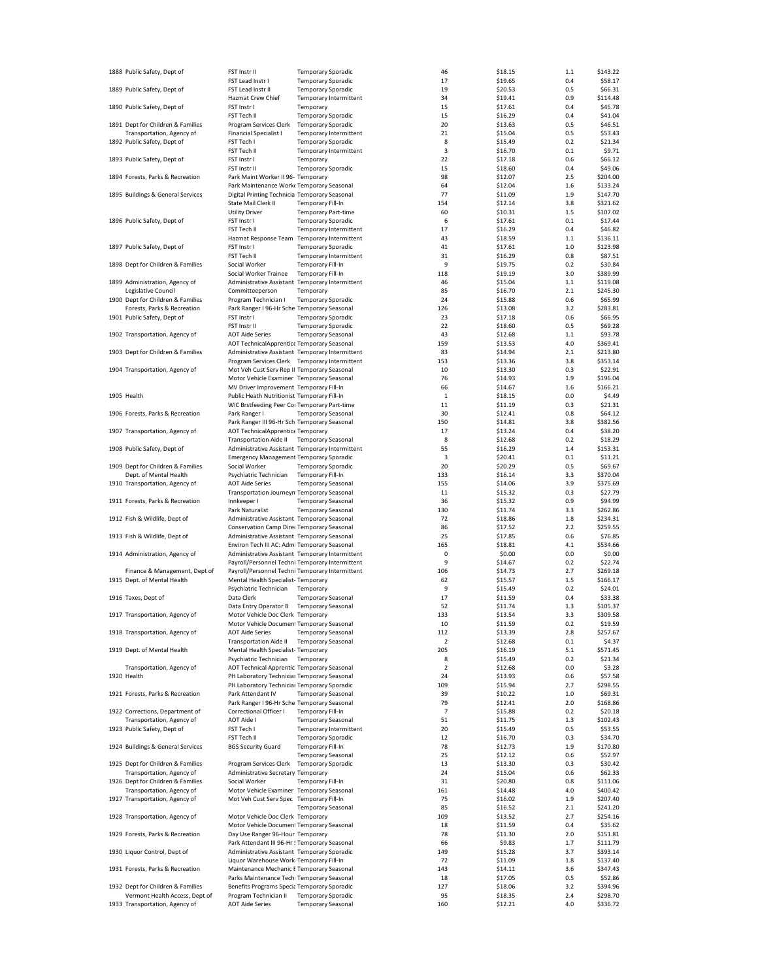| 1888 Public Safety, Dept of                                         | FST Instr II                                                                          | <b>Temporary Sporadic</b>  |                               | 46             | \$18.15            | $1.1$      | \$143.22             |
|---------------------------------------------------------------------|---------------------------------------------------------------------------------------|----------------------------|-------------------------------|----------------|--------------------|------------|----------------------|
|                                                                     | FST Lead Instr I                                                                      | <b>Temporary Sporadic</b>  |                               | 17             | \$19.65            | 0.4        | \$58.17              |
| 1889 Public Safety, Dept of                                         | FST Lead Instr II                                                                     | <b>Temporary Sporadic</b>  |                               | 19             | \$20.53            | 0.5        | \$66.31              |
|                                                                     | Hazmat Crew Chief                                                                     |                            | Temporary Intermittent        | 34             | \$19.41            | 0.9        | \$114.48             |
| 1890 Public Safety, Dept of                                         | FST Instr I                                                                           | Temporary                  |                               | 15             | \$17.61            | 0.4        | \$45.78              |
|                                                                     | FST Tech II                                                                           | <b>Temporary Sporadic</b>  |                               | 15             | \$16.29            | 0.4        | \$41.04              |
| 1891 Dept for Children & Families                                   | Program Services Clerk                                                                | <b>Temporary Sporadic</b>  |                               | 20             | \$13.63            | 0.5        | \$46.51              |
| Transportation, Agency of                                           | Financial Specialist I                                                                |                            | Temporary Intermittent        | 21             | \$15.04            | 0.5        | \$53.43              |
| 1892 Public Safety, Dept of                                         | FST Tech I                                                                            | <b>Temporary Sporadic</b>  |                               | 8              | \$15.49            | 0.2        | \$21.34              |
|                                                                     | FST Tech II                                                                           |                            | Temporary Intermittent        | 3              | \$16.70            | 0.1        | \$9.71               |
| 1893 Public Safety, Dept of                                         | FST Instr I                                                                           | Temporary                  |                               | 22             | \$17.18            | 0.6        | \$66.12              |
|                                                                     | FST Instr II                                                                          | <b>Temporary Sporadic</b>  |                               | 15             | \$18.60            | 0.4        | \$49.06              |
| 1894 Forests, Parks & Recreation                                    | Park Maint Worker II 96- Temporary                                                    |                            |                               | 98             | \$12.07            | 2.5        | \$204.00             |
|                                                                     | Park Maintenance Work Temporary Seasonal                                              |                            |                               | 64             | \$12.04            | 1.6        | \$133.24             |
| 1895 Buildings & General Services                                   | Digital Printing Technicia Temporary Seasonal                                         |                            |                               | 77             | \$11.09            | 1.9        | \$147.70             |
|                                                                     | State Mail Clerk II<br><b>Utility Driver</b>                                          | <b>Temporary Fill-In</b>   |                               | 154<br>60      | \$12.14<br>\$10.31 | 3.8<br>1.5 | \$321.62<br>\$107.02 |
| 1896 Public Safety, Dept of                                         | FST Instr I                                                                           | <b>Temporary Part-time</b> |                               | 6              | \$17.61            | 0.1        | \$17.44              |
|                                                                     |                                                                                       | <b>Temporary Sporadic</b>  | <b>Temporary Intermittent</b> |                | \$16.29            | 0.4        | \$46.82              |
|                                                                     | FST Tech II<br>Hazmat Response Team   Temporary Intermittent                          |                            |                               | 17<br>43       |                    | 1.1        | \$136.11             |
| 1897 Public Safety, Dept of                                         | FST Instr I                                                                           | <b>Temporary Sporadic</b>  |                               | 41             | \$18.59<br>\$17.61 | 1.0        | \$123.98             |
|                                                                     | FST Tech II                                                                           |                            | Temporary Intermittent        | 31             | \$16.29            | 0.8        | \$87.51              |
| 1898 Dept for Children & Families                                   | Social Worker                                                                         | <b>Temporary Fill-In</b>   |                               | 9              | \$19.75            | 0.2        | \$30.84              |
|                                                                     | Social Worker Trainee                                                                 | Temporary Fill-In          |                               | 118            | \$19.19            | 3.0        | \$389.99             |
| 1899 Administration, Agency of                                      | Administrative Assistant Temporary Intermittent                                       |                            |                               | 46             | \$15.04            | 1.1        | \$119.08             |
| Legislative Council                                                 | Committeeperson                                                                       | Temporary                  |                               | 85             | \$16.70            | 2.1        | \$245.30             |
| 1900 Dept for Children & Families                                   | Program Technician I                                                                  | <b>Temporary Sporadic</b>  |                               | 24             | \$15.88            | 0.6        | \$65.99              |
| Forests, Parks & Recreation                                         | Park Ranger I 96-Hr Sche Temporary Seasonal                                           |                            |                               | 126            | \$13.08            | 3.2        | \$283.81             |
| 1901 Public Safety, Dept of                                         | FST Instr I                                                                           | <b>Temporary Sporadic</b>  |                               | 23             | \$17.18            | 0.6        | \$66.95              |
|                                                                     | FST Instr II                                                                          | <b>Temporary Sporadic</b>  |                               | 22             | \$18.60            | 0.5        | \$69.28              |
| 1902 Transportation, Agency of                                      | <b>AOT Aide Series</b>                                                                | <b>Temporary Seasonal</b>  |                               | 43             | \$12.68            | 1.1        | \$93.78              |
|                                                                     | AOT TechnicalApprentice Temporary Seasonal                                            |                            |                               | 159            | \$13.53            | 4.0        | \$369.41             |
| 1903 Dept for Children & Families                                   | Administrative Assistant Temporary Intermittent                                       |                            |                               | 83             | \$14.94            | 2.1        | \$213.80             |
|                                                                     | Program Services Clerk Temporary Intermittent                                         |                            |                               | 153            | \$13.36            | 3.8        | \$353.14             |
| 1904 Transportation, Agency of                                      | Mot Veh Cust Serv Rep II Temporary Seasonal                                           |                            |                               | 10             | \$13.30            | 0.3        | \$22.91              |
|                                                                     | Motor Vehicle Examiner Temporary Seasonal                                             |                            |                               | 76             | \$14.93            | 1.9        | \$196.04             |
|                                                                     | MV Driver Improvement Temporary Fill-In                                               |                            |                               | 66             | \$14.67            | 1.6        | \$166.21             |
| 1905 Health                                                         | Public Heath Nutritionist Temporary Fill-In                                           |                            |                               | $\mathbf{1}$   | \$18.15            | 0.0        | \$4.49               |
|                                                                     | WIC Brstfeeding Peer Coi Temporary Part-time                                          |                            |                               | 11             | \$11.19            | 0.3        | \$21.31              |
| 1906 Forests, Parks & Recreation                                    | Park Ranger I                                                                         | <b>Temporary Seasonal</b>  |                               | 30             | \$12.41            | 0.8        | \$64.12              |
|                                                                     | Park Ranger III 96-Hr Sch Temporary Seasonal                                          |                            |                               | 150            | \$14.81            | 3.8        | \$382.56             |
| 1907 Transportation, Agency of                                      | AOT TechnicalApprentice Temporary                                                     |                            |                               | 17             | \$13.24            | 0.4        | \$38.20              |
|                                                                     | <b>Transportation Aide II</b>                                                         | <b>Temporary Seasonal</b>  |                               | 8              | \$12.68            | 0.2        | \$18.29              |
| 1908 Public Safety, Dept of                                         | Administrative Assistant Temporary Intermittent                                       |                            |                               | 55             | \$16.29            | 1.4        | \$153.31             |
|                                                                     | <b>Emergency Management Temporary Sporadic</b>                                        |                            |                               | 3              | \$20.41            | 0.1        | \$11.21              |
| 1909 Dept for Children & Families                                   | Social Worker                                                                         | <b>Temporary Sporadic</b>  |                               | 20             | \$20.29            | 0.5        | \$69.67              |
| Dept. of Mental Health                                              | Psychiatric Technician                                                                | Temporary Fill-In          |                               | 133            | \$16.14            | 3.3        | \$370.04             |
| 1910 Transportation, Agency of                                      | <b>AOT Aide Series</b>                                                                | <b>Temporary Seasonal</b>  |                               | 155            | \$14.06            | 3.9        | \$375.69             |
|                                                                     |                                                                                       |                            |                               |                |                    |            |                      |
|                                                                     |                                                                                       |                            |                               |                |                    |            |                      |
|                                                                     | Transportation Journeyn Temporary Seasonal                                            |                            |                               | 11             | \$15.32            | 0.3        | \$27.79              |
| 1911 Forests, Parks & Recreation                                    | Innkeeper I                                                                           | <b>Temporary Seasonal</b>  |                               | 36             | \$15.32            | 0.9        | \$94.99              |
|                                                                     | Park Naturalist                                                                       | <b>Temporary Seasonal</b>  |                               | 130            | \$11.74            | 3.3        | \$262.86             |
| 1912 Fish & Wildlife, Dept of                                       | Administrative Assistant Temporary Seasonal                                           |                            |                               | 72             | \$18.86            | 1.8        | \$234.31             |
|                                                                     | Conservation Camp Direc Temporary Seasonal                                            |                            |                               | 86             | \$17.52            | 2.2        | \$259.55             |
| 1913 Fish & Wildlife, Dept of                                       | Administrative Assistant Temporary Seasonal                                           |                            |                               | 25             | \$17.85            | 0.6        | \$76.85              |
|                                                                     | Environ Tech III AC: Admi Temporary Seasonal                                          |                            |                               | 165            | \$18.81            | 4.1        | \$534.66             |
| 1914 Administration, Agency of                                      | Administrative Assistant Temporary Intermittent                                       |                            |                               | 0<br>9         | \$0.00             | 0.0<br>0.2 | \$0.00               |
|                                                                     | Payroll/Personnel Techni Temporary Intermittent                                       |                            |                               | 106            | \$14.67            | 2.7        | \$22.74<br>\$269.18  |
| Finance & Management, Dept of<br>1915 Dept. of Mental Health        | Payroll/Personnel Techni Temporary Intermittent<br>Mental Health Specialist-Temporary |                            |                               | 62             | \$14.73<br>\$15.57 | 1.5        | \$166.17             |
|                                                                     | Psychiatric Technician                                                                | Temporary                  |                               | 9              | \$15.49            | 0.2        | \$24.01              |
| 1916 Taxes, Dept of                                                 | Data Clerk                                                                            | <b>Temporary Seasonal</b>  |                               | 17             | \$11.59            | 0.4        | \$33.38              |
|                                                                     | Data Entry Operator B Temporary Seasonal                                              |                            |                               | 52             | \$11.74            | 1.3        | \$105.37             |
| 1917 Transportation, Agency of                                      | Motor Vehicle Doc Clerk Temporary                                                     |                            |                               | 133            | \$13.54            | 3.3        | \$309.58             |
|                                                                     | Motor Vehicle Document Temporary Seasonal                                             |                            |                               | 10             | \$11.59            | 0.2        | \$19.59              |
| 1918 Transportation, Agency of                                      | <b>AOT Aide Series</b>                                                                | <b>Temporary Seasonal</b>  |                               | 112            | \$13.39            | 2.8        | \$257.67             |
|                                                                     | <b>Transportation Aide II</b>                                                         | <b>Temporary Seasonal</b>  |                               | 2              | \$12.68            | 0.1        | \$4.37               |
| 1919 Dept. of Mental Health                                         | Mental Health Specialist-Temporary                                                    |                            |                               | 205            | \$16.19            | 5.1        | \$571.45             |
|                                                                     | Psychiatric Technician                                                                | Temporary                  |                               | 8              | \$15.49            | 0.2        | \$21.34              |
| Transportation, Agency of                                           | AOT Technical Apprentic Temporary Seasonal                                            |                            |                               | 2              | \$12.68            | 0.0        | \$3.28               |
| 1920 Health                                                         | PH Laboratory Techniciar Temporary Seasonal                                           |                            |                               | 24             | \$13.93            | 0.6        | \$57.58              |
|                                                                     | PH Laboratory Techniciar Temporary Sporadic                                           |                            |                               | 109            | \$15.94            | 2.7        | \$298.55             |
| 1921 Forests, Parks & Recreation                                    | Park Attendant IV                                                                     | <b>Temporary Seasonal</b>  |                               | 39             | \$10.22            | 1.0        | \$69.31              |
|                                                                     | Park Ranger I 96-Hr Sche Temporary Seasonal                                           |                            |                               | 79             | \$12.41            | 2.0        | \$168.86             |
| 1922 Corrections, Department of                                     | Correctional Officer I                                                                | Temporary Fill-In          |                               | $\overline{7}$ | \$15.88            | 0.2        | \$20.18              |
| Transportation, Agency of                                           | <b>AOT Aide I</b>                                                                     | <b>Temporary Seasonal</b>  |                               | 51             | \$11.75            | 1.3        | \$102.43             |
| 1923 Public Safety, Dept of                                         | FST Tech I                                                                            |                            | Temporary Intermittent        | 20             | \$15.49            | 0.5        | \$53.55              |
|                                                                     | FST Tech II                                                                           | <b>Temporary Sporadic</b>  |                               | 12             | \$16.70            | 0.3        | \$34.70              |
| 1924 Buildings & General Services                                   | <b>BGS Security Guard</b>                                                             | <b>Temporary Fill-In</b>   |                               | 78             | \$12.73            | 1.9        | \$170.80             |
|                                                                     |                                                                                       | <b>Temporary Seasonal</b>  |                               | 25             | \$12.12            | 0.6        | \$52.97              |
| 1925 Dept for Children & Families                                   | Program Services Clerk                                                                | <b>Temporary Sporadic</b>  |                               | 13             | \$13.30            | 0.3        | \$30.42              |
| Transportation, Agency of                                           | Administrative Secretary Temporary                                                    |                            |                               | 24             | \$15.04            | 0.6        | \$62.33              |
| 1926 Dept for Children & Families                                   | Social Worker                                                                         | Temporary Fill-In          |                               | 31             | \$20.80            | 0.8        | \$111.06             |
| Transportation, Agency of                                           | Motor Vehicle Examiner Temporary Seasonal                                             |                            |                               | 161            | \$14.48            | 4.0        | \$400.42             |
| 1927 Transportation, Agency of                                      | Mot Veh Cust Serv Spec Temporary Fill-In                                              |                            |                               | 75             | \$16.02            | 1.9        | \$207.40             |
|                                                                     |                                                                                       | <b>Temporary Seasonal</b>  |                               | 85             | \$16.52            | 2.1        | \$241.20             |
| 1928 Transportation, Agency of                                      | Motor Vehicle Doc Clerk Temporary                                                     |                            |                               | 109            | \$13.52            | 2.7        | \$254.16             |
|                                                                     | Motor Vehicle Document Temporary Seasonal                                             |                            |                               | 18             | \$11.59            | 0.4        | \$35.62              |
| 1929 Forests, Parks & Recreation                                    | Day Use Ranger 96-Hour Temporary                                                      |                            |                               | 78             | \$11.30            | 2.0        | \$151.81             |
|                                                                     | Park Attendant III 96-Hr ! Temporary Seasonal                                         |                            |                               | 66             | \$9.83             | 1.7        | \$111.79             |
| 1930 Liquor Control, Dept of                                        | Administrative Assistant Temporary Sporadic                                           |                            |                               | 149            | \$15.28            | 3.7        | \$393.14             |
|                                                                     | Liquor Warehouse Work Temporary Fill-In                                               |                            |                               | 72             | \$11.09            | 1.8        | \$137.40             |
| 1931 Forests, Parks & Recreation                                    | Maintenance Mechanic E Temporary Seasonal                                             |                            |                               | 143            | \$14.11            | 3.6        | \$347.43             |
|                                                                     | Parks Maintenance Tech Temporary Seasonal                                             |                            |                               | 18<br>127      | \$17.05            | 0.5        | \$52.86              |
| 1932 Dept for Children & Families<br>Vermont Health Access, Dept of | Benefits Programs Specia Temporary Sporadic<br>Program Technician II                  | <b>Temporary Sporadic</b>  |                               | 95             | \$18.06<br>\$18.35 | 3.2<br>2.4 | \$394.96<br>\$298.70 |
| 1933 Transportation, Agency of                                      | <b>AOT Aide Series</b>                                                                | <b>Temporary Seasonal</b>  |                               | 160            | \$12.21            | 4.0        | \$336.72             |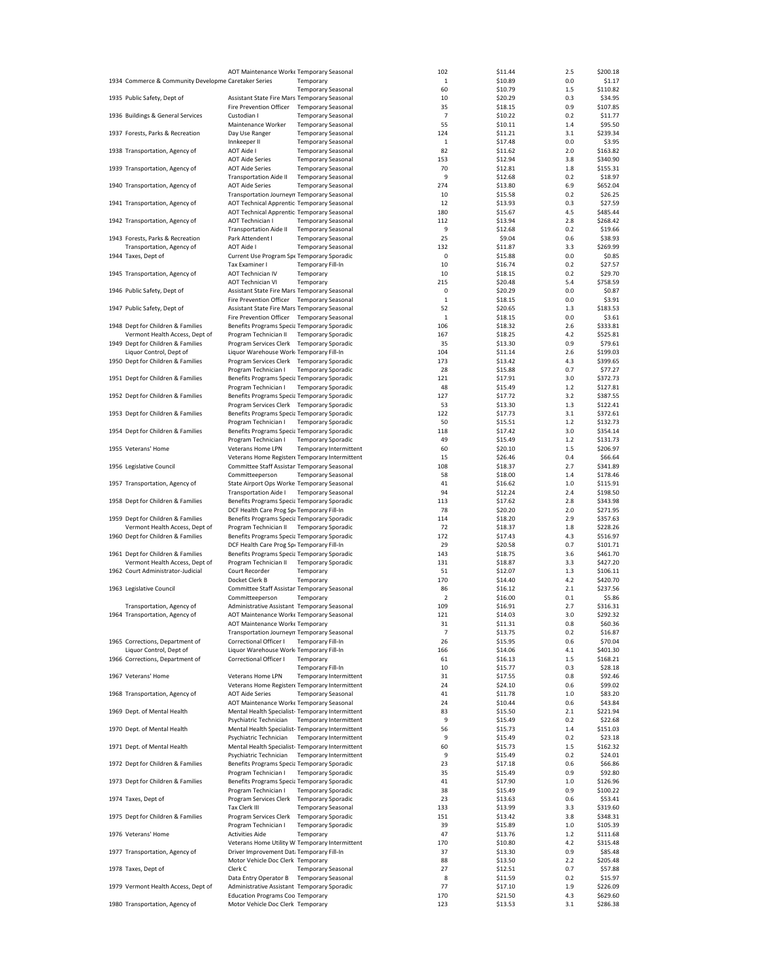|                                                      | AOT Maintenance Worke Temporary Seasonal        |                           |                        | 102            | \$11.44 | 2.5 | \$200.18 |
|------------------------------------------------------|-------------------------------------------------|---------------------------|------------------------|----------------|---------|-----|----------|
| 1934 Commerce & Community Developme Caretaker Series |                                                 | Temporary                 |                        | 1              | \$10.89 | 0.0 | \$1.17   |
|                                                      |                                                 | <b>Temporary Seasonal</b> |                        | 60             | \$10.79 | 1.5 | \$110.82 |
| 1935 Public Safety, Dept of                          | Assistant State Fire Mars Temporary Seasonal    |                           |                        | 10             | \$20.29 | 0.3 | \$34.95  |
|                                                      |                                                 |                           |                        |                |         |     |          |
|                                                      | Fire Prevention Officer Temporary Seasonal      |                           |                        | 35             | \$18.15 | 0.9 | \$107.85 |
| 1936 Buildings & General Services                    | Custodian I                                     | <b>Temporary Seasonal</b> |                        | 7              | \$10.22 | 0.2 | \$11.77  |
|                                                      | Maintenance Worker                              | <b>Temporary Seasonal</b> |                        | 55             | \$10.11 | 1.4 | \$95.50  |
| 1937 Forests, Parks & Recreation                     | Day Use Ranger                                  | <b>Temporary Seasonal</b> |                        | 124            | \$11.21 | 3.1 | \$239.34 |
|                                                      | Innkeeper II                                    | <b>Temporary Seasonal</b> |                        | 1              | \$17.48 | 0.0 | \$3.95   |
| 1938 Transportation, Agency of                       | AOT Aide I                                      | <b>Temporary Seasonal</b> |                        | 82             | \$11.62 | 2.0 | \$163.82 |
|                                                      | <b>AOT Aide Series</b>                          | <b>Temporary Seasonal</b> |                        | 153            | \$12.94 | 3.8 | \$340.90 |
| 1939 Transportation, Agency of                       | <b>AOT Aide Series</b>                          | <b>Temporary Seasonal</b> |                        | 70             | \$12.81 | 1.8 | \$155.31 |
|                                                      | <b>Transportation Aide II</b>                   | <b>Temporary Seasonal</b> |                        | 9              | \$12.68 | 0.2 | \$18.97  |
| 1940 Transportation, Agency of                       | <b>AOT Aide Series</b>                          | <b>Temporary Seasonal</b> |                        | 274            | \$13.80 | 6.9 | \$652.04 |
|                                                      | Transportation Journeyn Temporary Seasonal      |                           |                        | 10             | \$15.58 | 0.2 | \$26.25  |
| 1941 Transportation, Agency of                       | AOT Technical Apprentic Temporary Seasonal      |                           |                        | 12             | \$13.93 | 0.3 | \$27.59  |
|                                                      | AOT Technical Apprentic Temporary Seasonal      |                           |                        | 180            | \$15.67 | 4.5 | \$485.44 |
| 1942 Transportation, Agency of                       | AOT Technician I                                | <b>Temporary Seasonal</b> |                        | 112            | \$13.94 | 2.8 | \$268.42 |
|                                                      | <b>Transportation Aide II</b>                   | <b>Temporary Seasonal</b> |                        | 9              | \$12.68 | 0.2 | \$19.66  |
| 1943 Forests, Parks & Recreation                     | Park Attendent I                                | <b>Temporary Seasonal</b> |                        | 25             | \$9.04  | 0.6 | \$38.93  |
| Transportation, Agency of                            | AOT Aide I                                      | <b>Temporary Seasonal</b> |                        | 132            | \$11.87 | 3.3 | \$269.99 |
| 1944 Taxes, Dept of                                  | Current Use Program Spe Temporary Sporadic      |                           |                        | $\bf 0$        | \$15.88 | 0.0 | \$0.85   |
|                                                      |                                                 |                           |                        | 10             |         | 0.2 |          |
|                                                      | Tax Examiner I                                  | <b>Temporary Fill-In</b>  |                        |                | \$16.74 |     | \$27.57  |
| 1945 Transportation, Agency of                       | AOT Technician IV                               | Temporary                 |                        | 10             | \$18.15 | 0.2 | \$29.70  |
|                                                      | <b>AOT Technician VI</b>                        | Temporary                 |                        | 215            | \$20.48 | 5.4 | \$758.59 |
| 1946 Public Safety, Dept of                          | Assistant State Fire Mars Temporary Seasonal    |                           |                        | $\mathbf 0$    | \$20.29 | 0.0 | \$0.87   |
|                                                      | Fire Prevention Officer Temporary Seasonal      |                           |                        | 1              | \$18.15 | 0.0 | \$3.91   |
| 1947 Public Safety, Dept of                          | Assistant State Fire Mars Temporary Seasonal    |                           |                        | 52             | \$20.65 | 1.3 | \$183.53 |
|                                                      | Fire Prevention Officer Temporary Seasonal      |                           |                        | $\mathbf 1$    | \$18.15 | 0.0 | \$3.61   |
| 1948 Dept for Children & Families                    | Benefits Programs Specia Temporary Sporadic     |                           |                        | 106            | \$18.32 | 2.6 | \$333.81 |
| Vermont Health Access, Dept of                       | Program Technician II                           | <b>Temporary Sporadic</b> |                        | 167            | \$18.25 | 4.2 | \$525.81 |
| 1949 Dept for Children & Families                    | Program Services Clerk                          | <b>Temporary Sporadic</b> |                        | 35             | \$13.30 | 0.9 | \$79.61  |
| Liquor Control, Dept of                              | Liquor Warehouse Work Temporary Fill-In         |                           |                        | 104            | \$11.14 | 2.6 | \$199.03 |
| 1950 Dept for Children & Families                    | Program Services Clerk                          | <b>Temporary Sporadic</b> |                        | 173            | \$13.42 | 4.3 | \$399.65 |
|                                                      | Program Technician I                            | <b>Temporary Sporadic</b> |                        | 28             | \$15.88 | 0.7 | \$77.27  |
| 1951 Dept for Children & Families                    | Benefits Programs Specia Temporary Sporadic     |                           |                        | 121            | \$17.91 | 3.0 | \$372.73 |
|                                                      | Program Technician I                            | <b>Temporary Sporadic</b> |                        | 48             | \$15.49 | 1.2 | \$127.81 |
|                                                      |                                                 |                           |                        |                |         |     |          |
| 1952 Dept for Children & Families                    | Benefits Programs Specia Temporary Sporadic     |                           |                        | 127            | \$17.72 | 3.2 | \$387.55 |
|                                                      | Program Services Clerk Temporary Sporadic       |                           |                        | 53             | \$13.30 | 1.3 | \$122.41 |
| 1953 Dept for Children & Families                    | Benefits Programs Specia Temporary Sporadic     |                           |                        | 122            | \$17.73 | 3.1 | \$372.61 |
|                                                      | Program Technician I                            | <b>Temporary Sporadic</b> |                        | 50             | \$15.51 | 1.2 | \$132.73 |
| 1954 Dept for Children & Families                    | Benefits Programs Specia Temporary Sporadic     |                           |                        | 118            | \$17.42 | 3.0 | \$354.14 |
|                                                      | Program Technician I                            | <b>Temporary Sporadic</b> |                        | 49             | \$15.49 | 1.2 | \$131.73 |
| 1955 Veterans' Home                                  | Veterans Home LPN                               |                           | Temporary Intermittent | 60             | \$20.10 | 1.5 | \$206.97 |
|                                                      | Veterans Home Register« Temporary Intermittent  |                           |                        | 15             | \$26.46 | 0.4 | \$66.64  |
| 1956 Legislative Council                             | Committee Staff Assistan Temporary Seasonal     |                           |                        | 108            | \$18.37 | 2.7 | \$341.89 |
|                                                      | Committeeperson                                 | <b>Temporary Seasonal</b> |                        | 58             | \$18.00 | 1.4 | \$178.46 |
| 1957 Transportation, Agency of                       | State Airport Ops Worke Temporary Seasonal      |                           |                        | 41             | \$16.62 | 1.0 | \$115.91 |
|                                                      | <b>Transportation Aide I</b>                    | <b>Temporary Seasonal</b> |                        | 94             | \$12.24 | 2.4 | \$198.50 |
| 1958 Dept for Children & Families                    | Benefits Programs Specia Temporary Sporadic     |                           |                        | 113            | \$17.62 | 2.8 | \$343.98 |
|                                                      | DCF Health Care Prog Spi Temporary Fill-In      |                           |                        | 78             | \$20.20 | 2.0 | \$271.95 |
| 1959 Dept for Children & Families                    | Benefits Programs Specia Temporary Sporadic     |                           |                        | 114            | \$18.20 | 2.9 | \$357.63 |
| Vermont Health Access, Dept of                       | Program Technician II                           | <b>Temporary Sporadic</b> |                        | 72             | \$18.37 | 1.8 | \$228.26 |
| 1960 Dept for Children & Families                    | Benefits Programs Specia Temporary Sporadic     |                           |                        | 172            | \$17.43 | 4.3 | \$516.97 |
|                                                      | DCF Health Care Prog Spr Temporary Fill-In      |                           |                        | 29             | \$20.58 | 0.7 | \$101.71 |
|                                                      |                                                 |                           |                        |                |         |     | \$461.70 |
| 1961 Dept for Children & Families                    | Benefits Programs Specia Temporary Sporadic     |                           |                        | 143            | \$18.75 | 3.6 |          |
| Vermont Health Access, Dept of                       | Program Technician II                           | <b>Temporary Sporadic</b> |                        | 131            | \$18.87 | 3.3 | \$427.20 |
| 1962 Court Administrator-Judicial                    | Court Recorder                                  | Temporary                 |                        | 51             | \$12.07 | 1.3 | \$106.11 |
|                                                      | Docket Clerk B                                  | Temporary                 |                        | 170            | \$14.40 | 4.2 | \$420.70 |
| 1963 Legislative Council                             | Committee Staff Assistan Temporary Seasonal     |                           |                        | 86             | \$16.12 | 2.1 | \$237.56 |
|                                                      | Committeeperson                                 | Temporary                 |                        | $\overline{2}$ | \$16.00 | 0.1 | \$5.86   |
| Transportation, Agency of                            | Administrative Assistant Temporary Seasonal     |                           |                        | 109            | \$16.91 | 2.7 | \$316.31 |
| 1964 Transportation, Agency of                       | AOT Maintenance Worke Temporary Seasonal        |                           |                        | 121            | \$14.03 | 3.0 | \$292.32 |
|                                                      | AOT Maintenance Worke Temporary                 |                           |                        | 31             | \$11.31 | 0.8 | \$60.36  |
|                                                      | Transportation Journeyn Temporary Seasonal      |                           |                        | 7              | \$13.75 | 0.2 | \$16.87  |
| 1965 Corrections, Department of                      | Correctional Officer I                          | <b>Temporary Fill-In</b>  |                        | 26             | \$15.95 | 0.6 | \$70.04  |
| Liquor Control, Dept of                              | Liquor Warehouse Work Temporary Fill-In         |                           |                        | 166            | \$14.06 | 4.1 | \$401.30 |
| 1966 Corrections, Department of                      | Correctional Officer I                          | Temporary                 |                        | 61             | \$16.13 | 1.5 | \$168.21 |
|                                                      |                                                 | <b>Temporary Fill-In</b>  |                        | 10             | \$15.77 | 0.3 | \$28.18  |
| 1967 Veterans' Home                                  | Veterans Home LPN                               |                           | Temporary Intermittent | 31             | \$17.55 | 0.8 | \$92.46  |
|                                                      | Veterans Home Register« Temporary Intermittent  |                           |                        | 24             | \$24.10 | 0.6 | \$99.02  |
| 1968 Transportation, Agency of                       | <b>AOT Aide Series</b>                          | <b>Temporary Seasonal</b> |                        | 41             | \$11.78 | 1.0 | \$83.20  |
|                                                      |                                                 |                           |                        |                |         | 0.6 | \$43.84  |
|                                                      | AOT Maintenance Worke Temporary Seasonal        |                           |                        | 24             | \$10.44 |     |          |
| 1969 Dept. of Mental Health                          | Mental Health Specialist-Temporary Intermittent |                           |                        | 83             | \$15.50 | 2.1 | \$221.94 |
|                                                      | Psychiatric Technician                          |                           | Temporary Intermittent | 9              | \$15.49 | 0.2 | \$22.68  |
| 1970 Dept. of Mental Health                          | Mental Health Specialist-Temporary Intermittent |                           |                        | 56             | \$15.73 | 1.4 | \$151.03 |
|                                                      | Psychiatric Technician                          |                           | Temporary Intermittent | 9              | \$15.49 | 0.2 | \$23.18  |
| 1971 Dept. of Mental Health                          | Mental Health Specialist-Temporary Intermittent |                           |                        | 60             | \$15.73 | 1.5 | \$162.32 |
|                                                      | Psychiatric Technician                          |                           | Temporary Intermittent | 9              | \$15.49 | 0.2 | \$24.01  |
| 1972 Dept for Children & Families                    | Benefits Programs Specia Temporary Sporadic     |                           |                        | 23             | \$17.18 | 0.6 | \$66.86  |
|                                                      | Program Technician I                            | <b>Temporary Sporadic</b> |                        | 35             | \$15.49 | 0.9 | \$92.80  |
| 1973 Dept for Children & Families                    | Benefits Programs Specia Temporary Sporadic     |                           |                        | 41             | \$17.90 | 1.0 | \$126.96 |
|                                                      | Program Technician I                            | <b>Temporary Sporadic</b> |                        | 38             | \$15.49 | 0.9 | \$100.22 |
| 1974 Taxes, Dept of                                  | Program Services Clerk                          | <b>Temporary Sporadic</b> |                        | 23             | \$13.63 | 0.6 | \$53.41  |
|                                                      | Tax Clerk III                                   | <b>Temporary Seasonal</b> |                        | 133            | \$13.99 | 3.3 | \$319.60 |
|                                                      |                                                 |                           |                        |                |         |     |          |
| 1975 Dept for Children & Families                    | Program Services Clerk                          | <b>Temporary Sporadic</b> |                        | 151            | \$13.42 | 3.8 | \$348.31 |
|                                                      | Program Technician I                            | <b>Temporary Sporadic</b> |                        | 39             | \$15.89 | 1.0 | \$105.39 |
| 1976 Veterans' Home                                  | <b>Activities Aide</b>                          | Temporary                 |                        | 47             | \$13.76 | 1.2 | \$111.68 |
|                                                      | Veterans Home Utility W Temporary Intermittent  |                           |                        | 170            | \$10.80 | 4.2 | \$315.48 |
| 1977 Transportation, Agency of                       | Driver Improvement Dat: Temporary Fill-In       |                           |                        | 37             | \$13.30 | 0.9 | \$85.48  |
|                                                      | Motor Vehicle Doc Clerk Temporary               |                           |                        | 88             | \$13.50 | 2.2 | \$205.48 |
| 1978 Taxes, Dept of                                  | Clerk C                                         | <b>Temporary Seasonal</b> |                        | 27             | \$12.51 | 0.7 | \$57.88  |
|                                                      | Data Entry Operator B                           | <b>Temporary Seasonal</b> |                        | 8              | \$11.59 | 0.2 | \$15.97  |
| 1979 Vermont Health Access, Dept of                  | Administrative Assistant Temporary Sporadic     |                           |                        | 77             | \$17.10 | 1.9 | \$226.09 |
|                                                      | Education Programs Coo Temporary                |                           |                        | 170            | \$21.50 | 4.3 | \$629.60 |
| 1980 Transportation, Agency of                       | Motor Vehicle Doc Clerk Temporary               |                           |                        | 123            | \$13.53 | 3.1 | \$286.38 |